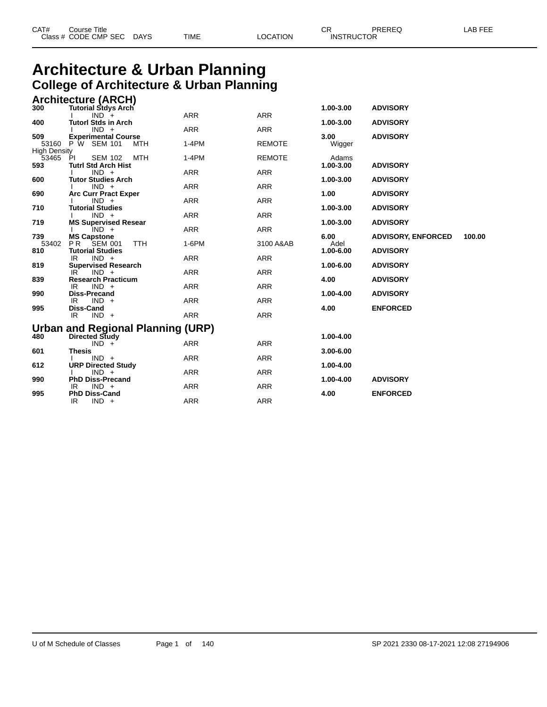|  | CAT# | ourse Titleٽ<br>Class # CODE CMP SEC | <b>DAYS</b> | TIME | LOCATION | ⌒冖<br>- UN<br><b>INSTRUCTOR</b> | PREREQ | AR FFF |
|--|------|--------------------------------------|-------------|------|----------|---------------------------------|--------|--------|
|--|------|--------------------------------------|-------------|------|----------|---------------------------------|--------|--------|

### **Architecture & Urban Planning College of Architecture & Urban Planning Architecture (ARCH)**

|                              | Architecture (ARCH)                                                  |            |               |               |                           |        |
|------------------------------|----------------------------------------------------------------------|------------|---------------|---------------|---------------------------|--------|
| 300                          | <b>Tutorial Stdys Arch</b>                                           |            |               | 1.00-3.00     | <b>ADVISORY</b>           |        |
|                              | $IND +$                                                              | ARR        | <b>ARR</b>    |               |                           |        |
| 400                          | <b>Tutorl Stds in Arch</b><br>$IND +$                                | <b>ARR</b> | <b>ARR</b>    | 1.00-3.00     | <b>ADVISORY</b>           |        |
| 509                          | <b>Experimental Course</b>                                           |            |               | 3.00          | <b>ADVISORY</b>           |        |
|                              | 53160 P W SEM 101<br>MTH                                             | $1-4PM$    | <b>REMOTE</b> | Wigger        |                           |        |
| <b>High Density</b><br>53465 | MTH<br>PI<br><b>SEM 102</b>                                          | $1-4PM$    | <b>REMOTE</b> | Adams         |                           |        |
| 593                          | <b>Tutrl Std Arch Hist</b><br>$IND +$                                | <b>ARR</b> | <b>ARR</b>    | 1.00-3.00     | <b>ADVISORY</b>           |        |
| 600                          | <b>Tutor Studies Arch</b>                                            |            |               | 1.00-3.00     | <b>ADVISORY</b>           |        |
|                              | $IND +$                                                              | <b>ARR</b> | <b>ARR</b>    |               |                           |        |
| 690                          | <b>Arc Curr Pract Exper</b><br>$IND +$                               | <b>ARR</b> | <b>ARR</b>    | 1.00          | <b>ADVISORY</b>           |        |
| 710                          | <b>Tutorial Studies</b>                                              |            |               | 1.00-3.00     | <b>ADVISORY</b>           |        |
|                              | $IND +$                                                              | <b>ARR</b> | <b>ARR</b>    |               |                           |        |
| 719                          | <b>MS Supervised Resear</b>                                          |            |               | 1.00-3.00     | <b>ADVISORY</b>           |        |
| 739                          | $IND +$                                                              | <b>ARR</b> | <b>ARR</b>    | 6.00          |                           | 100.00 |
| 53402                        | <b>MS Capstone</b><br>P <sub>R</sub><br><b>SEM 001</b><br><b>TTH</b> | 1-6PM      | 3100 A&AB     | Adel          | <b>ADVISORY, ENFORCED</b> |        |
| 810                          | <b>Tutorial Studies</b>                                              |            |               | 1.00-6.00     | <b>ADVISORY</b>           |        |
|                              | $IND +$<br>IR                                                        | <b>ARR</b> | <b>ARR</b>    |               |                           |        |
| 819                          | <b>Supervised Research</b>                                           |            |               | 1.00-6.00     | <b>ADVISORY</b>           |        |
|                              | $IND +$<br>IR                                                        | <b>ARR</b> | <b>ARR</b>    |               |                           |        |
| 839                          | <b>Research Practicum</b>                                            |            |               | 4.00          | <b>ADVISORY</b>           |        |
|                              | $IND +$<br>IR                                                        | <b>ARR</b> | <b>ARR</b>    |               |                           |        |
| 990                          | <b>Diss-Precand</b>                                                  |            |               | 1.00-4.00     | <b>ADVISORY</b>           |        |
| 995                          | IR<br>$IND +$<br>Diss-Cand                                           | <b>ARR</b> | <b>ARR</b>    | 4.00          | <b>ENFORCED</b>           |        |
|                              | $IND +$<br>IR                                                        | <b>ARR</b> | <b>ARR</b>    |               |                           |        |
|                              |                                                                      |            |               |               |                           |        |
|                              | Urban and Regional Planning (URP)                                    |            |               |               |                           |        |
| 480                          | Directed Study<br>$IND +$                                            | <b>ARR</b> | <b>ARR</b>    | 1.00-4.00     |                           |        |
| 601                          | <b>Thesis</b>                                                        |            |               | $3.00 - 6.00$ |                           |        |
|                              | $IND +$                                                              | <b>ARR</b> | <b>ARR</b>    |               |                           |        |
| 612                          | <b>URP Directed Study</b>                                            |            |               | 1.00-4.00     |                           |        |
|                              | $IND +$                                                              | <b>ARR</b> | <b>ARR</b>    |               |                           |        |
| 990                          | <b>PhD Diss-Precand</b>                                              |            |               | 1.00-4.00     | <b>ADVISORY</b>           |        |
|                              | $IND +$<br>IR                                                        | <b>ARR</b> | <b>ARR</b>    |               |                           |        |
| 995                          | <b>PhD Diss-Cand</b>                                                 |            |               | 4.00          | <b>ENFORCED</b>           |        |
|                              | IR.<br>$IND +$                                                       | <b>ARR</b> | <b>ARR</b>    |               |                           |        |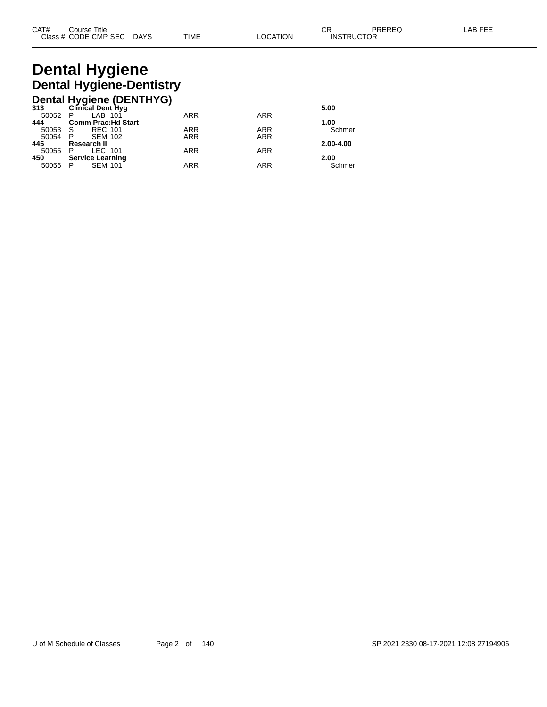# **Dental Hygiene Dental Hygiene-Dentistry**

|         | Dental Hygiene (DENTHYG)<br>313 Clinical Dent Hyg |            |            |           |
|---------|---------------------------------------------------|------------|------------|-----------|
|         |                                                   |            |            | 5.00      |
| 50052 P | LAB 101                                           | <b>ARR</b> | <b>ARR</b> |           |
| 444     | <b>Comm Prac: Hd Start</b>                        |            |            | 1.00      |
| 50053   | <b>REC 101</b><br>- S                             | <b>ARR</b> | ARR        | Schmerl   |
| 50054   | <b>SEM 102</b><br>$\mathsf{P}$                    | <b>ARR</b> | <b>ARR</b> |           |
| 445     | Research II                                       |            |            | 2.00-4.00 |
| 50055   | LEC 101<br>- P                                    | <b>ARR</b> | <b>ARR</b> |           |
| 450     | <b>Service Learning</b>                           |            |            | 2.00      |
| 50056   | <b>SEM 101</b><br>- P                             | <b>ARR</b> | ARR        | Schmerl   |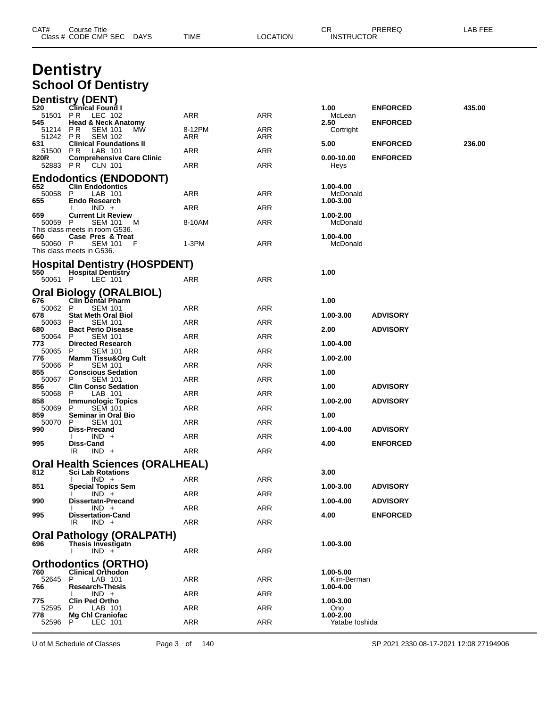| CAT#            | Course Title<br>Class # CODE CMP SEC DAYS                          |    | TIME       | <b>LOCATION</b> | CR<br><b>INSTRUCTOR</b> | PREREQ          | LAB FEE |  |
|-----------------|--------------------------------------------------------------------|----|------------|-----------------|-------------------------|-----------------|---------|--|
|                 | <b>Dentistry</b>                                                   |    |            |                 |                         |                 |         |  |
|                 | <b>School Of Dentistry</b>                                         |    |            |                 |                         |                 |         |  |
|                 | <b>Dentistry (DENT)</b>                                            |    |            |                 |                         |                 |         |  |
| 520<br>51501 PR | <b>Clinical Found I</b><br>LEC 102                                 |    | ARR        | ARR             | 1.00<br>McLean          | <b>ENFORCED</b> | 435.00  |  |
| 545<br>51214    | <b>Head &amp; Neck Anatomy</b><br>P R<br><b>SEM 101</b>            | МW | 8-12PM     | ARR             | 2.50<br>Cortright       | <b>ENFORCED</b> |         |  |
| 51242<br>631    | P R<br><b>SEM 102</b><br><b>Clinical Foundations II</b>            |    | ARR        | ARR             | 5.00                    | <b>ENFORCED</b> | 236.00  |  |
| 51500<br>820R   | PR.<br>LAB 101<br><b>Comprehensive Care Clinic</b>                 |    | ARR        | ARR             | $0.00 - 10.00$          | <b>ENFORCED</b> |         |  |
|                 | 52883 PR CLN 101                                                   |    | ARR        | ARR             | Heys                    |                 |         |  |
| 652             | <b>Endodontics (ENDODONT)</b><br><b>Clin Endodontics</b>           |    |            |                 | 1.00-4.00               |                 |         |  |
| 50058<br>655    | P<br>LAB 101<br><b>Endo Research</b>                               |    | ARR        | ARR             | McDonald<br>1.00-3.00   |                 |         |  |
|                 | $IND +$<br><b>Current Lit Review</b>                               |    | ARR        | ARR             |                         |                 |         |  |
| 659<br>50059 P  | <b>SEM 101</b>                                                     | M  | 8-10AM     | ARR             | 1.00-2.00<br>McDonald   |                 |         |  |
| 660             | This class meets in room G536.<br>Case Pres & Treat                |    |            |                 | 1.00-4.00               |                 |         |  |
| 50060 P         | SEM 101<br>This class meets in G536.                               | F  | 1-3PM      | ARR             | McDonald                |                 |         |  |
|                 | <b>Hospital Dentistry (HOSPDENT)</b>                               |    |            |                 |                         |                 |         |  |
| 550<br>50061 P  | <b>Hospital Dentistry</b><br>LEC 101                               |    | ARR        | ARR             | 1.00                    |                 |         |  |
|                 | Oral Biology (ORALBIOL)                                            |    |            |                 |                         |                 |         |  |
| 676<br>50062    | <b>Clin Dental Pharm</b><br>P<br><b>SEM 101</b>                    |    | ARR        | ARR             | 1.00                    |                 |         |  |
| 678<br>50063    | <b>Stat Meth Oral Biol</b><br>P<br>SEM 101                         |    | ARR        | ARR             | 1.00-3.00               | <b>ADVISORY</b> |         |  |
| 680<br>50064    | <b>Bact Perio Disease</b><br>P<br><b>SEM 101</b>                   |    | ARR        | ARR             | 2.00                    | <b>ADVISORY</b> |         |  |
| 773<br>50065    | <b>Directed Research</b><br>P                                      |    | ARR        | ARR             | 1.00-4.00               |                 |         |  |
| 776             | <b>SEM 101</b><br><b>Mamm Tissu&amp;Org Cult</b>                   |    |            |                 | 1.00-2.00               |                 |         |  |
| 50066<br>855    | P<br>SEM 101<br><b>Conscious Sedation</b>                          |    | ARR        | ARR             | 1.00                    |                 |         |  |
| 50067<br>856    | <b>SEM 101</b><br>P<br><b>Clin Consc Sedation</b>                  |    | ARR        | ARR             | 1.00                    | <b>ADVISORY</b> |         |  |
| 50068<br>858    | LAB 101<br>P<br><b>Immunologic Topics</b>                          |    | ARR        | ARR             | 1.00-2.00               | <b>ADVISORY</b> |         |  |
| 50069<br>859    | P<br>SEM 101<br><b>Seminar in Oral Bio</b>                         |    | ARR        | ARR             | 1.00                    |                 |         |  |
| 50070 P<br>990  | <b>SEM 101</b><br><b>Diss-Precand</b>                              |    | ARR        | ARR             | 1.00-4.00               | <b>ADVISORY</b> |         |  |
| 995             | $IND +$<br>Diss-Cand                                               |    | <b>ARR</b> | <b>ARR</b>      | 4.00                    | <b>ENFORCED</b> |         |  |
|                 | $IND +$<br>IR                                                      |    | <b>ARR</b> | <b>ARR</b>      |                         |                 |         |  |
| 812             | <b>Oral Health Sciences (ORALHEAL)</b><br><b>Sci Lab Rotations</b> |    |            |                 | 3.00                    |                 |         |  |
| 851             | $IND +$<br><b>Special Topics Sem</b>                               |    | ARR        | ARR             | 1.00-3.00               | <b>ADVISORY</b> |         |  |
|                 | $IND +$                                                            |    | ARR        | <b>ARR</b>      |                         |                 |         |  |
| 990             | <b>Dissertatn-Precand</b><br>$IND +$                               |    | ARR        | ARR             | 1.00-4.00               | <b>ADVISORY</b> |         |  |
| 995             | <b>Dissertation-Cand</b><br>$IND +$<br>IR                          |    | ARR        | <b>ARR</b>      | 4.00                    | <b>ENFORCED</b> |         |  |
|                 | Oral Pathology (ORALPATH)                                          |    |            |                 |                         |                 |         |  |
| 696             | Thesis Investigatn<br>$IND +$                                      |    | ARR        | ARR             | 1.00-3.00               |                 |         |  |
|                 | <b>Orthodontics (ORTHO)</b>                                        |    |            |                 |                         |                 |         |  |
| 760<br>52645    | <b>Clinical Orthodon</b><br>LAB 101<br>P                           |    | ARR        | <b>ARR</b>      | 1.00-5.00<br>Kim-Berman |                 |         |  |
| 766             | <b>Research-Thesis</b><br>$IND +$                                  |    | ARR        | ARR             | 1.00-4.00               |                 |         |  |
| 775<br>52595    | <b>Clin Ped Ortho</b><br>LAB 101                                   |    | ARR        | ARR             | 1.00-3.00               |                 |         |  |
| 778             | <b>Mg Chl Craniofac</b>                                            |    |            |                 | Ono<br>1.00-2.00        |                 |         |  |
| 52596           | LEC 101<br>P.                                                      |    | ARR        | <b>ARR</b>      | Yatabe loshida          |                 |         |  |

U of M Schedule of Classes Page 3 of 140 SP 2021 2330 08-17-2021 12:08 27194906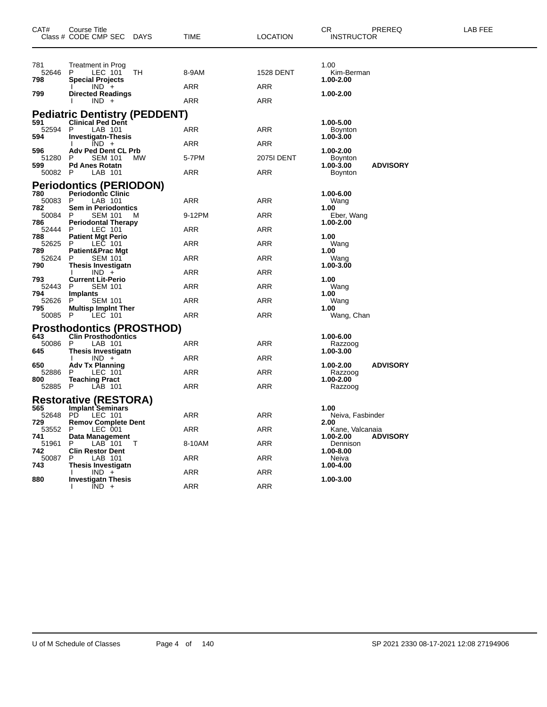| CAT#                  | Course Title<br>Class # CODE CMP SEC DAYS                                       | TIME       | <b>LOCATION</b>  | CR<br>PREREQ<br><b>INSTRUCTOR</b>              | LAB FEE |
|-----------------------|---------------------------------------------------------------------------------|------------|------------------|------------------------------------------------|---------|
| 781<br>52646<br>798   | Treatment in Prog<br>LEC 101<br>P.<br>ТH<br><b>Special Projects</b>             | 8-9AM      | <b>1528 DENT</b> | 1.00<br>Kim-Berman<br>1.00-2.00                |         |
| 799                   | $IND +$<br><b>Directed Readings</b><br>$IND +$                                  | ARR<br>ARR | ARR<br>ARR       | 1.00-2.00                                      |         |
|                       | <b>Pediatric Dentistry (PEDDENT)</b>                                            |            |                  |                                                |         |
| 591<br>52594          | <b>Clinical Ped Dent</b><br>P<br>LAB 101                                        | ARR        | ARR              | 1.00-5.00<br><b>Boynton</b>                    |         |
| 594                   | <b>Investigatn-Thesis</b><br>$IND +$                                            | ARR        | ARR              | 1.00-3.00                                      |         |
| 596<br>51280          | Adv Ped Dent CL Prb<br>P<br><b>SEM 101</b><br><b>MW</b>                         | 5-7PM      | 2075I DENT       | 1.00-2.00<br><b>Boynton</b>                    |         |
| 599<br>50082 P        | <b>Pd Anes Rotatn</b><br>LAB 101                                                | ARR        | ARR              | <b>ADVISORY</b><br>1.00-3.00<br><b>Boynton</b> |         |
|                       | <b>Periodontics (PERIODON)</b>                                                  |            |                  |                                                |         |
| 780<br>50083          | <b>Periodontic Clinic</b><br>LAB 101<br>- P                                     | ARR        | ARR              | 1.00-6.00<br>Wang                              |         |
| 782<br>50084 P<br>786 | <b>Sem in Periodontics</b><br><b>SEM 101</b><br>M<br><b>Periodontal Therapy</b> | 9-12PM     | ARR              | 1.00<br>Eber, Wang<br>1.00-2.00                |         |
| 52444 P               | LEC 101                                                                         | ARR        | ARR              |                                                |         |
| 788<br>52625          | <b>Patient Mgt Perio</b><br>LEC 101<br>P                                        | ARR        | ARR              | 1.00<br>Wang                                   |         |
| 789<br>52624          | <b>Patient&amp;Prac Mgt</b><br>P.<br><b>SEM 101</b>                             | ARR        | ARR              | 1.00<br>Wang                                   |         |
| 790                   | <b>Thesis Investigatn</b><br>$IND +$                                            | ARR        | ARR              | 1.00-3.00                                      |         |
| 793<br>52443          | <b>Current Lit-Perio</b><br>P<br><b>SEM 101</b>                                 | ARR        | ARR              | 1.00<br>Wang                                   |         |
| 794<br>52626          | Implants<br>P.<br><b>SEM 101</b>                                                | ARR        | ARR              | 1.00<br>Wang                                   |         |
| 795<br>50085 P        | <b>Multisp Implnt Ther</b><br>LEC 101                                           | ARR        | ARR              | 1.00<br>Wang, Chan                             |         |
|                       | <b>Prosthodontics (PROSTHOD)</b>                                                |            |                  |                                                |         |
| 643<br>50086          | <b>Clin Prosthodontics</b><br>P<br>LAB 101                                      | ARR        | ARR              | 1.00-6.00<br>Razzoog                           |         |
| 645                   | <b>Thesis Investigatn</b><br>$IND +$                                            | ARR        | ARR              | 1.00-3.00                                      |         |
| 650<br>52886          | <b>Adv Tx Planning</b><br>LEC 101<br>P                                          | ARR        | ARR              | <b>ADVISORY</b><br>1.00-2.00<br>Razzoog        |         |
| 800<br>52885 P        | <b>Teaching Pract</b><br>LAB 101                                                | ARR        | ARR              | 1.00-2.00<br>Razzoog                           |         |
|                       | <b>Restorative (RESTORA)</b>                                                    |            |                  |                                                |         |
| 565<br>52648          | <b>Implant Seminars</b><br>PD.<br>LEC 101                                       | <b>ARR</b> | ARR              | 1.00<br>Neiva, Fasbinder                       |         |
| 729<br>53552 P        | <b>Remov Complete Dent</b><br>LEC 001                                           | <b>ARR</b> | <b>ARR</b>       | 2.00<br>Kane, Valcanaia                        |         |
| 741<br>51961          | Data Management<br>P<br>LAB 101<br>T                                            | 8-10AM     | <b>ARR</b>       | <b>ADVISORY</b><br>1.00-2.00<br>Dennison       |         |
| 742<br>50087          | <b>Clin Restor Dent</b><br>P<br>LAB 101                                         | ARR        | ARR              | 1.00-8.00<br>Neiva                             |         |
| 743                   | Thesis Investigatn<br>$IND +$                                                   | ARR        | <b>ARR</b>       | 1.00-4.00                                      |         |
| 880                   | <b>Investigatn Thesis</b><br>$IND +$                                            | <b>ARR</b> | <b>ARR</b>       | 1.00-3.00                                      |         |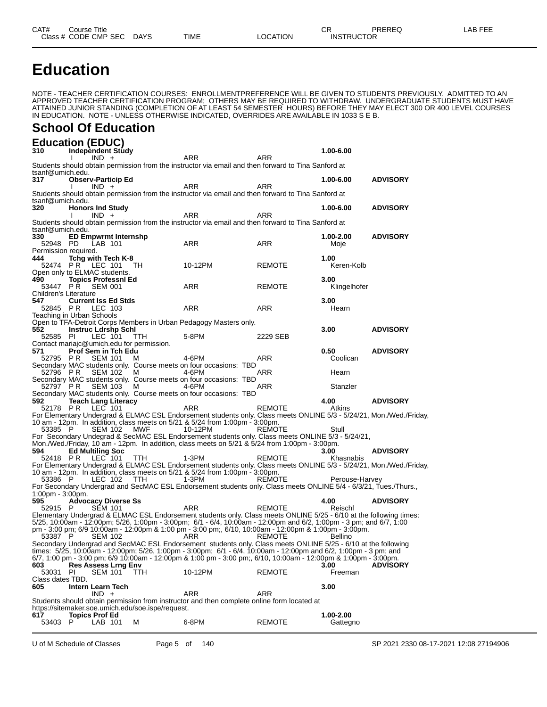**Education**

NOTE - TEACHER CERTIFICATION COURSES: ENROLLMENTPREFERENCE WILL BE GIVEN TO STUDENTS PREVIOUSLY. ADMITTED TO AN APPROVED TEACHER CERTIFICATION PROGRAM; OTHERS MAY BE REQUIRED TO WITHDRAW. UNDERGRADUATE STUDENTS MUST HAVE ATTAINED JUNIOR STANDING (COMPLETION OF AT LEAST 54 SEMESTER HOURS) BEFORE THEY MAY ELECT 300 OR 400 LEVEL COURSES IN EDUCATION. NOTE - UNLESS OTHERWISE INDICATED, OVERRIDES ARE AVAILABLE IN 1033 S E B.

### **School Of Education**

**Education (EDUC) 310 Independent Study 1.00-6.00** I IND + ARR ARR ARR Students should obtain permission from the instructor via email and then forward to Tina Sanford at tsanf@umich.edu.<br>317 Obser **317 Observ-Particip Ed 1.00-6.00 ADVISORY** I IND + ARR ARR ARR Students should obtain permission from the instructor via email and then forward to Tina Sanford at tsanf@umich.edu.<br>320 Honors **320 Honors Ind Study 1.00-6.00 ADVISORY** I IND + ARR ARR ARR Students should obtain permission from the instructor via email and then forward to Tina Sanford at tsanf@umich.edu.<br>330 ED En **330 ED Empwrmt Internshp 1.00-2.00 ADVISORY** 52948 PD LAB 101 ARR ARR Moje Permission required.<br>**444 Tcha wit 444 Tchg with Tech K-8 1.00** 52474 P R LEC 101 TH 10-12PM REMOTE Keren-Kolb Open only to ELMAC students<br>490 **Topics Professnl 490 491 Topics Professnl Education ARR**<br>PR SEM 001 **ARR** REMOTE Klingelhofer 53447 PR Children's Literature<br>547 **Current 547 Current Iss Ed Stds 548 Current Iss Ed Stds 548 ARR 248 ARR 248 ARR 248 ARR 258 ARR 258 ARR 258 ARR 258 ARR 258 ARR 258 ARR 258 ARR 258 ARR 258 ARR 258 ARR** 52845 PR LEC 103 Teaching in Urban Schools Open to TFA-Detroit Corps Members in Urban Pedagogy Masters only.<br>552 **Instruc Ldrshp Schl 552 Instruc Ldrshp Schl 3.00 ADVISORY** 52585 PI LEC 101 TTH 5-8PM 2229 SEB Contact mariajc@umich.edu for permission. **571 Prof Sem in Tch Edu 0.50 ADVISORY** 52795 P R SEM 101 M 4-6PM ARR Coolican Secondary MAC students only. Course meets on four occasions: TBD 52796 P R SEM 102 M 4-6PM ARR Hearn Secondary MAC students only. Course meets on four occasions: TBD 52797 PR SEM 103 M 4-6PM ARR Stanzler Secondary MAC students only. Course meets on four occasions: TBD<br>592 Teach Lang Literacy **592 Teach Lang Literacy 4.00 ADVISORY** 52178 P R LEC 101 ARR REMOTE Atkins For Elementary Undergrad & ELMAC ESL Endorsement students only. Class meets ONLINE 5/3 - 5/24/21, Mon./Wed./Friday, 10 am - 12pm. In addition, class meets on 5/21 & 5/24 from 1:00pm - 3:00pm. 53385 P SEM 102 MWF 10-12PM REMOTE Stull For Secondary Undegrad & SecMAC ESL Endorsement students only. Class meets ONLINE 5/3 - 5/24/21, Mon./Wed./Friday, 10 am - 12pm. In addition, class meets on 5/21 & 5/24 from 1:00pm - 3:00pm. **594 Ed Multiling Soc 3.00 ADVISORY** 52418 P.R LEC 101 TTH 1-3PM REMOTE Khasnabis For Elementary Undergrad & ELMAC ESL Endorsement students only. Class meets ONLINE 5/3 - 5/24/21, Mon./Wed./Friday, 10 am - 12pm. In addition, class meets on 5/21 & 5/24 from 1:00pm - 3:00pm. 53386 P LEC 102 TTH 1-3PM REMOTE Perouse-Harvey For Secondary Undergrad and SecMAC ESL Endorsement students only. Class meets ONLINE 5/4 - 6/3/21, Tues./Thurs., 1:00pm - 3:00pm.<br>595 Advoc **595 Advocacy Diverse Ss 4.00 ADVISORY** 52915 P SEM 101 ARR REMOTE Reischl Elementary Undergrad & ELMAC ESL Endorsement students only. Class meets ONLINE 5/25 - 6/10 at the following times: 5/25, 10:00am - 12:00pm; 5/26, 1:00pm - 3:00pm; 6/1 - 6/4, 10:00am - 12:00pm and 6/2, 1:00pm - 3 pm; and 6/7, 1:00 pm - 3:00 pm; 6/9 10:00am - 12:00pm & 1:00 pm - 3:00 pm;, 6/10, 10:00am - 12:00pm & 1:00pm - 3:00pm. 53387 P SEM 102 ARR REMOTE Bellino Secondary Undergrad and SecMAC ESL Endorsement students only. Class meets ONLINE 5/25 - 6/10 at the following times: 5/25, 10:00am - 12:00pm; 5/26, 1:00pm - 3:00pm; 6/1 - 6/4, 10:00am - 12:00pm and 6/2, 1:00pm - 3 pm; and 6/7, 1:00 pm - 3:00 pm; 6/9 10:00am - 12:00pm & 1:00 pm - 3:00 pm;, 6/10, 10:00am - 12:00pm & 1:00pm - 3:00pm. **603 Res Assess Lrng Env 3.00 ADVISORY** 53031 PI SEM 101 TTH 10-12PM REMOTE Freeman Class dates TBD.<br>605 **Intern Intern Learn Tech 61.000 <b>IND** + **62.000 ARR ARR ARR ARR ARR ARR ARR ARR ARR ARR ARR ARR ARR ARR ARR ARR ARR ARR ARR ARR ARR ARR ARR ARR ARR ARR ARR ARR ARR AR**  $IND + ARR$  ARR ARR Students should obtain permission from instructor and then complete online form located at https://sitemaker.soe.umich.edu/soe.ispe/request.<br>617 Topics Prof Ed **617 Topics Prof Ed 1.00-2.00** 53403 P LAB 101 M 6-8PM REMOTE Gattegno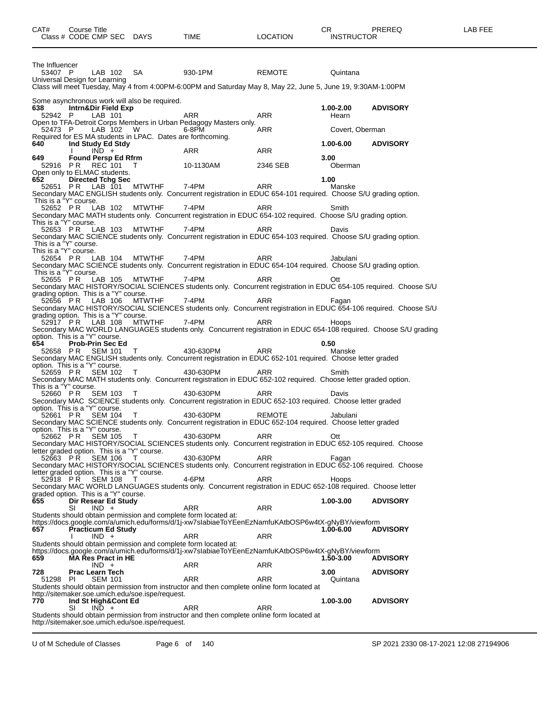| CAT#                                              | Course Title | Class # CODE CMP SEC DAYS             |                                                             | TIME  |                                                                   | <b>LOCATION</b>                                                                                                       | CR.<br><b>INSTRUCTOR</b> | PREREQ                                                                                                            | LAB FEE |
|---------------------------------------------------|--------------|---------------------------------------|-------------------------------------------------------------|-------|-------------------------------------------------------------------|-----------------------------------------------------------------------------------------------------------------------|--------------------------|-------------------------------------------------------------------------------------------------------------------|---------|
| The Influencer<br>53407 P                         |              | LAB 102 SA                            |                                                             |       | 930-1PM                                                           | REMOTE                                                                                                                | Quintana                 |                                                                                                                   |         |
| Universal Design for Learning                     |              |                                       |                                                             |       |                                                                   | Class will meet Tuesday, May 4 from 4:00PM-6:00PM and Saturday May 8, May 22, June 5, June 19, 9:30AM-1:00PM          |                          |                                                                                                                   |         |
|                                                   |              |                                       | Some asynchronous work will also be required.               |       |                                                                   |                                                                                                                       |                          |                                                                                                                   |         |
| 638 -<br>52942 P                                  |              | Intrn&Dir Field Exp<br>LAB 101        |                                                             | ARR   |                                                                   | ARR                                                                                                                   | $1.00 - 2.00$<br>Hearn   | <b>ADVISORY</b>                                                                                                   |         |
| 52473 P                                           |              | LAB 102 W                             |                                                             | 6-8PM | Open to TFA-Detroit Corps Members in Urban Pedagogy Masters only. | ARR                                                                                                                   | Covert, Oberman          |                                                                                                                   |         |
| 640                                               |              | Ind Study Ed Stdy                     | Required for ES MA students in LPAC. Dates are forthcoming. |       |                                                                   |                                                                                                                       | 1.00-6.00                | <b>ADVISORY</b>                                                                                                   |         |
| 649 —                                             |              | $IND +$<br><b>Found Persp Ed Rfrm</b> |                                                             | ARR   |                                                                   | ARR                                                                                                                   | 3.00                     |                                                                                                                   |         |
| Open only to ELMAC students.                      |              | 52916 PR REC 101 T                    |                                                             |       | 10-1130AM                                                         | 2346 SEB                                                                                                              | Oberman                  |                                                                                                                   |         |
| 652 —                                             |              | <b>Directed Tchg Sec</b>              | 52651 PR LAB 101 MTWTHF                                     | 7-4PM |                                                                   | ARR                                                                                                                   | 1.00<br>Manske           |                                                                                                                   |         |
| This is a "Y" course.                             |              |                                       |                                                             |       |                                                                   |                                                                                                                       |                          | Secondary MAC ENGLISH students only. Concurrent registration in EDUC 654-101 required. Choose S/U grading option. |         |
| This is a "Y" course.                             |              |                                       | 52652 PR LAB 102 MTWTHF                                     | 7-4PM |                                                                   | ARR<br>Secondary MAC MATH students only. Concurrent registration in EDUC 654-102 required. Choose S/U grading option. | Smith                    |                                                                                                                   |         |
|                                                   |              | 52653 PR LAB 103                      | MTWTHF                                                      | 7-4PM |                                                                   | ARR                                                                                                                   | Davis                    | Secondary MAC SCIENCE students only. Concurrent registration in EDUC 654-103 required. Choose S/U grading option. |         |
| This is a "Y" course.<br>This is a "Y" course.    |              |                                       |                                                             |       |                                                                   |                                                                                                                       |                          |                                                                                                                   |         |
| This is a "Y" course.                             |              | 52654 PR LAB 104                      | MTWTHF 7-4PM                                                |       |                                                                   | ARR                                                                                                                   | Jabulani                 | Secondary MAC SCIENCE students only. Concurrent registration in EDUC 654-104 required. Choose S/U grading option. |         |
|                                                   |              |                                       | 52655 PR LAB 105 MTWTHF 7-4PM                               |       |                                                                   | ARR                                                                                                                   | Ott                      | Secondary MAC HISTORY/SOCIAL SCIENCES students only. Concurrent registration in EDUC 654-105 required. Choose S/U |         |
| grading option. This is a "Y" course.<br>52656 PR |              | LAB 106                               | MTWTHF                                                      | 7-4PM |                                                                   | ARR                                                                                                                   | Fagan                    |                                                                                                                   |         |
| grading option. This is a "Y" course.             |              |                                       |                                                             |       |                                                                   |                                                                                                                       |                          | Secondary MAC HISTORY/SOCIAL SCIENCES students only. Concurrent registration in EDUC 654-106 required. Choose S/U |         |
|                                                   |              | 52917 PR LAB 108                      | MTWTHF                                                      | 7-4PM |                                                                   | ARR                                                                                                                   | Hoops                    | Secondary MAC WORLD LANGUAGES students only. Concurrent registration in EDUC 654-108 required. Choose S/U grading |         |
| option. This is a "Y" course.<br>654              |              | <b>Prob-Prin Sec Ed</b>               |                                                             |       |                                                                   |                                                                                                                       | 0.50                     |                                                                                                                   |         |
| 52658 PR                                          |              | SEM 101                               | $\top$                                                      |       | 430-630PM                                                         | ARR<br>Secondary MAC ENGLISH students only. Concurrent registration in EDUC 652-101 required. Choose letter graded    | Manske                   |                                                                                                                   |         |
| option. This is a "Y" course.                     |              | 52659 PR SEM 102                      | T                                                           |       | 430-630PM                                                         | ARR                                                                                                                   | Smith                    | Secondary MAC MATH students only. Concurrent registration in EDUC 652-102 required. Choose letter graded option.  |         |
| This is a "Y" course.                             |              |                                       |                                                             |       |                                                                   |                                                                                                                       |                          |                                                                                                                   |         |
|                                                   |              | 52660 PR SEM 103                      | $\top$                                                      |       | 430-630PM                                                         | ARR<br>Secondary MAC SCIENCE students only. Concurrent registration in EDUC 652-103 required. Choose letter graded    | Davis                    |                                                                                                                   |         |
| option. This is a "Y" course.                     |              | 52661 PR SEM 104                      | T                                                           |       | 430-630PM                                                         | REMOTE                                                                                                                | Jabulani                 |                                                                                                                   |         |
| option. This is a "Y" course.                     |              |                                       |                                                             |       |                                                                   | Secondary MAC SCIENCE students only. Concurrent registration in EDUC 652-104 required. Choose letter graded           |                          |                                                                                                                   |         |
|                                                   | 52662 PR     | <b>SEM 105</b>                        | T.                                                          |       | 430-630PM                                                         | ARR                                                                                                                   | Ott                      | Secondary MAC HISTORY/SOCIAL SCIENCES students only. Concurrent registration in EDUC 652-105 required. Choose     |         |
| letter graded option. This is a "Y" course.       | 52663 PR     | <b>SEM 106</b>                        | T                                                           |       | 430-630PM                                                         | ARR                                                                                                                   | Fagan                    |                                                                                                                   |         |
| letter graded option. This is a "Y" course.       |              |                                       |                                                             |       |                                                                   |                                                                                                                       |                          | Secondary MAC HISTORY/SOCIAL SCIENCES students only. Concurrent registration in EDUC 652-106 required. Choose     |         |
|                                                   | 52918 PR     | <b>SEM 108</b>                        | T                                                           | 4-6PM |                                                                   | ARR                                                                                                                   | Hoops                    | Secondary MAC WORLD LANGUAGES students only. Concurrent registration in EDUC 652-108 required. Choose letter      |         |
| graded option. This is a "Y" course.<br>655       |              | Dir Resear Ed Study                   |                                                             |       |                                                                   |                                                                                                                       | 1.00-3.00                | <b>ADVISORY</b>                                                                                                   |         |
|                                                   | SI           | $IND +$                               |                                                             | ARR   | Students should obtain permission and complete form located at:   | ARR                                                                                                                   |                          |                                                                                                                   |         |
| 657                                               |              | <b>Practicum Ed Study</b>             |                                                             |       |                                                                   | https://docs.google.com/a/umich.edu/forms/d/1j-xw7slabiaeToYEenEzNamfuKAtbOSP6w4tX-gNyBY/viewform                     | 1.00-6.00                | <b>ADVISORY</b>                                                                                                   |         |
|                                                   |              | $IND +$                               |                                                             | ARR   | Students should obtain permission and complete form located at:   | ARR                                                                                                                   |                          |                                                                                                                   |         |
| 659                                               |              | <b>MA Res Pract in HE</b>             |                                                             |       |                                                                   | https://docs.google.com/a/umich.edu/forms/d/1j-xw7slabiaeToYEenEzNamfuKAtbOSP6w4tX-gNyBY/viewform                     | 1.50-3.00                | <b>ADVISORY</b>                                                                                                   |         |
| 728                                               |              | $IND +$<br><b>Prac Learn Tech</b>     |                                                             | ARR   |                                                                   | ARR                                                                                                                   | 3.00                     | <b>ADVISORY</b>                                                                                                   |         |
| 51298                                             | PI.          | <b>SEM 101</b>                        |                                                             | ARR   |                                                                   | ARR<br>Students should obtain permission from instructor and then complete online form located at                     | Quintana                 |                                                                                                                   |         |
| 770                                               |              | Ind St High&Cont Ed                   | http://sitemaker.soe.umich.edu/soe.ispe/request.            |       |                                                                   |                                                                                                                       | 1.00-3.00                | <b>ADVISORY</b>                                                                                                   |         |
|                                                   | SI           | $IND +$                               |                                                             | ARR   |                                                                   | ARR<br>Students should obtain permission from instructor and then complete online form located at                     |                          |                                                                                                                   |         |
|                                                   |              |                                       | http://sitemaker.soe.umich.edu/soe.ispe/request.            |       |                                                                   |                                                                                                                       |                          |                                                                                                                   |         |

U of M Schedule of Classes Page 6 of 140 SP 2021 2330 08-17-2021 12:08 27194906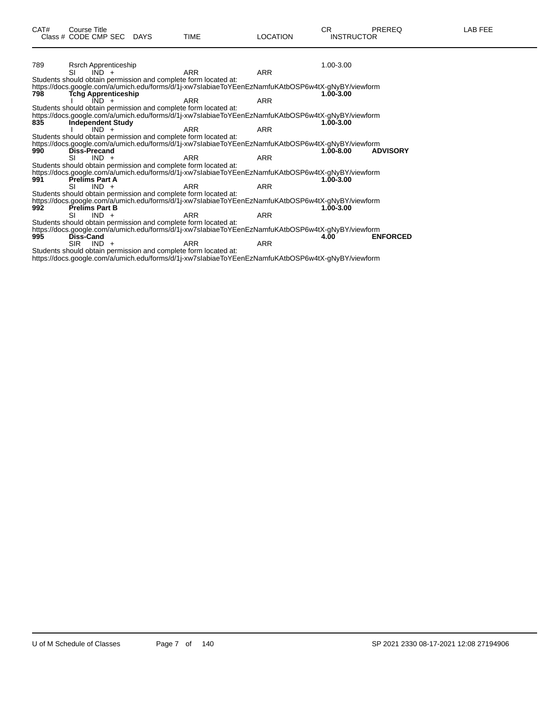| 789 | Rsrch Apprenticeship                   |                                                                                                   |            |            | 1.00-3.00 |                 |
|-----|----------------------------------------|---------------------------------------------------------------------------------------------------|------------|------------|-----------|-----------------|
|     | SI<br>$IND +$                          |                                                                                                   | ARR        | <b>ARR</b> |           |                 |
|     |                                        | Students should obtain permission and complete form located at:                                   |            |            |           |                 |
|     |                                        | https://docs.google.com/a/umich.edu/forms/d/1j-xw7slabiaeToYEenEzNamfuKAtbOSP6w4tX-gNyBY/viewform |            |            |           |                 |
| 798 | <b>Tchg Apprenticeship</b>             |                                                                                                   |            |            | 1.00-3.00 |                 |
|     | ÍND.                                   |                                                                                                   | <b>ARR</b> | <b>ARR</b> |           |                 |
|     |                                        | Students should obtain permission and complete form located at:                                   |            |            |           |                 |
|     |                                        | https://docs.google.com/a/umich.edu/forms/d/1j-xw7slabiaeToYEenEzNamfuKAtbOSP6w4tX-gNyBY/viewform |            |            |           |                 |
| 835 | <b>Independent Study</b>               |                                                                                                   |            |            | 1.00-3.00 |                 |
|     | $IND +$                                |                                                                                                   | ARR        | ARR        |           |                 |
|     |                                        | Students should obtain permission and complete form located at:                                   |            |            |           |                 |
|     |                                        | https://docs.google.com/a/umich.edu/forms/d/1j-xw7slabiaeToYEenEzNamfuKAtbOSP6w4tX-gNyBY/viewform |            |            |           |                 |
| 990 | <b>Diss-Precand</b>                    |                                                                                                   |            |            | 1.00-8.00 | <b>ADVISORY</b> |
|     | $IND +$<br>SI                          |                                                                                                   | <b>ARR</b> | <b>ARR</b> |           |                 |
|     |                                        | Students should obtain permission and complete form located at:                                   |            |            |           |                 |
|     |                                        | https://docs.google.com/a/umich.edu/forms/d/1j-xw7slabiaeToYEenEzNamfuKAtbOSP6w4tX-gNyBY/viewform |            |            |           |                 |
| 991 | <b>Prelims Part A</b>                  |                                                                                                   |            |            | 1.00-3.00 |                 |
|     | $IND +$<br>SL                          |                                                                                                   | ARR        | <b>ARR</b> |           |                 |
|     |                                        | Students should obtain permission and complete form located at:                                   |            |            |           |                 |
|     |                                        | https://docs.google.com/a/umich.edu/forms/d/1j-xw7slabiaeToYEenEzNamfuKAtbOSP6w4tX-gNyBY/viewform |            |            |           |                 |
| 992 | <b>Prelims Part B</b><br>$IND +$<br>SI |                                                                                                   |            |            | 1.00-3.00 |                 |
|     |                                        | Students should obtain permission and complete form located at:                                   | ARR        | <b>ARR</b> |           |                 |
|     |                                        | https://docs.google.com/a/umich.edu/forms/d/1j-xw7slabiaeToYEenEzNamfuKAtbOSP6w4tX-gNyBY/viewform |            |            |           |                 |
|     | <b>Diss-Cand</b>                       |                                                                                                   |            |            | 4.00      | <b>ENFORCED</b> |
| 995 | <b>SIR</b><br>$IND +$                  |                                                                                                   | ARR        | <b>ARR</b> |           |                 |
|     |                                        | Students should obtain permission and complete form located at:                                   |            |            |           |                 |
|     |                                        | https://docs.google.com/a/umich.edu/forms/d/1j-xw7slabiaeToYEenEzNamfuKAtbOSP6w4tX-gNyBY/viewform |            |            |           |                 |
|     |                                        |                                                                                                   |            |            |           |                 |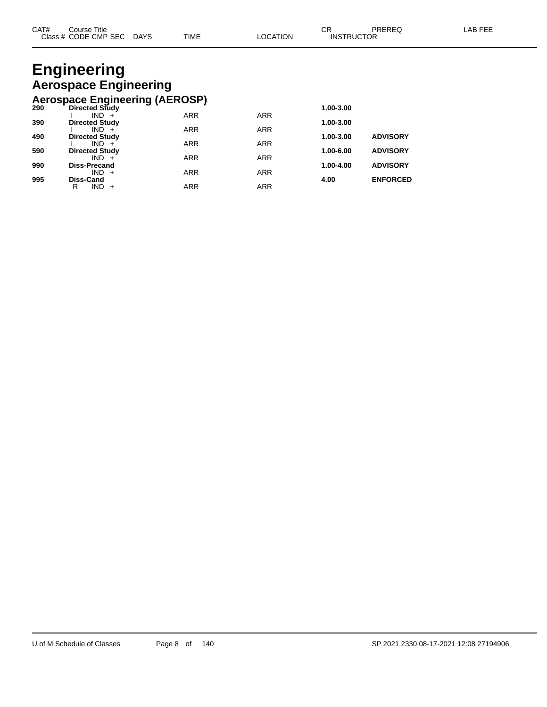### **Engineering Aerospace Engineering Aerospace Engineering (AEROSP)**

|     | Actobace Engineering (AEROOL) |            |            |               |                 |
|-----|-------------------------------|------------|------------|---------------|-----------------|
| 290 | <b>Directed Study</b>         |            |            | 1.00-3.00     |                 |
|     | $IND +$                       | <b>ARR</b> | <b>ARR</b> |               |                 |
| 390 | <b>Directed Study</b>         |            |            | 1.00-3.00     |                 |
|     | $IND +$                       | <b>ARR</b> | <b>ARR</b> |               |                 |
| 490 | <b>Directed Study</b>         |            |            | 1.00-3.00     | <b>ADVISORY</b> |
|     | $IND +$                       | <b>ARR</b> | <b>ARR</b> |               |                 |
| 590 | <b>Directed Study</b>         |            |            | $1.00 - 6.00$ | <b>ADVISORY</b> |
|     | $IND +$                       | <b>ARR</b> | <b>ARR</b> |               |                 |
| 990 | <b>Diss-Precand</b>           |            |            | 1.00-4.00     | <b>ADVISORY</b> |
|     | $IND +$                       | <b>ARR</b> | <b>ARR</b> |               |                 |
| 995 | Diss-Cand                     |            |            | 4.00          | <b>ENFORCED</b> |
|     | IND.<br>R<br>$+$              | ARR        | <b>ARR</b> |               |                 |
|     |                               |            |            |               |                 |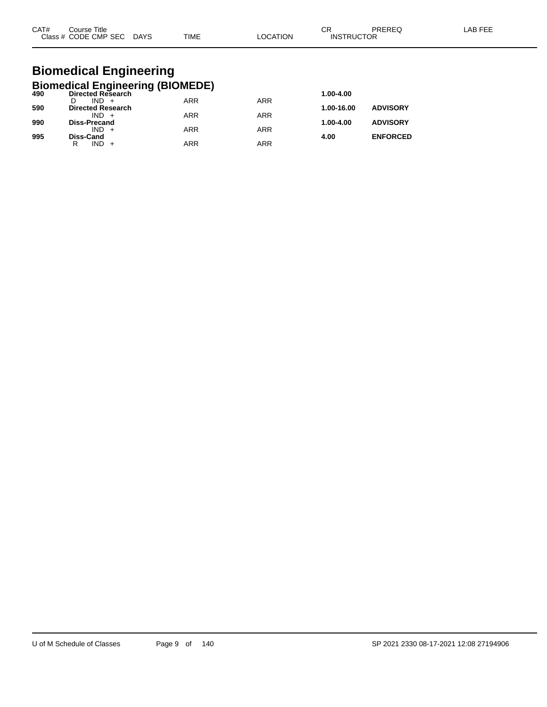| CAT#<br>Course Title |             |             |                | ⌒冖 | PREREC            | AB FFF |
|----------------------|-------------|-------------|----------------|----|-------------------|--------|
| Class # CODE CMP SEC | <b>DAYS</b> | <b>TIME</b> | <b>OCATION</b> |    | <b>INSTRUCTOR</b> |        |

### **Biomedical Engineering Biomedical Engineering (BIOMEDE)**

| 490 | Directed Research        | - 1        |            | 1.00-4.00  |                 |
|-----|--------------------------|------------|------------|------------|-----------------|
|     | $IND +$                  | <b>ARR</b> | <b>ARR</b> |            |                 |
| 590 | <b>Directed Research</b> |            |            | 1.00-16.00 | <b>ADVISORY</b> |
|     | $IND +$                  | <b>ARR</b> | <b>ARR</b> |            |                 |
| 990 | <b>Diss-Precand</b>      |            |            | 1.00-4.00  | <b>ADVISORY</b> |
|     | $IND +$                  | <b>ARR</b> | <b>ARR</b> |            |                 |
| 995 | <b>Diss-Cand</b>         |            |            | 4.00       | <b>ENFORCED</b> |
|     | R<br>IND.                | ARR        | ARR        |            |                 |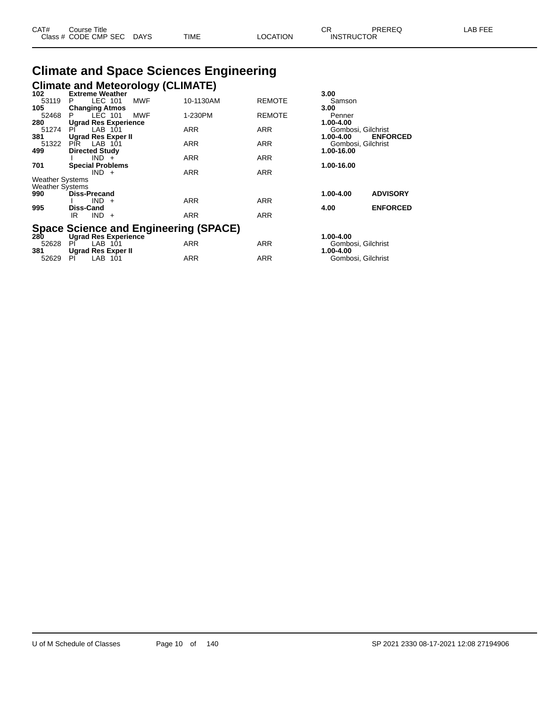| CAT# | ourse Titleٽ              |      |          | חי<br>U⊾          | PREREQ | _AB FEE |
|------|---------------------------|------|----------|-------------------|--------|---------|
|      | Class # CODE CMP SEC DAYS | TIME | LOCATION | <b>INSTRUCTOR</b> |        |         |

# **Climate and Space Sciences Engineering Climate and Meteorology (CLIMATE) 102 Extreme Weather 3.00**

| 102                    | Extreme Weather                                                             |            |            | 3.00                    |                    |
|------------------------|-----------------------------------------------------------------------------|------------|------------|-------------------------|--------------------|
| 53119                  | LEC 101<br>P.                                                               | <b>MWF</b> | 10-1130AM  | <b>REMOTE</b><br>Samson |                    |
| 105                    | <b>Changing Atmos</b>                                                       |            |            | 3.00                    |                    |
| 52468                  | LEC 101<br>P                                                                | <b>MWF</b> | 1-230PM    | <b>REMOTE</b><br>Penner |                    |
| 280                    | <b>Ugrad Res Experience</b>                                                 |            |            | 1.00-4.00               |                    |
| 51274                  | LAB 101<br>PI                                                               | <b>ARR</b> | <b>ARR</b> |                         | Gombosi, Gilchrist |
| 381                    | <b>Ugrad Res Exper II</b>                                                   |            |            | 1.00-4.00               | <b>ENFORCED</b>    |
| 51322                  | PIR LAB 101                                                                 | <b>ARR</b> | <b>ARR</b> |                         | Gombosi, Gilchrist |
| 499                    | <b>Directed Study</b>                                                       |            |            | 1.00-16.00              |                    |
|                        | $IND +$                                                                     | <b>ARR</b> | <b>ARR</b> |                         |                    |
| 701                    | <b>Special Problems</b>                                                     |            |            | 1.00-16.00              |                    |
|                        | $IND +$                                                                     | <b>ARR</b> | <b>ARR</b> |                         |                    |
| <b>Weather Systems</b> |                                                                             |            |            |                         |                    |
| <b>Weather Systems</b> |                                                                             |            |            |                         |                    |
| 990                    | <b>Diss-Precand</b>                                                         |            |            | 1.00-4.00               | <b>ADVISORY</b>    |
|                        | $IND +$                                                                     | <b>ARR</b> | <b>ARR</b> |                         |                    |
| 995                    | <b>Diss-Cand</b>                                                            |            |            | 4.00                    | <b>ENFORCED</b>    |
|                        | $IND +$<br>IR                                                               | <b>ARR</b> | <b>ARR</b> |                         |                    |
|                        |                                                                             |            |            |                         |                    |
| 280                    | <b>Space Science and Engineering (SPACE)</b><br><b>Ugrad Res Experience</b> |            |            | 1.00-4.00               |                    |
|                        |                                                                             |            |            |                         |                    |

52628 PI LAB 101 ARR ARR Gombosi, Gilchrist

52629 PI LAB 101 ARR ARR Gombosi, Gilchrist

**381 Ugrad Res Exper II 1.00-4.00**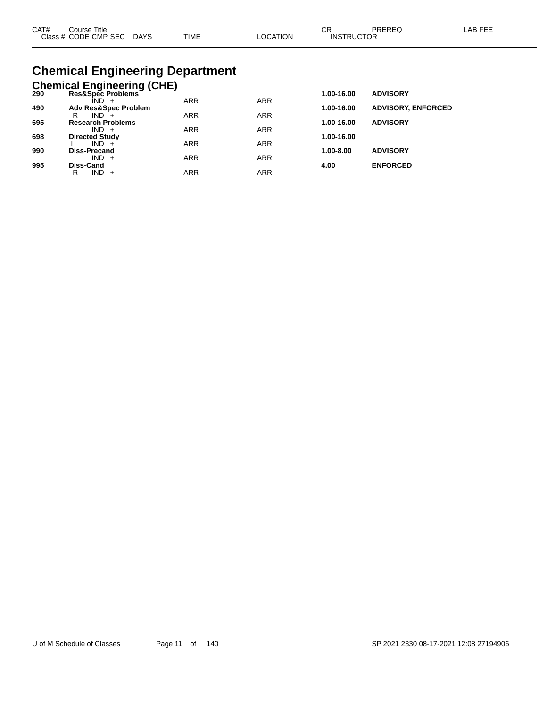| CAT# | Course Title              |             |          | ∩⊓                | PREREQ | LAB FEE |
|------|---------------------------|-------------|----------|-------------------|--------|---------|
|      | Class # CODE CMP SEC DAYS | <b>TIME</b> | ∟OCATION | <b>INSTRUCTOR</b> |        |         |

## **Chemical Engineering Department**

|     | <b>Chemical Engineering (CHE)</b>   |            |            |            |                           |
|-----|-------------------------------------|------------|------------|------------|---------------------------|
| 290 | Res&Spec Problems                   |            |            | 1.00-16.00 | <b>ADVISORY</b>           |
|     | ÎND -                               | <b>ARR</b> | <b>ARR</b> |            |                           |
| 490 | <b>Adv Res&amp;Spec Problem</b>     |            |            | 1.00-16.00 | <b>ADVISORY, ENFORCED</b> |
|     | $IND +$<br>R                        | <b>ARR</b> | <b>ARR</b> |            |                           |
| 695 | <b>Research Problems</b><br>$IND +$ | <b>ARR</b> | <b>ARR</b> | 1.00-16.00 | <b>ADVISORY</b>           |
| 698 | <b>Directed Study</b>               |            |            | 1.00-16.00 |                           |
|     | $IND +$                             | <b>ARR</b> | <b>ARR</b> |            |                           |
| 990 | Diss-Precand                        |            |            | 1.00-8.00  | <b>ADVISORY</b>           |
|     | $IND +$                             | <b>ARR</b> | <b>ARR</b> |            |                           |
| 995 | Diss-Cand                           |            |            | 4.00       | <b>ENFORCED</b>           |
|     | IND.<br>R<br>$+$                    | ARR        | <b>ARR</b> |            |                           |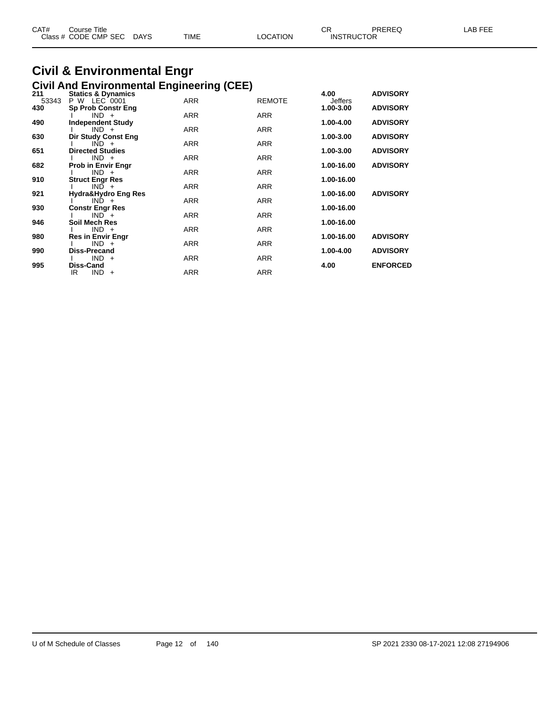| CAT#<br>Course Title      |             |          | ⌒冖<br>◡◠          | PREREQ | AB FEF |
|---------------------------|-------------|----------|-------------------|--------|--------|
| Class # CODE CMP SEC DAYS | <b>TIME</b> | LOCATION | <b>INSTRUCTOR</b> |        |        |

# **Civil & Environmental Engr**

|              | <b>Civil And Environmental Engineering (CEE)</b> |            |               |                 |                 |
|--------------|--------------------------------------------------|------------|---------------|-----------------|-----------------|
| 211<br>53343 | <b>Statics &amp; Dynamics</b><br>P W LEC 0001    | <b>ARR</b> | <b>REMOTE</b> | 4.00<br>Jeffers | <b>ADVISORY</b> |
| 430          | <b>Sp Prob Constr Eng</b>                        |            |               | 1.00-3.00       | <b>ADVISORY</b> |
| 490          | $IND +$<br><b>Independent Study</b>              | <b>ARR</b> | <b>ARR</b>    | 1.00-4.00       | <b>ADVISORY</b> |
|              | $IND +$                                          | <b>ARR</b> | <b>ARR</b>    |                 |                 |
| 630          | Dir Study Const Eng<br>$IND +$                   | ARR        | <b>ARR</b>    | 1.00-3.00       | <b>ADVISORY</b> |
| 651          | <b>Directed Studies</b>                          |            |               | 1.00-3.00       | <b>ADVISORY</b> |
| 682          | $IND +$<br><b>Prob in Envir Engr</b>             | <b>ARR</b> | <b>ARR</b>    | 1.00-16.00      | <b>ADVISORY</b> |
|              | $IND +$                                          | <b>ARR</b> | <b>ARR</b>    |                 |                 |
| 910          | <b>Struct Engr Res</b><br>$IND +$                | <b>ARR</b> | <b>ARR</b>    | 1.00-16.00      |                 |
| 921          | Hydra&Hydro Eng Res                              |            |               | 1.00-16.00      | <b>ADVISORY</b> |
| 930          | $IND +$<br><b>Constr Engr Res</b>                | <b>ARR</b> | <b>ARR</b>    | 1.00-16.00      |                 |
|              | $IND +$                                          | <b>ARR</b> | <b>ARR</b>    |                 |                 |
| 946          | <b>Soil Mech Res</b><br>$IND +$                  | <b>ARR</b> | <b>ARR</b>    | 1.00-16.00      |                 |
| 980          | <b>Res in Envir Engr</b>                         |            |               | 1.00-16.00      | <b>ADVISORY</b> |
| 990          | $IND +$<br><b>Diss-Precand</b>                   | <b>ARR</b> | <b>ARR</b>    | 1.00-4.00       | <b>ADVISORY</b> |
|              | $IND +$                                          | <b>ARR</b> | <b>ARR</b>    |                 |                 |
| 995          | Diss-Cand<br>IR<br>$IND +$                       | <b>ARR</b> | <b>ARR</b>    | 4.00            | <b>ENFORCED</b> |
|              |                                                  |            |               |                 |                 |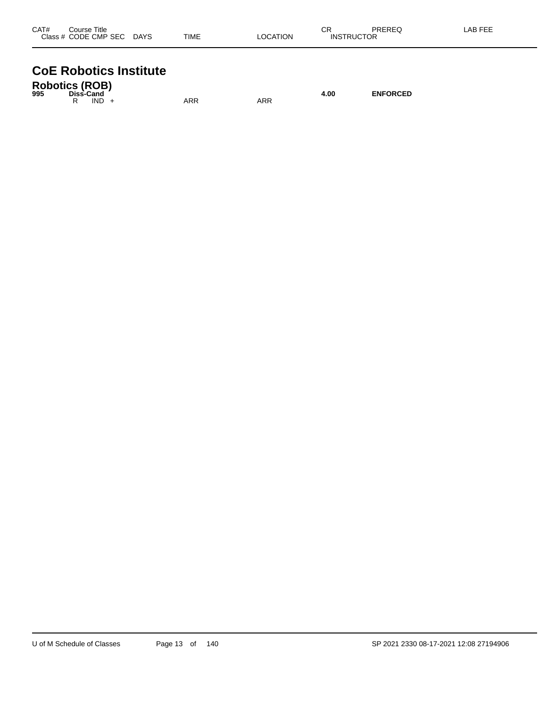| CAT#<br>Course Title         |             | ◠г<br>UN |                   | PREREQ | LAB FEE |
|------------------------------|-------------|----------|-------------------|--------|---------|
| Class # CODE CMP SEC<br>DAYS | <b>TIME</b> | LOCATION | <b>INSTRUCTOR</b> |        |         |

# **CoE Robotics Institute**

| <b>Robotics (ROB)</b><br>995 | Diss-Cand |         |     |  |     | 4.00 | <b>ENFORCED</b> |
|------------------------------|-----------|---------|-----|--|-----|------|-----------------|
|                              |           | $IND +$ | ARR |  | ARR |      |                 |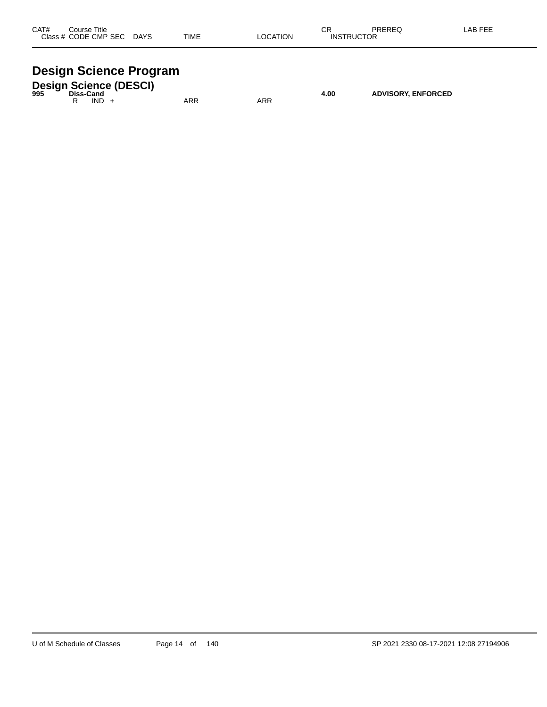| CAT#  | Title<br>Course |             |             |            | ⌒冖<br>◡           | <b>DDEDEA</b><br>⊌∟יו | $500 - 120$ |
|-------|-----------------|-------------|-------------|------------|-------------------|-----------------------|-------------|
| Class | CODE CMP SEC    | <b>DAYS</b> | <b>TIME</b> | TION<br>:A | <b>INS</b><br>RIK | __                    |             |
|       |                 |             |             |            |                   |                       |             |

# **Design Science Program**

| 995 | Diss-Cand |      | <b>Design Science (DESCI)</b> |     |     | 4.00 | <b>ADVISORY, ENFORCED</b> |
|-----|-----------|------|-------------------------------|-----|-----|------|---------------------------|
|     |           | IND. |                               | ARR | ARR |      |                           |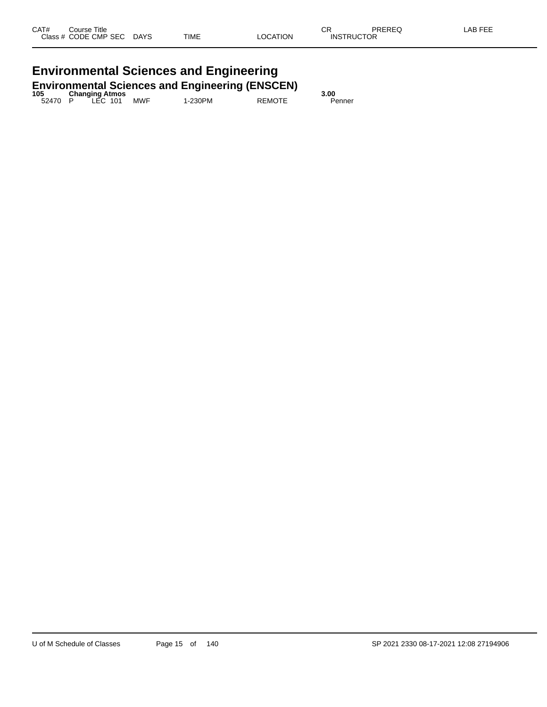# **Environmental Sciences and Engineering**

| <b>Environmental Sciences and Engineering (ENSCEN)</b> |  |                       |  |            |         |               |        |  |  |  |
|--------------------------------------------------------|--|-----------------------|--|------------|---------|---------------|--------|--|--|--|
| 105                                                    |  | <b>Changing Atmos</b> |  |            |         |               | 3.00   |  |  |  |
| 52470 P                                                |  | <sup>-</sup> LEC 101  |  | <b>MWF</b> | 1-230PM | <b>REMOTE</b> | Penner |  |  |  |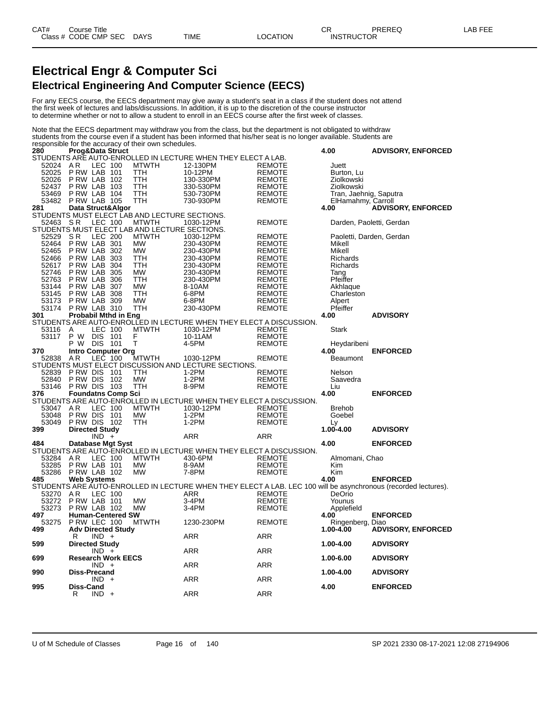### **Electrical Engr & Computer Sci Electrical Engineering And Computer Science (EECS)**

For any EECS course, the EECS department may give away a student's seat in a class if the student does not attend the first week of lectures and labs/discussions. In addition, it is up to the discretion of the course instructor to determine whether or not to allow a student to enroll in an EECS course after the first week of classes.

Note that the EECS department may withdraw you from the class, but the department is not obligated to withdraw students from the course even if a student has been informed that his/her seat is no longer available. Students are responsible for the accuracy of their own schedules.

| 280      | Prog&Data Struct                                          |                                                                                                                |               | 4.00                   | <b>ADVISORY, ENFORCED</b> |
|----------|-----------------------------------------------------------|----------------------------------------------------------------------------------------------------------------|---------------|------------------------|---------------------------|
|          |                                                           | STUDENTS ARE AUTO-ENROLLED IN LECTURE WHEN THEY ELECT A LAB.                                                   |               |                        |                           |
| 52024    | <b>LEC 100</b><br>AR<br><b>MTWTH</b>                      | 12-130PM                                                                                                       | <b>REMOTE</b> | Juett                  |                           |
| 52025    | PRW LAB 101<br>TTH                                        | 10-12PM                                                                                                        | <b>REMOTE</b> | Burton, Lu             |                           |
| 52026    | PRW LAB 102<br>TTH                                        | 130-330PM                                                                                                      | <b>REMOTE</b> | Ziolkowski             |                           |
| 52437    | PRW LAB 103<br>TTH                                        | 330-530PM                                                                                                      | <b>REMOTE</b> | Ziolkowski             |                           |
| 53469    | PRW LAB 104<br>TTH                                        | 530-730PM                                                                                                      | <b>REMOTE</b> | Tran, Jaehnig, Saputra |                           |
| 53482    | <b>P RW LAB 105</b><br>TTH                                | 730-930PM                                                                                                      | <b>REMOTE</b> | ElHamahmy, Carroll     |                           |
| 281      | Data Struct&Algor                                         |                                                                                                                |               | 4.00                   | <b>ADVISORY, ENFORCED</b> |
|          | STUDENTS MUST ELECT LAB AND LECTURE SECTIONS.             |                                                                                                                |               |                        |                           |
| 52463    | <b>MTWTH</b>                                              | 1030-12PM                                                                                                      |               |                        |                           |
|          | LEC 100<br>- S R                                          |                                                                                                                | <b>REMOTE</b> |                        | Darden, Paoletti, Gerdan  |
|          | STUDENTS MUST ELECT LAB AND LECTURE SECTIONS.             |                                                                                                                |               |                        |                           |
| 52529    | <b>MTWTH</b><br>SR.<br>LEC 200                            | 1030-12PM                                                                                                      | <b>REMOTE</b> |                        | Paoletti, Darden, Gerdan  |
| 52464    | P RW LAB 301<br><b>MW</b>                                 | 230-430PM                                                                                                      | <b>REMOTE</b> | Mikell                 |                           |
| 52465    | PRW LAB 302<br><b>MW</b>                                  | 230-430PM                                                                                                      | <b>REMOTE</b> | Mikell                 |                           |
| 52466    | PRW LAB 303<br>TTH                                        | 230-430PM                                                                                                      | <b>REMOTE</b> | Richards               |                           |
| 52617    | P RW LAB<br>304<br>TTH                                    | 230-430PM                                                                                                      | <b>REMOTE</b> | Richards               |                           |
| 52746    | <b>MW</b><br>PRW LAB 305                                  | 230-430PM                                                                                                      | REMOTE        | Tang                   |                           |
| 52763    | 306<br><b>TTH</b><br>P RW LAB                             | 230-430PM                                                                                                      | <b>REMOTE</b> | Pfeiffer               |                           |
| 53144    | 307<br>P RW LAB<br><b>MW</b>                              | 8-10AM                                                                                                         | <b>REMOTE</b> | Akhlaque               |                           |
| 53145    | PRW LAB 308<br>TTH                                        | 6-8PM                                                                                                          | <b>REMOTE</b> | Charleston             |                           |
|          | PRW LAB 309<br><b>MW</b>                                  |                                                                                                                | <b>REMOTE</b> |                        |                           |
| 53173    |                                                           | 6-8PM                                                                                                          |               | Alpert                 |                           |
| 53174    | <b>TTH</b><br>PRW LAB 310                                 | 230-430PM                                                                                                      | <b>REMOTE</b> | Pfeiffer               |                           |
| 301      | <b>Probabil Mthd in Eng</b>                               |                                                                                                                |               | 4.00                   | <b>ADVISORY</b>           |
|          |                                                           | STUDENTS ARE AUTO-ENROLLED IN LECTURE WHEN THEY ELECT A DISCUSSION.                                            |               |                        |                           |
| 53116    | LEC 100<br><b>MTWTH</b><br>A                              | 1030-12PM                                                                                                      | <b>REMOTE</b> | Stark                  |                           |
| 53117    | P W<br><b>DIS</b><br>101<br>F                             | 10-11AM                                                                                                        | <b>REMOTE</b> |                        |                           |
|          | P W<br><b>DIS</b><br>Τ<br>- 101                           | 4-5PM                                                                                                          | <b>REMOTE</b> | Heydaribeni            |                           |
| 370      |                                                           |                                                                                                                |               | 4.00                   | <b>ENFORCED</b>           |
| 52838    | Intro Computer Org<br>AR LEC 100 N<br>AR.<br><b>MTWTH</b> | 1030-12PM                                                                                                      | <b>REMOTE</b> | <b>Beaumont</b>        |                           |
|          |                                                           | STUDENTS MUST ELECT DISCUSSION AND LECTURE SECTIONS.                                                           |               |                        |                           |
| 52839    | P RW DIS<br>101<br><b>TTH</b>                             | $1-2PM$                                                                                                        | <b>REMOTE</b> | Nelson                 |                           |
|          | P RW DIS<br>102<br>MW                                     |                                                                                                                |               |                        |                           |
| 52840    |                                                           | $1-2PM$                                                                                                        | <b>REMOTE</b> | Saavedra               |                           |
| 53146    | PRW DIS 103<br>TTH                                        | 8-9PM                                                                                                          | <b>REMOTE</b> | Liu                    |                           |
| 376      | <b>Foundatns Comp Sci</b>                                 |                                                                                                                |               | 4.00                   | <b>ENFORCED</b>           |
|          |                                                           | STUDENTS ARE AUTO-ENROLLED IN LECTURE WHEN THEY ELECT A DISCUSSION.                                            |               |                        |                           |
| 53047    | AR<br>LEC 100<br><b>MTWTH</b>                             | 1030-12PM                                                                                                      | <b>REMOTE</b> | <b>Brehob</b>          |                           |
| 53048    | P RW DIS<br><b>MW</b><br>101                              | $1-2PM$                                                                                                        | <b>REMOTE</b> | Goebel                 |                           |
| 53049    | PRW DIS 102<br><b>TTH</b>                                 | $1-2PM$                                                                                                        | REMOTE        | Ly                     |                           |
| 399      | <b>Directed Study</b>                                     |                                                                                                                |               | 1.00-4.00              | <b>ADVISORY</b>           |
|          | $IND +$                                                   | ARR                                                                                                            | <b>ARR</b>    |                        |                           |
|          |                                                           | 484 Database Mgt Syst<br>STUDENTS ARE AUTO-ENROLLED IN LECTURE WHEN THEY ELECT A DISCUSSION.                   |               | 4.00                   | <b>ENFORCED</b>           |
|          |                                                           |                                                                                                                |               |                        |                           |
| 53284 AR | LEC 100<br><b>MTWTH</b>                                   | 430-6PM                                                                                                        | <b>REMOTE</b> | Almomani, Chao         |                           |
| 53285    | PRW LAB 101<br><b>MW</b>                                  | 8-9AM                                                                                                          | <b>REMOTE</b> | Kim                    |                           |
| 53286    | PRW LAB 102<br><b>MW</b>                                  | 7-8PM                                                                                                          | <b>REMOTE</b> | Kim                    |                           |
|          |                                                           |                                                                                                                |               | 4.00                   | <b>ENFORCED</b>           |
| 485      | <b>Web Systems</b>                                        |                                                                                                                |               |                        |                           |
|          |                                                           | STUDENTS ARE AUTO-ENROLLED IN LECTURE WHEN THEY ELECT A LAB. LEC 100 will be asynchronous (recorded lectures). |               |                        |                           |
| 53270    | LEC 100<br>AR                                             | <b>ARR</b>                                                                                                     | <b>REMOTE</b> | DeOrio                 |                           |
| 53272    | PRW LAB 101<br><b>MW</b>                                  | $3-4PM$                                                                                                        | <b>REMOTE</b> | Younus                 |                           |
| 53273    | PRW LAB 102<br><b>MW</b>                                  | 3-4PM                                                                                                          | <b>REMOTE</b> | Applefield             |                           |
| 497      | <b>Human-Centered SW</b>                                  |                                                                                                                |               | 4.00                   | <b>ENFORCED</b>           |
| 53275    | PRW LEC 100<br><b>MTWTH</b>                               | 1230-230PM                                                                                                     | <b>REMOTE</b> | Ringenberg, Diao       |                           |
| 499      | <b>Adv Directed Study</b>                                 |                                                                                                                |               | 1.00-4.00              | <b>ADVISORY, ENFORCED</b> |
|          | $IND +$<br>R                                              | ARR                                                                                                            | ARR           |                        |                           |
| 599      | <b>Directed Study</b>                                     |                                                                                                                |               | 1.00-4.00              | <b>ADVISORY</b>           |
|          | $IND +$                                                   | ARR                                                                                                            | ARR           |                        |                           |
| 699      | <b>Research Work EECS</b>                                 |                                                                                                                |               | 1.00-6.00              | <b>ADVISORY</b>           |
|          | $IND +$                                                   | ARR                                                                                                            | ARR           |                        |                           |
| 990      | <b>Diss-Precand</b>                                       |                                                                                                                |               | 1.00-4.00              | <b>ADVISORY</b>           |
|          | IND.<br>$+$                                               | ARR                                                                                                            | ARR           |                        |                           |
| 995      | <b>Diss-Cand</b>                                          |                                                                                                                |               | 4.00                   | <b>ENFORCED</b>           |
|          |                                                           |                                                                                                                |               |                        |                           |
|          | R<br>$IND +$                                              | <b>ARR</b>                                                                                                     | <b>ARR</b>    |                        |                           |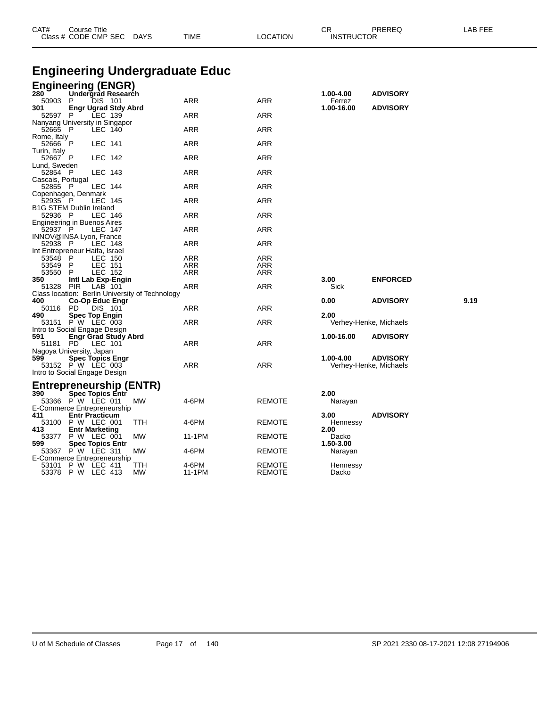| CAT#                    | Course Title<br>Class # CODE CMP SEC DAYS                                    | <b>TIME</b>       | <b>LOCATION</b>                | CR<br><b>INSTRUCTOR</b> | PREREQ                 | LAB FEE |
|-------------------------|------------------------------------------------------------------------------|-------------------|--------------------------------|-------------------------|------------------------|---------|
|                         |                                                                              |                   |                                |                         |                        |         |
|                         | <b>Engineering Undergraduate Educ</b>                                        |                   |                                |                         |                        |         |
| 280                     | <b>Engineering (ENGR)</b><br>Undergrad Research                              |                   |                                | 1.00-4.00               | <b>ADVISORY</b>        |         |
| 50903<br>301            | DIS 101<br>P                                                                 | <b>ARR</b>        | ARR                            | Ferrez                  |                        |         |
| 52597                   | <b>Engr Ugrad Stdy Abrd</b><br>P<br>LEC 139                                  | ARR               | ARR                            | 1.00-16.00              | <b>ADVISORY</b>        |         |
| 52665 P                 | Nanyang University in Singapor<br><b>LEC 140</b>                             | ARR               | ARR                            |                         |                        |         |
| Rome, Italy<br>52666    | P<br>LEC 141                                                                 | ARR               | ARR                            |                         |                        |         |
| Turin, Italy<br>52667 P | LEC 142                                                                      | ARR               | ARR                            |                         |                        |         |
| Lund, Sweden<br>52854 P |                                                                              | ARR               | ARR                            |                         |                        |         |
| Cascais, Portugal       | LEC 143                                                                      |                   |                                |                         |                        |         |
| 52855 P                 | LEC 144<br>Copenhagen, Denmark                                               | ARR               | ARR                            |                         |                        |         |
| 52935 P                 | LEC 145<br><b>B1G STEM Dublin Ireland</b>                                    | <b>ARR</b>        | <b>ARR</b>                     |                         |                        |         |
| 52936 P                 | LEC 146                                                                      | <b>ARR</b>        | <b>ARR</b>                     |                         |                        |         |
| 52937                   | Engineering in Buenos Aires<br>- P<br>LEC 147                                | ARR               | ARR                            |                         |                        |         |
| 52938 P                 | INNOV@INSA Lyon, France<br>LEC 148                                           | ARR               | ARR                            |                         |                        |         |
|                         | Int Entrepreneur Haifa, Israel                                               |                   |                                |                         |                        |         |
| 53548<br>53549          | P<br>LEC 150<br>LEC 151<br>P                                                 | ARR<br><b>ARR</b> | ARR<br>ARR                     |                         |                        |         |
| 53550                   | P<br>LEC 152                                                                 | ARR               | ARR                            |                         |                        |         |
| 350<br>51328            | Intl Lab Exp-Engin<br>PIR<br>LAB 101                                         | ARR               | ARR                            | 3.00<br>Sick            | <b>ENFORCED</b>        |         |
|                         | Class location: Berlin University of Technology                              |                   |                                |                         |                        |         |
| 400<br>50116            | <b>Co-Op Educ Engr</b><br><b>DIS 101</b><br>PD.                              | ARR               | ARR                            | 0.00                    | <b>ADVISORY</b>        | 9.19    |
| 490                     | <b>Spec Top Engin</b>                                                        |                   |                                | 2.00                    |                        |         |
|                         | 53151 P W LEC 003<br>Intro to Social Engage Design                           | ARR               | ARR                            |                         | Verhey-Henke, Michaels |         |
| 591                     | <b>Engr Grad Study Abrd</b>                                                  |                   |                                | 1.00-16.00              | <b>ADVISORY</b>        |         |
| 51181                   | PD.<br>LEC 101<br>Nagoya University, Japan                                   | ARR               | ARR                            |                         |                        |         |
| 599                     | <b>Spec Topics Engr</b>                                                      |                   |                                | 1.00-4.00               | <b>ADVISORY</b>        |         |
|                         | 53152 P W LEC 003<br>Intro to Social Engage Design                           | <b>ARR</b>        | <b>ARR</b>                     |                         | Verhey-Henke, Michaels |         |
|                         |                                                                              |                   |                                |                         |                        |         |
| 390                     | Entrepreneurship (ENTR)                                                      |                   |                                | 2.00                    |                        |         |
|                         | <b>Spec Topics Entr</b><br>53366 P W LEC 011<br>MW                           | 4-6PM             | <b>REMOTE</b>                  | Narayan                 |                        |         |
|                         | E-Commerce Entrepreneurship                                                  |                   |                                |                         |                        |         |
| 411                     | <b>Entr Practicum</b><br>53100 P W LEC 001<br>TTH                            | 4-6PM             | <b>REMOTE</b>                  | 3.00<br>Hennessy        | <b>ADVISORY</b>        |         |
| 413                     | <b>Entr Marketing</b>                                                        |                   |                                | 2.00                    |                        |         |
| 599                     | 53377 P W LEC 001<br><b>MW</b><br><b>Spec Topics Entr</b>                    | 11-1PM            | <b>REMOTE</b>                  | Dacko<br>1.50-3.00      |                        |         |
|                         | 53367 P W LEC 311<br>МW                                                      | 4-6PM             | <b>REMOTE</b>                  | Narayan                 |                        |         |
| 53101                   | E-Commerce Entrepreneurship<br>P W LEC 411<br>TTH<br>53378 P W LEC 413<br>МW | 4-6PM<br>11-1PM   | <b>REMOTE</b><br><b>REMOTE</b> | Hennessy<br>Dacko       |                        |         |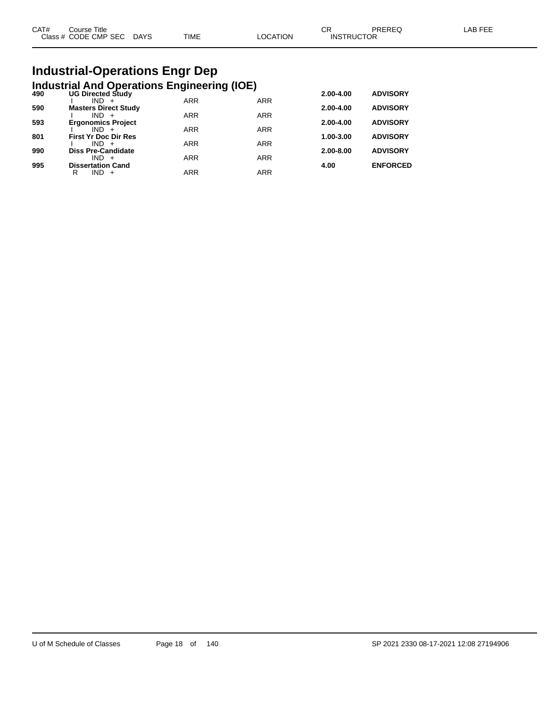| CAT# | Course Title         |             |      |          | ∩⊓<br>◡๙          | PREREQ | _AB FEE |
|------|----------------------|-------------|------|----------|-------------------|--------|---------|
|      | Class # CODE CMP SEC | <b>DAYS</b> | TIME | LOCATION | <b>INSTRUCTOR</b> |        |         |
|      |                      |             |      |          |                   |        |         |

# **Industrial-Operations Engr Dep**

|     | <b>Industrial And Operations Engineering (IOE)</b> |            |            |           |                 |
|-----|----------------------------------------------------|------------|------------|-----------|-----------------|
| 490 | <b>UG Directed Study</b>                           |            |            | 2.00-4.00 | <b>ADVISORY</b> |
|     | $IND +$                                            | <b>ARR</b> | <b>ARR</b> |           |                 |
| 590 | <b>Masters Direct Study</b>                        |            |            | 2.00-4.00 | <b>ADVISORY</b> |
| 593 | $IND +$<br><b>Ergonomics Project</b>               | <b>ARR</b> | <b>ARR</b> | 2.00-4.00 | <b>ADVISORY</b> |
|     | $IND +$                                            | <b>ARR</b> | <b>ARR</b> |           |                 |
| 801 | <b>First Yr Doc Dir Res</b>                        |            |            | 1.00-3.00 | <b>ADVISORY</b> |
|     | $IND +$                                            | <b>ARR</b> | <b>ARR</b> |           |                 |
| 990 | <b>Diss Pre-Candidate</b>                          |            |            | 2.00-8.00 | <b>ADVISORY</b> |
|     | $IND +$                                            | <b>ARR</b> | <b>ARR</b> |           |                 |
| 995 | <b>Dissertation Cand</b>                           |            |            | 4.00      | <b>ENFORCED</b> |
|     | IND.<br>R<br>$+$                                   | <b>ARR</b> | <b>ARR</b> |           |                 |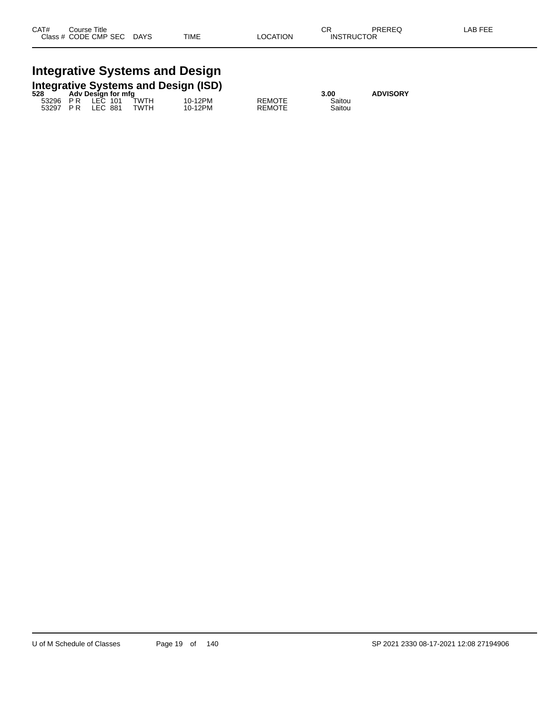# **Integrative Systems and Design**

|       |                    |        | <b>Integrative Systems and Design (ISD)</b> |         |
|-------|--------------------|--------|---------------------------------------------|---------|
| 528 - | Adv Design for mfg |        |                                             |         |
| E220G | $ICC$ $101$        | T11/TU |                                             | 10.120M |

|  | <b>AUV DESIGN TO THIS</b>     |  |                         |         |               |        |
|--|-------------------------------|--|-------------------------|---------|---------------|--------|
|  |                               |  | 53296 P.R. LEC 101 TWTH | 10-12PM | <b>REMOTE</b> | Saitou |
|  | 53297 PR LEC 881 <sup>-</sup> |  | TWTH                    | 10-12PM | <b>REMOTE</b> | Saitou |

**528 ADVISORY**<br> **Saitou**<br> **Saitou**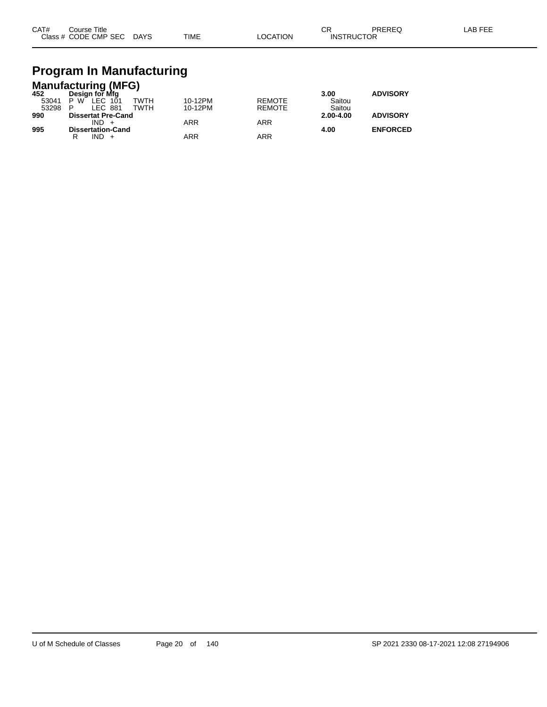| CAT# | Course Title              |             |          | ◠⊏<br>◡◚          | PREREQ | LAB FEE |
|------|---------------------------|-------------|----------|-------------------|--------|---------|
|      | Class # CODE CMP SEC DAYS | <b>TIME</b> | LOCATION | <b>INSTRUCTOR</b> |        |         |

# **Program In Manufacturing**

|       | <b>Manufacturing (MFG)</b> |            |               |               |                 |
|-------|----------------------------|------------|---------------|---------------|-----------------|
| 452   | Design for Mfg             |            |               | 3.00          | <b>ADVISORY</b> |
| 53041 | TWTH<br>LEC 101<br>P W     | 10-12PM    | <b>REMOTE</b> | Saitou        |                 |
| 53298 | LEC 881<br>TWTH            | 10-12PM    | <b>REMOTE</b> | Saitou        |                 |
| 990   | <b>Dissertat Pre-Cand</b>  |            |               | $2.00 - 4.00$ | <b>ADVISORY</b> |
|       | $IND +$                    | <b>ARR</b> | <b>ARR</b>    |               |                 |
| 995   | <b>Dissertation-Cand</b>   |            |               | 4.00          | <b>ENFORCED</b> |
|       | $IND +$                    | ARR        | ARR           |               |                 |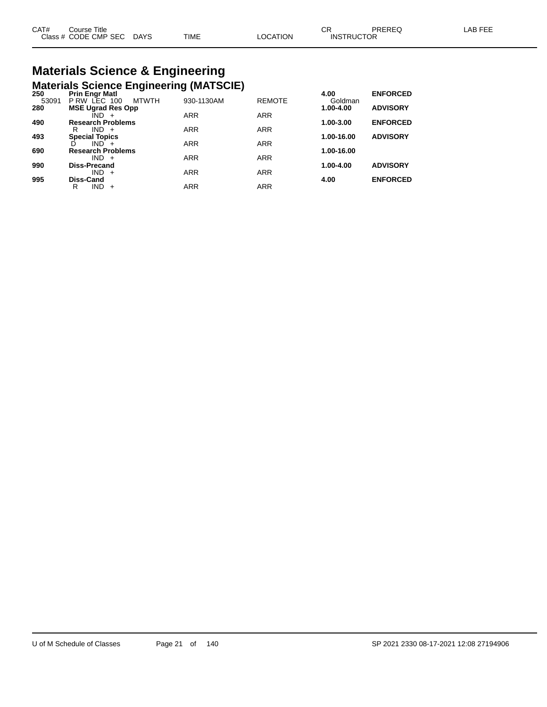| CAT# | Title<br>Course      |             |             |                | ~~                | PREREQ | AB FFF |
|------|----------------------|-------------|-------------|----------------|-------------------|--------|--------|
|      | Class # CODE CMP SEC | <b>DAYS</b> | <b>TIME</b> | <b>OCATION</b> | <b>INSTRUCTOR</b> |        |        |

# **Materials Science & Engineering**

|       | <b>Materials Science Engineering (MATSCIE)</b> |            |               |            |                 |
|-------|------------------------------------------------|------------|---------------|------------|-----------------|
| 250   | <b>Prin Engr Matl</b>                          |            |               | 4.00       | <b>ENFORCED</b> |
| 53091 | P RW LEC 100<br><b>MTWTH</b>                   | 930-1130AM | <b>REMOTE</b> | Goldman    |                 |
| 280   | <b>MSE Ugrad Res Opp</b>                       |            |               | 1.00-4.00  | <b>ADVISORY</b> |
|       | $IND +$                                        | <b>ARR</b> | <b>ARR</b>    |            |                 |
| 490   | <b>Research Problems</b>                       |            |               | 1.00-3.00  | <b>ENFORCED</b> |
|       | $IND +$<br>R                                   | <b>ARR</b> | <b>ARR</b>    |            |                 |
| 493   | <b>Special Topics</b>                          |            |               | 1.00-16.00 | <b>ADVISORY</b> |
|       | $IND +$                                        | <b>ARR</b> | <b>ARR</b>    |            |                 |
| 690   | <b>Research Problems</b>                       |            |               | 1.00-16.00 |                 |
|       | $IND +$                                        | <b>ARR</b> | <b>ARR</b>    |            |                 |
| 990   | <b>Diss-Precand</b>                            |            |               | 1.00-4.00  | <b>ADVISORY</b> |
|       | IND.<br>$+$                                    | <b>ARR</b> | <b>ARR</b>    |            |                 |
| 995   | Diss-Cand                                      |            |               | 4.00       | <b>ENFORCED</b> |
|       | <b>IND</b><br>R<br>$+$                         | <b>ARR</b> | <b>ARR</b>    |            |                 |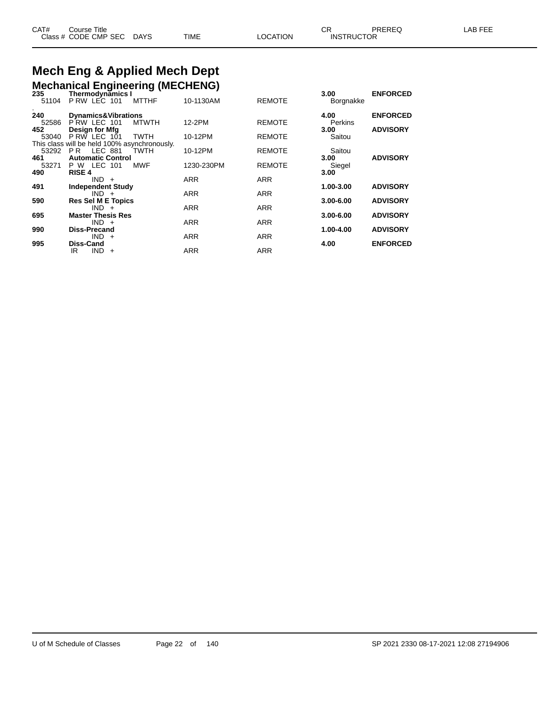#### **Mech Eng & Applied Mech Dept**<br>Mechanical Engineering (MECHENG) **Mechanical Engineering**

| 235   | <b>Mechanical Engineering (MECHENG)</b><br><b>Thermodynamics I</b> |              |            |               | 3.00          | <b>ENFORCED</b> |
|-------|--------------------------------------------------------------------|--------------|------------|---------------|---------------|-----------------|
| 51104 | P RW LEC 101                                                       | <b>MTTHF</b> | 10-1130AM  | <b>REMOTE</b> | Borgnakke     |                 |
| 240   | <b>Dynamics&amp;Vibrations</b>                                     |              |            |               | 4.00          | <b>ENFORCED</b> |
| 52586 | PRW LEC 101                                                        | <b>MTWTH</b> | 12-2PM     | <b>REMOTE</b> | Perkins       |                 |
| 452   | Design for Mfg                                                     |              |            |               | 3.00          | <b>ADVISORY</b> |
| 53040 | $P$ RW LEC $101$                                                   | <b>TWTH</b>  | 10-12PM    | <b>REMOTE</b> | Saitou        |                 |
|       | This class will be held 100% asynchronously.                       |              |            |               |               |                 |
|       | 53292 PR LEC 881                                                   | <b>TWTH</b>  | 10-12PM    | <b>REMOTE</b> | Saitou        |                 |
| 461   | <b>Automatic Control</b>                                           |              |            |               | 3.00          | <b>ADVISORY</b> |
| 53271 | P W LEC 101                                                        | <b>MWF</b>   | 1230-230PM | <b>REMOTE</b> | Siegel        |                 |
| 490   | <b>RISE 4</b>                                                      |              |            |               | 3.00          |                 |
|       | $IND +$                                                            |              | <b>ARR</b> | <b>ARR</b>    |               |                 |
| 491   | <b>Independent Study</b>                                           |              |            |               | 1.00-3.00     | <b>ADVISORY</b> |
|       | $IND +$                                                            |              | <b>ARR</b> | <b>ARR</b>    | $3.00 - 6.00$ | <b>ADVISORY</b> |
| 590   | <b>Res Sel M E Topics</b><br>$IND +$                               |              | <b>ARR</b> | <b>ARR</b>    |               |                 |
| 695   | <b>Master Thesis Res</b>                                           |              |            |               | 3.00-6.00     | <b>ADVISORY</b> |
|       | $IND +$                                                            |              | <b>ARR</b> | <b>ARR</b>    |               |                 |
| 990   | <b>Diss-Precand</b>                                                |              |            |               | 1.00-4.00     | <b>ADVISORY</b> |
|       | $IND +$                                                            |              | <b>ARR</b> | <b>ARR</b>    |               |                 |
| 995   | <b>Diss-Cand</b>                                                   |              |            |               | 4.00          | <b>ENFORCED</b> |
|       | $IND +$<br>IR                                                      |              | <b>ARR</b> | <b>ARR</b>    |               |                 |
|       |                                                                    |              |            |               |               |                 |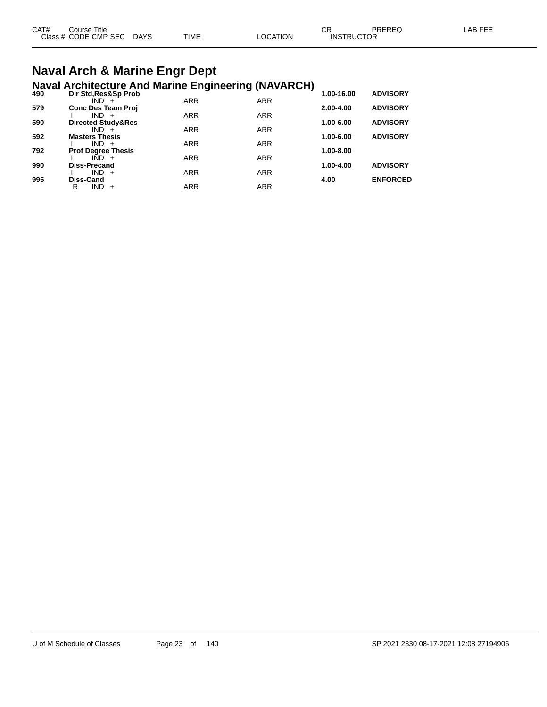| CAT# | Course Title              |      |          | ◠◻                | PREREQ | LAB FEE |
|------|---------------------------|------|----------|-------------------|--------|---------|
|      | Class # CODE CMP SEC DAYS | TIME | LOCATION | <b>INSTRUCTOR</b> |        |         |

### **Naval Arch & Marine Engr Dept Naval Architecture And Marine Engineering (NAVARCH)**

| 490 | Dir Std, Res&Sp Prob             |            |            | 1.00-16.00 | <b>ADVISORY</b> |
|-----|----------------------------------|------------|------------|------------|-----------------|
|     | $IND +$                          | <b>ARR</b> | <b>ARR</b> |            |                 |
| 579 | <b>Conc Des Team Proj</b>        |            |            | 2.00-4.00  | <b>ADVISORY</b> |
|     | $IND +$                          | <b>ARR</b> | <b>ARR</b> |            |                 |
| 590 | Directed Study&Res               |            |            | 1.00-6.00  | <b>ADVISORY</b> |
|     | $IND +$                          | <b>ARR</b> | <b>ARR</b> |            |                 |
| 592 | <b>Masters Thesis</b><br>$IND +$ | <b>ARR</b> | <b>ARR</b> | 1.00-6.00  | <b>ADVISORY</b> |
| 792 | <b>Prof Degree Thesis</b>        |            |            | 1.00-8.00  |                 |
|     | $IND +$                          | <b>ARR</b> | <b>ARR</b> |            |                 |
| 990 | <b>Diss-Precand</b>              |            |            | 1.00-4.00  | <b>ADVISORY</b> |
|     | $IND +$                          | <b>ARR</b> | <b>ARR</b> |            |                 |
| 995 | Diss-Cand                        |            |            | 4.00       | <b>ENFORCED</b> |
|     | <b>IND</b><br>R<br>$+$           | <b>ARR</b> | <b>ARR</b> |            |                 |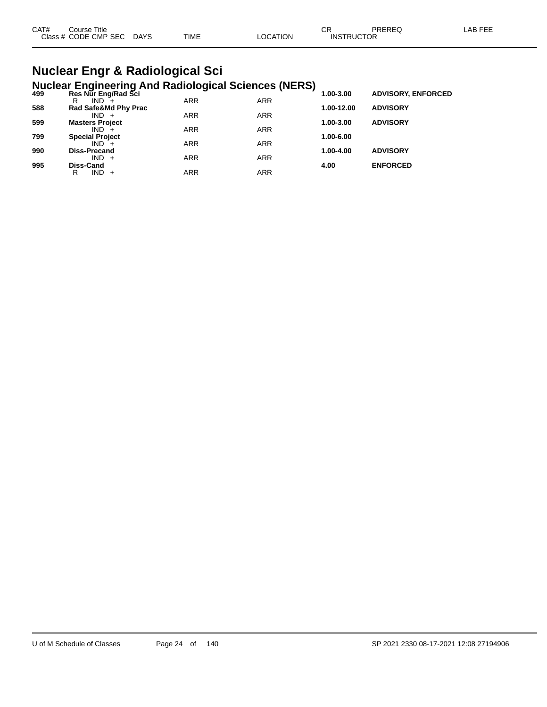| CAT#<br>Course Title |      |             |                | ⌒冖 | PREREC            | LAB FEF |
|----------------------|------|-------------|----------------|----|-------------------|---------|
| Class # CODE CMP SEC | DAYS | <b>TIME</b> | <b>OCATION</b> |    | <b>INSTRUCTOR</b> |         |

### **Nuclear Engr & Radiological Sci Nuclear Engineering And Radiological Sciences (NERS)**

| 499 | Res Nur Eng/Rad Sci    |            |            | - 1<br>1.00-3.00 | <b>ADVISORY, ENFORCED</b> |  |
|-----|------------------------|------------|------------|------------------|---------------------------|--|
|     | $IND +$<br>R           | <b>ARR</b> | <b>ARR</b> |                  |                           |  |
| 588 | Rad Safe&Md Phy Prac   |            |            | 1.00-12.00       | <b>ADVISORY</b>           |  |
|     | $IND +$                | <b>ARR</b> | <b>ARR</b> |                  |                           |  |
| 599 | <b>Masters Project</b> |            |            | 1.00-3.00        | <b>ADVISORY</b>           |  |
|     | $IND +$                | <b>ARR</b> | <b>ARR</b> |                  |                           |  |
| 799 | <b>Special Project</b> |            |            | 1.00-6.00        |                           |  |
|     | $IND +$                | <b>ARR</b> | <b>ARR</b> |                  |                           |  |
| 990 | <b>Diss-Precand</b>    |            |            | 1.00-4.00        | <b>ADVISORY</b>           |  |
|     | $IND +$                | <b>ARR</b> | <b>ARR</b> |                  |                           |  |
| 995 | Diss-Cand              |            |            | 4.00             | <b>ENFORCED</b>           |  |
|     | $IND +$<br>R           | ARR        | ARR        |                  |                           |  |
|     |                        |            |            |                  |                           |  |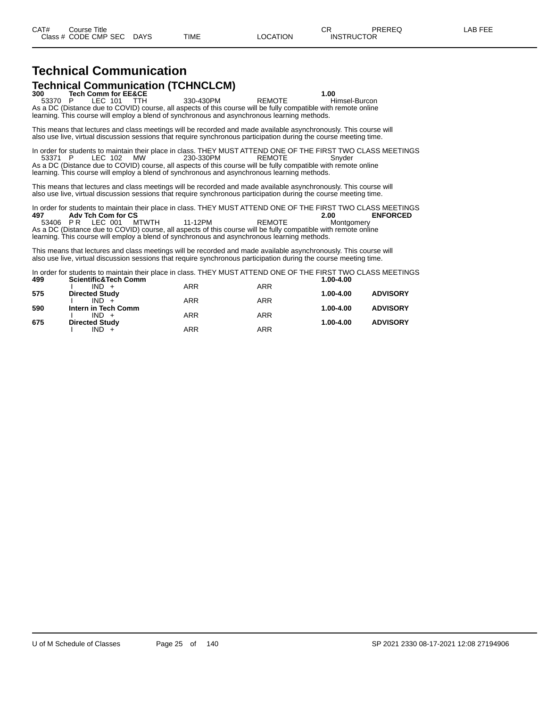### **Technical Communication Technical Communication (TCHNCLCM)**<br>300 Tech Comm for EE&CE

**4 1.00 Tech Comm for EE&CE 1.00 1.00 1.00 1.00 1.00 1.00 1.00 1.00 1.00 1.00 1.00 1.00 1.00 1.00 1.00 1.00 1.00 1.00 1.00 1.00 1.00 1.00 1.00 1.00 1.00 1.00 1.00** 53370 P LEC 101 TTH 330-430PM REMOTE Himsel-Burcon As a DC (Distance due to COVID) course, all aspects of this course will be fully compatible with remote online learning. This course will employ a blend of synchronous and asynchronous learning methods.

This means that lectures and class meetings will be recorded and made available asynchronously. This course will also use live, virtual discussion sessions that require synchronous participation during the course meeting time.

In order for students to maintain their place in class. THEY MUST ATTEND ONE OF THE FIRST TWO CLASS MEETINGS 53371 P LEC 102 MW 230-330PM REMOTE Snyder As a DC (Distance due to COVID) course, all aspects of this course will be fully compatible with remote online learning. This course will employ a blend of synchronous and asynchronous learning methods.

This means that lectures and class meetings will be recorded and made available asynchronously. This course will also use live, virtual discussion sessions that require synchronous participation during the course meeting time.

In order for students to maintain their place in class. THEY MUST ATTEND ONE OF THE FIRST TWO CLASS MEETINGS **497 Adv Tch Com for CS 2.00 ENFORCED**

53406 P R LEC 001 MTWTH 11-12PM REMOTE Montgomery As a DC (Distance due to COVID) course, all aspects of this course will be fully compatible with remote online learning. This course will employ a blend of synchronous and asynchronous learning methods.

This means that lectures and class meetings will be recorded and made available asynchronously. This course will also use live, virtual discussion sessions that require synchronous participation during the course meeting time.

In order for students to maintain their place in class. THEY MUST ATTEND ONE OF THE FIRST TWO CLASS MEETINGS<br>499 **Scientific&Tech Comm 499 Scientific&Tech Comm 1.00-4.00**  $IND +$ **575 Directed Study 1.00-4.00 ADVISORY**  $IND + A$ 

| 590 | Intern in Tech Comm   |     |     | 1.00-4.00 | <b>ADVISORY</b> |
|-----|-----------------------|-----|-----|-----------|-----------------|
|     | $IND +$               | ARR | ARR |           |                 |
| 675 | <b>Directed Study</b> |     |     | 1.00-4.00 | <b>ADVISORY</b> |
|     | $IND +$               | ARR | ARR |           |                 |

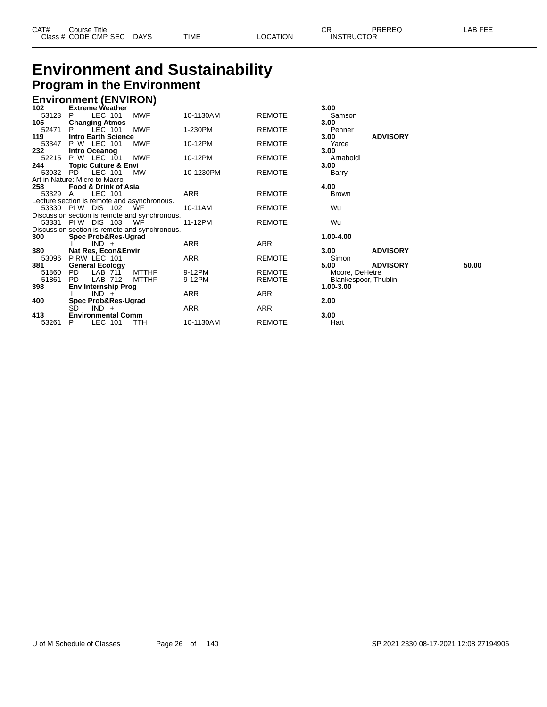| CAT# | Course Title         |             |      |          | Ωn<br>- UN        | PREREQ | _AB FEE |
|------|----------------------|-------------|------|----------|-------------------|--------|---------|
|      | Class # CODE CMP SEC | <b>DAYS</b> | TIME | LOCATION | <b>INSTRUCTOR</b> |        |         |

### **Environment and Sustainability Program in the Environment**

### **Environment (ENVIRON) 102 Extreme Weather 3.00**

| 1 UZ    | <b>EXUBILE WEALTER</b>                        |              |           |               | J.VV                 |                 |       |
|---------|-----------------------------------------------|--------------|-----------|---------------|----------------------|-----------------|-------|
| 53123   | LEC 101<br>P                                  | <b>MWF</b>   | 10-1130AM | <b>REMOTE</b> | Samson               |                 |       |
| 105     | <b>Changing Atmos</b>                         |              |           |               | 3.00                 |                 |       |
| 52471   | LEC 101<br>P.                                 | <b>MWF</b>   | 1-230PM   | <b>REMOTE</b> | Penner               |                 |       |
| 119     | <b>Intro Earth Science</b>                    |              |           |               | 3.00                 | <b>ADVISORY</b> |       |
| 53347   | P W LEC 101                                   | MWF          | 10-12PM   | <b>REMOTE</b> | Yarce                |                 |       |
| 232     | Intro Oceanog                                 |              |           |               | 3.00                 |                 |       |
| 52215   | P W LEC 101                                   | MWF          | 10-12PM   | <b>REMOTE</b> | Arnaboldi            |                 |       |
| 244     | <b>Topic Culture &amp; Envi</b>               |              |           |               | 3.00                 |                 |       |
| 53032   | PD<br>LEC 101                                 | МW           | 10-1230PM | <b>REMOTE</b> | Barry                |                 |       |
|         | Art in Nature: Micro to Macro                 |              |           |               |                      |                 |       |
| 258     | Food & Drink of Asia                          |              |           |               | 4.00                 |                 |       |
| 53329 A | LEC 101                                       |              | ARR       | <b>REMOTE</b> | <b>Brown</b>         |                 |       |
|         | Lecture section is remote and asynchronous.   |              |           |               |                      |                 |       |
|         | 53330 PIW DIS 102                             | WF           | 10-11AM   | <b>REMOTE</b> | Wu                   |                 |       |
|         | Discussion section is remote and synchronous. |              |           |               |                      |                 |       |
|         | 53331 PIW DIS 103                             | WF           | 11-12PM   | <b>REMOTE</b> | Wu                   |                 |       |
|         | Discussion section is remote and synchronous. |              |           |               |                      |                 |       |
| 300     | Spec Prob&Res-Ugrad                           |              |           |               | 1.00-4.00            |                 |       |
|         | $IND +$                                       |              | ARR       | ARR           |                      |                 |       |
| 380     | Nat Res, Econ&Envir                           |              |           |               | 3.00                 | <b>ADVISORY</b> |       |
| 53096   | PRW LEC 101                                   |              | ARR       | <b>REMOTE</b> | Simon                |                 |       |
| 381     | <b>General Ecology</b>                        |              |           |               | 5.00                 | <b>ADVISORY</b> | 50.00 |
| 51860   | PD.<br>LAB 711                                | <b>MTTHF</b> | 9-12PM    | <b>REMOTE</b> | Moore, DeHetre       |                 |       |
| 51861   | PD.<br>LAB 712                                | MTTHF        | 9-12PM    | <b>REMOTE</b> | Blankespoor, Thublin |                 |       |
| 398     | <b>Env Internship Prog</b>                    |              |           |               | 1.00-3.00            |                 |       |
|         | $IND +$                                       |              | ARR       | ARR           |                      |                 |       |
| 400     | Spec Prob&Res-Ugrad                           |              |           |               | 2.00                 |                 |       |
|         | SD<br>$IND +$                                 |              | ARR       | <b>ARR</b>    |                      |                 |       |
| 413     | <b>Environmental Comm</b>                     |              |           |               | 3.00                 |                 |       |
| 53261   | LEC 101<br>P                                  | TTH          | 10-1130AM | <b>REMOTE</b> | Hart                 |                 |       |
|         |                                               |              |           |               |                      |                 |       |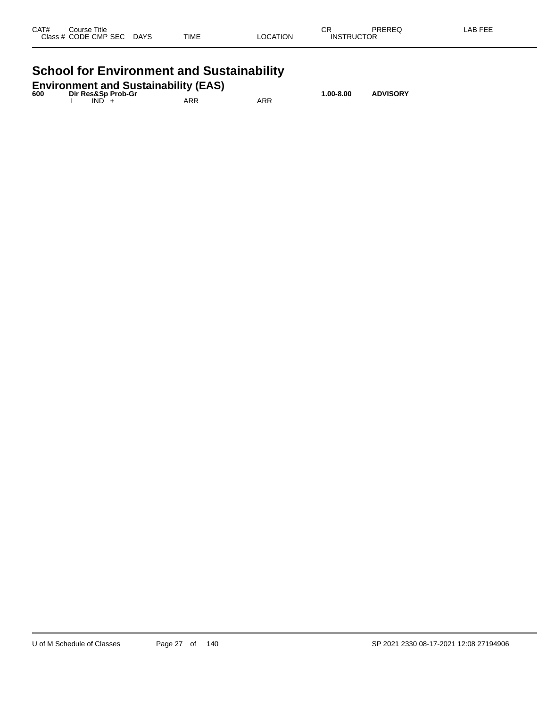| CAT# | Title<br>Course      |             |             |          | ^-<br>UК          | PREREQ | <b>AB FEE</b> |
|------|----------------------|-------------|-------------|----------|-------------------|--------|---------------|
|      | Class # CODE CMP SEC | <b>DAYS</b> | <b>TIME</b> | LOCATION | <b>INSTRUCTOR</b> |        |               |
|      |                      |             |             |          |                   |        |               |

## **School for Environment and Sustainability**

| <b>Environment and Sustainability (EAS)</b> |  |                    |               |                 |  |  |
|---------------------------------------------|--|--------------------|---------------|-----------------|--|--|
| 600                                         |  | Dir Res&Sp Prob-Gr | $1.00 - 8.00$ | <b>ADVISORY</b> |  |  |
|                                             |  | $IND +$            | ARR           | ARR             |  |  |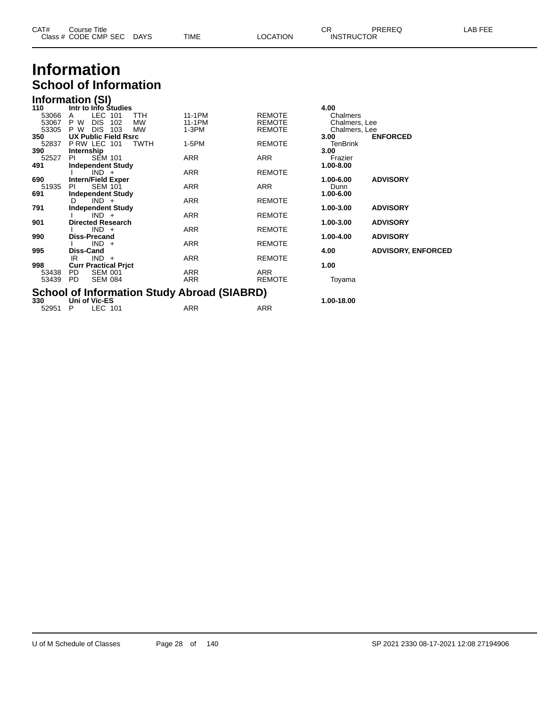| CAT# | Course Title              |      |                 | ∩⊓                | PREREQ | LAB FEE |
|------|---------------------------|------|-----------------|-------------------|--------|---------|
|      | Class # CODE CMP SEC DAYS | TIME | <b>LOCATION</b> | <b>INSTRUCTOR</b> |        |         |

### **Information School of Information**

| Information (SI) |  |  |
|------------------|--|--|
|                  |  |  |

| 110   | Intr to Info Studies                               |            |               | 4.00            |                           |  |  |  |
|-------|----------------------------------------------------|------------|---------------|-----------------|---------------------------|--|--|--|
| 53066 | LEC 101<br>TTH<br>A                                | 11-1PM     | <b>REMOTE</b> | Chalmers        |                           |  |  |  |
| 53067 | P W<br><b>DIS</b><br><b>MW</b><br>102              | 11-1PM     | <b>REMOTE</b> | Chalmers, Lee   |                           |  |  |  |
| 53305 | P W<br><b>DIS</b><br>103<br><b>MW</b>              | 1-3PM      | <b>REMOTE</b> | Chalmers, Lee   |                           |  |  |  |
| 350   | <b>UX Public Field Rsrc</b>                        |            |               | 3.00            | <b>ENFORCED</b>           |  |  |  |
| 52837 | PRW LEC 101<br><b>TWTH</b>                         | 1-5PM      | <b>REMOTE</b> | <b>TenBrink</b> |                           |  |  |  |
| 390   | Internship                                         |            |               | 3.00            |                           |  |  |  |
| 52527 | <b>SEM 101</b><br>PL                               | ARR        | ARR           | Frazier         |                           |  |  |  |
| 491   | <b>Independent Study</b>                           |            |               | 1.00-8.00       |                           |  |  |  |
|       | $IND +$                                            | <b>ARR</b> | <b>REMOTE</b> |                 |                           |  |  |  |
| 690   | <b>Intern/Field Exper</b>                          |            |               | 1.00-6.00       | <b>ADVISORY</b>           |  |  |  |
| 51935 | <b>SEM 101</b><br>PI                               | ARR        | ARR           | Dunn            |                           |  |  |  |
| 691   | <b>Independent Study</b>                           |            |               | 1.00-6.00       |                           |  |  |  |
|       | $IND +$<br>D.                                      | ARR        | <b>REMOTE</b> |                 |                           |  |  |  |
| 791   | <b>Independent Study</b>                           |            |               | 1.00-3.00       | <b>ADVISORY</b>           |  |  |  |
|       | $IND +$                                            | ARR        | <b>REMOTE</b> |                 |                           |  |  |  |
| 901   | <b>Directed Research</b>                           |            |               | 1.00-3.00       | <b>ADVISORY</b>           |  |  |  |
|       | $IND +$                                            | ARR        | <b>REMOTE</b> |                 |                           |  |  |  |
| 990   | <b>Diss-Precand</b>                                |            |               | 1.00-4.00       | <b>ADVISORY</b>           |  |  |  |
|       | $IND +$                                            | ARR        | <b>REMOTE</b> |                 |                           |  |  |  |
| 995   | Diss-Cand                                          |            |               | 4.00            | <b>ADVISORY, ENFORCED</b> |  |  |  |
|       | $IND +$<br>IR                                      | ARR        | <b>REMOTE</b> |                 |                           |  |  |  |
| 998   | <b>Curr Practical Prict</b>                        |            |               | 1.00            |                           |  |  |  |
| 53438 | PD.<br><b>SEM 001</b>                              | <b>ARR</b> | <b>ARR</b>    |                 |                           |  |  |  |
| 53439 | PD.<br><b>SEM 084</b>                              | ARR        | <b>REMOTE</b> | Toyama          |                           |  |  |  |
|       |                                                    |            |               |                 |                           |  |  |  |
|       | <b>School of Information Study Abroad (SIABRD)</b> |            |               |                 |                           |  |  |  |
| 330   | Uni of Vic-ES                                      |            |               | 1.00-18.00      |                           |  |  |  |
| 52951 | LEC 101<br>P                                       | ARR        | ARR           |                 |                           |  |  |  |
|       |                                                    |            |               |                 |                           |  |  |  |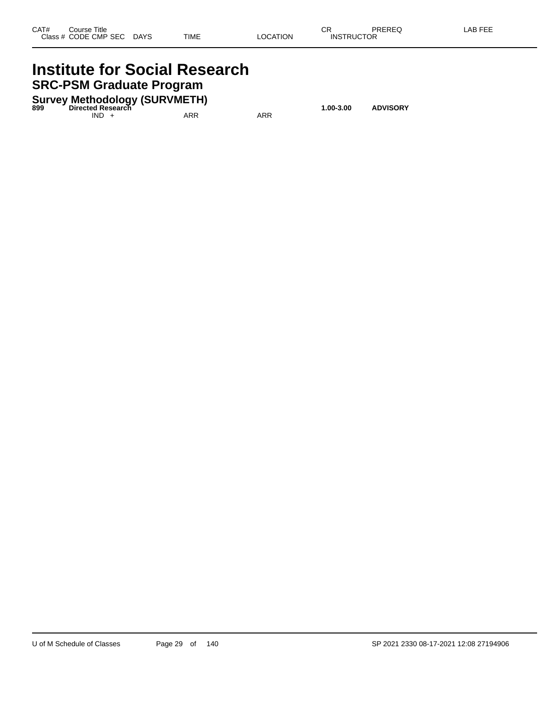### **Institute for Social Research SRC-PSM Graduate Program**

**Survey Methodology (SURVMETH) 899 Directed Research 1.00-3.00 ADVISORY**

 $IND + ARR$  ARR ARR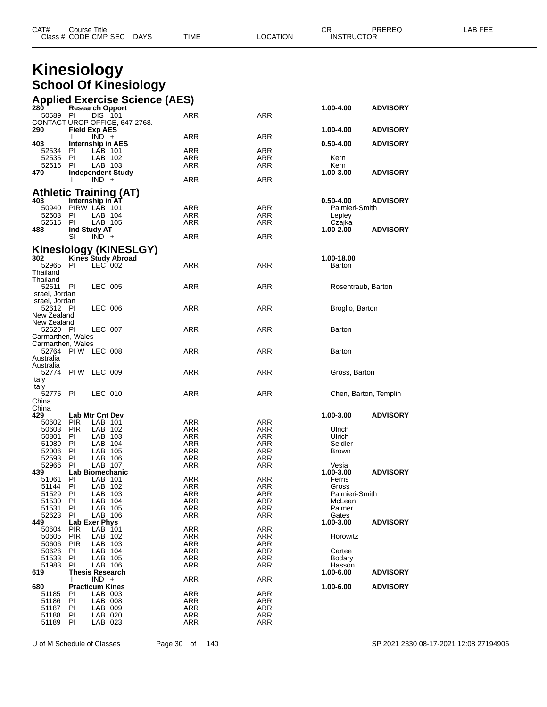| CAT# | Title<br>∴ourse      |             |      |          | ⌒冖<br>- UN | PREREQ            | AR FFF |
|------|----------------------|-------------|------|----------|------------|-------------------|--------|
|      | Class # CODE CMP SEC | <b>DAYS</b> | TIME | LOCATION |            | <b>INSTRUCTOR</b> |        |

| <b>Kinesiology</b>               |                   |                      |                                |                                       |            |                 |                       |
|----------------------------------|-------------------|----------------------|--------------------------------|---------------------------------------|------------|-----------------|-----------------------|
|                                  |                   |                      |                                |                                       |            |                 |                       |
|                                  |                   |                      | <b>School Of Kinesiology</b>   |                                       |            |                 |                       |
|                                  |                   |                      |                                | <b>Applied Exercise Science (AES)</b> |            |                 |                       |
| 28Ò                              |                   |                      | <b>Research Opport</b>         |                                       |            | 1.00-4.00       | <b>ADVISORY</b>       |
| 50589                            | PI                | DIS 101              |                                | ARR                                   | <b>ARR</b> |                 |                       |
|                                  |                   |                      | CONTACT UROP OFFICE, 647-2768. |                                       |            |                 |                       |
| 290                              |                   | <b>Field Exp AES</b> |                                |                                       |            | 1.00-4.00       | <b>ADVISORY</b>       |
|                                  |                   | $IND +$              |                                | ARR                                   | <b>ARR</b> |                 |                       |
| 403<br>52534                     | PI.               | LAB 101              | <b>Internship in AES</b>       | <b>ARR</b>                            | <b>ARR</b> | 0.50-4.00       | <b>ADVISORY</b>       |
| 52535                            | PI.               | LAB 102              |                                | ARR                                   | <b>ARR</b> | Kern            |                       |
| 52616                            | PI.               | LAB 103              |                                | <b>ARR</b>                            | <b>ARR</b> | Kern            |                       |
| 470                              |                   |                      | <b>Independent Study</b>       |                                       |            | 1.00-3.00       | <b>ADVISORY</b>       |
|                                  | I.                | $IND +$              |                                | ARR                                   | <b>ARR</b> |                 |                       |
|                                  |                   |                      | <b>Athletic Training (AT)</b>  |                                       |            |                 |                       |
| 403                              |                   | Internship in AT     |                                |                                       |            | 0.50-4.00       | <b>ADVISORY</b>       |
| 50940                            |                   | PIRW LAB 101         |                                | ARR                                   | <b>ARR</b> | Palmieri-Smith  |                       |
| 52603                            | PI                | LAB 104              |                                | <b>ARR</b>                            | <b>ARR</b> | Lepley          |                       |
| 52615                            | PI.               | LAB 105              |                                | <b>ARR</b>                            | <b>ARR</b> | Czajka          |                       |
| 488                              |                   | <b>Ind Study AT</b>  |                                |                                       |            | $1.00 - 2.00$   | <b>ADVISORY</b>       |
|                                  | SI                | $IND +$              |                                | <b>ARR</b>                            | <b>ARR</b> |                 |                       |
|                                  |                   |                      | Kinesiology (KINESLGY)         |                                       |            |                 |                       |
| 302                              |                   |                      | <b>Kines Study Abroad</b>      |                                       |            | 1.00-18.00      |                       |
| 52965                            | PL                | $LEC$ 002            |                                | <b>ARR</b>                            | <b>ARR</b> | Barton          |                       |
| Thailand                         |                   |                      |                                |                                       |            |                 |                       |
| Thailand                         |                   |                      |                                |                                       |            |                 |                       |
| 52611                            | - PI              | <b>LEC 005</b>       |                                | <b>ARR</b>                            | <b>ARR</b> |                 | Rosentraub, Barton    |
| Israel, Jordan<br>Israel, Jordan |                   |                      |                                |                                       |            |                 |                       |
| 52612 PI                         |                   | <b>LEC 006</b>       |                                | <b>ARR</b>                            | <b>ARR</b> | Broglio, Barton |                       |
| New Zealand                      |                   |                      |                                |                                       |            |                 |                       |
| New Zealand                      |                   |                      |                                |                                       |            |                 |                       |
| 52620 PI                         |                   | LEC 007              |                                | <b>ARR</b>                            | <b>ARR</b> | Barton          |                       |
| Carmarthen, Wales                |                   |                      |                                |                                       |            |                 |                       |
| Carmarthen, Wales                |                   |                      |                                |                                       |            |                 |                       |
|                                  | 52764 PIW LEC 008 |                      |                                | <b>ARR</b>                            | <b>ARR</b> | Barton          |                       |
| Australia<br>Australia           |                   |                      |                                |                                       |            |                 |                       |
| 52774                            |                   | PIW LEC 009          |                                | <b>ARR</b>                            | <b>ARR</b> | Gross, Barton   |                       |
| Italy                            |                   |                      |                                |                                       |            |                 |                       |
| Italy                            |                   |                      |                                |                                       |            |                 |                       |
| 52775                            | PI                | LEC 010              |                                | <b>ARR</b>                            | <b>ARR</b> |                 | Chen, Barton, Templin |
| China                            |                   |                      |                                |                                       |            |                 |                       |

**680 Practicum Kines**<br>
51185 PI LAB 003 ARR ARR ARR<br>
51186 PI LAB 008 ARR ARR ARR ARR<br>
51187 PI LAB 009 ARR ARR PI LAB 003 ARR ARR PI LAB 008 ARR ARR PI LAB 009 ARR ARR PI LAB 020 ARR ARR

| 403                        |                          |                        | Internship in AES         |                   |                   | 0.50-4.00           | <b>ADVISORY</b>       |
|----------------------------|--------------------------|------------------------|---------------------------|-------------------|-------------------|---------------------|-----------------------|
| 52534                      | PI                       | LAB 101                |                           | ARR               | ARR               |                     |                       |
| 52535<br>52616             | PI<br>PI                 | LAB 102<br>LAB 103     |                           | ARR<br>ARR        | ARR<br>ARR        | Kern<br>Kern        |                       |
| 470                        |                          |                        | <b>Independent Study</b>  |                   |                   | 1.00-3.00           | <b>ADVISORY</b>       |
|                            | I.                       | $IND +$                |                           | ARR               | ARR               |                     |                       |
|                            |                          |                        |                           |                   |                   |                     |                       |
|                            |                          |                        | Athletic Training (AT)    |                   |                   |                     |                       |
| 403                        |                          | Internship in AT       |                           |                   |                   | $0.50 - 4.00$       | <b>ADVISORY</b>       |
| 50940                      | PIRW LAB 101             |                        |                           | ARR               | ARR               | Palmieri-Smith      |                       |
| 52603<br>52615             | PI.<br>PI                | LAB 104<br>LAB 105     |                           | ARR<br>ARR        | ARR<br>ARR        | Lepley              |                       |
| 488                        |                          | Ind Study AT           |                           |                   |                   | Czajka<br>1.00-2.00 | <b>ADVISORY</b>       |
|                            | SI                       | $IND +$                |                           | ARR               | ARR               |                     |                       |
|                            |                          |                        |                           |                   |                   |                     |                       |
| 302                        |                          |                        | Kinesiology (KINESLGY)    |                   |                   | 1.00-18.00          |                       |
| 52965                      | -PI                      | LEC 002                | <b>Kines Study Abroad</b> | ARR               | ARR               | Barton              |                       |
| Thailand                   |                          |                        |                           |                   |                   |                     |                       |
| Thailand                   |                          |                        |                           |                   |                   |                     |                       |
| 52611                      | - PI                     | LEC 005                |                           | ARR               | ARR               | Rosentraub, Barton  |                       |
| Israel, Jordan             |                          |                        |                           |                   |                   |                     |                       |
| Israel, Jordan             |                          |                        |                           |                   |                   |                     |                       |
| 52612 PI                   |                          | LEC 006                |                           | ARR               | ARR               | Broglio, Barton     |                       |
| New Zealand                |                          |                        |                           |                   |                   |                     |                       |
| New Zealand                |                          |                        |                           |                   |                   |                     |                       |
| 52620 PI                   |                          | LEC 007                |                           | ARR               | ARR               | Barton              |                       |
| Carmarthen, Wales          |                          |                        |                           |                   |                   |                     |                       |
| Carmarthen, Wales<br>52764 | PIW LEC 008              |                        |                           | ARR               | ARR               | Barton              |                       |
| Australia                  |                          |                        |                           |                   |                   |                     |                       |
| Australia                  |                          |                        |                           |                   |                   |                     |                       |
| 52774                      | PI W                     | LEC 009                |                           | ARR               | ARR               | Gross, Barton       |                       |
| Italy                      |                          |                        |                           |                   |                   |                     |                       |
| Italy                      |                          |                        |                           |                   |                   |                     |                       |
| 52775                      | PI                       | LEC 010                |                           | ARR               | ARR               |                     | Chen, Barton, Templin |
| China                      |                          |                        |                           |                   |                   |                     |                       |
| China                      |                          |                        |                           |                   |                   |                     |                       |
| 429                        |                          | <b>Lab Mtr Cnt Dev</b> |                           |                   |                   | 1.00-3.00           | <b>ADVISORY</b>       |
| 50602                      | <b>PIR</b>               | LAB 101                |                           | ARR               | ARR               |                     |                       |
| 50603                      | <b>PIR</b>               | LAB 102                |                           | ARR               | ARR               | Ulrich              |                       |
| 50801<br>51089             | PI<br>- PI               | LAB 103<br>LAB 104     |                           | ARR<br>ARR        | ARR<br>ARR        | Ulrich<br>Seidler   |                       |
| 52006                      | PI                       | LAB 105                |                           | ARR               | ARR               | <b>Brown</b>        |                       |
| 52593                      | PI                       | LAB 106                |                           | ARR               | ARR               |                     |                       |
| 52966                      | PI.                      | LAB 107                |                           | ARR               | ARR               | Vesia               |                       |
| 439                        |                          |                        | Lab Biomechanic           |                   |                   | 1.00-3.00           | <b>ADVISORY</b>       |
| 51061                      | PI                       | LAB 101                |                           | ARR               | ARR               | Ferris              |                       |
| 51144                      | PI                       | LAB 102                |                           | ARR               | ARR               | Gross               |                       |
| 51529                      | PI                       | LAB 103                |                           | ARR               | ARR               | Palmieri-Smith      |                       |
| 51530                      | PI                       | LAB 104                |                           | ARR               | ARR               | McLean              |                       |
| 51531                      | ΡI                       | LAB 105                |                           | ARR               | ARR               | Palmer              |                       |
| 52623                      | PI                       | LAB 106                |                           | ARR               | ARR               | Gates               |                       |
| 449                        |                          | Lab Exer Phys          |                           |                   |                   | 1.00-3.00           | <b>ADVISORY</b>       |
| 50604                      | <b>PIR</b>               | LAB 101                |                           | ARR               | ARR               |                     |                       |
| 50605<br>50606             | <b>PIR</b><br><b>PIR</b> | LAB 102<br>LAB 103     |                           | ARR<br><b>ARR</b> | ARR<br><b>ARR</b> | Horowitz            |                       |
| 50626                      | PI                       | LAB 104                |                           | ARR               | ARR               | Cartee              |                       |
| 51533                      | PI.                      | LAB 105                |                           | ARR               | ARR               | Bodary              |                       |
| 51983                      | <b>PI</b>                | LAB 106                |                           | ARR               | ARR               | Hasson              |                       |
| 619                        |                          | <b>Thesis Research</b> |                           |                   |                   | 1.00-6.00           | <b>ADVISORY</b>       |
|                            | L                        | $IND +$                |                           | ARR               | ARR               |                     |                       |
| 680                        |                          | <b>Practicum Kines</b> |                           |                   |                   | 1.00-6.00           | <b>ADVISORY</b>       |
| 51185                      | <b>PI</b>                | LAB 003                |                           | ARR               | <b>ARR</b>        |                     |                       |
| 51186                      | PI                       | LAB 008                |                           | ARR               | ARR               |                     |                       |
| 51187                      | PI                       | LAB 009                |                           | <b>ARR</b>        | <b>ARR</b>        |                     |                       |
| 51188                      | - PI                     | LAB 020                |                           | ARR               | ARR               |                     |                       |

LAB 023

U of M Schedule of Classes Page 30 of 140 SP 2021 2330 08-17-2021 12:08 27194906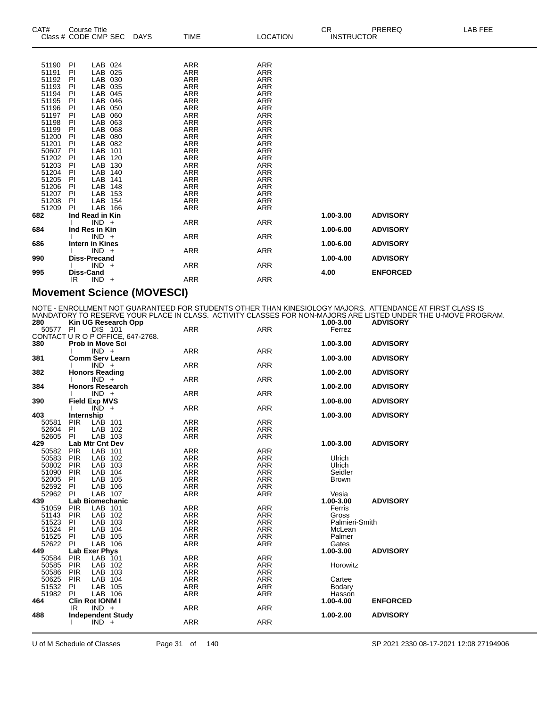| CAT#           | <b>Course Title</b><br>Class # CODE CMP SEC | DAYS | <b>TIME</b>              | <b>LOCATION</b>          | CR.<br><b>INSTRUCTOR</b> | LAB FEE<br>PREREQ |
|----------------|---------------------------------------------|------|--------------------------|--------------------------|--------------------------|-------------------|
|                |                                             |      |                          |                          |                          |                   |
| 51190          | LAB 024<br>PI                               |      | <b>ARR</b>               | <b>ARR</b>               |                          |                   |
| 51191          | LAB 025<br>PI                               |      | ARR                      | <b>ARR</b>               |                          |                   |
| 51192          | LAB 030<br>PI                               |      | ARR                      | <b>ARR</b>               |                          |                   |
| 51193          | LAB 035<br>PI                               |      | ARR                      | <b>ARR</b>               |                          |                   |
| 51194          | LAB 045<br>PI                               |      | <b>ARR</b>               | <b>ARR</b>               |                          |                   |
| 51195          | LAB 046<br>PI                               |      | ARR                      | <b>ARR</b>               |                          |                   |
| 51196          | LAB 050<br>PI<br><b>LAB</b><br>060          |      | <b>ARR</b>               | <b>ARR</b>               |                          |                   |
| 51197<br>51198 | PI<br>LAB<br>063<br>PI                      |      | <b>ARR</b><br><b>ARR</b> | <b>ARR</b><br><b>ARR</b> |                          |                   |
| 51199          | LAB<br>PI<br>068                            |      | <b>ARR</b>               | <b>ARR</b>               |                          |                   |
| 51200          | <b>LAB</b><br>080<br>PI                     |      | ARR                      | <b>ARR</b>               |                          |                   |
| 51201          | LAB<br>082<br>PI                            |      | ARR                      | <b>ARR</b>               |                          |                   |
| 50607          | PI<br>LAB<br>101                            |      | ARR                      | <b>ARR</b>               |                          |                   |
| 51202          | PI<br>LAB<br>120                            |      | ARR                      | <b>ARR</b>               |                          |                   |
| 51203          | LAB<br>PI<br>130                            |      | ARR                      | <b>ARR</b>               |                          |                   |
| 51204          | LAB<br>PI<br>140                            |      | ARR                      | <b>ARR</b>               |                          |                   |
| 51205          | LAB<br>PI<br>141                            |      | <b>ARR</b>               | <b>ARR</b>               |                          |                   |
| 51206          | LAB<br>PI<br>148                            |      | ARR                      | <b>ARR</b>               |                          |                   |
| 51207          | LAB<br>153<br>PI                            |      | ARR                      | <b>ARR</b>               |                          |                   |
| 51208          | LAB 154<br>PI                               |      | ARR                      | ARR                      |                          |                   |
| 51209          | LAB 166<br>PI                               |      | <b>ARR</b>               | <b>ARR</b>               |                          |                   |
| 682            | Ind Read in Kin                             |      |                          |                          | 1.00-3.00                | <b>ADVISORY</b>   |
|                | $IND +$                                     |      | <b>ARR</b>               | <b>ARR</b>               |                          |                   |
| 684            | Ind Res in Kin                              |      |                          |                          | 1.00-6.00                | <b>ADVISORY</b>   |
| 686            | $IND +$<br>Intern in Kines                  |      | <b>ARR</b>               | <b>ARR</b>               | 1.00-6.00                | <b>ADVISORY</b>   |
|                | $IND +$                                     |      | <b>ARR</b>               | <b>ARR</b>               |                          |                   |
| 990            | <b>Diss-Precand</b>                         |      |                          |                          | 1.00-4.00                | <b>ADVISORY</b>   |
|                | $IND +$                                     |      | ARR                      | ARR                      |                          |                   |
| 995            | <b>Diss-Cand</b>                            |      |                          |                          | 4.00                     | <b>ENFORCED</b>   |
|                | $IND +$<br>IR.                              |      | ARR                      | <b>ARR</b>               |                          |                   |
|                |                                             |      |                          |                          |                          |                   |

#### **Movement Science (MOVESCI)**

NOTE - ENROLLMENT NOT GUARANTEED FOR STUDENTS OTHER THAN KINESIOLOGY MAJORS. ATTENDANCE AT FIRST CLASS IS MANDATORY TO RESERVE YOUR PLACE IN CLASS. ACTIVITY CLASSES FOR NON-MAJORS ARE LISTED UNDER THE U-MOVE PROGRAM.

| <b>DIS 101</b><br>50577<br>PI<br>Ferrez<br>CONTACT U R O P OFFICE, 647-2768.<br>380<br>Prob in Move Sci<br>1.00-3.00<br><b>ADVISORY</b><br>$IND +$<br><b>ARR</b><br><b>ARR</b><br><b>Comm Serv Learn</b><br>381<br>1.00-3.00<br><b>ADVISORY</b><br><b>ARR</b><br>$IND +$<br><b>ARR</b><br><b>Honors Reading</b><br>382<br>1.00-2.00<br><b>ADVISORY</b><br><b>ARR</b><br><b>ARR</b><br>$IND +$<br><b>Honors Research</b><br>1.00-2.00<br>384<br><b>ADVISORY</b><br>$IND +$<br><b>ARR</b><br><b>ARR</b><br><b>Field Exp MVS</b><br><b>ADVISORY</b><br>390<br>1.00-8.00<br>$\overline{IND}$ +<br><b>ARR</b><br><b>ARR</b><br>403<br>Internship<br>1.00-3.00<br><b>ADVISORY</b><br><b>ARR</b><br><b>PIR</b><br>LAB 101<br><b>ARR</b><br>50581<br>52604<br>LAB 102<br><b>ARR</b><br>PI<br>ARR<br><b>PI</b><br>LAB 103<br><b>ARR</b><br><b>ARR</b><br>52605<br>429<br>Lab Mtr Cnt Dev<br>1.00-3.00<br><b>ADVISORY</b><br>PIR<br>LAB 101<br><b>ARR</b><br><b>ARR</b><br>50582<br>LAB 102<br><b>ARR</b><br>50583<br><b>PIR</b><br><b>ARR</b><br>Ulrich<br>50802<br><b>PIR</b><br>LAB 103<br><b>ARR</b><br><b>ARR</b><br>Ulrich<br>LAB 104<br><b>ARR</b><br>Seidler<br>51090<br><b>PIR</b><br>ARR<br><b>ARR</b><br>52005<br>LAB 105<br><b>ARR</b><br>PI<br><b>Brown</b><br>52592<br>LAB 106<br>PI<br><b>ARR</b><br><b>ARR</b><br>LAB 107<br><b>ARR</b><br>52962<br>PI<br><b>ARR</b><br>Vesia<br><b>Lab Biomechanic</b><br>1.00-3.00<br><b>ADVISORY</b><br>439<br><b>PIR</b><br>LAB 101<br><b>ARR</b><br>51059<br><b>ARR</b><br>Ferris<br>51143<br>PIR<br>LAB 102<br><b>ARR</b><br><b>ARR</b><br>Gross<br><b>ARR</b><br>51523<br>LAB 103<br><b>ARR</b><br>PI<br>Palmieri-Smith<br>51524<br>PI<br>LAB 104<br><b>ARR</b><br><b>ARR</b><br>McLean<br>51525<br><b>ARR</b><br>LAB 105<br><b>ARR</b><br>Palmer<br><b>PI</b><br>LAB 106<br><b>ARR</b><br>52622<br>PI<br><b>ARR</b><br>Gates<br>Lab Exer Phys<br><b>ADVISORY</b><br>449<br>1.00-3.00<br><b>PIR</b><br>LAB 101<br><b>ARR</b><br>50584<br><b>ARR</b><br>LAB 102<br><b>ARR</b><br>50585<br><b>PIR</b><br>ARR<br>Horowitz<br><b>ARR</b><br>50586<br>LAB 103<br><b>ARR</b><br><b>PIR</b><br>50625<br>LAB 104<br><b>ARR</b><br><b>PIR</b><br><b>ARR</b><br>Cartee<br>51532<br><b>ARR</b><br>LAB 105<br><b>ARR</b><br>PI.<br>Bodary<br>51982<br>LAB 106<br>PI<br><b>ARR</b><br><b>ARR</b><br>Hasson<br>Clin Rot IONM I<br>1.00-4.00<br><b>ENFORCED</b><br>464<br><b>ARR</b><br>$IND +$<br>ARR<br>IR<br>1.00-2.00<br><b>ADVISORY</b><br>488<br><b>Independent Study</b><br><b>ARR</b><br><b>ARR</b><br>$IND +$ | 280 |  | Kin UG Research Opp |            |            | 1.00-3.00 | <b>ADVISORY</b> |  |
|------------------------------------------------------------------------------------------------------------------------------------------------------------------------------------------------------------------------------------------------------------------------------------------------------------------------------------------------------------------------------------------------------------------------------------------------------------------------------------------------------------------------------------------------------------------------------------------------------------------------------------------------------------------------------------------------------------------------------------------------------------------------------------------------------------------------------------------------------------------------------------------------------------------------------------------------------------------------------------------------------------------------------------------------------------------------------------------------------------------------------------------------------------------------------------------------------------------------------------------------------------------------------------------------------------------------------------------------------------------------------------------------------------------------------------------------------------------------------------------------------------------------------------------------------------------------------------------------------------------------------------------------------------------------------------------------------------------------------------------------------------------------------------------------------------------------------------------------------------------------------------------------------------------------------------------------------------------------------------------------------------------------------------------------------------------------------------------------------------------------------------------------------------------------------------------------------------------------------------------------------------------------------------------------------------------------------------------------------------------------------------------------------------------------------------------------------------------------------------------------------------------------------------------------------|-----|--|---------------------|------------|------------|-----------|-----------------|--|
|                                                                                                                                                                                                                                                                                                                                                                                                                                                                                                                                                                                                                                                                                                                                                                                                                                                                                                                                                                                                                                                                                                                                                                                                                                                                                                                                                                                                                                                                                                                                                                                                                                                                                                                                                                                                                                                                                                                                                                                                                                                                                                                                                                                                                                                                                                                                                                                                                                                                                                                                                      |     |  |                     | <b>ARR</b> | <b>ARR</b> |           |                 |  |
|                                                                                                                                                                                                                                                                                                                                                                                                                                                                                                                                                                                                                                                                                                                                                                                                                                                                                                                                                                                                                                                                                                                                                                                                                                                                                                                                                                                                                                                                                                                                                                                                                                                                                                                                                                                                                                                                                                                                                                                                                                                                                                                                                                                                                                                                                                                                                                                                                                                                                                                                                      |     |  |                     |            |            |           |                 |  |
|                                                                                                                                                                                                                                                                                                                                                                                                                                                                                                                                                                                                                                                                                                                                                                                                                                                                                                                                                                                                                                                                                                                                                                                                                                                                                                                                                                                                                                                                                                                                                                                                                                                                                                                                                                                                                                                                                                                                                                                                                                                                                                                                                                                                                                                                                                                                                                                                                                                                                                                                                      |     |  |                     |            |            |           |                 |  |
|                                                                                                                                                                                                                                                                                                                                                                                                                                                                                                                                                                                                                                                                                                                                                                                                                                                                                                                                                                                                                                                                                                                                                                                                                                                                                                                                                                                                                                                                                                                                                                                                                                                                                                                                                                                                                                                                                                                                                                                                                                                                                                                                                                                                                                                                                                                                                                                                                                                                                                                                                      |     |  |                     |            |            |           |                 |  |
|                                                                                                                                                                                                                                                                                                                                                                                                                                                                                                                                                                                                                                                                                                                                                                                                                                                                                                                                                                                                                                                                                                                                                                                                                                                                                                                                                                                                                                                                                                                                                                                                                                                                                                                                                                                                                                                                                                                                                                                                                                                                                                                                                                                                                                                                                                                                                                                                                                                                                                                                                      |     |  |                     |            |            |           |                 |  |
|                                                                                                                                                                                                                                                                                                                                                                                                                                                                                                                                                                                                                                                                                                                                                                                                                                                                                                                                                                                                                                                                                                                                                                                                                                                                                                                                                                                                                                                                                                                                                                                                                                                                                                                                                                                                                                                                                                                                                                                                                                                                                                                                                                                                                                                                                                                                                                                                                                                                                                                                                      |     |  |                     |            |            |           |                 |  |
|                                                                                                                                                                                                                                                                                                                                                                                                                                                                                                                                                                                                                                                                                                                                                                                                                                                                                                                                                                                                                                                                                                                                                                                                                                                                                                                                                                                                                                                                                                                                                                                                                                                                                                                                                                                                                                                                                                                                                                                                                                                                                                                                                                                                                                                                                                                                                                                                                                                                                                                                                      |     |  |                     |            |            |           |                 |  |
|                                                                                                                                                                                                                                                                                                                                                                                                                                                                                                                                                                                                                                                                                                                                                                                                                                                                                                                                                                                                                                                                                                                                                                                                                                                                                                                                                                                                                                                                                                                                                                                                                                                                                                                                                                                                                                                                                                                                                                                                                                                                                                                                                                                                                                                                                                                                                                                                                                                                                                                                                      |     |  |                     |            |            |           |                 |  |
|                                                                                                                                                                                                                                                                                                                                                                                                                                                                                                                                                                                                                                                                                                                                                                                                                                                                                                                                                                                                                                                                                                                                                                                                                                                                                                                                                                                                                                                                                                                                                                                                                                                                                                                                                                                                                                                                                                                                                                                                                                                                                                                                                                                                                                                                                                                                                                                                                                                                                                                                                      |     |  |                     |            |            |           |                 |  |
|                                                                                                                                                                                                                                                                                                                                                                                                                                                                                                                                                                                                                                                                                                                                                                                                                                                                                                                                                                                                                                                                                                                                                                                                                                                                                                                                                                                                                                                                                                                                                                                                                                                                                                                                                                                                                                                                                                                                                                                                                                                                                                                                                                                                                                                                                                                                                                                                                                                                                                                                                      |     |  |                     |            |            |           |                 |  |
|                                                                                                                                                                                                                                                                                                                                                                                                                                                                                                                                                                                                                                                                                                                                                                                                                                                                                                                                                                                                                                                                                                                                                                                                                                                                                                                                                                                                                                                                                                                                                                                                                                                                                                                                                                                                                                                                                                                                                                                                                                                                                                                                                                                                                                                                                                                                                                                                                                                                                                                                                      |     |  |                     |            |            |           |                 |  |
|                                                                                                                                                                                                                                                                                                                                                                                                                                                                                                                                                                                                                                                                                                                                                                                                                                                                                                                                                                                                                                                                                                                                                                                                                                                                                                                                                                                                                                                                                                                                                                                                                                                                                                                                                                                                                                                                                                                                                                                                                                                                                                                                                                                                                                                                                                                                                                                                                                                                                                                                                      |     |  |                     |            |            |           |                 |  |
|                                                                                                                                                                                                                                                                                                                                                                                                                                                                                                                                                                                                                                                                                                                                                                                                                                                                                                                                                                                                                                                                                                                                                                                                                                                                                                                                                                                                                                                                                                                                                                                                                                                                                                                                                                                                                                                                                                                                                                                                                                                                                                                                                                                                                                                                                                                                                                                                                                                                                                                                                      |     |  |                     |            |            |           |                 |  |
|                                                                                                                                                                                                                                                                                                                                                                                                                                                                                                                                                                                                                                                                                                                                                                                                                                                                                                                                                                                                                                                                                                                                                                                                                                                                                                                                                                                                                                                                                                                                                                                                                                                                                                                                                                                                                                                                                                                                                                                                                                                                                                                                                                                                                                                                                                                                                                                                                                                                                                                                                      |     |  |                     |            |            |           |                 |  |
|                                                                                                                                                                                                                                                                                                                                                                                                                                                                                                                                                                                                                                                                                                                                                                                                                                                                                                                                                                                                                                                                                                                                                                                                                                                                                                                                                                                                                                                                                                                                                                                                                                                                                                                                                                                                                                                                                                                                                                                                                                                                                                                                                                                                                                                                                                                                                                                                                                                                                                                                                      |     |  |                     |            |            |           |                 |  |
|                                                                                                                                                                                                                                                                                                                                                                                                                                                                                                                                                                                                                                                                                                                                                                                                                                                                                                                                                                                                                                                                                                                                                                                                                                                                                                                                                                                                                                                                                                                                                                                                                                                                                                                                                                                                                                                                                                                                                                                                                                                                                                                                                                                                                                                                                                                                                                                                                                                                                                                                                      |     |  |                     |            |            |           |                 |  |
|                                                                                                                                                                                                                                                                                                                                                                                                                                                                                                                                                                                                                                                                                                                                                                                                                                                                                                                                                                                                                                                                                                                                                                                                                                                                                                                                                                                                                                                                                                                                                                                                                                                                                                                                                                                                                                                                                                                                                                                                                                                                                                                                                                                                                                                                                                                                                                                                                                                                                                                                                      |     |  |                     |            |            |           |                 |  |
|                                                                                                                                                                                                                                                                                                                                                                                                                                                                                                                                                                                                                                                                                                                                                                                                                                                                                                                                                                                                                                                                                                                                                                                                                                                                                                                                                                                                                                                                                                                                                                                                                                                                                                                                                                                                                                                                                                                                                                                                                                                                                                                                                                                                                                                                                                                                                                                                                                                                                                                                                      |     |  |                     |            |            |           |                 |  |
|                                                                                                                                                                                                                                                                                                                                                                                                                                                                                                                                                                                                                                                                                                                                                                                                                                                                                                                                                                                                                                                                                                                                                                                                                                                                                                                                                                                                                                                                                                                                                                                                                                                                                                                                                                                                                                                                                                                                                                                                                                                                                                                                                                                                                                                                                                                                                                                                                                                                                                                                                      |     |  |                     |            |            |           |                 |  |
|                                                                                                                                                                                                                                                                                                                                                                                                                                                                                                                                                                                                                                                                                                                                                                                                                                                                                                                                                                                                                                                                                                                                                                                                                                                                                                                                                                                                                                                                                                                                                                                                                                                                                                                                                                                                                                                                                                                                                                                                                                                                                                                                                                                                                                                                                                                                                                                                                                                                                                                                                      |     |  |                     |            |            |           |                 |  |
|                                                                                                                                                                                                                                                                                                                                                                                                                                                                                                                                                                                                                                                                                                                                                                                                                                                                                                                                                                                                                                                                                                                                                                                                                                                                                                                                                                                                                                                                                                                                                                                                                                                                                                                                                                                                                                                                                                                                                                                                                                                                                                                                                                                                                                                                                                                                                                                                                                                                                                                                                      |     |  |                     |            |            |           |                 |  |
|                                                                                                                                                                                                                                                                                                                                                                                                                                                                                                                                                                                                                                                                                                                                                                                                                                                                                                                                                                                                                                                                                                                                                                                                                                                                                                                                                                                                                                                                                                                                                                                                                                                                                                                                                                                                                                                                                                                                                                                                                                                                                                                                                                                                                                                                                                                                                                                                                                                                                                                                                      |     |  |                     |            |            |           |                 |  |
|                                                                                                                                                                                                                                                                                                                                                                                                                                                                                                                                                                                                                                                                                                                                                                                                                                                                                                                                                                                                                                                                                                                                                                                                                                                                                                                                                                                                                                                                                                                                                                                                                                                                                                                                                                                                                                                                                                                                                                                                                                                                                                                                                                                                                                                                                                                                                                                                                                                                                                                                                      |     |  |                     |            |            |           |                 |  |
|                                                                                                                                                                                                                                                                                                                                                                                                                                                                                                                                                                                                                                                                                                                                                                                                                                                                                                                                                                                                                                                                                                                                                                                                                                                                                                                                                                                                                                                                                                                                                                                                                                                                                                                                                                                                                                                                                                                                                                                                                                                                                                                                                                                                                                                                                                                                                                                                                                                                                                                                                      |     |  |                     |            |            |           |                 |  |
|                                                                                                                                                                                                                                                                                                                                                                                                                                                                                                                                                                                                                                                                                                                                                                                                                                                                                                                                                                                                                                                                                                                                                                                                                                                                                                                                                                                                                                                                                                                                                                                                                                                                                                                                                                                                                                                                                                                                                                                                                                                                                                                                                                                                                                                                                                                                                                                                                                                                                                                                                      |     |  |                     |            |            |           |                 |  |
|                                                                                                                                                                                                                                                                                                                                                                                                                                                                                                                                                                                                                                                                                                                                                                                                                                                                                                                                                                                                                                                                                                                                                                                                                                                                                                                                                                                                                                                                                                                                                                                                                                                                                                                                                                                                                                                                                                                                                                                                                                                                                                                                                                                                                                                                                                                                                                                                                                                                                                                                                      |     |  |                     |            |            |           |                 |  |
|                                                                                                                                                                                                                                                                                                                                                                                                                                                                                                                                                                                                                                                                                                                                                                                                                                                                                                                                                                                                                                                                                                                                                                                                                                                                                                                                                                                                                                                                                                                                                                                                                                                                                                                                                                                                                                                                                                                                                                                                                                                                                                                                                                                                                                                                                                                                                                                                                                                                                                                                                      |     |  |                     |            |            |           |                 |  |
|                                                                                                                                                                                                                                                                                                                                                                                                                                                                                                                                                                                                                                                                                                                                                                                                                                                                                                                                                                                                                                                                                                                                                                                                                                                                                                                                                                                                                                                                                                                                                                                                                                                                                                                                                                                                                                                                                                                                                                                                                                                                                                                                                                                                                                                                                                                                                                                                                                                                                                                                                      |     |  |                     |            |            |           |                 |  |
|                                                                                                                                                                                                                                                                                                                                                                                                                                                                                                                                                                                                                                                                                                                                                                                                                                                                                                                                                                                                                                                                                                                                                                                                                                                                                                                                                                                                                                                                                                                                                                                                                                                                                                                                                                                                                                                                                                                                                                                                                                                                                                                                                                                                                                                                                                                                                                                                                                                                                                                                                      |     |  |                     |            |            |           |                 |  |
|                                                                                                                                                                                                                                                                                                                                                                                                                                                                                                                                                                                                                                                                                                                                                                                                                                                                                                                                                                                                                                                                                                                                                                                                                                                                                                                                                                                                                                                                                                                                                                                                                                                                                                                                                                                                                                                                                                                                                                                                                                                                                                                                                                                                                                                                                                                                                                                                                                                                                                                                                      |     |  |                     |            |            |           |                 |  |
|                                                                                                                                                                                                                                                                                                                                                                                                                                                                                                                                                                                                                                                                                                                                                                                                                                                                                                                                                                                                                                                                                                                                                                                                                                                                                                                                                                                                                                                                                                                                                                                                                                                                                                                                                                                                                                                                                                                                                                                                                                                                                                                                                                                                                                                                                                                                                                                                                                                                                                                                                      |     |  |                     |            |            |           |                 |  |
|                                                                                                                                                                                                                                                                                                                                                                                                                                                                                                                                                                                                                                                                                                                                                                                                                                                                                                                                                                                                                                                                                                                                                                                                                                                                                                                                                                                                                                                                                                                                                                                                                                                                                                                                                                                                                                                                                                                                                                                                                                                                                                                                                                                                                                                                                                                                                                                                                                                                                                                                                      |     |  |                     |            |            |           |                 |  |
|                                                                                                                                                                                                                                                                                                                                                                                                                                                                                                                                                                                                                                                                                                                                                                                                                                                                                                                                                                                                                                                                                                                                                                                                                                                                                                                                                                                                                                                                                                                                                                                                                                                                                                                                                                                                                                                                                                                                                                                                                                                                                                                                                                                                                                                                                                                                                                                                                                                                                                                                                      |     |  |                     |            |            |           |                 |  |
|                                                                                                                                                                                                                                                                                                                                                                                                                                                                                                                                                                                                                                                                                                                                                                                                                                                                                                                                                                                                                                                                                                                                                                                                                                                                                                                                                                                                                                                                                                                                                                                                                                                                                                                                                                                                                                                                                                                                                                                                                                                                                                                                                                                                                                                                                                                                                                                                                                                                                                                                                      |     |  |                     |            |            |           |                 |  |
|                                                                                                                                                                                                                                                                                                                                                                                                                                                                                                                                                                                                                                                                                                                                                                                                                                                                                                                                                                                                                                                                                                                                                                                                                                                                                                                                                                                                                                                                                                                                                                                                                                                                                                                                                                                                                                                                                                                                                                                                                                                                                                                                                                                                                                                                                                                                                                                                                                                                                                                                                      |     |  |                     |            |            |           |                 |  |
|                                                                                                                                                                                                                                                                                                                                                                                                                                                                                                                                                                                                                                                                                                                                                                                                                                                                                                                                                                                                                                                                                                                                                                                                                                                                                                                                                                                                                                                                                                                                                                                                                                                                                                                                                                                                                                                                                                                                                                                                                                                                                                                                                                                                                                                                                                                                                                                                                                                                                                                                                      |     |  |                     |            |            |           |                 |  |
|                                                                                                                                                                                                                                                                                                                                                                                                                                                                                                                                                                                                                                                                                                                                                                                                                                                                                                                                                                                                                                                                                                                                                                                                                                                                                                                                                                                                                                                                                                                                                                                                                                                                                                                                                                                                                                                                                                                                                                                                                                                                                                                                                                                                                                                                                                                                                                                                                                                                                                                                                      |     |  |                     |            |            |           |                 |  |
|                                                                                                                                                                                                                                                                                                                                                                                                                                                                                                                                                                                                                                                                                                                                                                                                                                                                                                                                                                                                                                                                                                                                                                                                                                                                                                                                                                                                                                                                                                                                                                                                                                                                                                                                                                                                                                                                                                                                                                                                                                                                                                                                                                                                                                                                                                                                                                                                                                                                                                                                                      |     |  |                     |            |            |           |                 |  |
|                                                                                                                                                                                                                                                                                                                                                                                                                                                                                                                                                                                                                                                                                                                                                                                                                                                                                                                                                                                                                                                                                                                                                                                                                                                                                                                                                                                                                                                                                                                                                                                                                                                                                                                                                                                                                                                                                                                                                                                                                                                                                                                                                                                                                                                                                                                                                                                                                                                                                                                                                      |     |  |                     |            |            |           |                 |  |
|                                                                                                                                                                                                                                                                                                                                                                                                                                                                                                                                                                                                                                                                                                                                                                                                                                                                                                                                                                                                                                                                                                                                                                                                                                                                                                                                                                                                                                                                                                                                                                                                                                                                                                                                                                                                                                                                                                                                                                                                                                                                                                                                                                                                                                                                                                                                                                                                                                                                                                                                                      |     |  |                     |            |            |           |                 |  |
|                                                                                                                                                                                                                                                                                                                                                                                                                                                                                                                                                                                                                                                                                                                                                                                                                                                                                                                                                                                                                                                                                                                                                                                                                                                                                                                                                                                                                                                                                                                                                                                                                                                                                                                                                                                                                                                                                                                                                                                                                                                                                                                                                                                                                                                                                                                                                                                                                                                                                                                                                      |     |  |                     |            |            |           |                 |  |
|                                                                                                                                                                                                                                                                                                                                                                                                                                                                                                                                                                                                                                                                                                                                                                                                                                                                                                                                                                                                                                                                                                                                                                                                                                                                                                                                                                                                                                                                                                                                                                                                                                                                                                                                                                                                                                                                                                                                                                                                                                                                                                                                                                                                                                                                                                                                                                                                                                                                                                                                                      |     |  |                     |            |            |           |                 |  |
|                                                                                                                                                                                                                                                                                                                                                                                                                                                                                                                                                                                                                                                                                                                                                                                                                                                                                                                                                                                                                                                                                                                                                                                                                                                                                                                                                                                                                                                                                                                                                                                                                                                                                                                                                                                                                                                                                                                                                                                                                                                                                                                                                                                                                                                                                                                                                                                                                                                                                                                                                      |     |  |                     |            |            |           |                 |  |

U of M Schedule of Classes Page 31 of 140 SP 2021 2330 08-17-2021 12:08 27194906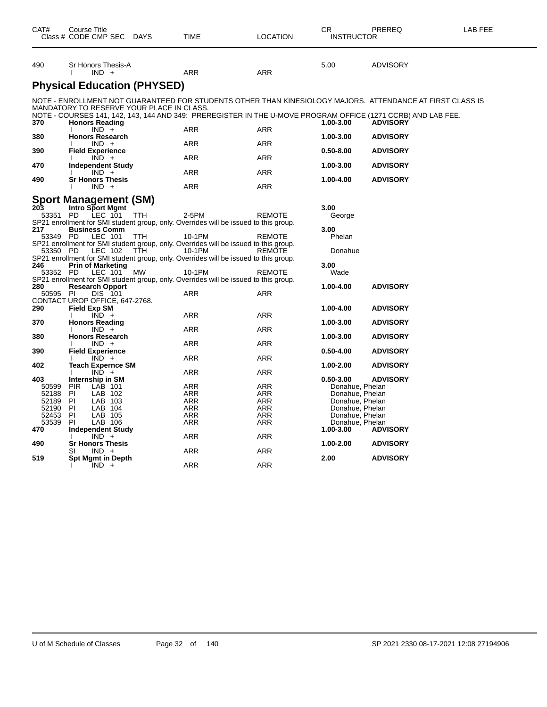| CAT#         | Course Title<br>Class # CODE CMP SEC DAYS        |      | <b>TIME</b>                                                                                    | <b>LOCATION</b> | СR<br><b>INSTRUCTOR</b>          | PREREQ                                                                                                       | LAB FEE |
|--------------|--------------------------------------------------|------|------------------------------------------------------------------------------------------------|-----------------|----------------------------------|--------------------------------------------------------------------------------------------------------------|---------|
| 490          | Sr Honors Thesis-A                               |      |                                                                                                |                 | 5.00                             | <b>ADVISORY</b>                                                                                              |         |
|              | $IND +$                                          |      | <b>ARR</b>                                                                                     | <b>ARR</b>      |                                  |                                                                                                              |         |
|              | <b>Physical Education (PHYSED)</b>               |      |                                                                                                |                 |                                  |                                                                                                              |         |
|              |                                                  |      |                                                                                                |                 |                                  | NOTE - ENROLLMENT NOT GUARANTEED FOR STUDENTS OTHER THAN KINESIOLOGY MAJORS.  ATTENDANCE AT FIRST CLASS IS   |         |
|              | MANDATORY TO RESERVE YOUR PLACE IN CLASS.        |      |                                                                                                |                 |                                  |                                                                                                              |         |
|              |                                                  |      |                                                                                                |                 |                                  | NOTE - COURSES 141, 142, 143, 144 AND 349: PREREGISTER IN THE U-MOVE PROGRAM OFFICE (1271 CCRB) AND LAB FEE. |         |
| 370          | <b>Honors Reading</b><br>$IND +$                 |      | ARR                                                                                            | ARR             | 1.00-3.00                        | <b>ADVISORY</b>                                                                                              |         |
| 380          | <b>Honors Research</b>                           |      |                                                                                                |                 | 1.00-3.00                        | <b>ADVISORY</b>                                                                                              |         |
|              | $IND +$                                          |      | ARR                                                                                            | ARR             |                                  |                                                                                                              |         |
| 390          | <b>Field Experience</b>                          |      |                                                                                                |                 | 0.50-8.00                        | <b>ADVISORY</b>                                                                                              |         |
|              | $IND +$                                          |      | <b>ARR</b>                                                                                     | ARR             |                                  |                                                                                                              |         |
| 470          | <b>Independent Study</b><br>$IND +$              |      | ARR                                                                                            | ARR             | 1.00-3.00                        | <b>ADVISORY</b>                                                                                              |         |
| 490          | <b>Sr Honors Thesis</b>                          |      |                                                                                                |                 | 1.00-4.00                        | <b>ADVISORY</b>                                                                                              |         |
|              | $IND +$                                          |      | ARR                                                                                            | ARR             |                                  |                                                                                                              |         |
|              |                                                  |      |                                                                                                |                 |                                  |                                                                                                              |         |
| 203          | <b>Sport Management (SM)</b><br>Intro Sport Mgmt |      |                                                                                                |                 | 3.00                             |                                                                                                              |         |
| 53351 PD     | LEC 101                                          | TTH  | 2-5PM                                                                                          | <b>REMOTE</b>   | George                           |                                                                                                              |         |
|              |                                                  |      | SP21 enrollment for SMI student group, only. Overrides will be issued to this group.           |                 |                                  |                                                                                                              |         |
| 217          | <b>Business Comm</b>                             |      |                                                                                                |                 | 3.00                             |                                                                                                              |         |
| 53349 PD     | LEC 101                                          | TTH. | 10-1PM                                                                                         | REMOTE          | Phelan                           |                                                                                                              |         |
|              |                                                  |      | SP21 enrollment for SMI student group, only. Overrides will be issued to this group.           |                 |                                  |                                                                                                              |         |
| 53350 PD     | LEC 102                                          | TTH  | 10-1PM<br>SP21 enrollment for SMI student group, only. Overrides will be issued to this group. | REMOTE          | Donahue                          |                                                                                                              |         |
| 246          | <b>Prin of Marketing</b>                         |      |                                                                                                |                 | 3.00                             |                                                                                                              |         |
| 53352 PD     | LEC 101                                          | МW   | 10-1PM                                                                                         | REMOTE          | Wade                             |                                                                                                              |         |
|              |                                                  |      | SP21 enrollment for SMI student group, only. Overrides will be issued to this group.           |                 |                                  |                                                                                                              |         |
| 280          | <b>Research Opport</b>                           |      |                                                                                                |                 | 1.00-4.00                        | <b>ADVISORY</b>                                                                                              |         |
| 50595 PI     | DIS 101<br>CONTACT UROP OFFICE, 647-2768.        |      | <b>ARR</b>                                                                                     | <b>ARR</b>      |                                  |                                                                                                              |         |
| 290          | <b>Field Exp SM</b>                              |      |                                                                                                |                 | 1.00-4.00                        | <b>ADVISORY</b>                                                                                              |         |
|              | $IND +$                                          |      | ARR                                                                                            | ARR             |                                  |                                                                                                              |         |
| 370          | <b>Honors Reading</b>                            |      |                                                                                                |                 | 1.00-3.00                        | <b>ADVISORY</b>                                                                                              |         |
|              | $IND +$<br>л.                                    |      | ARR                                                                                            | ARR             |                                  |                                                                                                              |         |
| 380          | <b>Honors Research</b><br>$IND +$                |      | ARR                                                                                            | ARR             | 1.00-3.00                        | <b>ADVISORY</b>                                                                                              |         |
| 390          | <b>Field Experience</b>                          |      |                                                                                                |                 | $0.50 - 4.00$                    | <b>ADVISORY</b>                                                                                              |         |
|              | $IND +$                                          |      | ARR                                                                                            | ARR             |                                  |                                                                                                              |         |
| 402          | <b>Teach Expernce SM</b>                         |      |                                                                                                |                 | 1.00-2.00                        | <b>ADVISORY</b>                                                                                              |         |
|              | $IND +$                                          |      | <b>ARR</b>                                                                                     | ARR             |                                  |                                                                                                              |         |
| 403<br>50599 | Internship in SM<br><b>PIR</b><br>LAB 101        |      | <b>ARR</b>                                                                                     | ARR             | $0.50 - 3.00$<br>Donahue, Phelan | <b>ADVISORY</b>                                                                                              |         |
| 52188        | PI<br>LAB 102                                    |      | <b>ARR</b>                                                                                     | ARR             | Donahue, Phelan                  |                                                                                                              |         |
| 52189        | PI<br>LAB 103                                    |      | ARR                                                                                            | ARR             | Donahue, Phelan                  |                                                                                                              |         |
| 52190        | PI<br>LAB 104                                    |      | ARR                                                                                            | ARR             | Donahue, Phelan                  |                                                                                                              |         |
| 52453        | LAB 105<br>PI                                    |      | ARR                                                                                            | ARR             | Donahue, Phelan                  |                                                                                                              |         |
| 53539        | PI<br>LAB 106                                    |      | ARR                                                                                            | ARR             | Donahue, Phelan                  |                                                                                                              |         |
| 470          | <b>Independent Study</b><br>$IND +$              |      | ARR                                                                                            | ARR             | 1.00-3.00                        | <b>ADVISORY</b>                                                                                              |         |
| 490          | <b>Sr Honors Thesis</b>                          |      |                                                                                                |                 | 1.00-2.00                        | <b>ADVISORY</b>                                                                                              |         |
|              | SI<br>IND +                                      |      | <b>ARR</b>                                                                                     | ARR             |                                  |                                                                                                              |         |
| 519          | <b>Spt Mgmt in Depth</b>                         |      |                                                                                                |                 | 2.00                             | <b>ADVISORY</b>                                                                                              |         |
|              | $IND +$                                          |      | <b>ARR</b>                                                                                     | <b>ARR</b>      |                                  |                                                                                                              |         |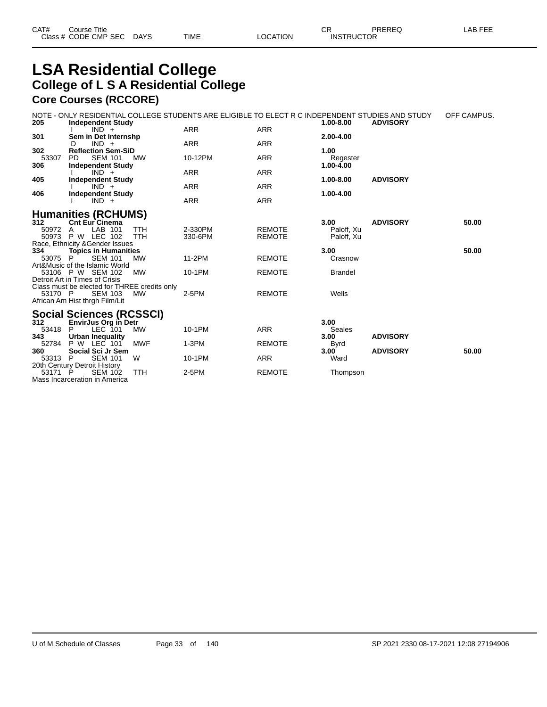### **LSA Residential College College of L S A Residential College Core Courses (RCCORE)**

|                     | <b>COLE COULSES (RUUURE)</b>                                                                                                 |                    |                                |                                  |                 |             |
|---------------------|------------------------------------------------------------------------------------------------------------------------------|--------------------|--------------------------------|----------------------------------|-----------------|-------------|
| 205                 | NOTE - ONLY RESIDENTIAL COLLEGE STUDENTS ARE ELIGIBLE TO ELECT R C INDEPENDENT STUDIES AND STUDY<br><b>Independent Study</b> |                    |                                | 1.00-8.00                        | <b>ADVISORY</b> | OFF CAMPUS. |
|                     | $IND +$                                                                                                                      | ARR                | <b>ARR</b>                     |                                  |                 |             |
| 301                 | Sem in Det Internshp<br>$IND +$<br>D.                                                                                        | <b>ARR</b>         | <b>ARR</b>                     | 2.00-4.00                        |                 |             |
| 302<br>53307        | <b>Reflection Sem-SiD</b><br>PD.<br>SEM 101<br>МW                                                                            | 10-12PM            | <b>ARR</b>                     | 1.00<br>Regester                 |                 |             |
| 306                 | <b>Independent Study</b><br>$IND +$                                                                                          | ARR                | <b>ARR</b>                     | 1.00-4.00                        |                 |             |
| 405                 | <b>Independent Study</b><br>$IND +$                                                                                          | <b>ARR</b>         | <b>ARR</b>                     | 1.00-8.00                        | <b>ADVISORY</b> |             |
| 406                 | <b>Independent Study</b><br>$IND +$                                                                                          | <b>ARR</b>         | <b>ARR</b>                     | 1.00-4.00                        |                 |             |
|                     | <b>Humanities (RCHUMS)</b>                                                                                                   |                    |                                |                                  |                 |             |
| 312<br>50972 A      | <b>Cnt Eur Cinema</b><br><b>TTH</b><br>LAB 101<br>50973 P W LEC 102<br><b>TTH</b>                                            | 2-330PM<br>330-6PM | <b>REMOTE</b><br><b>REMOTE</b> | 3.00<br>Paloff, Xu<br>Paloff, Xu | <b>ADVISORY</b> | 50.00       |
| 334                 | Race, Ethnicity & Gender Issues<br><b>Topics in Humanities</b>                                                               |                    |                                | 3.00                             |                 | 50.00       |
| 53075 P             | <b>SEM 101</b><br><b>MW</b><br>Art&Music of the Islamic World                                                                | 11-2PM             | <b>REMOTE</b>                  | Crasnow                          |                 |             |
|                     | 53106 P W SEM 102<br><b>MW</b><br>Detroit Art in Times of Crisis                                                             | 10-1PM             | <b>REMOTE</b>                  | <b>Brandel</b>                   |                 |             |
|                     | Class must be elected for THREE credits only                                                                                 |                    |                                |                                  |                 |             |
| 53170 P             | <b>SEM 103</b><br>мw<br>African Am Hist thrgh Film/Lit                                                                       | $2-5PM$            | <b>REMOTE</b>                  | Wells                            |                 |             |
|                     | <b>Social Sciences (RCSSCI)</b>                                                                                              |                    |                                |                                  |                 |             |
| 312<br>53418<br>343 | <b>EnvirJus Org in Detr</b><br>LEC 101<br>P.<br>MW                                                                           | 10-1PM             | <b>ARR</b>                     | 3.00<br>Seales                   |                 |             |
| 52784               | Urban Inequality<br><b>MWF</b><br>P W LEC 101                                                                                | $1-3PM$            | <b>REMOTE</b>                  | 3.00<br>Byrd                     | <b>ADVISORY</b> |             |
| 360<br>53313 P      | Social Sci Jr Sem<br><b>SEM 101</b><br>W                                                                                     | 10-1PM             | <b>ARR</b>                     | 3.00 <sup>7</sup><br>Ward        | <b>ADVISORY</b> | 50.00       |
|                     | 20th Century Detroit History                                                                                                 |                    |                                |                                  |                 |             |
| 53171 P             | <b>SEM 102</b><br><b>TTH</b><br>Mass Incarceration in America                                                                | $2-5PM$            | <b>REMOTE</b>                  | Thompson                         |                 |             |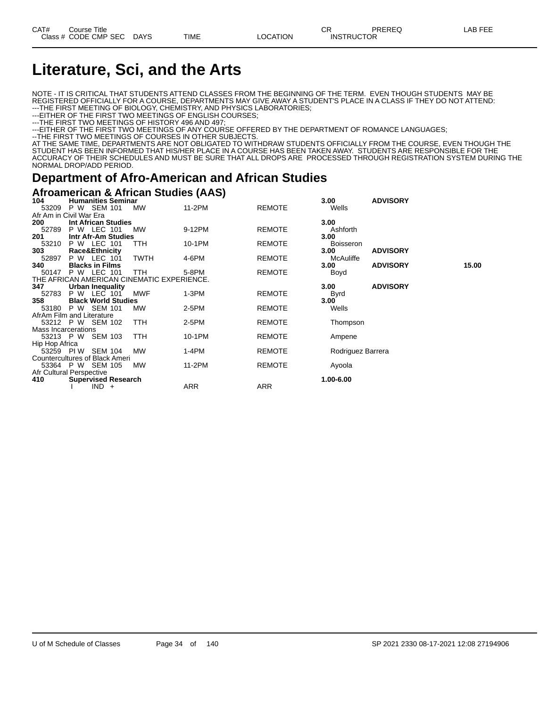# **Literature, Sci, and the Arts**

NOTE - IT IS CRITICAL THAT STUDENTS ATTEND CLASSES FROM THE BEGINNING OF THE TERM. EVEN THOUGH STUDENTS MAY BE REGISTERED OFFICIALLY FOR A COURSE, DEPARTMENTS MAY GIVE AWAY A STUDENT'S PLACE IN A CLASS IF THEY DO NOT ATTEND: ---THE FIRST MEETING OF BIOLOGY, CHEMISTRY, AND PHYSICS LABORATORIES;

---EITHER OF THE FIRST TWO MEETINGS OF ENGLISH COURSES;

---THE FIRST TWO MEETINGS OF HISTORY 496 AND 497;

---EITHER OF THE FIRST TWO MEETINGS OF ANY COURSE OFFERED BY THE DEPARTMENT OF ROMANCE LANGUAGES;

--THE FIRST TWO MEETINGS OF COURSES IN OTHER SUBJECTS.

AT THE SAME TIME, DEPARTMENTS ARE NOT OBLIGATED TO WITHDRAW STUDENTS OFFICIALLY FROM THE COURSE, EVEN THOUGH THE STUDENT HAS BEEN INFORMED THAT HIS/HER PLACE IN A COURSE HAS BEEN TAKEN AWAY. STUDENTS ARE RESPONSIBLE FOR THE ACCURACY OF THEIR SCHEDULES AND MUST BE SURE THAT ALL DROPS ARE PROCESSED THROUGH REGISTRATION SYSTEM DURING THE NORMAL DROP/ADD PERIOD.

### **Department of Afro-American and African Studies**

#### **Afroamerican & African Studies (AAS)**

| 104                            | <b>Humanities Seminar</b>  | <b>SEM 101</b> |                                            | 11-2PM  | , | <b>REMOTE</b> | 3.00              | <b>ADVISORY</b> |       |  |
|--------------------------------|----------------------------|----------------|--------------------------------------------|---------|---|---------------|-------------------|-----------------|-------|--|
| 53209                          | P W                        |                | MW                                         |         |   |               | Wells             |                 |       |  |
| Afr Am in Civil War Era        |                            |                |                                            |         |   |               |                   |                 |       |  |
| 200                            | Int African Studies        |                |                                            |         |   |               | 3.00              |                 |       |  |
| 52789                          | P W LEC 101                |                | <b>MW</b>                                  | 9-12PM  |   | <b>REMOTE</b> | Ashforth          |                 |       |  |
| 201                            | Intr Afr-Am Studies        |                |                                            |         |   |               | 3.00              |                 |       |  |
| 53210                          | P W LEC 101                |                | TTH                                        | 10-1PM  |   | <b>REMOTE</b> | <b>Boisseron</b>  |                 |       |  |
| 303                            | Race&Ethnicity             |                |                                            |         |   |               | 3.00              | <b>ADVISORY</b> |       |  |
| 52897                          | P W LEC 101                |                | <b>TWTH</b>                                | 4-6PM   |   | <b>REMOTE</b> | McAuliffe         |                 |       |  |
| 340                            | <b>Blacks in Films</b>     |                |                                            |         |   |               | 3.00              | <b>ADVISORY</b> | 15.00 |  |
| 50147                          | <b>P W LEC 101</b>         |                | TTH                                        | 5-8PM   |   | <b>REMOTE</b> | Boyd              |                 |       |  |
|                                |                            |                | THE AFRICAN AMERICAN CINEMATIC EXPERIENCE. |         |   |               |                   |                 |       |  |
| 347                            | <b>Urban Inequality</b>    |                |                                            |         |   |               | 3.00              | <b>ADVISORY</b> |       |  |
| 52783                          | P W                        | LEC 101        | <b>MWF</b>                                 | $1-3PM$ |   | <b>REMOTE</b> | <b>Byrd</b>       |                 |       |  |
| 358                            | <b>Black World Studies</b> |                |                                            |         |   |               | 3.00              |                 |       |  |
| 53180                          | P W SEM 101                |                | MW                                         | $2-5PM$ |   | <b>REMOTE</b> | Wells             |                 |       |  |
| AfrAm Film and Literature      |                            |                |                                            |         |   |               |                   |                 |       |  |
| 53212 P W SEM 102              |                            |                | <b>TTH</b>                                 | $2-5PM$ |   | <b>REMOTE</b> | Thompson          |                 |       |  |
| Mass Incarcerations            |                            |                |                                            |         |   |               |                   |                 |       |  |
| 53213 P W SEM 103              |                            |                | TTH                                        | 10-1PM  |   | <b>REMOTE</b> | Ampene            |                 |       |  |
| Hip Hop Africa                 |                            |                |                                            |         |   |               |                   |                 |       |  |
| 53259 PIW                      |                            | <b>SEM 104</b> | <b>MW</b>                                  | $1-4PM$ |   | <b>REMOTE</b> | Rodriguez Barrera |                 |       |  |
| Countercultures of Black Ameri |                            |                |                                            |         |   |               |                   |                 |       |  |
| 53364 P W SEM 105              |                            |                | <b>MW</b>                                  | 11-2PM  |   | <b>REMOTE</b> | Ayoola            |                 |       |  |
| Afr Cultural Perspective       |                            |                |                                            |         |   |               |                   |                 |       |  |
| 410                            | <b>Supervised Research</b> |                |                                            |         |   |               | 1.00-6.00         |                 |       |  |
|                                |                            | $IND +$        |                                            | ARR     |   | ARR           |                   |                 |       |  |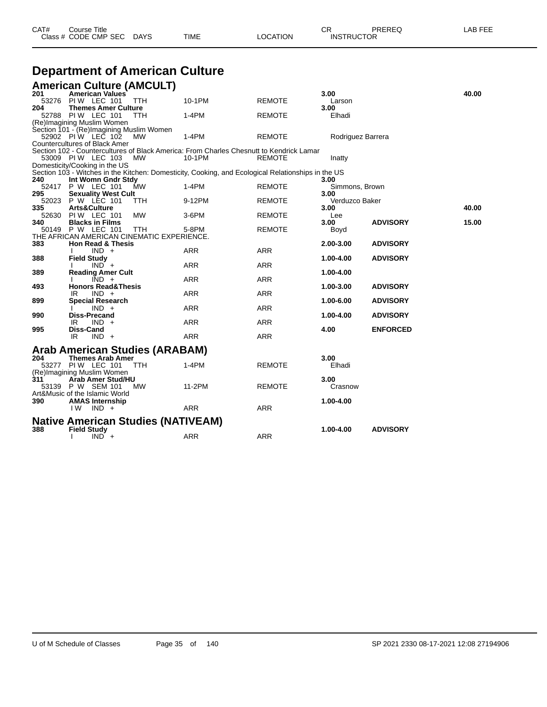| CAT# | Course Title              |      |                 | חי<br>∪π          | PREREQ | LAB FEE |
|------|---------------------------|------|-----------------|-------------------|--------|---------|
|      | Class # CODE CMP SEC DAYS | TIME | <b>LOCATION</b> | <b>INSTRUCTOR</b> |        |         |

# **Department of American Culture**

|       | <b>American Culture (AMCULT)</b>           |            |                                                                                                    |               |                   |                 |       |
|-------|--------------------------------------------|------------|----------------------------------------------------------------------------------------------------|---------------|-------------------|-----------------|-------|
| 201   | <b>American Values</b>                     |            |                                                                                                    |               | 3.00              |                 | 40.00 |
| 53276 | PIW LEC 101                                | <b>TTH</b> | 10-1PM                                                                                             | <b>REMOTE</b> | Larson            |                 |       |
| 204   | <b>Themes Amer Culture</b>                 |            |                                                                                                    |               | 3.00              |                 |       |
| 52788 | <b>PIW LEC 101</b>                         | TTH        | 1-4PM                                                                                              | <b>REMOTE</b> | Elhadi            |                 |       |
|       | (Re)Imagining Muslim Women                 |            |                                                                                                    |               |                   |                 |       |
|       | Section 101 - (Re)Imagining Muslim Women   |            |                                                                                                    |               |                   |                 |       |
|       | 52902 PIW LEC 102                          | <b>MW</b>  | 1-4PM                                                                                              | <b>REMOTE</b> | Rodriguez Barrera |                 |       |
|       | <b>Countercultures of Black Amer</b>       |            |                                                                                                    |               |                   |                 |       |
|       |                                            |            | Section 102 - Countercultures of Black America: From Charles Chesnutt to Kendrick Lamar            |               |                   |                 |       |
|       | 53009 PIW LEC 103                          | MW         | 10-1PM                                                                                             | <b>REMOTE</b> | Inatty            |                 |       |
|       | Domesticity/Cooking in the US              |            |                                                                                                    |               |                   |                 |       |
|       |                                            |            | Section 103 - Witches in the Kitchen: Domesticity, Cooking, and Ecological Relationships in the US |               |                   |                 |       |
| 240   | Int Womn Gndr Stdy                         |            |                                                                                                    |               | 3.00              |                 |       |
|       | 52417 P W LEC 101                          | MW         | $1-4PM$                                                                                            | <b>REMOTE</b> | Simmons, Brown    |                 |       |
| 295   | <b>Sexuality West Cult</b>                 |            |                                                                                                    |               | 3.00              |                 |       |
| 52023 | P W LEC 101                                | TTH        | 9-12PM                                                                                             | <b>REMOTE</b> | Verduzco Baker    |                 |       |
| 335   | Arts&Culture                               |            |                                                                                                    |               | 3.00              |                 | 40.00 |
| 52630 | <b>PIW LEC 101</b>                         | <b>MW</b>  | 3-6PM                                                                                              | <b>REMOTE</b> | Lee               |                 |       |
| 340   | <b>Blacks in Films</b>                     |            |                                                                                                    |               | 3.00              | <b>ADVISORY</b> | 15.00 |
| 50149 | P W LEC 101                                | TTH        | 5-8PM                                                                                              | <b>REMOTE</b> | Boyd              |                 |       |
|       | THE AFRICAN AMERICAN CINEMATIC EXPERIENCE. |            |                                                                                                    |               |                   |                 |       |
| 383   | <b>Hon Read &amp; Thesis</b>               |            |                                                                                                    |               | 2.00-3.00         | <b>ADVISORY</b> |       |
|       | $IND +$                                    |            | <b>ARR</b>                                                                                         | <b>ARR</b>    |                   |                 |       |
| 388   | <b>Field Study</b>                         |            |                                                                                                    |               | 1.00-4.00         | <b>ADVISORY</b> |       |
|       | $IND +$                                    |            | <b>ARR</b>                                                                                         | <b>ARR</b>    |                   |                 |       |
| 389   | <b>Reading Amer Cult</b>                   |            |                                                                                                    |               | 1.00-4.00         |                 |       |
|       | $IND +$                                    |            | <b>ARR</b>                                                                                         | <b>ARR</b>    |                   |                 |       |
| 493   | <b>Honors Read&amp;Thesis</b>              |            |                                                                                                    |               | 1.00-3.00         | <b>ADVISORY</b> |       |
|       | $IND +$<br>IR                              |            | <b>ARR</b>                                                                                         | <b>ARR</b>    |                   |                 |       |
| 899   | <b>Special Research</b>                    |            |                                                                                                    |               | 1.00-6.00         | <b>ADVISORY</b> |       |
|       | $IND +$                                    |            | <b>ARR</b>                                                                                         | <b>ARR</b>    |                   |                 |       |
| 990   | <b>Diss-Precand</b>                        |            |                                                                                                    |               | 1.00-4.00         | <b>ADVISORY</b> |       |
|       | IR<br>$IND +$                              |            | ARR                                                                                                | <b>ARR</b>    |                   |                 |       |
| 995   | Diss-Cand                                  |            |                                                                                                    |               | 4.00              | <b>ENFORCED</b> |       |
|       | IR<br>$IND +$                              |            | <b>ARR</b>                                                                                         | <b>ARR</b>    |                   |                 |       |
|       |                                            |            |                                                                                                    |               |                   |                 |       |
|       | Arab American Studies (ARABAM)             |            |                                                                                                    |               |                   |                 |       |
| 204   | <b>Themes Arab Amer</b>                    |            |                                                                                                    |               | 3.00              |                 |       |
|       |                                            |            |                                                                                                    |               |                   |                 |       |
|       | 53277 PIW LEC 101                          | <b>TTH</b> | 1-4PM                                                                                              | <b>REMOTE</b> | Elhadi            |                 |       |
|       | (Re)Imagining Muslim Women                 |            |                                                                                                    |               |                   |                 |       |
| 311   | Arab Amer Stud/HU                          |            |                                                                                                    |               | 3.00              |                 |       |
|       | 53139 P W SEM 101                          | <b>MW</b>  | 11-2PM                                                                                             | <b>REMOTE</b> | Crasnow           |                 |       |
|       | Art&Music of the Islamic World             |            |                                                                                                    |               |                   |                 |       |
| 390   | <b>AMAS Internship</b>                     |            |                                                                                                    |               | 1.00-4.00         |                 |       |
|       | I W<br>$IND +$                             |            | <b>ARR</b>                                                                                         | <b>ARR</b>    |                   |                 |       |
|       |                                            |            |                                                                                                    |               |                   |                 |       |
|       | <b>Native American Studies (NATIVEAM)</b>  |            |                                                                                                    |               |                   |                 |       |
| 388   | <b>Field Study</b>                         |            |                                                                                                    |               | 1.00-4.00         | <b>ADVISORY</b> |       |
|       | $IND +$                                    |            | <b>ARR</b>                                                                                         | <b>ARR</b>    |                   |                 |       |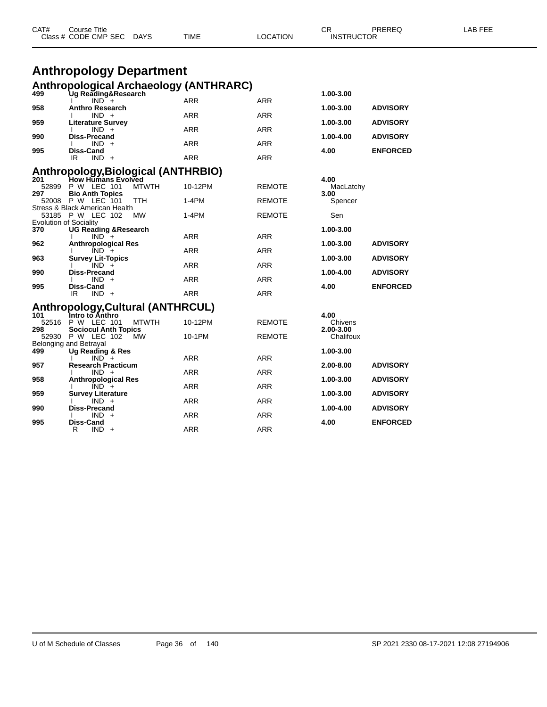|              | <b>Anthropology Department</b><br>Anthropological Archaeology (ANTHRARC) |            |               |                        |                 |
|--------------|--------------------------------------------------------------------------|------------|---------------|------------------------|-----------------|
| 499          | Ug Reading&Research                                                      |            |               | 1.00-3.00              |                 |
| 958          | $IND +$<br><b>Anthro Research</b>                                        | <b>ARR</b> | <b>ARR</b>    | 1.00-3.00              | <b>ADVISORY</b> |
|              | $IND +$                                                                  | ARR        | <b>ARR</b>    |                        |                 |
| 959          | <b>Literature Survey</b><br>$IND +$                                      | ARR        | <b>ARR</b>    | 1.00-3.00              | <b>ADVISORY</b> |
| 990          | <b>Diss-Precand</b><br>$IND +$                                           | ARR        | ARR           | 1.00-4.00              | <b>ADVISORY</b> |
| 995          | Diss-Cand<br>$IND +$<br>IR                                               | <b>ARR</b> | <b>ARR</b>    | 4.00                   | <b>ENFORCED</b> |
|              | <b>Anthropology, Biological (ANTHRBIO)</b>                               |            |               |                        |                 |
| 201          | <b>How Humans Evolved</b>                                                |            |               | 4.00                   |                 |
| 52899<br>297 | P W LEC 101<br><b>MTWTH</b><br><b>Bio Anth Topics</b>                    | 10-12PM    | <b>REMOTE</b> | MacLatchy<br>3.00      |                 |
|              | 52008 P W LEC 101<br>TTH                                                 | $1-4PM$    | <b>REMOTE</b> | Spencer                |                 |
|              | Stress & Black American Health<br>53185 P W LEC 102<br>MW                | $1-4PM$    | <b>REMOTE</b> | Sen                    |                 |
| 370          | <b>Evolution of Sociality</b><br><b>UG Reading &amp; Research</b>        |            |               | 1.00-3.00              |                 |
|              | $IND +$                                                                  | ARR        | <b>ARR</b>    |                        |                 |
| 962          | <b>Anthropological Res</b><br>$IND +$                                    | <b>ARR</b> | ARR           | 1.00-3.00              | <b>ADVISORY</b> |
| 963          | <b>Survey Lit-Topics</b><br>$IND +$                                      | ARR        | <b>ARR</b>    | 1.00-3.00              | <b>ADVISORY</b> |
| 990          | <b>Diss-Precand</b><br>$IND +$                                           | ARR        | <b>ARR</b>    | 1.00-4.00              | <b>ADVISORY</b> |
| 995          | Diss-Cand                                                                |            |               | 4.00                   | <b>ENFORCED</b> |
|              | $IND +$<br>IR                                                            | <b>ARR</b> | <b>ARR</b>    |                        |                 |
|              | <b>Anthropology, Cultural (ANTHRCUL)</b>                                 |            |               |                        |                 |
| 101<br>52516 | ์<br>1ntro to Anthro<br>P W LEC 101<br><b>MTWTH</b>                      | 10-12PM    | <b>REMOTE</b> | 4.00<br>Chivens        |                 |
| 298          | <b>Sociocul Anth Topics</b><br>52930 P W LEC 102<br><b>MW</b>            | 10-1PM     | <b>REMOTE</b> | 2.00-3.00<br>Chalifoux |                 |
|              | Belonging and Betrayal                                                   |            |               |                        |                 |
| 499          | Ug Reading & Res<br>$IND +$                                              | ARR        | ARR           | 1.00-3.00              |                 |
| 957          | <b>Research Practicum</b>                                                |            |               | 2.00-8.00              | <b>ADVISORY</b> |
| 958          | $IND +$<br><b>Anthropological Res</b>                                    | ARR        | ARR           | 1.00-3.00              | <b>ADVISORY</b> |
|              | $IND +$                                                                  | ARR        | <b>ARR</b>    |                        |                 |
| 959          | <b>Survey Literature</b><br>$IND +$                                      | ARR        | ARR           | 1.00-3.00              | <b>ADVISORY</b> |
| 990          | Diss-Precand<br>$IND +$                                                  | ARR        | ARR           | 1.00-4.00              | <b>ADVISORY</b> |
| 995          | Diss-Cand<br>$IND +$<br>R.                                               | <b>ARR</b> | <b>ARR</b>    | 4.00                   | <b>ENFORCED</b> |

CAT# Course Title Case CR PREREQ LAB FEE

Class # CODE CMP SEC DAYS TIME LOCATION INSTRUCTOR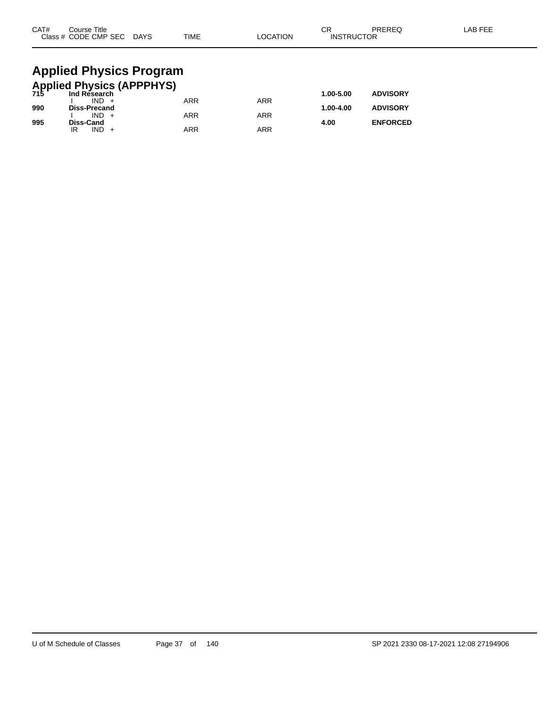| CAT# | Course Title<br>Class # CODE CMP SEC DAYS            | <b>TIME</b> | <b>LOCATION</b> | СR<br><b>INSTRUCTOR</b> | PREREQ          | LAB FEE |
|------|------------------------------------------------------|-------------|-----------------|-------------------------|-----------------|---------|
|      | <b>Applied Physics Program</b>                       |             |                 |                         |                 |         |
|      | <b>Applied Physics (APPPHYS)</b><br>715 Ind Research |             |                 |                         |                 |         |
|      | $IND +$                                              | <b>ARR</b>  | <b>ARR</b>      | 1.00-5.00               | <b>ADVISORY</b> |         |
| 990  | <b>Diss-Precand</b>                                  |             |                 | 1.00-4.00               | <b>ADVISORY</b> |         |
|      | $IND +$                                              | ARR         | <b>ARR</b>      |                         |                 |         |

**995 Diss-Cand 4.00 ENFORCED**

IR IND + ARR ARR ARR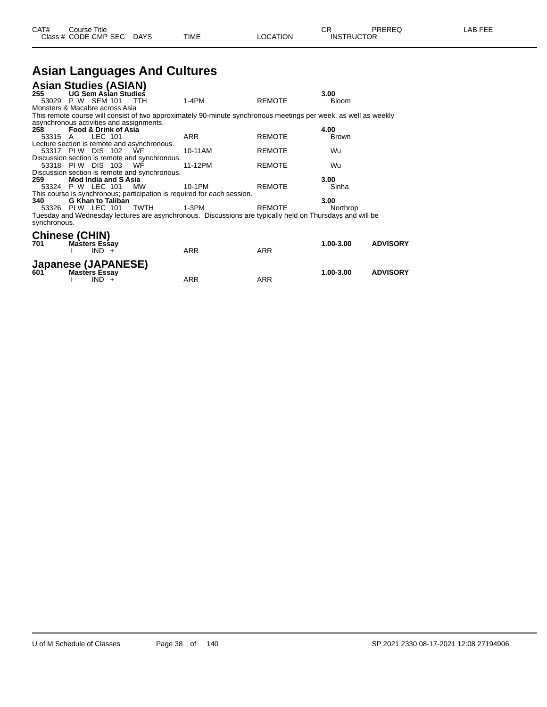| CAT# | Course Title              |             |                 | ◠◻<br>◡┍          | PREREQ | LAB FEE |
|------|---------------------------|-------------|-----------------|-------------------|--------|---------|
|      | Class # CODE CMP SEC DAYS | <b>TIME</b> | <b>LOCATION</b> | <b>INSTRUCTOR</b> |        |         |

# **Asian Languages And Cultures**

|                       | <b>Asian Studies (ASIAN)</b>             |                                               |                                                                                                                 |               |              |                 |
|-----------------------|------------------------------------------|-----------------------------------------------|-----------------------------------------------------------------------------------------------------------------|---------------|--------------|-----------------|
| 255                   | UG Sem Asian Studies                     |                                               |                                                                                                                 |               | 3.00         |                 |
|                       | 53029 P W SEM 101 TTH                    |                                               | 1-4PM                                                                                                           | <b>REMOTE</b> | <b>Bloom</b> |                 |
|                       | Monsters & Macabre across Asia           |                                               |                                                                                                                 |               |              |                 |
|                       |                                          |                                               | This remote course will consist of two approximately 90-minute synchronous meetings per week, as well as weekly |               |              |                 |
|                       | asynchronous activities and assignments. |                                               |                                                                                                                 |               |              |                 |
| 258                   | <b>Food &amp; Drink of Asia</b>          |                                               |                                                                                                                 |               | 4.00         |                 |
| 53315 A               | LEC 101                                  |                                               | <b>ARR</b>                                                                                                      | <b>REMOTE</b> | <b>Brown</b> |                 |
|                       |                                          | Lecture section is remote and asynchronous.   |                                                                                                                 |               |              |                 |
|                       | 53317 PIW DIS 102 WF                     |                                               | 10-11AM                                                                                                         | <b>REMOTE</b> | Wu           |                 |
|                       |                                          | Discussion section is remote and synchronous. |                                                                                                                 |               |              |                 |
|                       | 53318 PIW DIS 103 WF                     |                                               | 11-12PM                                                                                                         | <b>REMOTE</b> | Wu           |                 |
|                       |                                          | Discussion section is remote and synchronous. |                                                                                                                 |               |              |                 |
| 259                   | <b>Mod India and S Asia</b>              |                                               |                                                                                                                 |               | 3.00         |                 |
|                       | 53324 P W LEC 101                        | МW                                            | 10-1PM                                                                                                          | <b>REMOTE</b> | Sinha        |                 |
|                       |                                          |                                               | This course is synchronous; participation is required for each session.                                         |               |              |                 |
| 340                   | <b>G Khan to Taliban</b>                 |                                               |                                                                                                                 |               | 3.00         |                 |
|                       | 53326 PIW LEC 101 TWTH                   |                                               | 1-3PM                                                                                                           | <b>REMOTE</b> | Northrop     |                 |
| synchronous.          |                                          |                                               | Tuesday and Wednesday lectures are asynchronous. Discussions are typically held on Thursdays and will be        |               |              |                 |
| <b>Chinese (CHIN)</b> |                                          |                                               |                                                                                                                 |               |              |                 |
| 701                   | <b>Masters Essay</b>                     |                                               |                                                                                                                 |               | 1.00-3.00    | <b>ADVISORY</b> |
|                       | $IND +$                                  |                                               | <b>ARR</b>                                                                                                      | <b>ARR</b>    |              |                 |
|                       | <b>Japanese (JAPANESE)</b>               |                                               |                                                                                                                 |               |              |                 |
| 601                   | <b>Masters Essay</b>                     |                                               |                                                                                                                 |               | 1.00-3.00    | <b>ADVISORY</b> |
|                       | $IND +$                                  |                                               | <b>ARR</b>                                                                                                      | <b>ARR</b>    |              |                 |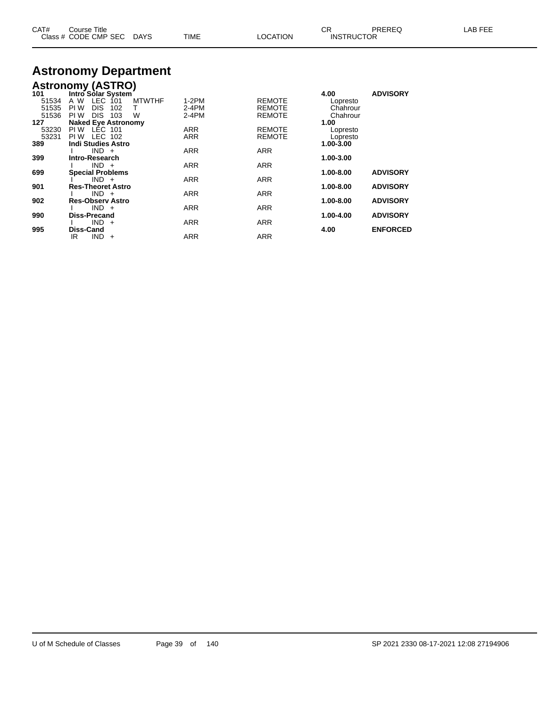| CAT# | Course Title              |      |                 |                   | PREREQ | LAB FEE |
|------|---------------------------|------|-----------------|-------------------|--------|---------|
|      | Class # CODE CMP SEC DAYS | TIME | <b>LOCATION</b> | <b>INSTRUCTOR</b> |        |         |

# **Astronomy Department**

## **Astronomy (ASTRO)**

| 101   | Intro Solar System              |            |               | 4.00      | <b>ADVISORY</b> |
|-------|---------------------------------|------------|---------------|-----------|-----------------|
| 51534 | LEC 101<br>A W<br><b>MTWTHF</b> | $1-2PM$    | <b>REMOTE</b> | Lopresto  |                 |
| 51535 | <b>DIS</b><br>PI W<br>102<br>т  | $2-4PM$    | <b>REMOTE</b> | Chahrour  |                 |
| 51536 | <b>DIS</b><br>PI W<br>103<br>W  | $2-4PM$    | <b>REMOTE</b> | Chahrour  |                 |
| 127   | <b>Naked Eye Astronomy</b>      |            |               | 1.00      |                 |
| 53230 | LEC 101<br>PI W                 | <b>ARR</b> | <b>REMOTE</b> | Lopresto  |                 |
| 53231 | LEC 102<br>PI W                 | <b>ARR</b> | <b>REMOTE</b> | Lopresto  |                 |
| 389   | <b>Indi Studies Astro</b>       |            |               | 1.00-3.00 |                 |
|       | $IND +$                         | <b>ARR</b> | <b>ARR</b>    |           |                 |
| 399   | Intro-Research                  |            |               | 1.00-3.00 |                 |
|       | $IND +$                         | <b>ARR</b> | <b>ARR</b>    |           |                 |
| 699   | <b>Special Problems</b>         |            |               | 1.00-8.00 | <b>ADVISORY</b> |
|       | $IND +$                         | <b>ARR</b> | <b>ARR</b>    |           |                 |
| 901   | <b>Res-Theoret Astro</b>        |            |               | 1.00-8.00 | <b>ADVISORY</b> |
|       | $IND +$                         | <b>ARR</b> | <b>ARR</b>    |           |                 |
| 902   | <b>Res-Observ Astro</b>         |            |               | 1.00-8.00 | <b>ADVISORY</b> |
|       | $IND +$                         | <b>ARR</b> | <b>ARR</b>    |           |                 |
| 990   | <b>Diss-Precand</b>             |            |               | 1.00-4.00 | <b>ADVISORY</b> |
|       | $IND +$                         | <b>ARR</b> | <b>ARR</b>    |           |                 |
| 995   | <b>Diss-Cand</b>                |            |               | 4.00      | <b>ENFORCED</b> |
|       | $IND +$<br>IR                   | <b>ARR</b> | <b>ARR</b>    |           |                 |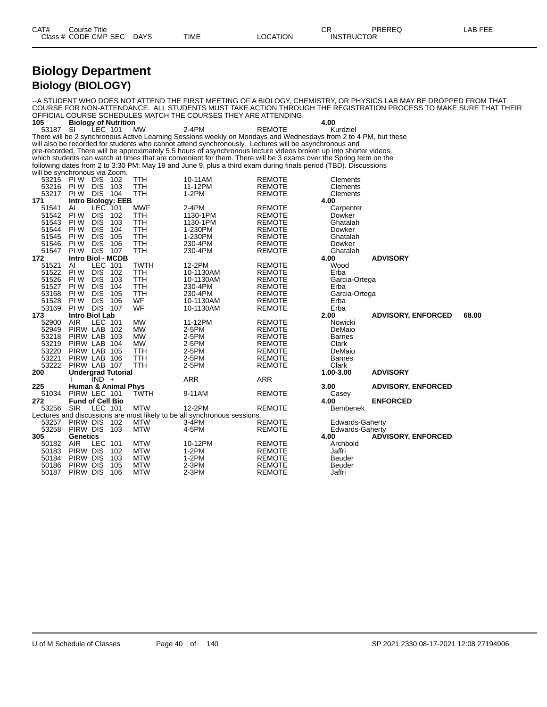#### **Biology Department Biology (BIOLOGY)**

COURSE FOR NON-ATTENDANCE. ALL STUDENTS MUST TAKE ACTION THROUGH THE REGISTRATION PROCESS TO MAKE SURE THAT THEIR OFFICIAL COURSE SCHEDULES MATCH THE COURSES THEY ARE ATTENDING.<br>105 Biology of Nutrition **105 Biology of Nutrition 4.00** 53187 SI LEC 101 MW 2-4PM REMOTE Kurdziel There will be 2 synchronous Active Learning Sessions weekly on Mondays and Wednesdays from 2 to 4 PM, but these will also be recorded for students who cannot attend synchronously. Lectures will be asynchronous and pre-recorded. There will be approximately 5.5 hours of asynchronous lecture videos broken up into shorter videos, which students can watch at times that are convenient for them. There will be 3 exams over the Spring term on the following dates from 2 to 3:30 PM: May 19 and June 9, plus a third exam during finals period (TBD). Discussions will be synchronous via Zoom. 53215 PIW DIS 102 TTH 10-11AM REMOTE Clements<br>53216 PIW DIS 103 TTH 11-12PM REMOTE Clements<br>53217 PIW DIS 104 TTH 1-2PM REMOTE Clements 53216 PIW DIS 103 TTH 11-12PM REMOTE Clements 53217 PIW DIS 104 TTH 1-2PM REMOTE Clements **171 Intro Biology: EEB 4.00** 51541 AI LEC 101 MWF 2-4PM REMOTE Carpenter 51542 PI W DIS 102 TTH 1130-1PM REMOTE Dowker 51543 PIW DIS 103 TTH 1130-1PM REMOTE Ghatalah 51544 PIW DIS 104 TTH 1-230PM REMOTE Dowker 51545 PIW DIS 105 TTH 1-230PM REMOTE Ghatalah 51546 PI W DIS 106 TTH 230-4PM REMOTE Dowker 51547 PIW DIS 107 TTH 230-4PM REMOTE 6 Ghatalah<br>172 Intro Biol - MCDB **172 172 172 172 172 172 172 172 172 172 172 172 172 172 172 172 172 172 172 172 172 172 172 172 172 172 172 172 172 172 172 172 172 172 172 172 172** 51521 AI LEC 101 TWTH 12-2PM REMOTE Wood 51522 PIW DIS 102 TTH 10-1130AM REMOTE Erba<br>51526 PIW DIS 103 TTH 10-1130AM REMOTE Garci 51526 PIW DIS 103 TTH 10-1130AM REMOTE Garcia-Ortega<br>51527 PIW DIS 104 TTH 230-4PM REMOTE Erba 51527 PI W DIS 104 TTH 230-4PM REMOTE Erba 53168 PI W DIS 105 TTH 230-4PM REMOTE Garcia-Ortega 51528 PI W DIS 106 WF 10-1130AM REMOTE Erba 53169 PI W DIS 107 WF 10-1130AM REMOTE Erba **173 Intro Biol Lab 2.00 ADVISORY, ENFORCED 68.00** 52900 AIR LEC 101 MW 11-12PM REMOTE Nowicki 52949 PIRW LAB 102 MW 2-5PM REMOTE DeMaio 53218 PIRW LAB 103 MW 2-5PM REMOTE Barnes e and the state of the state of the state of the state of the state of the state of the state of the state of <br>19220 PIRW LAB 105 TTH the 2-5PM the REMOTE the DeMaio 53220 PIRW LAB 105 TTH 2-5PM REMOTE DeMaio 53221 PIRW LAB 106 TTH 2-5PM REMOTE Barnes 53222 PIRW LAB 107 TTH 2-5PM REMOTE Clark<br>200 **Undergrad Tutorial** 200 2-5PM REMOTE 1.00-3.00 **200 Undergrad Tutorial 1.00-3.00 ADVISORY** I IND + ARR ARR **225 Human & Animal Phys 3.00 ADVISORY, ENFORCED** 51034 PIRW LEC 101 TWTH 9-11AM REMOTE CONTRACTE CONTRACTE CONTRACTE PRODUCE 272 **272 Fund of Cell Bio 4.00 ENFORCED** 53256 SIR LEC 101 MTW 12-2PM REMOTE Bembenek Lectures and discussions are most likely to be all synchronous sessions.<br>53257 PIRW DIS 102 MTW 3-4PM 53257 PIRW DIS 102 MTW 3-4PM REMOTE Edwards-Gaherty 53258 PIRW DIS 103 MTW 4-5PM REMOTE E<br>305 Genetics 4.00 **305 Genetics 4.00 ADVISORY, ENFORCED** 50182 AIR LEC 101 MTW 10-12PM REMOTE Archb<br>50183 PIRW DIS 102 MTW 1-2PM REMOTE Jaffri 50183 PIRW DIS 102 MTW 1-2PM REMOTE Jaffri 50184 PIRW DIS 103 MTW 1-2PM REMOTE Beuder 50186 PIRW DIS 105 MTW 2-3PM REMOTE Beuder 50187 PIRW DIS 106 MTW 2-3PM REMOTE Jaffri

--A STUDENT WHO DOES NOT ATTEND THE FIRST MEETING OF A BIOLOGY, CHEMISTRY, OR PHYSICS LAB MAY BE DROPPED FROM THAT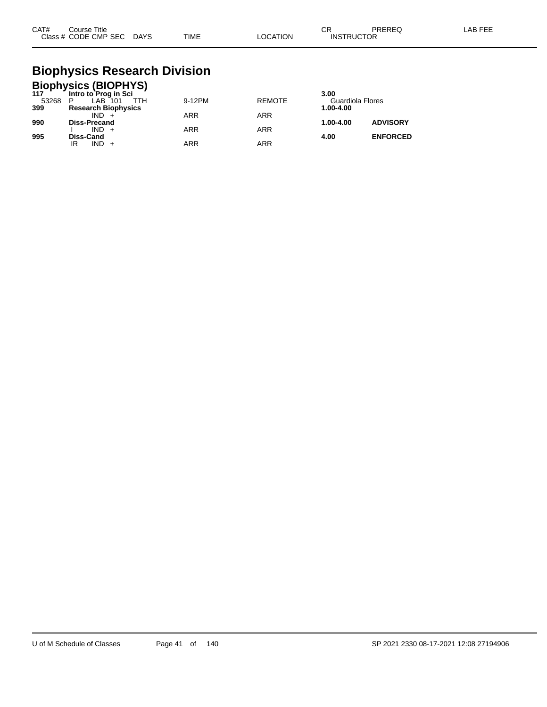| CAT# | Course Title         |             |             |                | ົ<br>◡            | PREREG | . AB FF <sup>r</sup> |
|------|----------------------|-------------|-------------|----------------|-------------------|--------|----------------------|
|      | Class # CODE CMP SEC | <b>DAYS</b> | <b>TIME</b> | <b>OCATION</b> | <b>INSTRUCTOR</b> |        |                      |

## **Biophysics Research Division**

|              | <b>Biophysics (BIOPHYS)</b><br>117 Intro to Prog in Sci |            |               |                               |                 |
|--------------|---------------------------------------------------------|------------|---------------|-------------------------------|-----------------|
|              |                                                         |            |               | 3.00                          |                 |
| 53268<br>399 | LAB 101<br>P<br>ттн<br><b>Research Biophysics</b>       | 9-12PM     | <b>REMOTE</b> | Guardiola Flores<br>1.00-4.00 |                 |
|              | $IND +$                                                 | <b>ARR</b> | <b>ARR</b>    |                               |                 |
| 990          | <b>Diss-Precand</b>                                     |            |               | 1.00-4.00                     | <b>ADVISORY</b> |
| 995          | $IND +$<br>Diss-Cand                                    | <b>ARR</b> | <b>ARR</b>    | 4.00                          | <b>ENFORCED</b> |
|              | $IND +$<br>ΙR                                           | <b>ARR</b> | <b>ARR</b>    |                               |                 |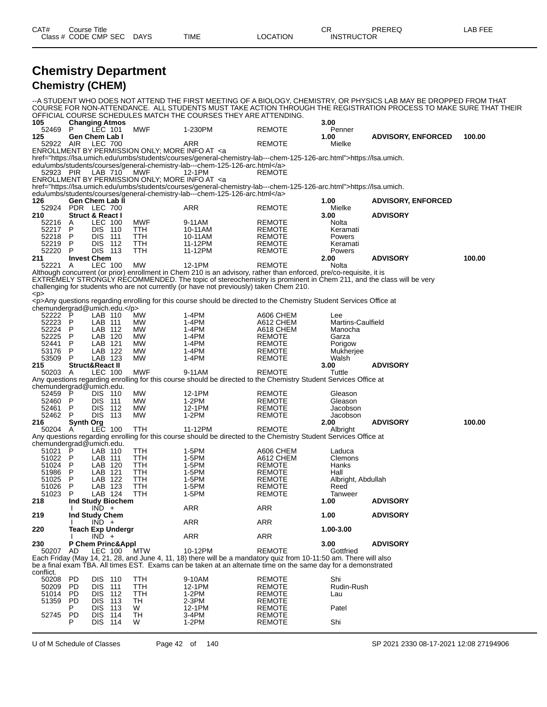| CAT#               | <b>Course Title</b> | Class # CODE CMP SEC DAYS           |                             | <b>TIME</b>                                                                                                                                                                                    | <b>LOCATION</b>                | <b>CR</b><br><b>INSTRUCTOR</b> | PREREQ                                                                                                                                                                                                                                  | <b>LAB FEE</b> |
|--------------------|---------------------|-------------------------------------|-----------------------------|------------------------------------------------------------------------------------------------------------------------------------------------------------------------------------------------|--------------------------------|--------------------------------|-----------------------------------------------------------------------------------------------------------------------------------------------------------------------------------------------------------------------------------------|----------------|
|                    |                     |                                     |                             |                                                                                                                                                                                                |                                |                                |                                                                                                                                                                                                                                         |                |
|                    |                     |                                     | <b>Chemistry Department</b> |                                                                                                                                                                                                |                                |                                |                                                                                                                                                                                                                                         |                |
|                    |                     | <b>Chemistry (CHEM)</b>             |                             |                                                                                                                                                                                                |                                |                                |                                                                                                                                                                                                                                         |                |
|                    |                     |                                     |                             |                                                                                                                                                                                                |                                |                                |                                                                                                                                                                                                                                         |                |
|                    |                     |                                     |                             |                                                                                                                                                                                                |                                |                                | --A STUDENT WHO DOES NOT ATTEND THE FIRST MEETING OF A BIOLOGY, CHEMISTRY, OR PHYSICS LAB MAY BE DROPPED FROM THAT<br>COURSE FOR NON-ATTENDANCE. ALL STUDENTS MUST TAKE ACTION THROUGH THE REGISTRATION PROCESS TO MAKE SURE THAT THEIR |                |
|                    |                     |                                     |                             | OFFICIAL COURSE SCHEDULES MATCH THE COURSES THEY ARE ATTENDING.                                                                                                                                |                                |                                |                                                                                                                                                                                                                                         |                |
| 105                |                     | <b>Changing Atmos</b>               |                             |                                                                                                                                                                                                |                                | 3.00                           |                                                                                                                                                                                                                                         |                |
| 52469              | $\overline{P}$      | LEC 101                             | <b>MWF</b>                  | 1-230PM                                                                                                                                                                                        | <b>REMOTE</b>                  | Penner                         |                                                                                                                                                                                                                                         |                |
| 125<br>52922 AIR   |                     | <b>Gen Chem Lab I</b><br>LEC 700    |                             |                                                                                                                                                                                                | <b>REMOTE</b>                  | 1.00<br>Mielke                 | <b>ADVISORY, ENFORCED</b>                                                                                                                                                                                                               | 100.00         |
|                    |                     |                                     |                             | ARR<br>ENROLLMENT BY PERMISSION ONLY; MORE INFO AT <a< td=""><td></td><td></td><td></td><td></td></a<>                                                                                         |                                |                                |                                                                                                                                                                                                                                         |                |
|                    |                     |                                     |                             | href="https://lsa.umich.edu/umbs/students/courses/general-chemistry-lab---chem-125-126-arc.html">https://lsa.umich.                                                                            |                                |                                |                                                                                                                                                                                                                                         |                |
|                    |                     |                                     |                             | edu/umbs/students/courses/general-chemistry-lab---chem-125-126-arc.html                                                                                                                        |                                |                                |                                                                                                                                                                                                                                         |                |
|                    |                     | 52923 PIR LAB 710                   | <b>MWF</b>                  | 12-1PM                                                                                                                                                                                         | <b>REMOTE</b>                  |                                |                                                                                                                                                                                                                                         |                |
|                    |                     |                                     |                             | ENROLLMENT BY PERMISSION ONLY; MORE INFO AT <a< td=""><td></td><td></td><td></td><td></td></a<>                                                                                                |                                |                                |                                                                                                                                                                                                                                         |                |
|                    |                     |                                     |                             | href="https://lsa.umich.edu/umbs/students/courses/general-chemistry-lab---chem-125-126-arc.html">https://lsa.umich.<br>edu/umbs/students/courses/general-chemistry-lab---chem-125-126-arc.html |                                |                                |                                                                                                                                                                                                                                         |                |
| 126                |                     | Gen Chem Lab II                     |                             |                                                                                                                                                                                                |                                | 1.00                           | <b>ADVISORY, ENFORCED</b>                                                                                                                                                                                                               |                |
| 52924              |                     | PDR LEC 700                         |                             | <b>ARR</b>                                                                                                                                                                                     | <b>REMOTE</b>                  | Mielke                         |                                                                                                                                                                                                                                         |                |
| 210                |                     | Struct & React I                    |                             |                                                                                                                                                                                                |                                | 3.00                           | <b>ADVISORY</b>                                                                                                                                                                                                                         |                |
| 52216 A<br>52217 P |                     | <b>LEC 100</b><br><b>DIS 110</b>    | <b>MWF</b><br><b>TTH</b>    | 9-11AM<br>10-11AM                                                                                                                                                                              | <b>REMOTE</b><br><b>REMOTE</b> | <b>Nolta</b><br>Keramati       |                                                                                                                                                                                                                                         |                |
| 52218 P            |                     | <b>DIS 111</b>                      | <b>TTH</b>                  | 10-11AM                                                                                                                                                                                        | <b>REMOTE</b>                  | Powers                         |                                                                                                                                                                                                                                         |                |
| 52219 P            |                     | <b>DIS 112</b>                      | <b>TTH</b>                  | 11-12PM                                                                                                                                                                                        | <b>REMOTE</b>                  | Keramati                       |                                                                                                                                                                                                                                         |                |
| 52220              | P                   | DIS 113                             | <b>TTH</b>                  | 11-12PM                                                                                                                                                                                        | <b>REMOTE</b>                  | Powers                         |                                                                                                                                                                                                                                         |                |
| 211                |                     | <b>Invest Chem</b>                  |                             |                                                                                                                                                                                                |                                | 2.00                           | <b>ADVISORY</b>                                                                                                                                                                                                                         | 100.00         |
| 52221 A            |                     | <b>LEC 100</b>                      | <b>MW</b>                   | 12-1PM<br>Although concurrent (or prior) enrollment in Chem 210 is an advisory, rather than enforced, pre/co-requisite, it is                                                                  | <b>REMOTE</b>                  | Nolta                          |                                                                                                                                                                                                                                         |                |
|                    |                     |                                     |                             | EXTREMELY STRONGLY RECOMMENDED. The topic of stereochemistry is prominent in Chem 211, and the class will be very                                                                              |                                |                                |                                                                                                                                                                                                                                         |                |
|                    |                     |                                     |                             | challenging for students who are not currently (or have not previously) taken Chem 210.                                                                                                        |                                |                                |                                                                                                                                                                                                                                         |                |
| < p >              |                     |                                     |                             |                                                                                                                                                                                                |                                |                                |                                                                                                                                                                                                                                         |                |
|                    |                     |                                     |                             | <p>Any questions regarding enrolling for this course should be directed to the Chemistry Student Services Office at</p>                                                                        |                                |                                |                                                                                                                                                                                                                                         |                |
| 52222 P            |                     | chemundergrad@umich.edu.<br>LAB 110 | <b>MW</b>                   | $1-4PM$                                                                                                                                                                                        | A606 CHEM                      | Lee                            |                                                                                                                                                                                                                                         |                |
| 52223 P            |                     | LAB 111                             | <b>MW</b>                   | $1-4PM$                                                                                                                                                                                        | A612 CHEM                      | <b>Martins-Caulfield</b>       |                                                                                                                                                                                                                                         |                |
| 52224 P            |                     | LAB 112                             | MW                          | $1-4PM$                                                                                                                                                                                        | A618 CHEM                      | Manocha                        |                                                                                                                                                                                                                                         |                |
| 52225 P            |                     | LAB 120                             | <b>MW</b>                   | $1-4PM$                                                                                                                                                                                        | <b>REMOTE</b>                  | Garza                          |                                                                                                                                                                                                                                         |                |
| 52441 P            |                     | LAB 121                             | <b>MW</b>                   | $1-4PM$                                                                                                                                                                                        | <b>REMOTE</b>                  | Porigow                        |                                                                                                                                                                                                                                         |                |
| 53176 P<br>53509   | P                   | LAB 122<br>LAB 123                  | <b>MW</b><br><b>MW</b>      | $1-4PM$<br>$1-4PM$                                                                                                                                                                             | <b>REMOTE</b><br><b>REMOTE</b> | Mukherjee<br>Walsh             |                                                                                                                                                                                                                                         |                |
| 215                |                     | <b>Struct&amp;React II</b>          |                             |                                                                                                                                                                                                |                                | 3.00                           | <b>ADVISORY</b>                                                                                                                                                                                                                         |                |
| 50203 A            |                     | <b>LEC 100</b>                      | <b>MWF</b>                  | 9-11AM                                                                                                                                                                                         | <b>REMOTE</b>                  | Tuttle                         |                                                                                                                                                                                                                                         |                |
|                    |                     |                                     |                             | Any questions regarding enrolling for this course should be directed to the Chemistry Student Services Office at                                                                               |                                |                                |                                                                                                                                                                                                                                         |                |
|                    |                     | chemundergrad@umich.edu.            |                             |                                                                                                                                                                                                |                                |                                |                                                                                                                                                                                                                                         |                |

52459 P DIS 110 MW 12-1PM REMOTE Gleason<br>52460 P DIS 111 MW 1-2PM REMOTE Gleason<br>52461 P DIS 112 MW 12-1PM REMOTE Jacobson FREMOTE CREASON<br>REMOTE Gleason<br>REMOTE Jacobson 52461 P DIS 112 MW 12-1PM REMOTE Jacobson 52462 P DIS 113 MW 1-2PM REMOTE Jacobson **216 Synth Org 2.00 ADVISORY 100.00** 50204 A LEC 100 TTH 11-12PM REMOTE Albright Any questions regarding enrolling for this course should be directed to the Chemistry Student Services Office at chemundergrad@umich.edu. 51021 P LAB 110 TTH 1-5PM A606 CHEM Laduca 51022 P LAB 111 TTH 1-5PM A612 CHEM Clemons

| 51024     | P              | LAB 120        |                          | TTH        | 1-5PM                                                                                                             | <b>REMOTE</b> | Hanks              |                 |
|-----------|----------------|----------------|--------------------------|------------|-------------------------------------------------------------------------------------------------------------------|---------------|--------------------|-----------------|
| 51986     | P              | LAB 121        |                          | TTH        | 1-5PM                                                                                                             | <b>REMOTE</b> | Hall               |                 |
| 51025     | P              | LAB            | 122                      | TTH        | 1-5PM                                                                                                             | <b>REMOTE</b> | Albright, Abdullah |                 |
| 51026     | P              | LAB            | 123                      | TTH        | 1-5PM                                                                                                             | <b>REMOTE</b> | Reed               |                 |
| 51023     | P              | LAB 124        |                          | <b>TTH</b> | 1-5PM                                                                                                             | <b>REMOTE</b> | Tanweer            |                 |
| 218       |                |                | <b>Ind Study Biochem</b> |            |                                                                                                                   |               | 1.00               | <b>ADVISORY</b> |
|           |                | $IND +$        |                          |            | ARR                                                                                                               | <b>ARR</b>    |                    |                 |
| 219       |                | Ind Study Chem |                          |            |                                                                                                                   |               | 1.00               | <b>ADVISORY</b> |
|           |                | $IND +$        |                          |            | <b>ARR</b>                                                                                                        | <b>ARR</b>    |                    |                 |
| 220       |                |                | <b>Teach Exp Undergr</b> |            |                                                                                                                   |               | 1.00-3.00          |                 |
|           |                | $IND +$        |                          |            | <b>ARR</b>                                                                                                        | <b>ARR</b>    |                    |                 |
| 230       |                |                | P Chem Princ&Appl        |            |                                                                                                                   |               | 3.00               | <b>ADVISORY</b> |
| 50207     | AD.            | LEC 100        |                          | MTW        | 10-12PM                                                                                                           | <b>REMOTE</b> | Gottfried          |                 |
|           |                |                |                          |            | Each Friday (May 14, 21, 28, and June 4, 11, 18) there will be a mandatory quiz from 10-11:50 am. There will also |               |                    |                 |
|           |                |                |                          |            | be a final exam TBA. All times EST. Exams can be taken at an alternate time on the same day for a demonstrated    |               |                    |                 |
| conflict. |                |                |                          |            |                                                                                                                   |               |                    |                 |
| 50208     | PD.            | DIS.           | 110                      | TTH        | 9-10AM                                                                                                            | <b>REMOTE</b> | Shi                |                 |
| 50209     | P <sub>D</sub> | <b>DIS</b>     | 111                      | TTH        | 12-1PM                                                                                                            | <b>REMOTE</b> | Rudin-Rush         |                 |
| 51014     | P <sub>D</sub> | <b>DIS</b>     | 112                      | TTH        | 1-2PM                                                                                                             | <b>REMOTE</b> | Lau                |                 |
| 51359     | PD.            | <b>DIS</b>     | 113                      | TH         | $2-3PM$                                                                                                           | <b>REMOTE</b> |                    |                 |
|           | P              | <b>DIS</b>     | 113                      | W          | 12-1PM                                                                                                            | <b>REMOTE</b> | Patel              |                 |
| 52745     | PD.            | <b>DIS</b>     | 114                      | TH         | 3-4PM                                                                                                             | <b>REMOTE</b> |                    |                 |
|           | P              | <b>DIS</b>     | 114                      | W          | $1-2PM$                                                                                                           | <b>REMOTE</b> | Shi                |                 |

U of M Schedule of Classes Page 42 of 140 SP 2021 2330 08-17-2021 12:08 27194906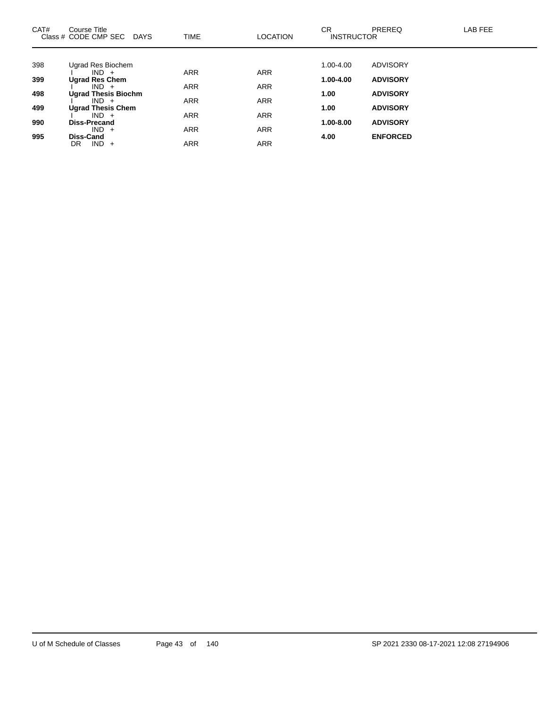| CAT# | Course Title<br>Class # CODE CMP SEC DAYS | <b>TIME</b> | <b>LOCATION</b> | CR.<br><b>INSTRUCTOR</b> | PREREQ          | LAB FEE |
|------|-------------------------------------------|-------------|-----------------|--------------------------|-----------------|---------|
|      |                                           |             |                 |                          |                 |         |
| 398  | Ugrad Res Biochem<br>$IND +$              | <b>ARR</b>  | <b>ARR</b>      | 1.00-4.00                | <b>ADVISORY</b> |         |
| 399  | <b>Ugrad Res Chem</b>                     |             |                 | $1.00 - 4.00$            | <b>ADVISORY</b> |         |
|      | $IND +$                                   | <b>ARR</b>  | <b>ARR</b>      |                          |                 |         |
| 498  | <b>Ugrad Thesis Biochm</b>                |             |                 | 1.00                     | <b>ADVISORY</b> |         |
|      | $IND +$                                   | <b>ARR</b>  | <b>ARR</b>      |                          |                 |         |
| 499  | <b>Ugrad Thesis Chem</b><br>$IND +$       | <b>ARR</b>  | <b>ARR</b>      | 1.00                     | <b>ADVISORY</b> |         |
| 990  | <b>Diss-Precand</b>                       |             |                 | 1.00-8.00                | <b>ADVISORY</b> |         |
|      | $IND +$                                   | <b>ARR</b>  | <b>ARR</b>      |                          |                 |         |
| 995  | <b>Diss-Cand</b>                          |             |                 | 4.00                     | <b>ENFORCED</b> |         |
|      | $IND +$<br>DR                             | <b>ARR</b>  | <b>ARR</b>      |                          |                 |         |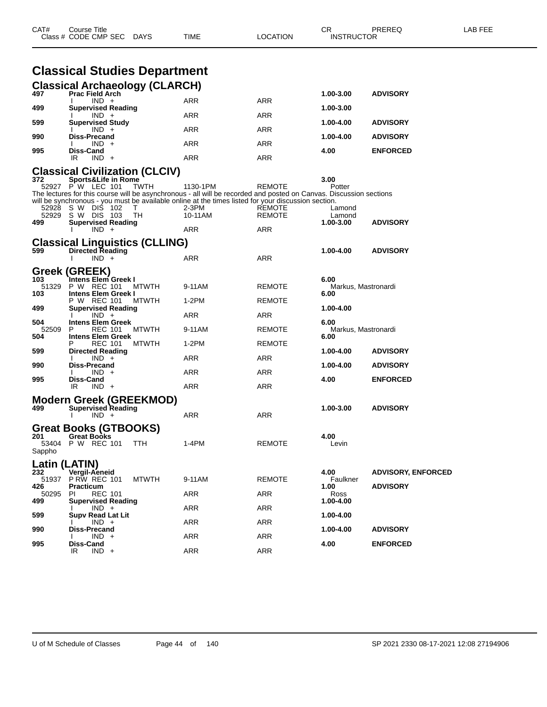|                       | Class # CODE CMP SEC<br><b>DAYS</b>                                                                                                                                                                                                                                                                                                              | TIME                         | LOCATION                | INSTRUCTOR                          |                                              |  |
|-----------------------|--------------------------------------------------------------------------------------------------------------------------------------------------------------------------------------------------------------------------------------------------------------------------------------------------------------------------------------------------|------------------------------|-------------------------|-------------------------------------|----------------------------------------------|--|
|                       |                                                                                                                                                                                                                                                                                                                                                  |                              |                         |                                     |                                              |  |
|                       | <b>Classical Studies Department</b>                                                                                                                                                                                                                                                                                                              |                              |                         |                                     |                                              |  |
| 497                   | <b>Classical Archaeology (CLARCH)</b><br><b>Prac Field Arch</b><br>$IND +$                                                                                                                                                                                                                                                                       | ARR                          | ARR                     | 1.00-3.00                           | <b>ADVISORY</b>                              |  |
| 499<br>599            | <b>Supervised Reading</b><br>$IND +$<br><b>Supervised Study</b>                                                                                                                                                                                                                                                                                  | ARR                          | ARR                     | 1.00-3.00<br>1.00-4.00              | <b>ADVISORY</b>                              |  |
| 990                   | $IND +$<br><b>Diss-Precand</b>                                                                                                                                                                                                                                                                                                                   | ARR                          | <b>ARR</b>              | 1.00-4.00                           | <b>ADVISORY</b>                              |  |
| 995                   | $IND +$<br>Diss-Cand                                                                                                                                                                                                                                                                                                                             | ARR                          | ARR                     | 4.00                                | <b>ENFORCED</b>                              |  |
|                       | $IND +$<br>IR                                                                                                                                                                                                                                                                                                                                    | <b>ARR</b>                   | ARR                     |                                     |                                              |  |
| 372<br>52928<br>52929 | <b>Classical Civilization (CLCIV)</b><br>Sports&Life in Rome<br>52927 PW LEC 101<br><b>TWTH</b><br>The lectures for this course will be asynchronous - all will be recorded and posted on Canvas. Discussion sections<br>will be synchronous - you must be available online at the times listed for your discussion section.<br>S W DIŚ 102<br>т | 1130-1PM<br>2-3PM<br>10-11AM | REMOTE<br><b>REMOTE</b> | 3.00<br>Potter<br>Lamond            |                                              |  |
| 499                   | S W DIS 103<br>TH<br><b>Supervised Reading</b>                                                                                                                                                                                                                                                                                                   |                              | <b>REMOTE</b>           | Lamond<br>1.00-3.00                 | <b>ADVISORY</b>                              |  |
| 599                   | $IND +$<br><b>Classical Linguistics (CLLING)</b><br><b>Directed Reading</b><br>$IND +$                                                                                                                                                                                                                                                           | ARR<br>ARR                   | ARR<br><b>ARR</b>       | 1.00-4.00                           | <b>ADVISORY</b>                              |  |
| 103<br>51329<br>103   | Greek (GREEK)<br>Intens Elem Greek I<br>P W REC 101<br><b>MTWTH</b><br><b>Intens Elem Greek I</b>                                                                                                                                                                                                                                                | 9-11AM                       | REMOTE                  | 6.00<br>Markus, Mastronardi<br>6.00 |                                              |  |
| 499                   | P W REC 101<br>MTWTH<br><b>Supervised Reading</b>                                                                                                                                                                                                                                                                                                | 1-2PM                        | <b>REMOTE</b>           | 1.00-4.00                           |                                              |  |
| 504                   | $IND +$<br><b>Intens Elem Greek</b>                                                                                                                                                                                                                                                                                                              | ARR                          | ARR                     | 6.00                                |                                              |  |
| 52509<br>504          | REC 101<br><b>MTWTH</b><br>P<br><b>Intens Elem Greek</b>                                                                                                                                                                                                                                                                                         | 9-11AM                       | <b>REMOTE</b>           | Markus, Mastronardi<br>6.00         |                                              |  |
| 599                   | <b>REC 101</b><br>MTWTH<br><b>Directed Reading</b>                                                                                                                                                                                                                                                                                               | 1-2PM                        | <b>REMOTE</b>           | 1.00-4.00                           | <b>ADVISORY</b>                              |  |
| 990                   | $IND +$<br><b>Diss-Precand</b>                                                                                                                                                                                                                                                                                                                   | ARR                          | ARR                     | 1.00-4.00                           | <b>ADVISORY</b>                              |  |
| 995                   | $IND +$<br><b>Diss-Cand</b>                                                                                                                                                                                                                                                                                                                      | ARR                          | ARR                     | 4.00                                | <b>ENFORCED</b>                              |  |
|                       | IR.<br>$IND +$                                                                                                                                                                                                                                                                                                                                   | ARR                          | <b>ARR</b>              |                                     |                                              |  |
| 499                   | <b>Modern Greek (GREEKMOD)</b><br><b>Supervised Reading</b><br>$IND +$                                                                                                                                                                                                                                                                           | ARR                          | <b>ARR</b>              | 1.00-3.00                           | <b>ADVISORY</b>                              |  |
| 201<br>Sappho         | Great Books (GTBOOKS)<br><b>Great Books</b><br>TTH<br>53404 P W REC 101                                                                                                                                                                                                                                                                          | 1-4PM                        | REMOTE                  | 4.00<br>Levin                       |                                              |  |
| 232<br>426<br>50295   | Latin (LATIN)<br>Vergil-Aeneid<br>51937 P RW REC 101<br><b>MTWTH</b><br><b>Practicum</b><br><b>REC 101</b><br>PI.                                                                                                                                                                                                                                | 9-11AM<br>ARR                | <b>REMOTE</b><br>ARR    | 4.00<br>Faulkner<br>1.00<br>Ross    | <b>ADVISORY, ENFORCED</b><br><b>ADVISORY</b> |  |
| 499                   | <b>Supervised Reading</b><br>$IND +$                                                                                                                                                                                                                                                                                                             | <b>ARR</b>                   | ARR                     | 1.00-4.00                           |                                              |  |
| 599                   | <b>Supv Read Lat Lit</b><br>$IND +$                                                                                                                                                                                                                                                                                                              | ARR                          | <b>ARR</b>              | 1.00-4.00                           |                                              |  |
| 990                   | <b>Diss-Precand</b><br>$IND +$                                                                                                                                                                                                                                                                                                                   | ARR                          | ARR                     | 1.00-4.00                           | <b>ADVISORY</b>                              |  |
| 995                   | Diss-Cand<br>$IND +$<br>IR                                                                                                                                                                                                                                                                                                                       | ARR                          | ARR                     | 4.00                                | <b>ENFORCED</b>                              |  |

CAT# Course Title Case CR PREREQ LAB FEE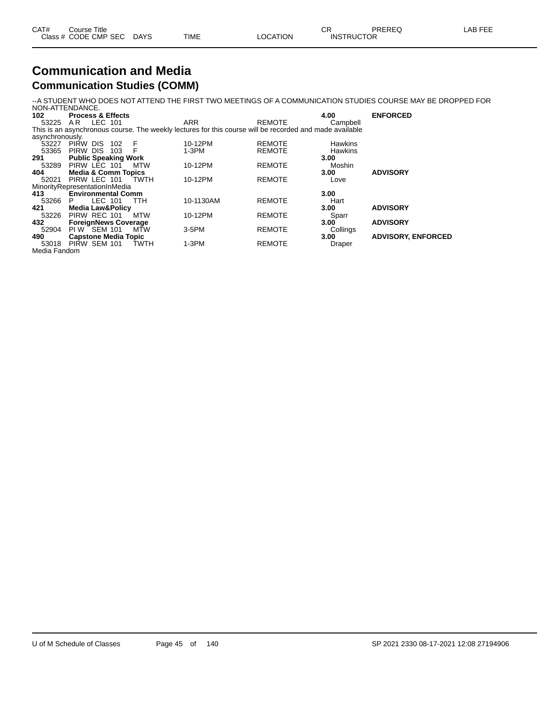| CAT# | Course Title              |      |                 | חי<br>∪π          | PREREQ | LAB FEE |
|------|---------------------------|------|-----------------|-------------------|--------|---------|
|      | Class # CODE CMP SEC DAYS | TIME | <b>LOCATION</b> | <b>INSTRUCTOR</b> |        |         |

#### **Communication and Media Communication Studies (COMM)**

--A STUDENT WHO DOES NOT ATTEND THE FIRST TWO MEETINGS OF A COMMUNICATION STUDIES COURSE MAY BE DROPPED FOR

|                 | NON-ATTENDANCE.                |             |                                                                                                         |               |                |                           |
|-----------------|--------------------------------|-------------|---------------------------------------------------------------------------------------------------------|---------------|----------------|---------------------------|
| 102             | <b>Process &amp; Effects</b>   |             |                                                                                                         |               | 4.00           | <b>ENFORCED</b>           |
| 53225           | LEC 101<br>AR                  |             | <b>ARR</b>                                                                                              | <b>REMOTE</b> | Campbell       |                           |
|                 |                                |             | This is an asynchronous course. The weekly lectures for this course will be recorded and made available |               |                |                           |
| asynchronously. |                                |             |                                                                                                         |               |                |                           |
| 53227           | Pirw Dis<br>102                | F           | 10-12PM                                                                                                 | <b>REMOTE</b> | <b>Hawkins</b> |                           |
| 53365           | PIRW DIS<br>103                | F           | $1-3PM$                                                                                                 | <b>REMOTE</b> | <b>Hawkins</b> |                           |
| 291             | <b>Public Speaking Work</b>    |             |                                                                                                         |               | 3.00           |                           |
| 53289           | PIRW LEC 101                   | MTW         | 10-12PM                                                                                                 | <b>REMOTE</b> | Moshin         |                           |
| 404             | <b>Media &amp; Comm Topics</b> |             |                                                                                                         |               | 3.00           | <b>ADVISORY</b>           |
| 52021           | PIRW LEC 101                   | TWTH        | 10-12PM                                                                                                 | <b>REMOTE</b> | Love           |                           |
|                 | MinorityRepresentationInMedia  |             |                                                                                                         |               |                |                           |
| 413             | <b>Environmental Comm</b>      |             |                                                                                                         |               | 3.00           |                           |
| 53266           | LEC 101<br>P.                  | TTH         | 10-1130AM                                                                                               | <b>REMOTE</b> | Hart           |                           |
| 421             | <b>Media Law&amp;Policy</b>    |             |                                                                                                         |               | 3.00           | <b>ADVISORY</b>           |
| 53226           | PIRW REC 101                   | MTW         | 10-12PM                                                                                                 | <b>REMOTE</b> | Sparr          |                           |
| 432             | <b>ForeignNews Coverage</b>    |             |                                                                                                         |               | 3.00           | <b>ADVISORY</b>           |
| 52904           | PIW SEM 101                    | MŤW         | $3-5$ PM                                                                                                | <b>REMOTE</b> | Collings       |                           |
| 490             | <b>Capstone Media Topic</b>    |             |                                                                                                         |               | 3.00           | <b>ADVISORY, ENFORCED</b> |
| 53018           | PIRW SEM 101                   | <b>TWTH</b> | $1-3PM$                                                                                                 | <b>REMOTE</b> | Draper         |                           |
| Media Fandom    |                                |             |                                                                                                         |               |                |                           |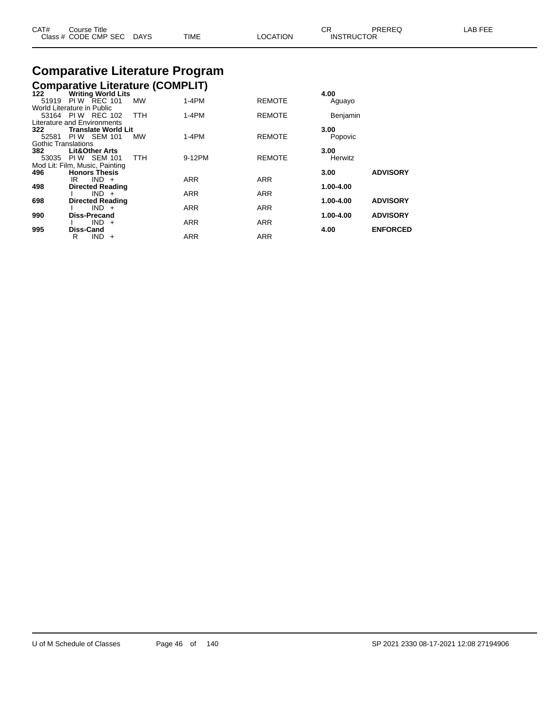| CAT# | ourse Titleٽ              |      |          | ⌒冖<br>◡ド          | PREREQ | LAB FEE |
|------|---------------------------|------|----------|-------------------|--------|---------|
|      | Class # CODE CMP SEC DAYS | TIME | LOCATION | <b>INSTRUCTOR</b> |        |         |

# **Comparative Literature Program**

#### **Comparative Literature (COMPLIT)**

| 122                 | <b>Writing World Lits</b>      |            |            |               | 4.00          |                 |
|---------------------|--------------------------------|------------|------------|---------------|---------------|-----------------|
| 51919               | <b>PIW REC 101</b>             | <b>MW</b>  | $1-4PM$    | <b>REMOTE</b> | Aguayo        |                 |
|                     | World Literature in Public     |            |            |               |               |                 |
|                     | 53164 PIW REC 102              | <b>TTH</b> | $1-4PM$    | <b>REMOTE</b> | Benjamin      |                 |
|                     | Literature and Environments    |            |            |               |               |                 |
| 322                 | <b>Translate World Lit</b>     |            |            |               | 3.00          |                 |
| 52581               | <b>PIW SEM 101</b>             | <b>MW</b>  | $1-4PM$    | <b>REMOTE</b> | Popovic       |                 |
| Gothic Translations |                                |            |            |               |               |                 |
| 382                 | <b>Lit&amp;Other Arts</b>      |            |            |               | 3.00          |                 |
|                     | 53035 PIW SEM 101              | <b>TTH</b> | 9-12PM     | <b>REMOTE</b> | Herwitz       |                 |
|                     | Mod Lit: Film, Music, Painting |            |            |               |               |                 |
| 496                 | <b>Honors Thesis</b>           |            |            |               | 3.00          | <b>ADVISORY</b> |
|                     | $IND +$<br>IR                  |            | <b>ARR</b> | <b>ARR</b>    |               |                 |
| 498                 | <b>Directed Reading</b>        |            |            |               | 1.00-4.00     |                 |
|                     | $IND +$                        |            | <b>ARR</b> | <b>ARR</b>    |               |                 |
| 698                 | <b>Directed Reading</b>        |            |            |               | $1.00 - 4.00$ | <b>ADVISORY</b> |
|                     | $IND +$                        |            | <b>ARR</b> | <b>ARR</b>    |               |                 |
| 990                 | Diss-Precand                   |            |            |               | 1.00-4.00     | <b>ADVISORY</b> |
|                     | $IND +$                        |            | <b>ARR</b> | <b>ARR</b>    |               |                 |
| 995                 | Diss-Cand                      |            |            |               | 4.00          | <b>ENFORCED</b> |
|                     | $IND +$<br>R                   |            | <b>ARR</b> | <b>ARR</b>    |               |                 |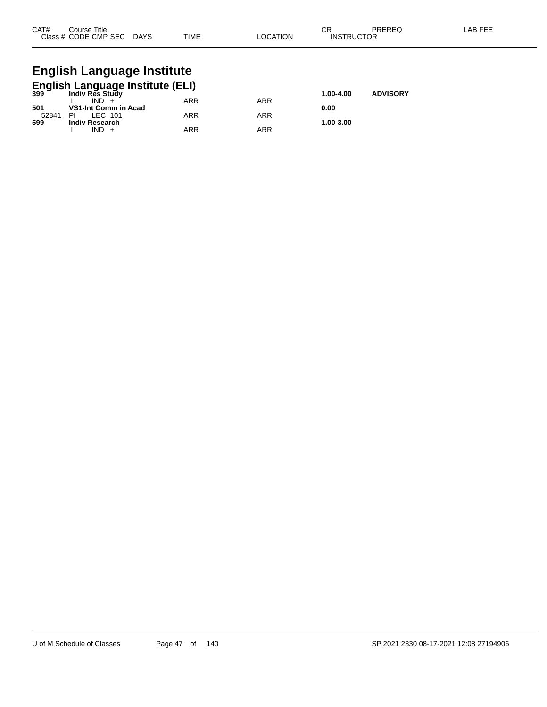| CAT# | Course Title              |             |          | ∩⊓<br>◡           | PREREQ | -AB FEE |
|------|---------------------------|-------------|----------|-------------------|--------|---------|
|      | Class # CODE CMP SEC DAYS | <b>TIME</b> | LOCATION | <b>INSTRUCTOR</b> |        |         |

# **English Language Institute**

|       | <b>English Language Institute (ELI)</b><br><sup>399</sup> Indiy Res Study |           |                 |           |  |  |  |  |  |  |  |
|-------|---------------------------------------------------------------------------|-----------|-----------------|-----------|--|--|--|--|--|--|--|
|       |                                                                           | 1.00-4.00 | <b>ADVISORY</b> |           |  |  |  |  |  |  |  |
|       | $IND +$                                                                   | ARR       | ARR             |           |  |  |  |  |  |  |  |
| 501   | VS1-Int Comm in Acad                                                      |           |                 | 0.00      |  |  |  |  |  |  |  |
| 52841 | LEC 101<br>PI                                                             | ARR       | ARR             |           |  |  |  |  |  |  |  |
| 599   | <b>Indiv Research</b>                                                     |           |                 | 1.00-3.00 |  |  |  |  |  |  |  |
|       | IND.                                                                      | ARR       | ARR             |           |  |  |  |  |  |  |  |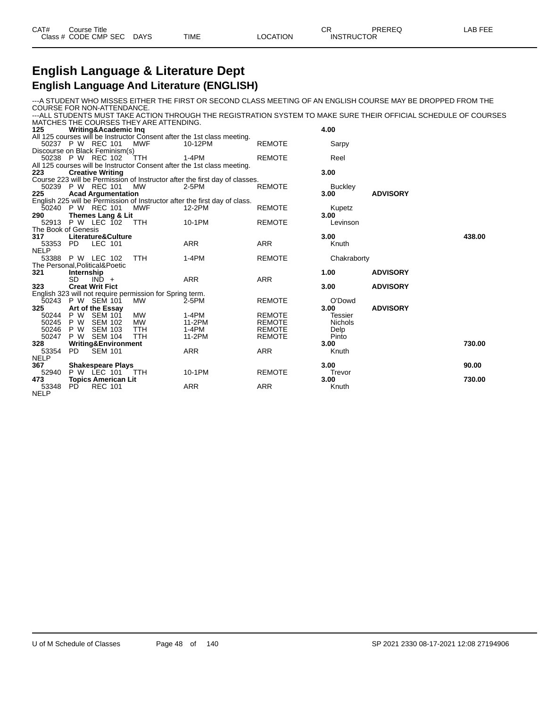| CAT# | Course Title         |             |      |                 | ັບເ               | PREREC | LAB FEE |
|------|----------------------|-------------|------|-----------------|-------------------|--------|---------|
|      | Class # CODE CMP SEC | <b>DAYS</b> | TIME | <b>LOCATION</b> | <b>INSTRUCTOR</b> |        |         |

### **English Language & Literature Dept English Language And Literature (ENGLISH)**

---A STUDENT WHO MISSES EITHER THE FIRST OR SECOND CLASS MEETING OF AN ENGLISH COURSE MAY BE DROPPED FROM THE COURSE FOR NON-ATTENDANCE. ---ALL STUDENTS MUST TAKE ACTION THROUGH THE REGISTRATION SYSTEM TO MAKE SURE THEIR OFFICIAL SCHEDULE OF COURSES

|                     |            |                                 | MATCHES THE COURSES THEY ARE ATTENDING.                  |                                                                             |               |                |                 |        |
|---------------------|------------|---------------------------------|----------------------------------------------------------|-----------------------------------------------------------------------------|---------------|----------------|-----------------|--------|
| 125                 |            | <b>Writing&amp;Academic Inq</b> |                                                          |                                                                             |               | 4.00           |                 |        |
|                     |            |                                 |                                                          | All 125 courses will be Instructor Consent after the 1st class meeting.     |               |                |                 |        |
|                     |            | 50237 P W REC 101               | <b>MWF</b>                                               | 10-12PM                                                                     | <b>REMOTE</b> | Sarpy          |                 |        |
|                     |            | Discourse on Black Feminism(s)  |                                                          |                                                                             |               |                |                 |        |
|                     |            | 50238 P W REC 102               | TTH                                                      | 1-4PM                                                                       | <b>REMOTE</b> | Reel           |                 |        |
|                     |            |                                 |                                                          | All 125 courses will be Instructor Consent after the 1st class meeting.     |               |                |                 |        |
| 223                 |            | <b>Creative Writing</b>         |                                                          |                                                                             |               | 3.00           |                 |        |
|                     |            |                                 |                                                          | Course 223 will be Permission of Instructor after the first day of classes. |               |                |                 |        |
|                     |            | 50239 P W REC 101               | MW                                                       | 2-5PM                                                                       | <b>REMOTE</b> | <b>Buckley</b> |                 |        |
| 225                 |            | <b>Acad Argumentation</b>       |                                                          |                                                                             |               | 3.00           | <b>ADVISORY</b> |        |
|                     |            |                                 |                                                          | English 225 will be Permission of Instructor after the first day of class.  |               |                |                 |        |
|                     |            | 50240 P W REC 101               | <b>MWF</b>                                               | 12-2PM                                                                      | <b>REMOTE</b> | Kupetz         |                 |        |
| 290                 |            | Themes Lang & Lit               |                                                          |                                                                             |               | 3.00           |                 |        |
| 52913               |            | <b>P W LEC 102</b>              | <b>TTH</b>                                               | 10-1PM                                                                      | <b>REMOTE</b> | Levinson       |                 |        |
| The Book of Genesis |            |                                 |                                                          |                                                                             |               |                |                 |        |
| 317                 |            | Literature&Culture              |                                                          |                                                                             |               | 3.00           |                 | 438.00 |
| 53353               | PD.        | LEC 101                         |                                                          | <b>ARR</b>                                                                  | <b>ARR</b>    | Knuth          |                 |        |
| <b>NELP</b>         |            |                                 |                                                          |                                                                             |               |                |                 |        |
|                     |            | 53388 P W LEC 102               | <b>TTH</b>                                               | $1-4PM$                                                                     | <b>REMOTE</b> | Chakraborty    |                 |        |
|                     |            | The Personal, Political& Poetic |                                                          |                                                                             |               |                |                 |        |
| 321                 | Internship |                                 |                                                          |                                                                             |               | 1.00           | <b>ADVISORY</b> |        |
|                     | <b>SD</b>  | $IND +$                         |                                                          | <b>ARR</b>                                                                  | <b>ARR</b>    |                |                 |        |
| 323                 |            | <b>Creat Writ Fict</b>          |                                                          |                                                                             |               | 3.00           | <b>ADVISORY</b> |        |
|                     |            |                                 | English 323 will not require permission for Spring term. |                                                                             |               |                |                 |        |
| 50243               |            | P W SEM 101                     | <b>MW</b>                                                | 2-5PM                                                                       | <b>REMOTE</b> | O'Dowd         |                 |        |
| 325                 |            | Art of the Essay                |                                                          |                                                                             |               | 3.00           | <b>ADVISORY</b> |        |
| 50244               | P W        | <b>SEM 101</b>                  | <b>MW</b>                                                | $1-4PM$                                                                     | <b>REMOTE</b> | Tessier        |                 |        |
| 50245               | P W        | <b>SEM 102</b>                  | <b>MW</b>                                                | 11-2PM                                                                      | <b>REMOTE</b> | <b>Nichols</b> |                 |        |
| 50246               | P W        | <b>SEM 103</b>                  | <b>TTH</b>                                               | $1-4PM$                                                                     | <b>REMOTE</b> | Delp           |                 |        |
| 50247               | P W        | <b>SEM 104</b>                  | <b>TTH</b>                                               | 11-2PM                                                                      | <b>REMOTE</b> | Pinto          |                 |        |
| 328                 |            | <b>Writing&amp;Environment</b>  |                                                          |                                                                             |               | 3.00           |                 | 730.00 |
| 53354               | PD.        | <b>SEM 101</b>                  |                                                          | <b>ARR</b>                                                                  | <b>ARR</b>    | Knuth          |                 |        |
| <b>NELP</b>         |            |                                 |                                                          |                                                                             |               |                |                 |        |
| 367                 |            | <b>Shakespeare Plays</b>        |                                                          |                                                                             |               | 3.00           |                 | 90.00  |
| 52940               |            | P W LEC 101                     | <b>TTH</b>                                               | 10-1PM                                                                      | <b>REMOTE</b> | Trevor         |                 |        |
| 473                 |            | <b>Topics American Lit</b>      |                                                          |                                                                             |               | 3.00           |                 | 730.00 |
| 53348               | PD.        | <b>REC 101</b>                  |                                                          | ARR                                                                         | <b>ARR</b>    | Knuth          |                 |        |
| <b>NELP</b>         |            |                                 |                                                          |                                                                             |               |                |                 |        |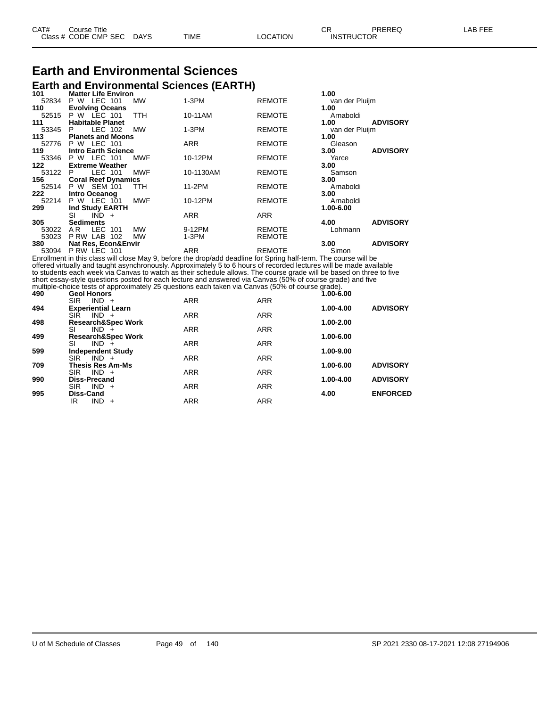| CAT# | Title<br>Course<br>Class # CODE CMP SEC | DAYS | TIME | LOCATION | ΩD.<br>◡<br><b>INSTRUCTOR</b> | PREREQ | . EEF<br>AR |
|------|-----------------------------------------|------|------|----------|-------------------------------|--------|-------------|
|      |                                         |      |      |          |                               |        |             |

#### **Earth and Environmental Sciences Earth and Environmental Sciences (EARTH)**

| 101     | <b>Matter Life Environ</b>      |            |               | 1.00                    |
|---------|---------------------------------|------------|---------------|-------------------------|
| 52834   | P W LEC 101<br><b>MW</b>        | $1-3PM$    | <b>REMOTE</b> | van der Pluijm          |
| 110     | <b>Evolving Oceans</b>          |            |               | 1.00                    |
|         | 52515 P W LEC 101<br><b>TTH</b> | 10-11AM    | <b>REMOTE</b> | Arnaboldi               |
| 111     | <b>Habitable Planet</b>         |            |               | 1.00<br><b>ADVISORY</b> |
| 53345 P | LEC 102<br>MW                   | $1-3PM$    | <b>REMOTE</b> | van der Pluijm          |
| 113     | <b>Planets and Moons</b>        |            |               | 1.00                    |
| 52776   | <b>P W LEC 101</b>              | <b>ARR</b> | <b>REMOTE</b> | Gleason                 |
| 119     | <b>Intro Earth Science</b>      |            |               | <b>ADVISORY</b><br>3.00 |
|         | 53346 P W LEC 101<br>MWF        | 10-12PM    | <b>REMOTE</b> | Yarce                   |
| 122     | <b>Extreme Weather</b>          |            |               | 3.00                    |
| 53122 P | LEC 101<br><b>MWF</b>           | 10-1130AM  | <b>REMOTE</b> | Samson                  |
| 156 —   | <b>Coral Reef Dynamics</b>      |            |               | 3.00                    |
|         | 52514 P W SEM 101<br>TTH.       | 11-2PM     | <b>REMOTE</b> | Arnaboldi               |
| 222     | Intro Oceanog                   |            |               | 3.00                    |
| 52214   | P W LEC 101<br>MWF              | 10-12PM    | <b>REMOTE</b> | Arnaboldi               |
| 299     | <b>Ind Study EARTH</b>          |            |               | 1.00-6.00               |
|         | SI<br>$IND +$                   | <b>ARR</b> | <b>ARR</b>    |                         |
| 305     | <b>Sediments</b>                |            |               | <b>ADVISORY</b><br>4.00 |
| 53022   | LEC 101<br>MW<br>AR.            | 9-12PM     | <b>REMOTE</b> | Lohmann                 |
| 53023   | PRW LAB 102<br><b>MW</b>        | 1-3PM      | <b>REMOTE</b> |                         |
| 380     | <b>Nat Res, Econ&amp;Envir</b>  |            |               | <b>ADVISORY</b><br>3.00 |
| 53094   | PRW LEC 101                     | <b>ARR</b> | <b>REMOTE</b> | Simon                   |

Enrollment in this class will close May 9, before the drop/add deadline for Spring half-term. The course will be offered virtually and taught asynchronously. Approximately 5 to 6 hours of recorded lectures will be made available to students each week via Canvas to watch as their schedule allows. The course grade will be based on three to five short essay-style questions posted for each lecture and answered via Canvas (50% of course grade) and five multiple-choice tests of approximately 25 questions each taken via Canvas (50% of course grade).

| 490 | <b>Geol Honors</b>            |            |            | $1.00 - 6.00$ |                 |
|-----|-------------------------------|------------|------------|---------------|-----------------|
|     | $IND +$<br><b>SIR</b>         | <b>ARR</b> | <b>ARR</b> |               |                 |
| 494 | <b>Experiential Learn</b>     |            |            | 1.00-4.00     | <b>ADVISORY</b> |
|     | <b>SIR</b><br>$IND +$         | <b>ARR</b> | <b>ARR</b> |               |                 |
| 498 | <b>Research&amp;Spec Work</b> |            |            | 1.00-2.00     |                 |
|     | SI<br>$IND +$                 | <b>ARR</b> | <b>ARR</b> |               |                 |
| 499 | <b>Research&amp;Spec Work</b> |            |            | 1.00-6.00     |                 |
|     | SI<br>$IND +$                 | <b>ARR</b> | <b>ARR</b> |               |                 |
| 599 | <b>Independent Study</b>      |            |            | 1.00-9.00     |                 |
|     | <b>SIR</b><br>$IND +$         | <b>ARR</b> | <b>ARR</b> |               |                 |
| 709 | <b>Thesis Res Am-Ms</b>       |            |            | 1.00-6.00     | <b>ADVISORY</b> |
|     | <b>SIR</b><br>$IND +$         | <b>ARR</b> | <b>ARR</b> |               |                 |
| 990 | <b>Diss-Precand</b>           |            |            | 1.00-4.00     | <b>ADVISORY</b> |
|     | <b>SIR</b><br>$IND +$         | <b>ARR</b> | <b>ARR</b> |               |                 |
| 995 | <b>Diss-Cand</b>              |            |            | 4.00          | <b>ENFORCED</b> |
|     | $IND +$<br>IR                 | <b>ARR</b> | <b>ARR</b> |               |                 |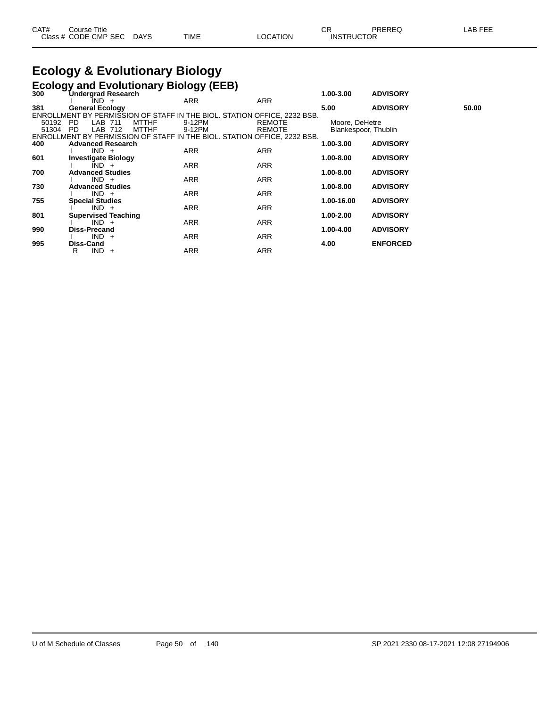| CAT# | Course Title              |             |          | СR                | PREREQ | LAB FEE |
|------|---------------------------|-------------|----------|-------------------|--------|---------|
|      | Class # CODE CMP SEC DAYS | <b>TIME</b> | LOCATION | <b>INSTRUCTOR</b> |        |         |

## **Ecology & Evolutionary Biology**

|       |                            | <b>Ecology and Evolutionary Biology (EEB)</b> |                                                                          |               |                      |                 |       |
|-------|----------------------------|-----------------------------------------------|--------------------------------------------------------------------------|---------------|----------------------|-----------------|-------|
| 300   | <b>Undergrad Research</b>  |                                               |                                                                          |               | 1.00-3.00            | <b>ADVISORY</b> |       |
|       | IND +                      |                                               | <b>ARR</b>                                                               | ARR           |                      |                 |       |
| 381   | <b>General Ecology</b>     |                                               |                                                                          |               | 5.00                 | <b>ADVISORY</b> | 50.00 |
|       |                            |                                               | ENROLLMENT BY PERMISSION OF STAFF IN THE BIOL. STATION OFFICE, 2232 BSB. |               |                      |                 |       |
| 50192 | <b>PD</b><br>LAB 711       | <b>MTTHF</b>                                  | 9-12PM                                                                   | <b>REMOTE</b> | Moore, DeHetre       |                 |       |
| 51304 | LAB<br><b>PD</b>           | <b>MTTHF</b><br>712                           | 9-12PM                                                                   | <b>REMOTE</b> | Blankespoor, Thublin |                 |       |
| 400   | <b>Advanced Research</b>   |                                               | ENROLLMENT BY PERMISSION OF STAFF IN THE BIOL. STATION OFFICE, 2232 BSB. |               | 1.00-3.00            | <b>ADVISORY</b> |       |
|       | $IND +$                    |                                               | <b>ARR</b>                                                               | <b>ARR</b>    |                      |                 |       |
| 601   | <b>Investigate Biology</b> |                                               |                                                                          |               | 1.00-8.00            | <b>ADVISORY</b> |       |
|       | $IND +$                    |                                               | <b>ARR</b>                                                               | <b>ARR</b>    |                      |                 |       |
| 700   | <b>Advanced Studies</b>    |                                               |                                                                          |               | 1.00-8.00            | <b>ADVISORY</b> |       |
|       | $IND +$                    |                                               | ARR                                                                      | ARR           |                      |                 |       |
| 730   | <b>Advanced Studies</b>    |                                               |                                                                          |               | 1.00-8.00            | <b>ADVISORY</b> |       |
|       | $IND +$                    |                                               | <b>ARR</b>                                                               | <b>ARR</b>    |                      |                 |       |
| 755   | <b>Special Studies</b>     |                                               |                                                                          |               | 1.00-16.00           | <b>ADVISORY</b> |       |
|       | $IND +$                    |                                               | <b>ARR</b>                                                               | <b>ARR</b>    |                      |                 |       |
| 801   | <b>Supervised Teaching</b> |                                               |                                                                          |               | 1.00-2.00            | <b>ADVISORY</b> |       |
|       | $IND +$                    |                                               | <b>ARR</b>                                                               | <b>ARR</b>    |                      |                 |       |
| 990   | <b>Diss-Precand</b>        |                                               |                                                                          |               | 1.00-4.00            | <b>ADVISORY</b> |       |
|       | $IND +$                    |                                               | <b>ARR</b>                                                               | <b>ARR</b>    |                      |                 |       |
| 995   | Diss-Cand                  |                                               |                                                                          |               | 4.00                 | <b>ENFORCED</b> |       |
|       | $IND +$<br>R               |                                               | <b>ARR</b>                                                               | ARR           |                      |                 |       |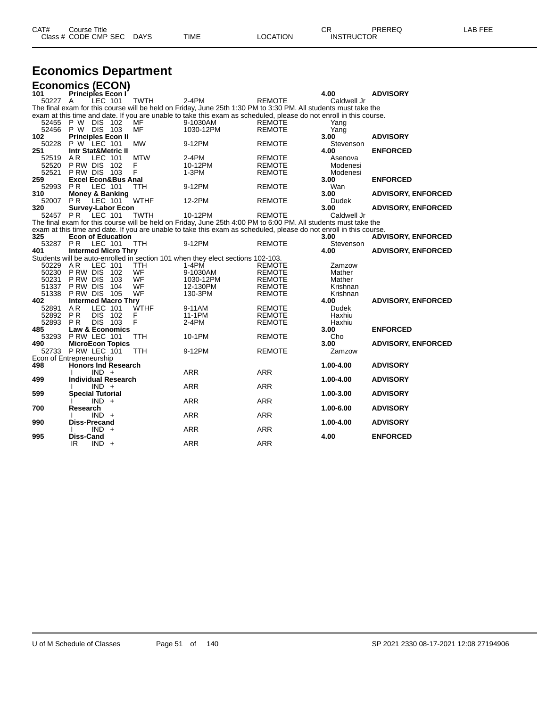| CAT# | Title<br>Course                |                       |      |          | ⌒冖<br>◡           | PREREC | ---<br>ΔP.<br>--- |
|------|--------------------------------|-----------------------|------|----------|-------------------|--------|-------------------|
|      | Class # CODE<br><b>CMP SEC</b> | <b>DAYS</b><br>$\sim$ | TIME | LOCATION | <b>INSTRUCTOR</b> |        |                   |

# **Economics Department**

| <b>Economics (ECON)</b>  |                                         |                |     |             |                                                                                                                                                                                                                                       |               |              |                           |
|--------------------------|-----------------------------------------|----------------|-----|-------------|---------------------------------------------------------------------------------------------------------------------------------------------------------------------------------------------------------------------------------------|---------------|--------------|---------------------------|
| 101                      | <b>Principles Econ I</b>                |                |     |             |                                                                                                                                                                                                                                       |               | 4.00         | <b>ADVISORY</b>           |
| 50227 A                  |                                         | LEC 101        |     | <b>TWTH</b> | $2-4PM$                                                                                                                                                                                                                               | <b>REMOTE</b> | Caldwell Jr  |                           |
|                          |                                         |                |     |             | The final exam for this course will be held on Friday, June 25th 1:30 PM to 3:30 PM. All students must take the<br>exam at this time and date. If you are unable to take this exam as scheduled, please do not enroll in this course. |               |              |                           |
| 52455                    | P W DIS 102                             |                |     | MF          | 9-1030AM                                                                                                                                                                                                                              | <b>REMOTE</b> |              |                           |
| 52456 P W DIS 103        |                                         |                |     | MF          | 1030-12PM                                                                                                                                                                                                                             | <b>REMOTE</b> | Yang<br>Yang |                           |
| 102                      | <b>Principles Econ II</b>               |                |     |             |                                                                                                                                                                                                                                       |               | 3.00         | <b>ADVISORY</b>           |
| 50228                    | P W LEC 101                             |                |     | <b>MW</b>   | 9-12PM                                                                                                                                                                                                                                | <b>REMOTE</b> | Stevenson    |                           |
| 251                      | <b>Intr Stat&amp;Metric II</b>          |                |     |             |                                                                                                                                                                                                                                       |               | 4.00         | <b>ENFORCED</b>           |
| 52519                    | A <sub>R</sub>                          | LEC 101        |     | <b>MTW</b>  | $2-4PM$                                                                                                                                                                                                                               | <b>REMOTE</b> | Asenova      |                           |
| 52520                    | PRW DIS 102                             |                |     | F           | 10-12PM                                                                                                                                                                                                                               | <b>REMOTE</b> | Modenesi     |                           |
| 52521                    | P RW DIS 103                            |                |     | F           | $1-3PM$                                                                                                                                                                                                                               | <b>REMOTE</b> | Modenesi     |                           |
| 259                      | <b>Excel Econ&amp;Bus Anal</b>          |                |     |             |                                                                                                                                                                                                                                       |               | 3.00         | <b>ENFORCED</b>           |
| 52993                    | <b>PR</b>                               | <b>LEC 101</b> |     | TTH         | 9-12PM                                                                                                                                                                                                                                | <b>REMOTE</b> | Wan          |                           |
| 310                      | <b>Money &amp; Banking</b>              |                |     |             |                                                                                                                                                                                                                                       |               | 3.00         | <b>ADVISORY, ENFORCED</b> |
| 52007                    | <b>PR</b>                               | LEC 101        |     | <b>WTHF</b> | 12-2PM                                                                                                                                                                                                                                | <b>REMOTE</b> | <b>Dudek</b> |                           |
| 320                      | <b>Survey-Labor Econ</b>                |                |     |             |                                                                                                                                                                                                                                       |               | 3.00         | <b>ADVISORY, ENFORCED</b> |
| 52457                    | PR                                      | LEC 101        |     | <b>TWTH</b> | 10-12PM                                                                                                                                                                                                                               | <b>REMOTE</b> | Caldwell Jr  |                           |
|                          |                                         |                |     |             | The final exam for this course will be held on Friday, June 25th 4:00 PM to 6:00 PM. All students must take the<br>exam at this time and date. If you are unable to take this exam as scheduled, please do not enroll in this course. |               |              |                           |
| 325                      | <b>Econ of Education</b>                |                |     |             |                                                                                                                                                                                                                                       |               | 3.00         | <b>ADVISORY, ENFORCED</b> |
| 53287                    | P <sub>R</sub>                          | LEC 101        |     | TTH         | 9-12PM                                                                                                                                                                                                                                | <b>REMOTE</b> | Stevenson    |                           |
| 401                      | <b>Intermed Micro Thry</b>              |                |     |             |                                                                                                                                                                                                                                       |               | 4.00         | <b>ADVISORY, ENFORCED</b> |
|                          |                                         |                |     |             | Students will be auto-enrolled in section 101 when they elect sections 102-103.                                                                                                                                                       |               |              |                           |
| 50229                    | AR                                      | LEC 101        |     | <b>TTH</b>  | $1-4PM$                                                                                                                                                                                                                               | REMOTE        | Zamzow       |                           |
| 50230                    | P RW DIS                                |                | 102 | WF          | 9-1030AM                                                                                                                                                                                                                              | <b>REMOTE</b> | Mather       |                           |
| 50231                    | P RW DIS                                |                | 103 | WF          | 1030-12PM                                                                                                                                                                                                                             | <b>REMOTE</b> | Mather       |                           |
| 51337                    | P RW DIS                                |                | 104 | WF          | 12-130PM                                                                                                                                                                                                                              | <b>REMOTE</b> | Krishnan     |                           |
| 51338                    | P RW DIS                                |                | 105 | WF          | 130-3PM                                                                                                                                                                                                                               | <b>REMOTE</b> | Krishnan     |                           |
| 402                      | <b>Intermed Macro Thry</b>              |                |     |             |                                                                                                                                                                                                                                       |               | 4.00         | <b>ADVISORY, ENFORCED</b> |
| 52891                    | A <sub>R</sub>                          | LEC 101        |     | <b>WTHF</b> | 9-11AM                                                                                                                                                                                                                                | REMOTE        | Dudek        |                           |
| 52892                    | <b>PR</b>                               | <b>DIS</b>     | 102 | F           | 11-1PM                                                                                                                                                                                                                                | <b>REMOTE</b> | Haxhiu       |                           |
| 52893<br>485             | <b>PR</b><br><b>Law &amp; Economics</b> | DIS 103        |     | F           | 2-4PM                                                                                                                                                                                                                                 | <b>REMOTE</b> | Haxhiu       | <b>ENFORCED</b>           |
| 53293                    | PRW LEC 101                             |                |     | <b>TTH</b>  | 10-1PM                                                                                                                                                                                                                                | <b>REMOTE</b> | 3.00<br>Cho  |                           |
| 490                      | <b>MicroEcon Topics</b>                 |                |     |             |                                                                                                                                                                                                                                       |               | 3.00         | <b>ADVISORY, ENFORCED</b> |
| 52733                    | PRW LEC 101                             |                |     | TTH         | 9-12PM                                                                                                                                                                                                                                | <b>REMOTE</b> | Zamzow       |                           |
| Econ of Entrepreneurship |                                         |                |     |             |                                                                                                                                                                                                                                       |               |              |                           |
| 498                      | <b>Honors Ind Research</b>              |                |     |             |                                                                                                                                                                                                                                       |               | 1.00-4.00    | <b>ADVISORY</b>           |
|                          |                                         | $IND +$        |     |             | <b>ARR</b>                                                                                                                                                                                                                            | <b>ARR</b>    |              |                           |
| 499                      | <b>Individual Research</b>              |                |     |             |                                                                                                                                                                                                                                       |               | 1.00-4.00    | <b>ADVISORY</b>           |
|                          |                                         | $IND +$        |     |             | <b>ARR</b>                                                                                                                                                                                                                            | <b>ARR</b>    |              |                           |
| 599                      | <b>Special Tutorial</b>                 |                |     |             |                                                                                                                                                                                                                                       |               | 1.00-3.00    | <b>ADVISORY</b>           |
|                          |                                         | $IND +$        |     |             | <b>ARR</b>                                                                                                                                                                                                                            | <b>ARR</b>    |              |                           |
| 700                      | Research                                |                |     |             |                                                                                                                                                                                                                                       |               | 1.00-6.00    | <b>ADVISORY</b>           |
|                          |                                         | $IND +$        |     |             | <b>ARR</b>                                                                                                                                                                                                                            | <b>ARR</b>    |              |                           |
| 990                      | <b>Diss-Precand</b>                     |                |     |             |                                                                                                                                                                                                                                       |               | 1.00-4.00    | <b>ADVISORY</b>           |
|                          |                                         | $IND +$        |     |             | <b>ARR</b>                                                                                                                                                                                                                            | <b>ARR</b>    |              |                           |
| 995                      | <b>Diss-Cand</b><br>IR                  | $IND +$        |     |             | <b>ARR</b>                                                                                                                                                                                                                            | <b>ARR</b>    | 4.00         | <b>ENFORCED</b>           |
|                          |                                         |                |     |             |                                                                                                                                                                                                                                       |               |              |                           |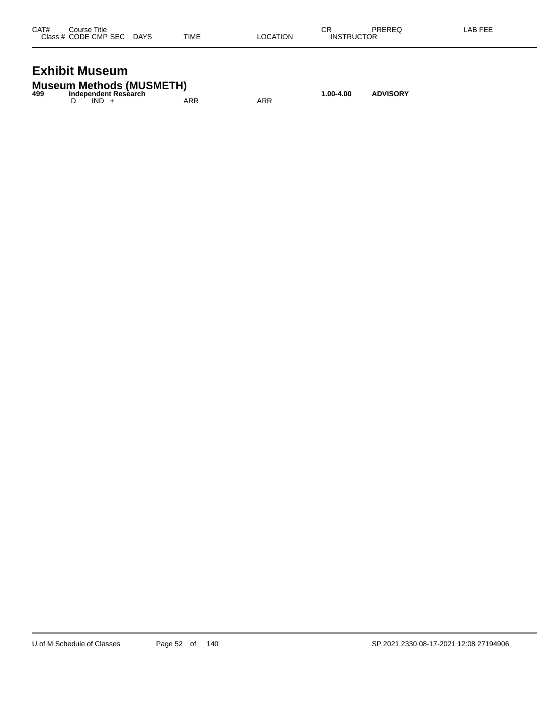| CAT# | Course Title              |      |          | СR                | PREREQ | LAB FEE |
|------|---------------------------|------|----------|-------------------|--------|---------|
|      | Class # CODE CMP SEC DAYS | TIME | LOCATION | <b>INSTRUCTOR</b> |        |         |
|      |                           |      |          |                   |        |         |

## **Exhibit Museum**

|     | <b>Museum Methods (MUSMETH)</b> |     |     |           |                 |
|-----|---------------------------------|-----|-----|-----------|-----------------|
| 499 | Independent Research            |     |     | 1.00-4.00 | <b>ADVISORY</b> |
|     | $IND +$                         | ARR | ARR |           |                 |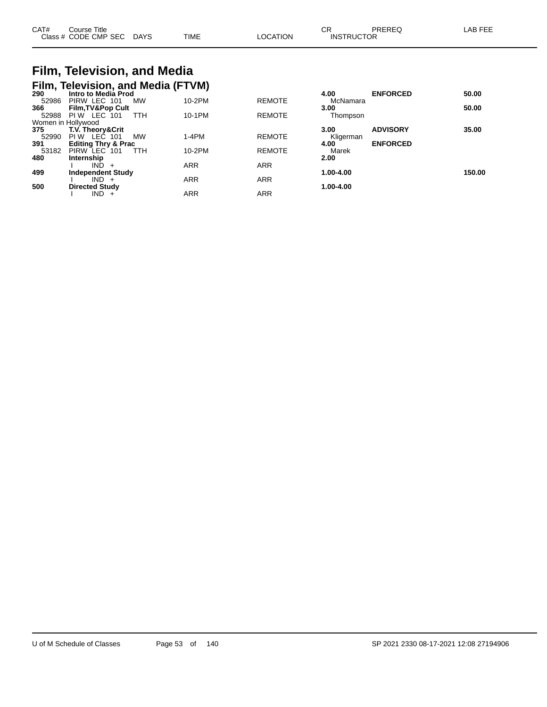| CAT#<br>Class | Title<br>∴ourse<br>CODE CMP SEC | DAYS | TIME | TION.<br>^^^ | $\sim$ $\sim$<br>◡<br><b>INSTRUCTOR</b> |  |  |
|---------------|---------------------------------|------|------|--------------|-----------------------------------------|--|--|
|---------------|---------------------------------|------|------|--------------|-----------------------------------------|--|--|

#### **Film, Television, and Media Film, Television, and Media (FTVM)**

| 290                | Intro to Media Prod            |            |               | 4.00      | <b>ENFORCED</b> | 50.00  |
|--------------------|--------------------------------|------------|---------------|-----------|-----------------|--------|
| 52986              | PIRW LEC 101<br>MW             | 10-2PM     | <b>REMOTE</b> | McNamara  |                 |        |
| 366                | Film, TV&Pop Cult              |            |               | 3.00      |                 | 50.00  |
| 52988              | PIW LEC 101<br>ттн             | 10-1PM     | <b>REMOTE</b> | Thompson  |                 |        |
| Women in Hollywood |                                |            |               |           |                 |        |
| 375                | <b>T.V. Theory&amp;Crit</b>    |            |               | 3.00      | <b>ADVISORY</b> | 35.00  |
| 52990              | <b>MW</b><br>PIW LEC<br>101    | $1-4PM$    | <b>REMOTE</b> | Kligerman |                 |        |
| 391                | <b>Editing Thry &amp; Prac</b> |            |               | 4.00      | <b>ENFORCED</b> |        |
| 53182              | PIRW LEC 101<br>TTH            | 10-2PM     | <b>REMOTE</b> | Marek     |                 |        |
| 480                | Internship                     |            |               | 2.00      |                 |        |
|                    | IND -                          | <b>ARR</b> | <b>ARR</b>    |           |                 |        |
| 499                | <b>Independent Study</b>       |            |               | 1.00-4.00 |                 | 150.00 |
|                    | $IND +$                        | ARR        | <b>ARR</b>    |           |                 |        |
| 500                | <b>Directed Study</b>          |            |               | 1.00-4.00 |                 |        |
|                    | $IND +$                        | <b>ARR</b> | <b>ARR</b>    |           |                 |        |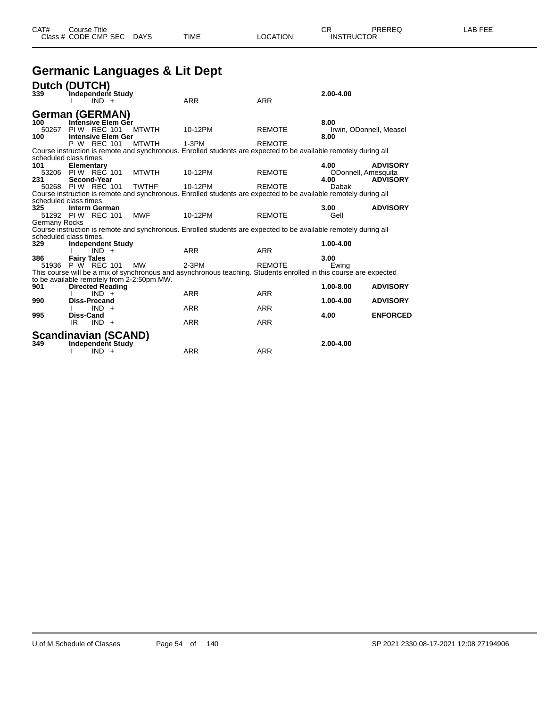## **Germanic Languages & Lit Dept**

|               | Dutch (DUTCH)                              |              |                                                                                                                   |               |                         |                 |
|---------------|--------------------------------------------|--------------|-------------------------------------------------------------------------------------------------------------------|---------------|-------------------------|-----------------|
| 339           | Independent Study                          |              |                                                                                                                   |               | $2.00 - 4.00$           |                 |
|               | $IND +$                                    |              | <b>ARR</b>                                                                                                        | <b>ARR</b>    |                         |                 |
|               | <b>German (GERMAN)</b>                     |              |                                                                                                                   |               |                         |                 |
| 100           | Intensive Elem Ger                         |              |                                                                                                                   |               | 8.00                    |                 |
| 50267         | PIW REC 101                                | <b>MTWTH</b> | 10-12PM                                                                                                           | <b>REMOTE</b> | Irwin, ODonnell, Measel |                 |
| 100           | <b>Intensive Elem Ger</b><br>P W REC 101   | <b>MTWTH</b> | $1-3PM$                                                                                                           | <b>REMOTE</b> | 8.00                    |                 |
|               |                                            |              | Course instruction is remote and synchronous. Enrolled students are expected to be available remotely during all  |               |                         |                 |
|               | scheduled class times.                     |              |                                                                                                                   |               |                         |                 |
| 101           | Elementary                                 |              |                                                                                                                   |               | 4.00                    | <b>ADVISORY</b> |
|               | 53206 PIW REC 101                          | <b>MTWTH</b> | 10-12PM                                                                                                           | <b>REMOTE</b> | ODonnell, Amesquita     |                 |
| 231           | Second-Year                                |              |                                                                                                                   |               | 4.00                    | <b>ADVISORY</b> |
|               | 50268 PIW REC 101                          | <b>TWTHF</b> | 10-12PM                                                                                                           | <b>REMOTE</b> | Dabak                   |                 |
|               | scheduled class times.                     |              | Course instruction is remote and synchronous. Enrolled students are expected to be available remotely during all  |               |                         |                 |
| 325           | <b>Interm German</b>                       |              |                                                                                                                   |               | 3.00                    | <b>ADVISORY</b> |
|               | 51292 PIW REC 101                          | <b>MWF</b>   | 10-12PM                                                                                                           | <b>REMOTE</b> | Gell                    |                 |
| Germany Rocks |                                            |              |                                                                                                                   |               |                         |                 |
|               |                                            |              | Course instruction is remote and synchronous. Enrolled students are expected to be available remotely during all  |               |                         |                 |
|               | scheduled class times.                     |              |                                                                                                                   |               |                         |                 |
| 329           | <b>Independent Study</b><br>$IND +$        |              | <b>ARR</b>                                                                                                        | <b>ARR</b>    | 1.00-4.00               |                 |
| 386           | <b>Fairy Tales</b>                         |              |                                                                                                                   |               | 3.00                    |                 |
|               | 51936 P W REC 101                          | <b>MW</b>    | $2-3PM$                                                                                                           | <b>REMOTE</b> | Ewing                   |                 |
|               |                                            |              | This course will be a mix of synchronous and asynchronous teaching. Students enrolled in this course are expected |               |                         |                 |
|               | to be available remotely from 2-2:50pm MW. |              |                                                                                                                   |               |                         |                 |
| 901           | <b>Directed Reading</b>                    |              |                                                                                                                   |               | $1.00 - 8.00$           | <b>ADVISORY</b> |
| 990           | $IND +$<br>Diss-Precand                    |              | <b>ARR</b>                                                                                                        | <b>ARR</b>    | $1.00 - 4.00$           | <b>ADVISORY</b> |
|               | $IND +$                                    |              | <b>ARR</b>                                                                                                        | <b>ARR</b>    |                         |                 |
| 995           | <b>Diss-Cand</b>                           |              |                                                                                                                   |               | 4.00                    | <b>ENFORCED</b> |
|               | $IND +$<br>IR.                             |              | <b>ARR</b>                                                                                                        | <b>ARR</b>    |                         |                 |
|               | <b>Scandinavian (SCAND)</b>                |              |                                                                                                                   |               |                         |                 |
| 349           | <b>Independent Study</b>                   |              |                                                                                                                   |               | 2.00-4.00               |                 |
|               | $IND +$                                    |              | <b>ARR</b>                                                                                                        | <b>ARR</b>    |                         |                 |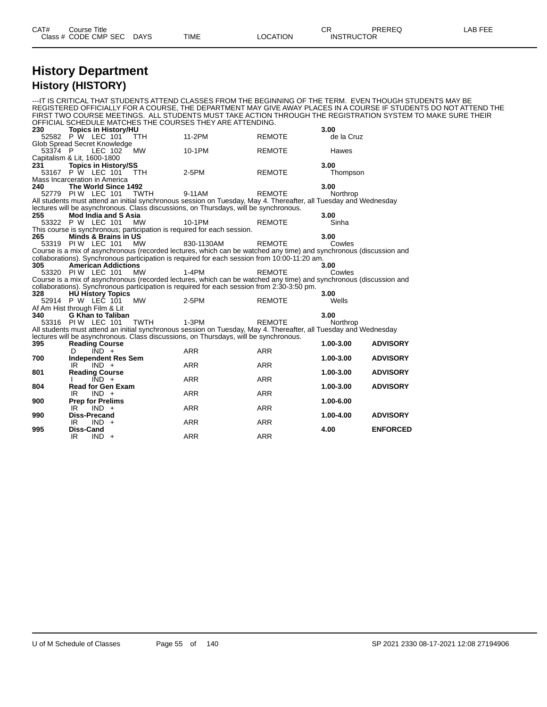| CAT# | Title<br>∴ourse            |                       |      |          | ⌒冖<br><b>UN</b>             | <b>PREREC</b><br>ヽ∟◡<br>◝ | ----<br>ΔP<br>--- |
|------|----------------------------|-----------------------|------|----------|-----------------------------|---------------------------|-------------------|
|      | Class # CODE CMP SEC<br>__ | <b>DAYS</b><br>$\sim$ | TIME | LOCATION | TRUCTOR<br>INS <sup>-</sup> | ____                      |                   |

#### **History Department History (HISTORY)**

---IT IS CRITICAL THAT STUDENTS ATTEND CLASSES FROM THE BEGINNING OF THE TERM. EVEN THOUGH STUDENTS MAY BE REGISTERED OFFICIALLY FOR A COURSE, THE DEPARTMENT MAY GIVE AWAY PLACES IN A COURSE IF STUDENTS DO NOT ATTEND THE FIRST TWO COURSE MEETINGS. ALL STUDENTS MUST TAKE ACTION THROUGH THE REGISTRATION SYSTEM TO MAKE SURE THEIR OFFICIAL SCHEDULE MATCHES THE COURSES THEY ARE ATTENDING.<br>230 Topics in History/HU **23.00 23.00 23.00 23.00 23.00 23.00 24.01 25.00 24.01 25.00 25.00 25.00 25.00 25.00 25.00 25.00 25.00 25.00 25.00 25.00 25.00 25.00 25.00 25.00 25.00 25.00 25.00 25.00** 52582 P W LEC 101 TTH 11-2PM REMOTE de la Cruz Glob Spread Secret Knowledge 53374 P LEC 102 MW 10-1PM REMOTE Hawes Capitalism & Lit, 1600-1800<br>231 Topics in Histor **231 Topics in History/SS 3.00** 53167 P W LEC 101 TTH 2-5PM REMOTE Thompson Mass Incarceration in America **240 The World Since 1492 3.00** 52779 PI W LEC 101 TWTH 9-11AM REMOTE Northrop All students must attend an initial synchronous session on Tuesday, May 4. Thereafter, all Tuesday and Wednesday lectures will be asynchronous. Class discussions, on Thursdays, will be synchronous. **255 Mod India and S Asia 3.00** 53322 P W LEC 101 MW 10-1PM REMOTE Sinha This course is synchronous; participation is required for each session. **265 Minds & Brains in US 3.00** 53319 PI W LEC 101 MW 830-1130AM REMOTE Cowles Course is a mix of asynchronous (recorded lectures, which can be watched any time) and synchronous (discussion and collaborations). Synchronous participation is required for each session from 10:00-11:20 am. **305 American Addictions 3.00** 53320 PIW LEC 101 MW 1-4PM REMOTE Cowles Course is a mix of asynchronous (recorded lectures, which can be watched any time) and synchronous (discussion and collaborations). Synchronous participation is required for each session from 2:30-3:50 pm.<br>328 **HU History Topics 328 HU History Topics 3.00** 52914 P W LEC 101 MW 2-5PM REMOTE Wells Af Am Hist through Film & Lit 340 G Khan to Taliba **340 G Khan to Taliban 3.00** 53316 PIW LEC 101 All students must attend an initial synchronous session on Tuesday, May 4. Thereafter, all Tuesday and Wednesday lectures will be asynchronous. Class discussions, on Thursdays, will be synchronous.<br>395 Reading Course **395 Reading Course 1.00-3.00 ADVISORY** D IND + ARR ARR ARR **700 Independent Res Sem 1.00-3.00 ADVISORY**  $IND +$ **801 Reading Course 1.00-3.00 ADVISORY**  $IND +$ **804 Read for Gen Exam 1.00-3.00 ADVISORY**  $IND +$ **900 Prep for Prelims 1.00-6.00** IR IND + **990 Diss-Precand 1.00-4.00 ADVISORY** IR IND + ARR ARR ARR **995 Diss-Cand 4.00 ENFORCED** IR IND + ARR ARR ARR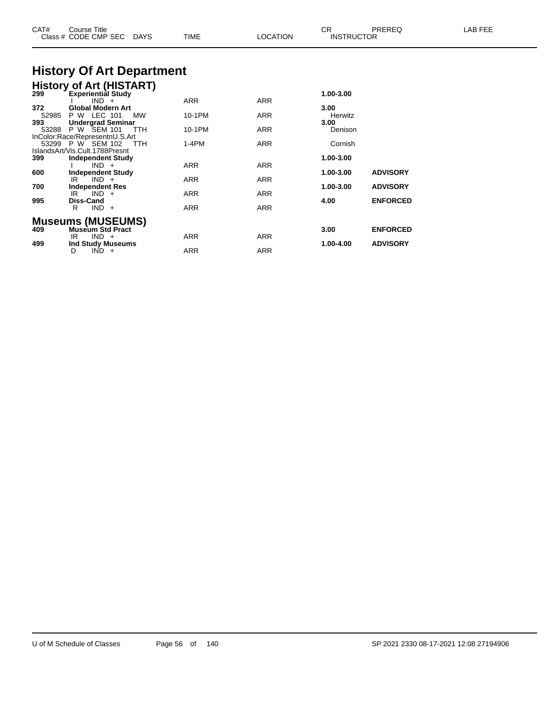| CAT#                | <b>Course Title</b><br>Class # CODE CMP SEC DAYS                                                                   | TIME            | <b>LOCATION</b>   | CR.<br><b>INSTRUCTOR</b> | PREREQ                             | LAB FEE |
|---------------------|--------------------------------------------------------------------------------------------------------------------|-----------------|-------------------|--------------------------|------------------------------------|---------|
|                     | <b>History Of Art Department</b>                                                                                   |                 |                   |                          |                                    |         |
| 299                 | <b>History of Art (HISTART)</b><br><b>Experiential Study</b><br>$IND +$                                            | <b>ARR</b>      | ARR               | 1.00-3.00                |                                    |         |
| 372<br>52985<br>393 | <b>Global Modern Art</b><br>P W LEC 101<br>МW<br><b>Undergrad Seminar</b>                                          | 10-1PM          | ARR               | 3.00<br>Herwitz<br>3.00  |                                    |         |
| 53288               | P W SEM 101<br>TTH<br>InColor:Race/RepresentnU.S.Art<br>53299 P W SEM 102<br>TTH<br>IslandsArt/Vis.Cult.1788Presnt | 10-1PM<br>1-4PM | ARR<br><b>ARR</b> | Denison<br>Cornish       |                                    |         |
| 399<br>600          | <b>Independent Study</b><br>$IND +$<br><b>Independent Study</b>                                                    | ARR             | <b>ARR</b>        | 1.00-3.00<br>1.00-3.00   | <b>ADVISORY</b>                    |         |
| 700                 | $IND +$<br>IR<br><b>Independent Res</b><br>$IND +$<br>IR                                                           | ARR<br>ARR      | ARR<br>ARR        | 1.00-3.00                | <b>ADVISORY</b>                    |         |
| 995                 | Diss-Cand<br>$IND +$<br>R.<br><b>Museums (MUSEUMS)</b>                                                             | ARR             | <b>ARR</b>        | 4.00                     | <b>ENFORCED</b>                    |         |
| 409<br>499          | <b>Museum Std Pract</b><br>$IND +$<br>IR<br>Ind Study Museums                                                      | ARR             | ARR               | 3.00<br>1.00-4.00        | <b>ENFORCED</b><br><b>ADVISORY</b> |         |
|                     | $IND +$<br>D                                                                                                       | ARR             | ARR               |                          |                                    |         |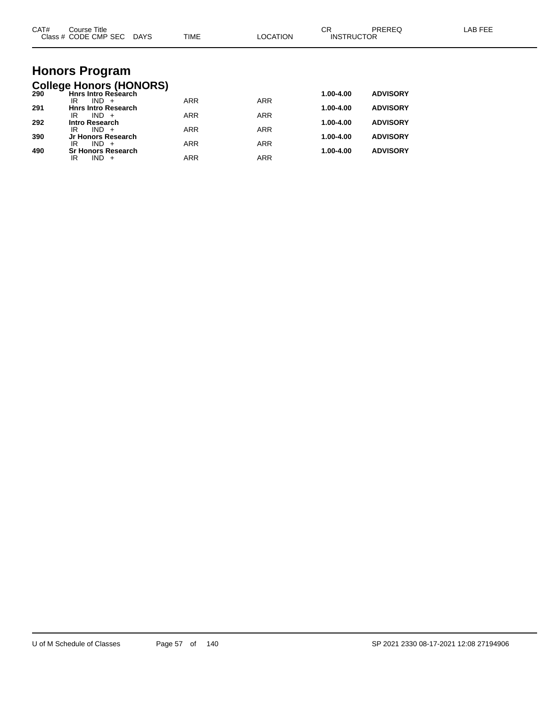| CAT# | Course Title<br>Class # CODE CMP SEC DAYS                    | TIME       | <b>LOCATION</b> | <b>CR</b><br><b>INSTRUCTOR</b> | PREREQ          | <b>LAB FEE</b> |
|------|--------------------------------------------------------------|------------|-----------------|--------------------------------|-----------------|----------------|
|      |                                                              |            |                 |                                |                 |                |
|      | <b>Honors Program</b>                                        |            |                 |                                |                 |                |
| 290  | <b>College Honors (HONORS)</b><br><b>Hnrs Intro Research</b> |            |                 | 1.00-4.00                      | <b>ADVISORY</b> |                |
| 291  | $IND +$<br>IR<br><b>Hnrs Intro Research</b>                  | <b>ARR</b> | <b>ARR</b>      | 1.00-4.00                      | <b>ADVISORY</b> |                |
| 292  | $IND +$<br>IR<br><b>Intro Research</b>                       | <b>ARR</b> | <b>ARR</b>      | 1.00-4.00                      | <b>ADVISORY</b> |                |
|      | $IND +$<br>IR                                                | <b>ARR</b> | <b>ARR</b>      |                                |                 |                |
| 390  | Jr Honors Research<br>$IND +$<br>IR                          | <b>ARR</b> | <b>ARR</b>      | 1.00-4.00                      | <b>ADVISORY</b> |                |
| 490  | <b>Sr Honors Research</b><br>$IND +$<br>IR                   | <b>ARR</b> | <b>ARR</b>      | 1.00-4.00                      | <b>ADVISORY</b> |                |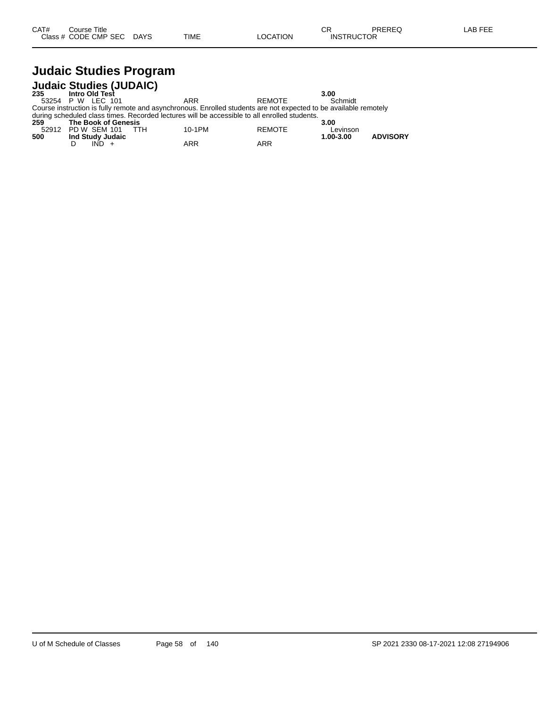# **Judaic Studies Program**

|     | <b>Judaic Studies (JUDAIC)</b> |            |                                                                                                                  |               |           |                 |
|-----|--------------------------------|------------|------------------------------------------------------------------------------------------------------------------|---------------|-----------|-----------------|
| 235 | Intro Old Test                 |            |                                                                                                                  |               | 3.00      |                 |
|     | 53254 P W LEC 101              |            | ARR                                                                                                              | RFMOTF        | Schmidt   |                 |
|     |                                |            | Course instruction is fully remote and asynchronous. Enrolled students are not expected to be available remotely |               |           |                 |
|     |                                |            | during scheduled class times. Recorded lectures will be accessible to all enrolled students.                     |               |           |                 |
| 259 | The Book of Genesis            |            |                                                                                                                  |               | 3.00      |                 |
|     | 52912 PD W SEM 101             | <b>TTH</b> | 10-1PM                                                                                                           | <b>REMOTE</b> | Levinson  |                 |
| 500 | Ind Study Judaic               |            |                                                                                                                  |               | 1.00-3.00 | <b>ADVISORY</b> |
|     |                                |            | ARR                                                                                                              | ARR           |           |                 |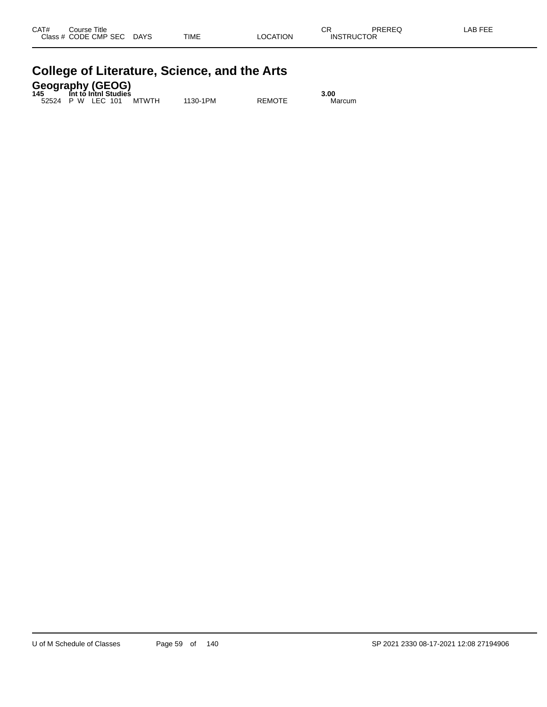| CAT#<br><b>Class</b> | Title<br>Course<br>CODE CMP SEC | <b>DAYS</b> | <b>TIME</b> | <b>LOCATION</b> | СR<br><b>INSTRUCTOR</b> | <b>DDEDEC</b><br>TREREG. | . FFF<br>_AB |
|----------------------|---------------------------------|-------------|-------------|-----------------|-------------------------|--------------------------|--------------|
|                      |                                 |             |             |                 |                         |                          |              |

| <b>College of Literature, Science, and the Arts</b> |  |
|-----------------------------------------------------|--|
|                                                     |  |

**Geography (GEOG) 145 Int to Intnl Studies 3.00**

52524 P W LEC 101 MTWTH 1130-1PM REMOTE Marcum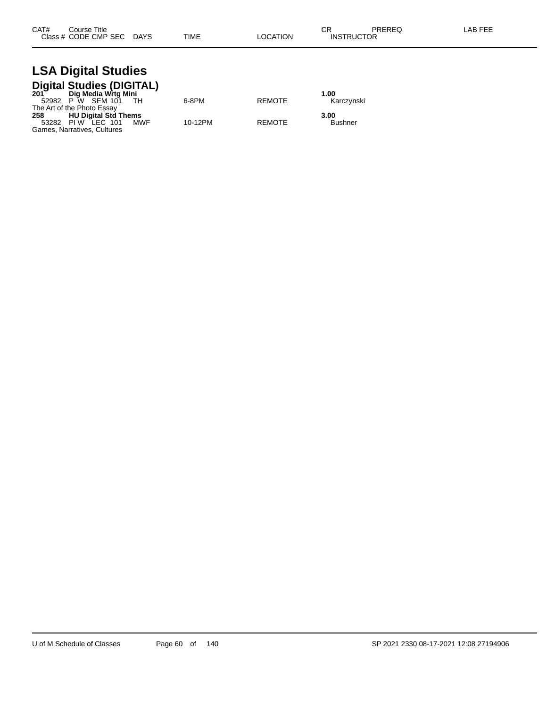#### **LSA Digital Studies Digital Studies (DIGITAL)**

|       | 201 Dig Media Wrtg Mini<br>Dig Media Wrtg Mini |         |               | 1.00           |
|-------|------------------------------------------------|---------|---------------|----------------|
|       | 52982 P W SEM 101<br>- тн                      | 6-8PM   | <b>REMOTE</b> | Karczvnski     |
|       | The Art of the Photo Essay                     |         |               |                |
| 258 — | <b>HU Digital Std Thems</b>                    |         |               | 3.00           |
|       | 53282 PIW LEC 101<br>MWF                       | 10-12PM | <b>REMOTE</b> | <b>Bushner</b> |
|       | Games. Narratives. Cultures                    |         |               |                |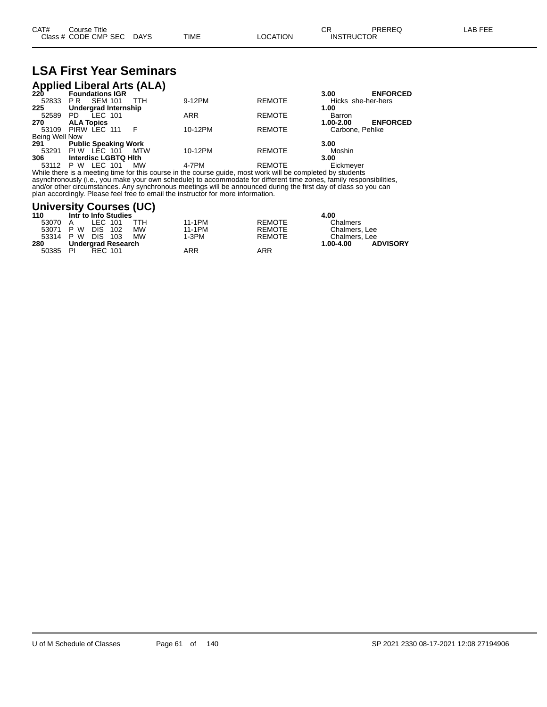## **LSA First Year Seminars**

|                | <b>Applied Liberal Arts (ALA)</b><br>220 Foundations IGR |            |               |                    |                 |
|----------------|----------------------------------------------------------|------------|---------------|--------------------|-----------------|
|                |                                                          |            |               | 3.00               | <b>ENFORCED</b> |
| 52833          | <b>SEM 101</b><br>PR.<br>TTH                             | 9-12PM     | <b>REMOTE</b> | Hicks she-her-hers |                 |
| 225            | <b>Undergrad Internship</b>                              |            |               | 1.00               |                 |
| 52589          | LEC 101<br>PD.                                           | <b>ARR</b> | <b>REMOTE</b> | Barron             |                 |
| 270            | <b>ALA Topics</b>                                        |            |               | 1.00-2.00          | <b>ENFORCED</b> |
|                | 53109 PIRW LEC 111                                       | 10-12PM    | <b>REMOTE</b> | Carbone, Pehlke    |                 |
| Being Well Now |                                                          |            |               |                    |                 |
| 291            | <b>Public Speaking Work</b>                              |            |               | 3.00               |                 |
|                | 53291 PIW LEC 101<br>MTW                                 | 10-12PM    | <b>REMOTE</b> | Moshin             |                 |
| 306            | Interdisc LGBTQ Hith                                     |            |               | 3.00               |                 |
| 53112          | LEC 101<br>P W<br><b>MW</b>                              | 4-7PM      | <b>REMOTE</b> | Eickmeyer          |                 |

While there is a meeting time for this course in the course guide, most work will be completed by students asynchronously (i.e., you make your own schedule) to accommodate for different time zones, family responsibilities, and/or other circumstances. Any synchronous meetings will be announced during the first day of class so you can plan accordingly. Please feel free to email the instructor for more information.

#### **University Courses (UC)**

| 110   | Intr to Info Studies           |         |               | 4.00                             |
|-------|--------------------------------|---------|---------------|----------------------------------|
| 53070 | ттн<br>LEC 101<br>A            | 11-1PM  | <b>REMOTE</b> | Chalmers                         |
|       | <b>MW</b><br>53071 P W DIS 102 | 11-1PM  | REMOTE        | Chalmers, Lee                    |
|       | <b>MW</b><br>53314 P W DIS 103 | $1-3PM$ | <b>REMOTE</b> | Chalmers, Lee                    |
| 280   | Undergrad Research             |         |               | <b>ADVISORY</b><br>$1.00 - 4.00$ |
| 50385 | RFC 101<br>PI                  | ARR     | ARR           |                                  |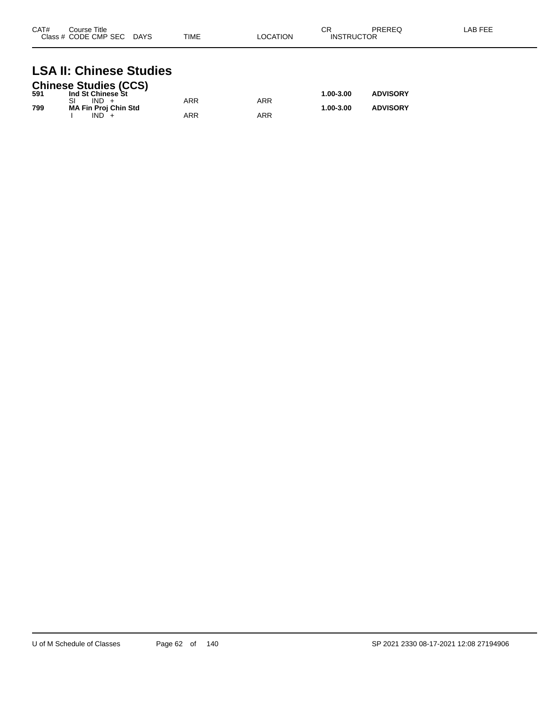| CAT#<br>Course Title<br>Class # CODE CMP SEC | <b>DAYS</b> | <b>TIME</b> | <b>LOCATION</b> | СR<br>ICTOR<br>INSTRI | PREREQ | LAB FEF |
|----------------------------------------------|-------------|-------------|-----------------|-----------------------|--------|---------|
|                                              |             |             |                 |                       |        |         |

# **LSA II: Chinese Studies**

|     | <b>Chinese Studies (CCS)</b> |     |     |           |                 |
|-----|------------------------------|-----|-----|-----------|-----------------|
| 591 | Ind St Chinese St            |     |     | 1.00-3.00 | <b>ADVISORY</b> |
|     | $IND +$                      | ARR | ARR |           |                 |
| 799 | <b>MA Fin Proj Chin Std</b>  |     |     | 1.00-3.00 | <b>ADVISORY</b> |
|     | $IND +$                      | ARR | ARR |           |                 |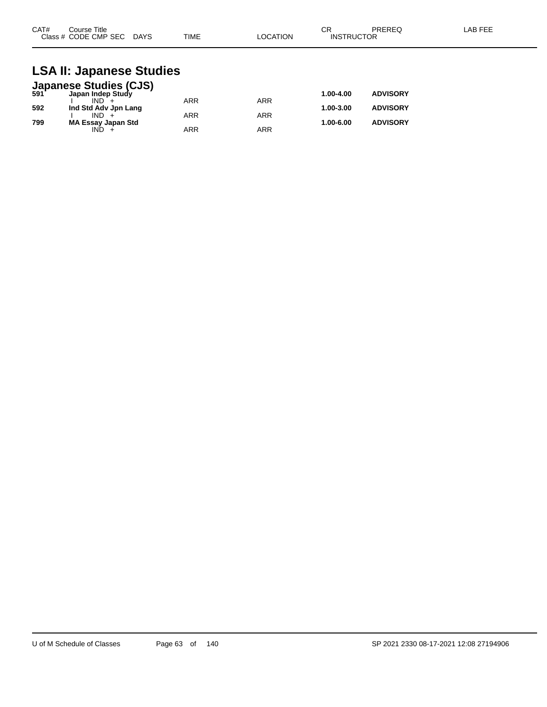| CAT#<br>Course Title      |             | ⌒冖<br>◡г |                   | PREREQ | LAB FEE |
|---------------------------|-------------|----------|-------------------|--------|---------|
| Class # CODE CMP SEC DAYS | <b>TIME</b> | LOCATION | <b>INSTRUCTOR</b> |        |         |

### **LSA II: Japanese Studies**

|     | <b>Japanese Studies (CJS)</b><br>591 Japan Indep Study |            |            |           |                 |
|-----|--------------------------------------------------------|------------|------------|-----------|-----------------|
|     |                                                        |            |            | 1.00-4.00 | <b>ADVISORY</b> |
|     | $IND +$                                                | <b>ARR</b> | ARR        |           |                 |
| 592 | Ind Std Adv Jpn Lang                                   |            |            | 1.00-3.00 | <b>ADVISORY</b> |
|     | $IND +$                                                | <b>ARR</b> | <b>ARR</b> |           |                 |
| 799 | <b>MA Essay Japan Std</b>                              |            |            | 1.00-6.00 | <b>ADVISORY</b> |
|     | IND.                                                   | <b>ARR</b> | ARR        |           |                 |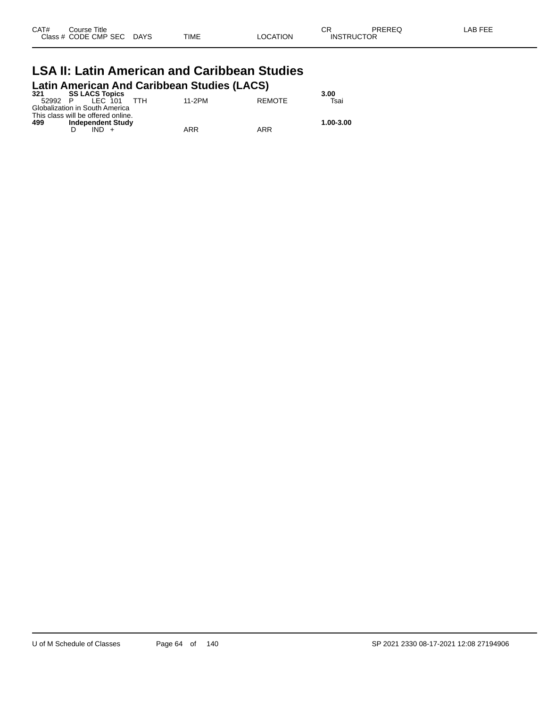| CAT# | ourse Titleٽ              |             |                 | ∩⊓<br>◡◚          | PREREQ | LAB FEE |
|------|---------------------------|-------------|-----------------|-------------------|--------|---------|
|      | Class # CODE CMP SEC DAYS | <b>TIME</b> | <b>LOCATION</b> | <b>INSTRUCTOR</b> |        |         |

#### **LSA II: Latin American and Caribbean Studies Latin American And Caribbean Studies (LACS)**

| <b>SS LACS Topics</b><br>321       |            |        |               | 3.00      |
|------------------------------------|------------|--------|---------------|-----------|
| IFC 101<br>52992<br>P              | <b>TTH</b> | 11-2PM | <b>REMOTE</b> | Tsai      |
| Globalization in South America     |            |        |               |           |
| This class will be offered online. |            |        |               |           |
| 499<br><b>Independent Study</b>    |            |        |               | 1.00-3.00 |
|                                    |            | ARR    | ARR           |           |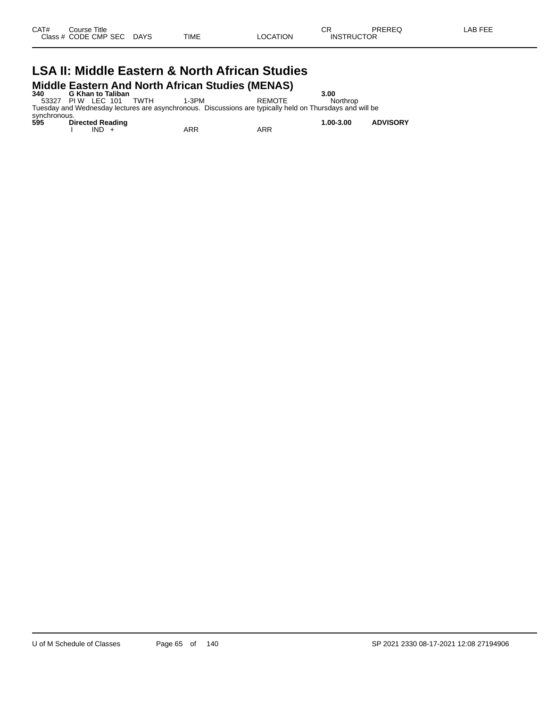# **LSA II: Middle Eastern & North African Studies Middle Eastern And North African Studies (MENAS)**<br>340 G Khan to Taliban<br>53327 PIW LEC 101 TWTH 1-3PM REMOTE

**340 G Khan to Taliban 3.00** 53327 PI W LEC 101 TWTH 1-3PM REMOTE Northrop Tuesday and Wednesday lectures are asynchronous. Discussions are typically held on Thursdays and will be

synchronous.<br>595 Di **595 Directed Reading 1.00-3.00 ADVISORY** I IND + ARR ARR ARR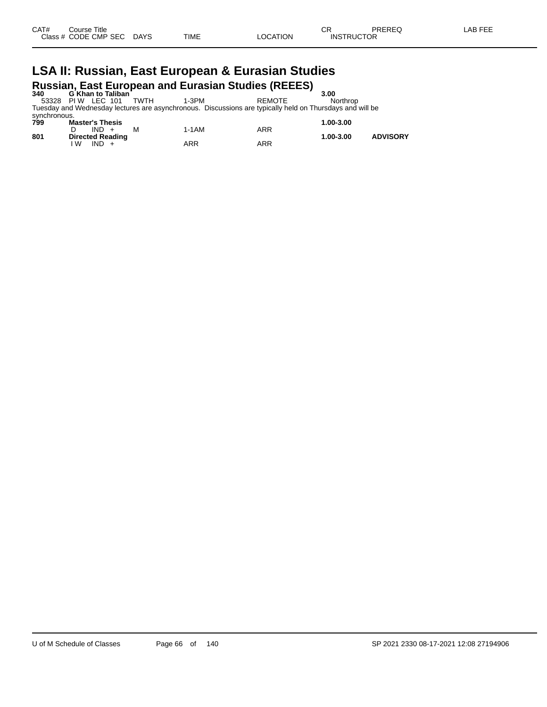# **LSA II: Russian, East European & Eurasian Studies Russian, East European and Eurasian Studies (REEES) 340 G Khan to Taliban 3.00**

53328 PI W LEC 101 TWTH 1-3PM REMOTE Northrop Tuesday and Wednesday lectures are asynchronous. Discussions are typically held on Thursdays and will be synchronous.

| 799 | <b>Master's Thesis</b>                  |       |     | 1.00-3.00 |                 |
|-----|-----------------------------------------|-------|-----|-----------|-----------------|
| 801 | $IND +$<br>M<br><b>Directed Reading</b> | 1-1AM | ARR | 1.00-3.00 | <b>ADVISORY</b> |
|     | IND.<br>l W                             | ARR   | ARR |           |                 |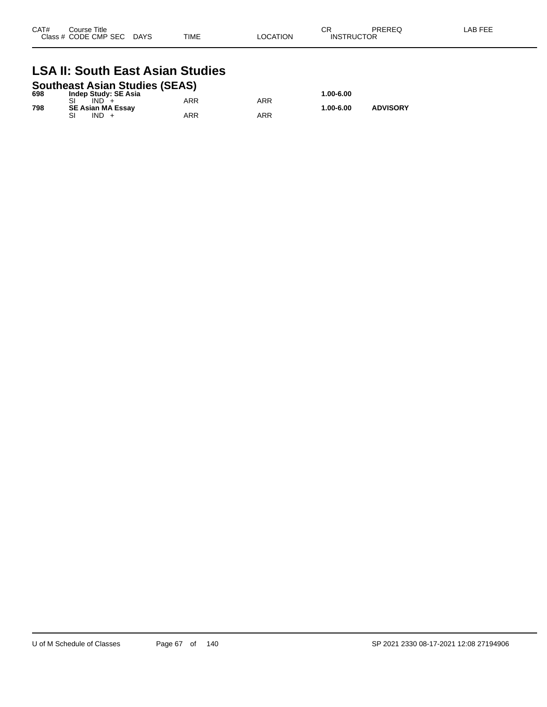| CAT# | Course Title<br>Class # CODE CMP SEC | <b>DAYS</b> | TIME | LOCATION | Ωn<br>◡<br><b>INSTRUCTOR</b> | PREREQ | LAB FEE |
|------|--------------------------------------|-------------|------|----------|------------------------------|--------|---------|
|      |                                      |             |      |          |                              |        |         |

## **LSA II: South East Asian Studies**

| <b>Southeast Asian Studies (SEAS)</b> |  |                          |     |     |           |                 |  |  |
|---------------------------------------|--|--------------------------|-----|-----|-----------|-----------------|--|--|
| 698                                   |  | Indep Study: SE Asia     |     |     | 1.00-6.00 |                 |  |  |
|                                       |  | $IND +$                  | ARR | ARR |           |                 |  |  |
| 798                                   |  | <b>SE Asian MA Essav</b> |     |     | 1.00-6.00 | <b>ADVISORY</b> |  |  |
|                                       |  | IND +                    | ARR | ARR |           |                 |  |  |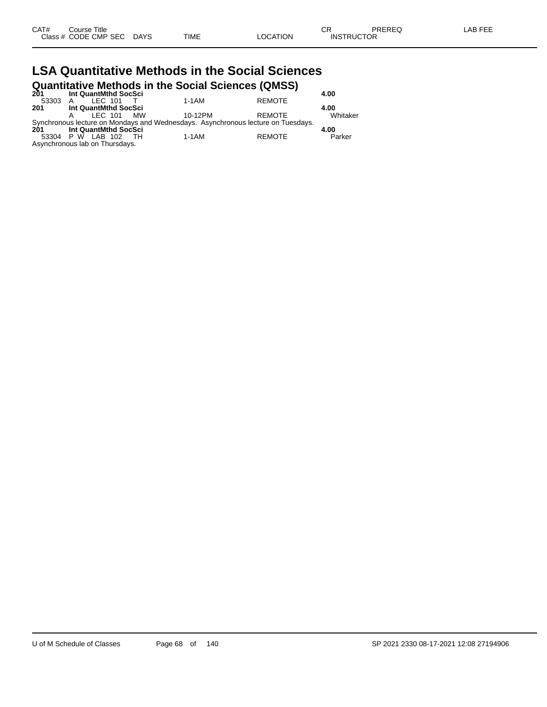| CAT# | ourse Titleٽ              |      |          | ∩⊓<br>◡ጙ          | PREREQ | LAB FEE |
|------|---------------------------|------|----------|-------------------|--------|---------|
|      | Class # CODE CMP SEC DAYS | TIME | LOCATION | <b>INSTRUCTOR</b> |        |         |

#### **LSA Quantitative Methods in the Social Sciences Quantitative Methods in the Social Sciences (QMSS)**

|         | <b>WATHLIGHTS INCLIDED IN THE JOURN JULIUS (WINDJ)</b> |                   |         |                                                                                  |          |  |  |  |  |  |
|---------|--------------------------------------------------------|-------------------|---------|----------------------------------------------------------------------------------|----------|--|--|--|--|--|
| 201     | Int QuantMthd SocSci                                   |                   |         |                                                                                  | 4.00     |  |  |  |  |  |
| 53303 A | IFC 101                                                |                   | 1-1AM   | <b>REMOTE</b>                                                                    |          |  |  |  |  |  |
| 201     | Int QuantMthd SocSci                                   |                   |         |                                                                                  | 4.00     |  |  |  |  |  |
|         |                                                        | <b>IFC 101 MW</b> | 10-12PM | REMOTE                                                                           | Whitaker |  |  |  |  |  |
|         |                                                        |                   |         | Synchronous lecture on Mondays and Wednesdays. Asynchronous lecture on Tuesdays. |          |  |  |  |  |  |
| 201     | Int QuantMthd SocSci                                   |                   |         |                                                                                  | 4.00     |  |  |  |  |  |
|         | 53304 P W LAB 102 TH                                   |                   | 1-1AM   | <b>REMOTE</b>                                                                    | Parker   |  |  |  |  |  |
|         | Asynchronous lab on Thursdays.                         |                   |         |                                                                                  |          |  |  |  |  |  |
|         |                                                        |                   |         |                                                                                  |          |  |  |  |  |  |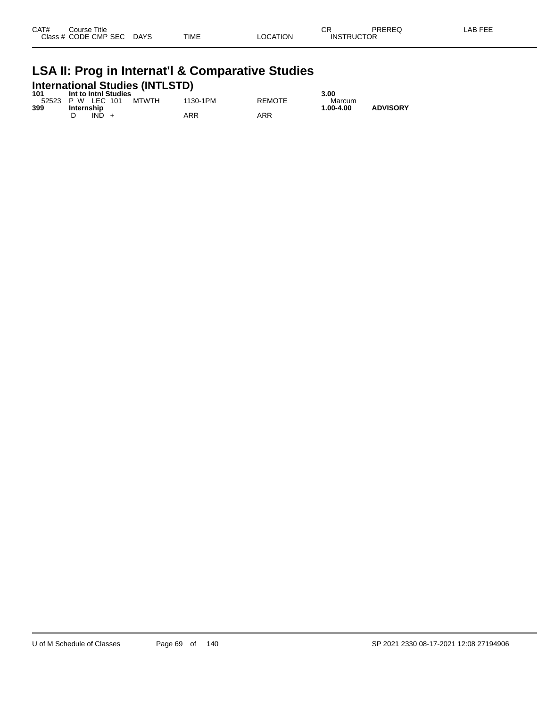| CAT#<br>Class # | Course Title<br>CODE CMP SEC | <b>DAYS</b> | <b>TIME</b> | <b>LOCATION</b> | ⌒冖<br>◡<br><b>INSTRUCTOR</b> | PREREC | EEE<br>.AB |
|-----------------|------------------------------|-------------|-------------|-----------------|------------------------------|--------|------------|
|                 |                              |             |             |                 |                              |        |            |

# **LSA II: Prog in Internat'l & Comparative Studies International Studies (INTLSTD) 101 Int to Intnl Studies 3.00**

| .   | <b>IIII IO IIIIIII SIUUIES</b> |       |          |               | .J.UU     |                 |
|-----|--------------------------------|-------|----------|---------------|-----------|-----------------|
|     | 52523 P W LEC 101              | MTWTH | 1130-1PM | <b>REMOTE</b> | Marcum    |                 |
| 399 | Internship                     |       |          |               | 1.00-4.00 | <b>ADVISORY</b> |
|     | IND                            |       | ARR      | ARR           |           |                 |
|     |                                |       |          |               |           |                 |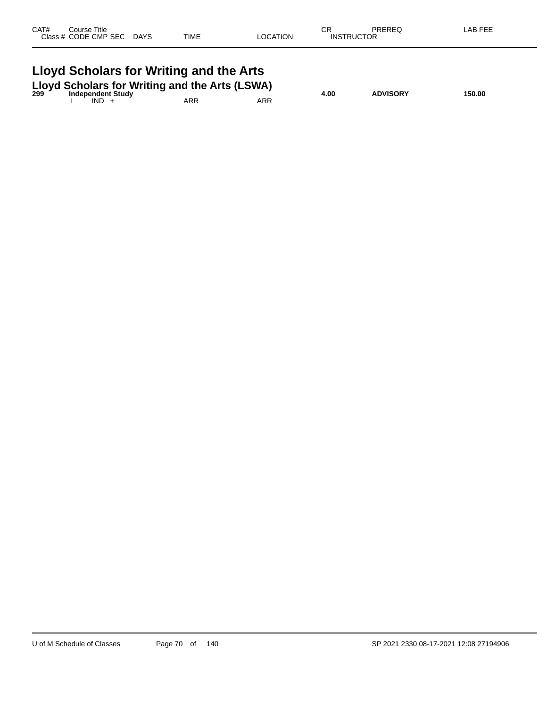| CAT# | Course Title<br>Class # CODE CMP SEC DAYS | TIME                                                                                                                      | LOCATION   | СR<br><b>INSTRUCTOR</b> | PREREQ          | LAB FEE |
|------|-------------------------------------------|---------------------------------------------------------------------------------------------------------------------------|------------|-------------------------|-----------------|---------|
|      | <b>Independent Study</b><br>$IND +$       | Lloyd Scholars for Writing and the Arts<br>Lloyd Scholars for Writing and the Arts (LSWA)<br>299 Independent Study<br>ARR | <b>ARR</b> | 4.00                    | <b>ADVISORY</b> | 150.00  |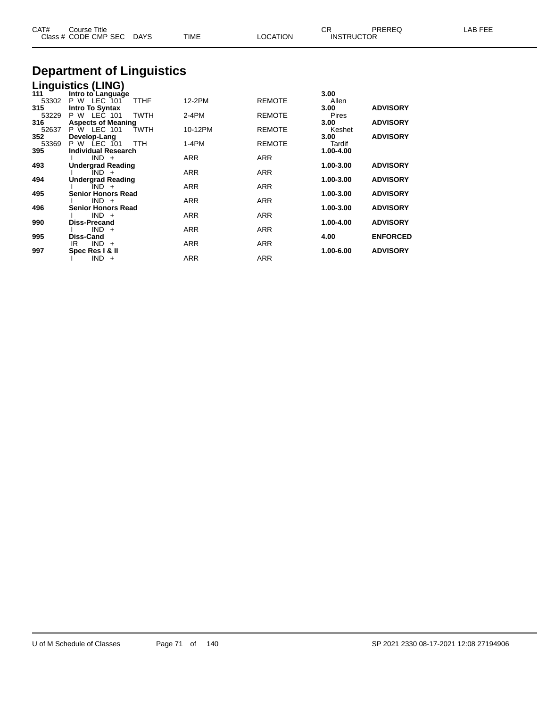| CAT#         | Course Title<br>Class # CODE CMP SEC    | DAYS        | <b>TIME</b> | <b>LOCATION</b> | CR.<br><b>INSTRUCTOR</b> | <b>PREREQ</b>   | LAB FEE |
|--------------|-----------------------------------------|-------------|-------------|-----------------|--------------------------|-----------------|---------|
|              | <b>Department of Linguistics</b>        |             |             |                 |                          |                 |         |
|              | <b>Linguistics (LING)</b>               |             |             |                 |                          |                 |         |
| 111<br>53302 | Intro to Language<br><b>P W LEC 101</b> | TTHF        | 12-2PM      | <b>REMOTE</b>   | 3.00<br>Allen            |                 |         |
| 315<br>53229 | Intro To Syntax<br>P W LEC 101          | <b>TWTH</b> | $2-4PM$     | <b>REMOTE</b>   | 3.00<br>Pires            | <b>ADVISORY</b> |         |
| 316          | <b>Aspects of Meaning</b>               |             |             |                 | 3.00                     | <b>ADVISORY</b> |         |
| 52637<br>352 | P W LEC 101<br>Develop-Lang             | <b>TWTH</b> | 10-12PM     | <b>REMOTE</b>   | Keshet<br>3.00           | <b>ADVISORY</b> |         |
| 53369        | P W LEC 101                             | <b>TTH</b>  | 1-4PM       | <b>REMOTE</b>   | Tardif                   |                 |         |
| 395          | <b>Individual Research</b>              |             |             |                 | 1.00-4.00                |                 |         |
|              | $IND +$                                 |             | ARR         | ARR             |                          |                 |         |
| 493          | <b>Undergrad Reading</b><br>$IND +$     |             | ARR         | ARR             | 1.00-3.00                | <b>ADVISORY</b> |         |
| 494          | <b>Undergrad Reading</b>                |             |             |                 | 1.00-3.00                | <b>ADVISORY</b> |         |
|              | IND +                                   |             | <b>ARR</b>  | <b>ARR</b>      |                          |                 |         |
| 495          | <b>Senior Honors Read</b>               |             |             |                 | 1.00-3.00                | <b>ADVISORY</b> |         |
| 496          | $IND +$<br><b>Senior Honors Read</b>    |             | <b>ARR</b>  | ARR             | 1.00-3.00                | <b>ADVISORY</b> |         |
|              | $IND +$                                 |             | ARR         | ARR             |                          |                 |         |
| 990          | <b>Diss-Precand</b>                     |             |             |                 | 1.00-4.00                | <b>ADVISORY</b> |         |
|              | $IND +$                                 |             | ARR         | ARR             |                          |                 |         |

**995 Diss-Cand 4.00 ENFORCED**

**997 Spec Res I & II 1.00-6.00 ADVISORY**

IR IND + ARR ARR ARR

I IND + ARR ARR ARR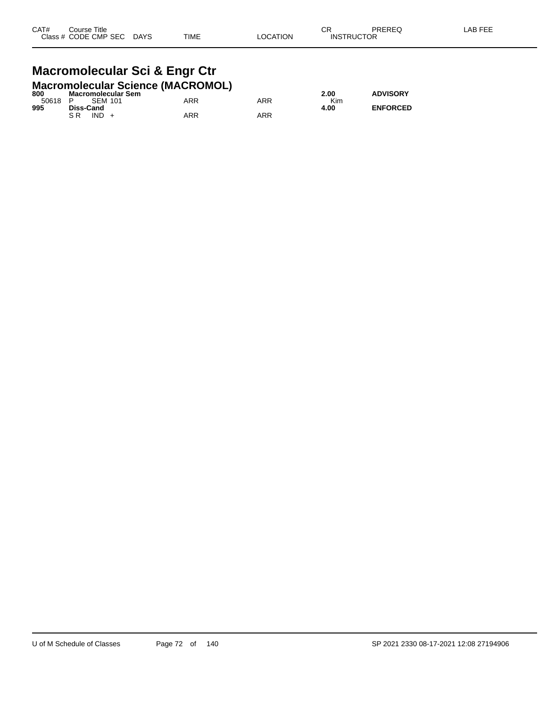#### **Macromolecular Sci & Engr Ctr Macromolecular Science (MACROMOL)**

| 800 | Macromolecular Sem |     |     | 2.00 | <b>ADVISORY</b> |
|-----|--------------------|-----|-----|------|-----------------|
|     | 50618 P SEM 101    | ARR | ARR | Kim  |                 |
| 995 | Diss-Cand          |     |     | 4.00 | <b>ENFORCED</b> |
|     | $IND +$<br>S R     | ARR | ARR |      |                 |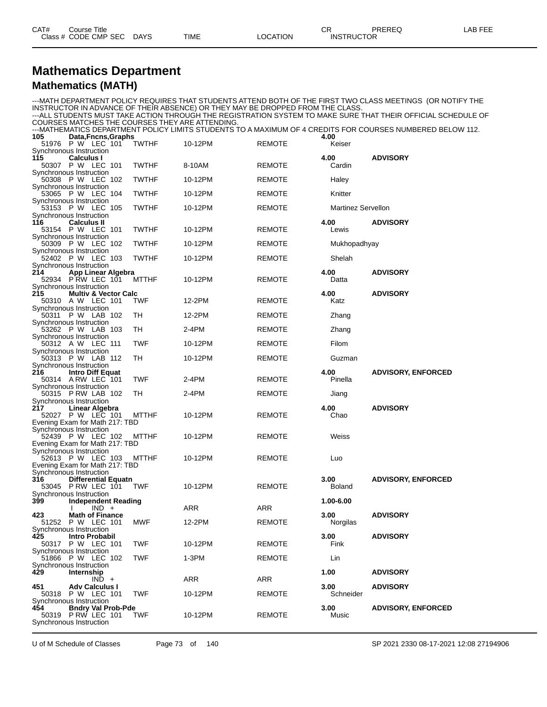#### **Mathematics Department Mathematics (MATH)**

| INSTRUCTOR IN ADVANCE OF THEIR ABSENCE) OR THEY MAY BE DROPPED FROM THE CLASS.<br>COURSES MATCHES THE COURSES THEY ARE ATTENDING. |              |         |               |                           | --- MATH DEPARTMENT POLICY REQUIRES THAT STUDENTS ATTEND BOTH OF THE FIRST TWO CLASS MEETINGS (OR NOTIFY THE<br>---ALL STUDENTS MUST TAKE ACTION THROUGH THE REGISTRATION SYSTEM TO MAKE SURE THAT THEIR OFFICIAL SCHEDULE OF |
|-----------------------------------------------------------------------------------------------------------------------------------|--------------|---------|---------------|---------------------------|-------------------------------------------------------------------------------------------------------------------------------------------------------------------------------------------------------------------------------|
| 105<br>Data, Fncns, Graphs                                                                                                        |              |         |               | 4.00                      | ---MATHEMATICS DEPARTMENT POLICY LIMITS STUDENTS TO A MAXIMUM OF 4 CREDITS FOR COURSES NUMBERED BELOW 112.                                                                                                                    |
| 51976 P W LEC 101                                                                                                                 | <b>TWTHF</b> | 10-12PM | <b>REMOTE</b> | Keiser                    |                                                                                                                                                                                                                               |
| Synchronous Instruction<br>115                                                                                                    |              |         |               |                           |                                                                                                                                                                                                                               |
| <b>Calculus I</b><br>50307 P W LEC 101                                                                                            | <b>TWTHF</b> | 8-10AM  | <b>REMOTE</b> | 4.00<br>Cardin            | <b>ADVISORY</b>                                                                                                                                                                                                               |
| Synchronous Instruction                                                                                                           |              |         |               |                           |                                                                                                                                                                                                                               |
| 50308 P W LEC 102<br>Synchronous Instruction                                                                                      | <b>TWTHF</b> | 10-12PM | <b>REMOTE</b> | Haley                     |                                                                                                                                                                                                                               |
| 53065 P W LEC 104<br>Synchronous Instruction                                                                                      | <b>TWTHF</b> | 10-12PM | <b>REMOTE</b> | Knitter                   |                                                                                                                                                                                                                               |
| 53153 P W LEC 105<br>Synchronous Instruction                                                                                      | TWTHF        | 10-12PM | <b>REMOTE</b> | <b>Martinez Servellon</b> |                                                                                                                                                                                                                               |
| 116<br><b>Calculus II</b>                                                                                                         |              |         |               | 4.00                      | <b>ADVISORY</b>                                                                                                                                                                                                               |
| 53154 P W LEC 101                                                                                                                 | <b>TWTHF</b> | 10-12PM | REMOTE        | Lewis                     |                                                                                                                                                                                                                               |
| Synchronous Instruction<br>50309 P W LEC 102                                                                                      | <b>TWTHF</b> | 10-12PM | <b>REMOTE</b> | Mukhopadhyay              |                                                                                                                                                                                                                               |
| Synchronous Instruction                                                                                                           |              |         |               |                           |                                                                                                                                                                                                                               |
| 52402 P W LEC 103<br>Synchronous Instruction                                                                                      | <b>TWTHF</b> | 10-12PM | <b>REMOTE</b> | Shelah                    |                                                                                                                                                                                                                               |
| 214<br>App Linear Algebra                                                                                                         |              |         |               | 4.00                      | <b>ADVISORY</b>                                                                                                                                                                                                               |
| 52934 P RW LEC 101                                                                                                                | <b>MTTHF</b> | 10-12PM | REMOTE        | Datta                     |                                                                                                                                                                                                                               |
| Synchronous Instruction<br>215<br><b>Multiv &amp; Vector Calc</b>                                                                 |              |         |               | 4.00                      | <b>ADVISORY</b>                                                                                                                                                                                                               |
| 50310 A W LEC 101                                                                                                                 | <b>TWF</b>   | 12-2PM  | <b>REMOTE</b> | Katz                      |                                                                                                                                                                                                                               |
| Synchronous Instruction<br>P W LAB 102<br>50311                                                                                   | TН           | 12-2PM  | <b>REMOTE</b> | Zhang                     |                                                                                                                                                                                                                               |
| Synchronous Instruction                                                                                                           |              |         |               |                           |                                                                                                                                                                                                                               |
| 53262 P W LAB 103                                                                                                                 | TH           | 2-4PM   | <b>REMOTE</b> | Zhang                     |                                                                                                                                                                                                                               |
| Synchronous Instruction<br>50312 A W LEC 111                                                                                      | <b>TWF</b>   | 10-12PM | <b>REMOTE</b> | Filom                     |                                                                                                                                                                                                                               |
| Synchronous Instruction                                                                                                           |              |         |               |                           |                                                                                                                                                                                                                               |
| 50313 P W LAB 112<br>Synchronous Instruction                                                                                      | TH           | 10-12PM | REMOTE        | Guzman                    |                                                                                                                                                                                                                               |
| 216<br><b>Intro Diff Equat</b>                                                                                                    |              |         |               | 4.00                      | <b>ADVISORY, ENFORCED</b>                                                                                                                                                                                                     |
| 50314 A RW LEC 101<br>Synchronous Instruction                                                                                     | <b>TWF</b>   | $2-4PM$ | <b>REMOTE</b> | Pinella                   |                                                                                                                                                                                                                               |
| 50315 P RW LAB 102                                                                                                                | TH           | 2-4PM   | <b>REMOTE</b> | Jiang                     |                                                                                                                                                                                                                               |
| Synchronous Instruction<br>217<br>Linear Algebra                                                                                  |              |         |               | 4.00                      | <b>ADVISORY</b>                                                                                                                                                                                                               |
| 52027 P W LEC 101                                                                                                                 | <b>MTTHF</b> | 10-12PM | <b>REMOTE</b> | Chao                      |                                                                                                                                                                                                                               |
| Evening Exam for Math 217: TBD<br>Synchronous Instruction                                                                         |              |         |               |                           |                                                                                                                                                                                                                               |
| 52439 P W LEC 102                                                                                                                 | <b>MTTHF</b> | 10-12PM | <b>REMOTE</b> | Weiss                     |                                                                                                                                                                                                                               |
| Evening Exam for Math 217: TBD                                                                                                    |              |         |               |                           |                                                                                                                                                                                                                               |
| Synchronous Instruction<br>52613 P W LEC 103                                                                                      | MTTHF        | 10-12PM | <b>REMOTE</b> | Luo                       |                                                                                                                                                                                                                               |
| Evening Exam for Math 217: TBD                                                                                                    |              |         |               |                           |                                                                                                                                                                                                                               |
| Synchronous Instruction<br>316<br><b>Differential Equatn</b>                                                                      |              |         |               | 3.00                      | <b>ADVISORY, ENFORCED</b>                                                                                                                                                                                                     |
| 53045 P RW LEC 101                                                                                                                | <b>TWF</b>   | 10-12PM | <b>REMOTE</b> | <b>Boland</b>             |                                                                                                                                                                                                                               |
| Synchronous Instruction                                                                                                           |              |         |               | 1.00-6.00                 |                                                                                                                                                                                                                               |
| 399<br><b>Independent Reading</b><br>$IND +$                                                                                      |              | ARR     | ARR           |                           |                                                                                                                                                                                                                               |
| <b>Math of Finance</b><br>423                                                                                                     |              |         |               | 3.00                      | <b>ADVISORY</b>                                                                                                                                                                                                               |
| P W LEC 101<br>51252<br>Synchronous Instruction                                                                                   | <b>MWF</b>   | 12-2PM  | <b>REMOTE</b> | Norgilas                  |                                                                                                                                                                                                                               |
| 425<br>Intro Probabil                                                                                                             |              |         |               | 3.00                      | <b>ADVISORY</b>                                                                                                                                                                                                               |
| 50317 P W LEC 101<br>Synchronous Instruction                                                                                      | <b>TWF</b>   | 10-12PM | <b>REMOTE</b> | Fink                      |                                                                                                                                                                                                                               |
| 51866 P W LEC 102                                                                                                                 | <b>TWF</b>   | 1-3PM   | <b>REMOTE</b> | Lin                       |                                                                                                                                                                                                                               |
| Synchronous Instruction                                                                                                           |              |         |               |                           |                                                                                                                                                                                                                               |
| 429<br>Internship<br>$IND +$                                                                                                      |              | ARR     | ARR           | 1.00                      | <b>ADVISORY</b>                                                                                                                                                                                                               |
| 451<br><b>Adv Calculus I</b>                                                                                                      |              |         |               | 3.00                      | <b>ADVISORY</b>                                                                                                                                                                                                               |
| 50318 P W LEC 101<br>Synchronous Instruction                                                                                      | <b>TWF</b>   | 10-12PM | <b>REMOTE</b> | Schneider                 |                                                                                                                                                                                                                               |
| <b>Bndry Val Prob-Pde</b><br>454                                                                                                  |              |         |               | 3.00                      | <b>ADVISORY, ENFORCED</b>                                                                                                                                                                                                     |
| 50319 P RW LEC 101<br>Synchronous Instruction                                                                                     | TWF          | 10-12PM | <b>REMOTE</b> | Music                     |                                                                                                                                                                                                                               |
|                                                                                                                                   |              |         |               |                           |                                                                                                                                                                                                                               |

U of M Schedule of Classes Page 73 of 140 SP 2021 2330 08-17-2021 12:08 27194906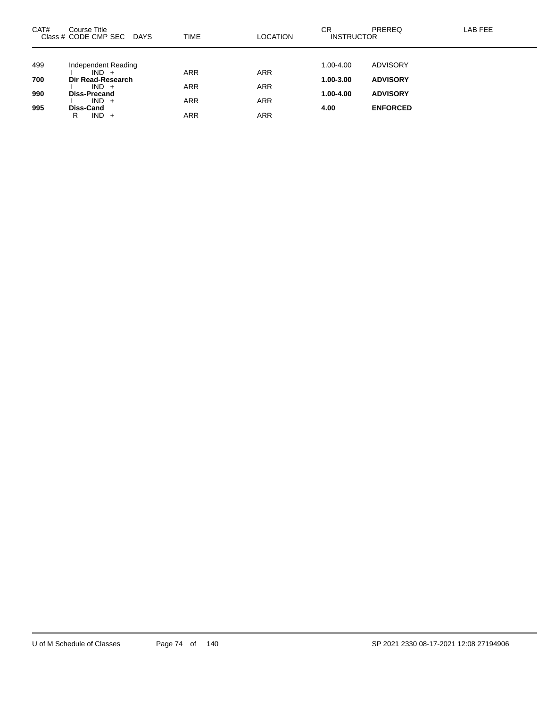| CAT# | Course Title<br>Class # CODE CMP SEC DAYS | TIME       | <b>LOCATION</b> | СR<br><b>INSTRUCTOR</b> | <b>PREREQ</b>   | LAB FEE |
|------|-------------------------------------------|------------|-----------------|-------------------------|-----------------|---------|
| 499  | Independent Reading                       |            |                 | 1.00-4.00               | <b>ADVISORY</b> |         |
| 700  | $IND +$<br>Dir Read-Research              | <b>ARR</b> | <b>ARR</b>      | 1.00-3.00               | <b>ADVISORY</b> |         |
|      | $IND +$                                   | <b>ARR</b> | <b>ARR</b>      |                         |                 |         |
| 990  | Diss-Precand<br>$IND +$                   | <b>ARR</b> | <b>ARR</b>      | 1.00-4.00               | <b>ADVISORY</b> |         |
| 995  | Diss-Cand<br>IND.<br>R<br>$+$             | ARR        | ARR             | 4.00                    | <b>ENFORCED</b> |         |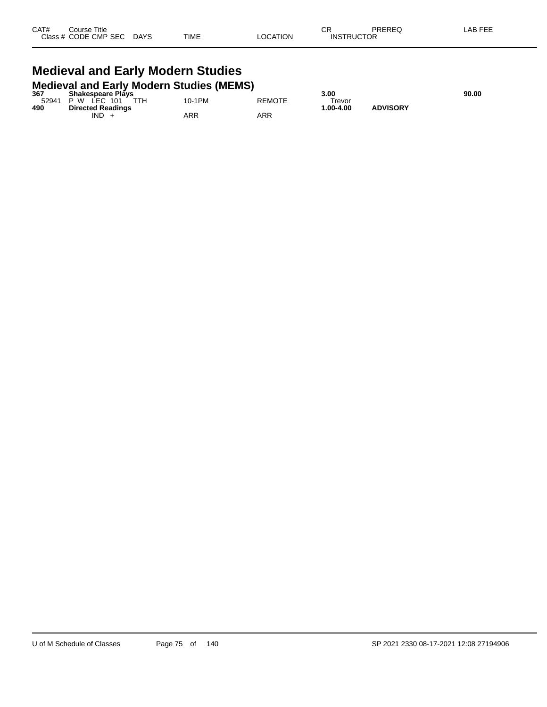| CAT# | Course Title         |             |             |                | ⌒冖<br>◡           | PREREQ | LAB FEF |
|------|----------------------|-------------|-------------|----------------|-------------------|--------|---------|
|      | Class # CODE CMP SEC | <b>DAYS</b> | <b>TIME</b> | <b>OCATION</b> | <b>INSTRUCTOR</b> |        |         |

#### **Medieval and Early Modern Studies Medieval and Early Modern Studies (MEMS)**

| 367   | <b>Shakespeare Plays</b> |        |               | 3.00      |                 | 90.00 |
|-------|--------------------------|--------|---------------|-----------|-----------------|-------|
| 52941 | TTH.<br>P W LEC 101      | 10-1PM | <b>REMOTE</b> | Trevor    |                 |       |
| 490   | <b>Directed Readings</b> |        |               | 1.00-4.00 | <b>ADVISORY</b> |       |
|       | <b>IND</b>               | ARR    | ARR           |           |                 |       |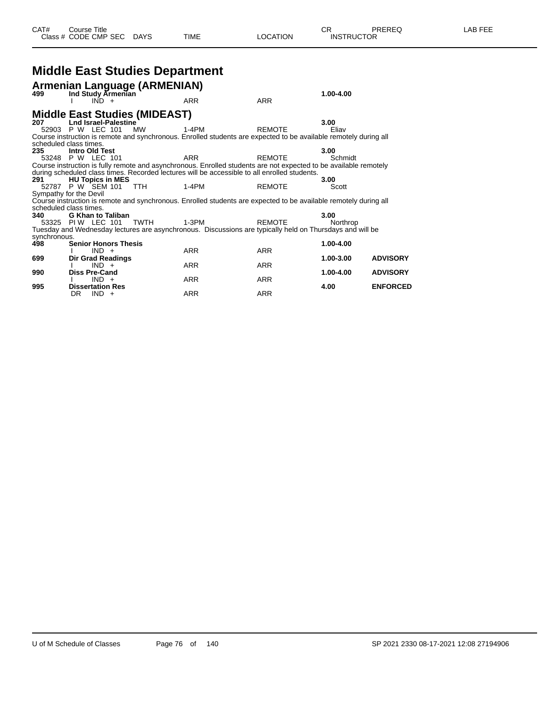## **Middle East Studies Department**

|              | Armenian Language (ARMENIAN)         |                                                                                                                  |               |               |                 |
|--------------|--------------------------------------|------------------------------------------------------------------------------------------------------------------|---------------|---------------|-----------------|
| 499          | Ind Study Armenian<br>$IND +$        | ARR                                                                                                              | <b>ARR</b>    | $1.00 - 4.00$ |                 |
|              | <b>Middle East Studies (MIDEAST)</b> |                                                                                                                  |               |               |                 |
| 207          | <b>Lnd Israel-Palestine</b>          |                                                                                                                  |               | 3.00          |                 |
|              | 52903 P W LEC 101 MW                 | 1-4PM                                                                                                            | <b>REMOTE</b> | Eliav         |                 |
|              |                                      | Course instruction is remote and synchronous. Enrolled students are expected to be available remotely during all |               |               |                 |
|              | scheduled class times.               |                                                                                                                  |               |               |                 |
| 235          | <b>Intro Old Test</b>                |                                                                                                                  |               | 3.00          |                 |
|              | 53248 P W LEC 101                    | <b>ARR</b>                                                                                                       | <b>REMOTE</b> | Schmidt       |                 |
|              |                                      | Course instruction is fully remote and asynchronous. Enrolled students are not expected to be available remotely |               |               |                 |
|              |                                      | during scheduled class times. Recorded lectures will be accessible to all enrolled students.                     |               |               |                 |
| 291          | <b>HU Topics in MES</b>              |                                                                                                                  |               | 3.00          |                 |
|              | 52787 P W SEM 101 TTH                | $1-4PM$                                                                                                          | <b>REMOTE</b> | Scott         |                 |
|              | Sympathy for the Devil               |                                                                                                                  |               |               |                 |
|              |                                      | Course instruction is remote and synchronous. Enrolled students are expected to be available remotely during all |               |               |                 |
|              | scheduled class times.               |                                                                                                                  |               |               |                 |
| 340          | <b>G Khan to Taliban</b>             |                                                                                                                  |               | 3.00          |                 |
|              | 53325 PIW LEC 101 TWTH               | 1-3PM                                                                                                            | <b>REMOTE</b> | Northrop      |                 |
|              |                                      | Tuesday and Wednesday lectures are asynchronous. Discussions are typically held on Thursdays and will be         |               |               |                 |
| synchronous. |                                      |                                                                                                                  |               |               |                 |
| 498          | <b>Senior Honors Thesis</b>          |                                                                                                                  |               | 1.00-4.00     |                 |
|              | $IND +$                              | <b>ARR</b>                                                                                                       | <b>ARR</b>    |               |                 |
| 699          | <b>Dir Grad Readings</b>             |                                                                                                                  |               | 1.00-3.00     | <b>ADVISORY</b> |
|              | $IND +$                              | <b>ARR</b>                                                                                                       | <b>ARR</b>    |               |                 |
| 990          | <b>Diss Pre-Cand</b>                 |                                                                                                                  |               | 1.00-4.00     | <b>ADVISORY</b> |
|              | $IND +$                              | <b>ARR</b>                                                                                                       | <b>ARR</b>    |               |                 |
| 995          | <b>Dissertation Res</b>              |                                                                                                                  |               | 4.00          | <b>ENFORCED</b> |
|              | $IND +$<br>DR.                       | <b>ARR</b>                                                                                                       | <b>ARR</b>    |               |                 |
|              |                                      |                                                                                                                  |               |               |                 |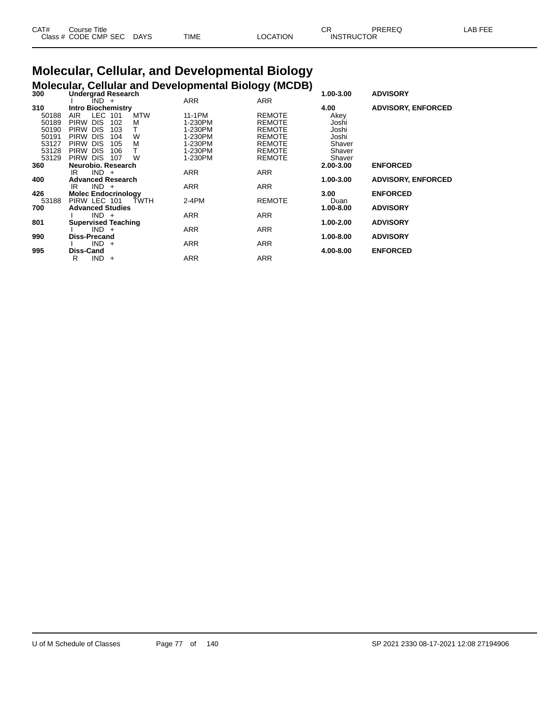| CAT# | Course Title               |      |      | OD.<br>◡ |                   | PREREC | _AB FEF |
|------|----------------------------|------|------|----------|-------------------|--------|---------|
|      | Class # CODE CMP SEC<br>__ | DAYS | TIME | OCATION  | <b>INSTRUCTOR</b> |        |         |

#### **Molecular, Cellular, and Developmental Biology Molecular, Cellular and Developmental Biology (MCDB)**

| 300   | <b>Undergrad Research</b>             |            | <b>-- 1</b>   | ,<br>1.00-3.00 | <b>ADVISORY</b>           |
|-------|---------------------------------------|------------|---------------|----------------|---------------------------|
|       | $IND +$                               | <b>ARR</b> | <b>ARR</b>    |                |                           |
| 310   | <b>Intro Biochemistry</b>             |            |               | 4.00           | <b>ADVISORY, ENFORCED</b> |
| 50188 | LEC 101<br><b>MTW</b><br>AIR.         | 11-1PM     | <b>REMOTE</b> | Akey           |                           |
| 50189 | <b>DIS</b><br>M<br><b>PIRW</b><br>102 | 1-230PM    | <b>REMOTE</b> | Joshi          |                           |
| 50190 | <b>DIS</b><br><b>PIRW</b><br>103      | 1-230PM    | <b>REMOTE</b> | Joshi          |                           |
| 50191 | W<br><b>DIS</b><br><b>PIRW</b><br>104 | 1-230PM    | <b>REMOTE</b> | Joshi          |                           |
| 53127 | <b>DIS</b><br>M<br><b>PIRW</b><br>105 | 1-230PM    | <b>REMOTE</b> | Shaver         |                           |
| 53128 | <b>DIS</b><br><b>PIRW</b><br>106      | 1-230PM    | <b>REMOTE</b> | Shaver         |                           |
| 53129 | PIRW DIS<br>W<br>107                  | 1-230PM    | <b>REMOTE</b> | Shaver         |                           |
| 360   | Neurobio, Research                    |            |               | 2.00-3.00      | <b>ENFORCED</b>           |
|       | $IND +$<br>IR                         | <b>ARR</b> | <b>ARR</b>    |                |                           |
| 400   | <b>Advanced Research</b>              |            |               | 1.00-3.00      | <b>ADVISORY, ENFORCED</b> |
|       | $IND +$<br>IR                         | <b>ARR</b> | <b>ARR</b>    |                |                           |
| 426   | <b>Molec Endocrinology</b>            |            |               | 3.00           | <b>ENFORCED</b>           |
| 53188 | PIRW LEC 101<br>TWTH                  | $2-4PM$    | <b>REMOTE</b> | Duan           |                           |
| 700   | <b>Advanced Studies</b>               |            |               | 1.00-8.00      | <b>ADVISORY</b>           |
|       | $IND +$                               | ARR        | ARR           |                |                           |
| 801   | <b>Supervised Teaching</b>            |            |               | 1.00-2.00      | <b>ADVISORY</b>           |
|       | $IND +$                               | ARR        | ARR           |                |                           |
| 990   | Diss-Precand                          |            |               | 1.00-8.00      | <b>ADVISORY</b>           |
|       | $IND +$                               | ARR        | ARR           |                |                           |
| 995   | Diss-Cand                             |            |               | 4.00-8.00      | <b>ENFORCED</b>           |
|       | IND.<br>R<br>$\ddot{}$                | ARR        | <b>ARR</b>    |                |                           |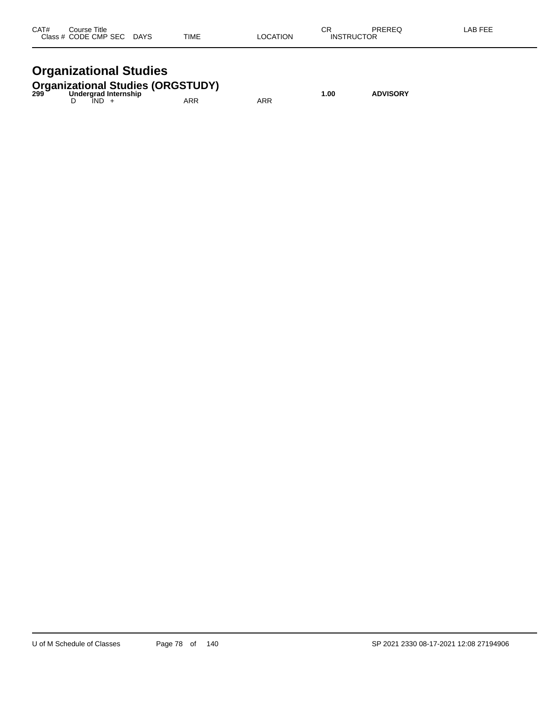| CAT#<br>Close: | Title<br>`ourse<br>ں ب<br><b>CODE CMP SEC</b><br>$ -$ | <b>DAYS</b><br>$\sim$ | <b>TIME</b> | TION | ∼⊏<br>◡◠<br>INS<br>- 10 | DDEDEA<br>∼<br>$\cdot$ . $\sim$<br>TOR | $  -$ |
|----------------|-------------------------------------------------------|-----------------------|-------------|------|-------------------------|----------------------------------------|-------|
|                |                                                       |                       |             |      |                         |                                        |       |

## **Organizational Studies**

|  |         | Undergrad Internship | <b>Organizational Studies (ORGSTUDY)</b><br>299   Undergrad Internship |     | 1.00 | <b>ADVISORY</b> |
|--|---------|----------------------|------------------------------------------------------------------------|-----|------|-----------------|
|  | $IND +$ |                      | ARR                                                                    | ARR |      |                 |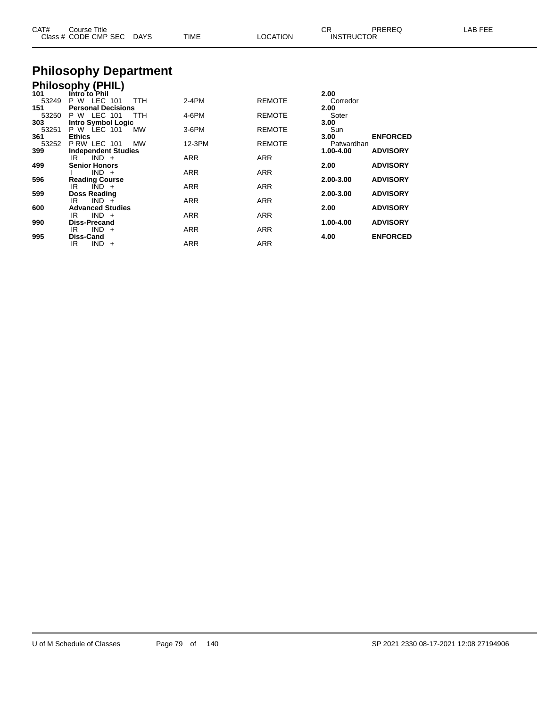| CAT# | Course Title<br>Class # CODE CMP SEC | DAYS | TIME | LOCATION | ◡<br><b>INSTRUCTOR</b> | ODEDEC | AB FFF |
|------|--------------------------------------|------|------|----------|------------------------|--------|--------|
|------|--------------------------------------|------|------|----------|------------------------|--------|--------|

# **Philosophy Department**

|              | <b>Philosophy (PHIL)</b>                 |           |            |               |               |                 |
|--------------|------------------------------------------|-----------|------------|---------------|---------------|-----------------|
| 101          | Intro to Phil                            |           |            |               | 2.00          |                 |
| 53249        | P W<br>LEC 101                           | TTH       | $2-4PM$    | <b>REMOTE</b> | Corredor      |                 |
| 151<br>53250 | <b>Personal Decisions</b><br>P W LEC 101 | TTH       | 4-6PM      | <b>REMOTE</b> | 2.00<br>Soter |                 |
| 303          | <b>Intro Symbol Logic</b>                |           |            |               | 3.00          |                 |
| 53251        | P W LEC 101                              | MW        | $3-6$ PM   | <b>REMOTE</b> | Sun           |                 |
| 361          | <b>Ethics</b>                            |           |            |               | 3.00          | <b>ENFORCED</b> |
| 53252        | P RW LEC 101                             | <b>MW</b> | 12-3PM     | <b>REMOTE</b> | Patwardhan    |                 |
| 399          | <b>Independent Studies</b>               |           |            |               | 1.00-4.00     | <b>ADVISORY</b> |
| 499          | $IND +$<br>IR<br><b>Senior Honors</b>    |           | <b>ARR</b> | <b>ARR</b>    | 2.00          | <b>ADVISORY</b> |
|              | $IND +$                                  |           | <b>ARR</b> | <b>ARR</b>    |               |                 |
| 596          | <b>Reading Course</b>                    |           |            |               | 2.00-3.00     | <b>ADVISORY</b> |
|              | $\overline{IND}$ +<br>IR                 |           | <b>ARR</b> | <b>ARR</b>    |               |                 |
| 599          | <b>Doss Reading</b>                      |           |            |               | 2.00-3.00     | <b>ADVISORY</b> |
|              | $IND +$<br>IR                            |           | <b>ARR</b> | <b>ARR</b>    |               |                 |
| 600          | <b>Advanced Studies</b><br>$IND +$<br>IR |           | <b>ARR</b> | <b>ARR</b>    | 2.00          | <b>ADVISORY</b> |
| 990          | Diss-Precand                             |           |            |               | 1.00-4.00     | <b>ADVISORY</b> |
|              | <b>IND</b><br>IR<br>$+$                  |           | <b>ARR</b> | <b>ARR</b>    |               |                 |
| 995          | <b>Diss-Cand</b>                         |           |            |               | 4.00          | <b>ENFORCED</b> |
|              | IND.<br>IR<br>$+$                        |           | ARR        | <b>ARR</b>    |               |                 |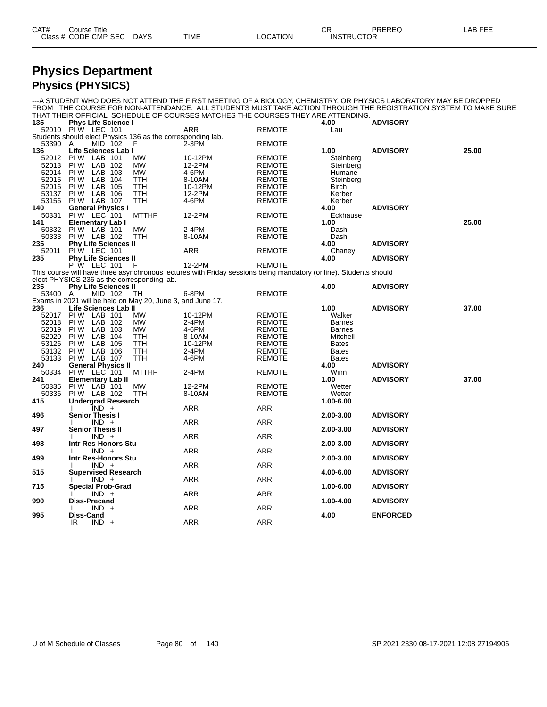| CAT# | Title<br>Course            |      |      |          | ∼г<br>◡◠          | PREREQ | $\lambda$ . $\Gamma$ $\Gamma$<br>–AB ⊺<br>---<br>-- |
|------|----------------------------|------|------|----------|-------------------|--------|-----------------------------------------------------|
|      | Class # CODE CMP SEC<br>__ | DAYS | TIME | _OCATION | <b>INSTRUCTOR</b> |        |                                                     |

#### **Physics Department Physics (PHYSICS)**

|                   |                             |         |           |                                                             | THAT THEIR OFFICIAL SCHEDULE OF COURSES MATCHES THE COURSES THEY ARE ATTENDING.                                  |               |               | ---A STUDENT WHO DOES NOT ATTEND THE FIRST MEETING OF A BIOLOGY, CHEMISTRY, OR PHYSICS LABORATORY MAY BE DROPPED<br>FROM THE COURSE FOR NON-ATTENDANCE. ALL STUDENTS MUST TAKE ACTION THROUGH THE REGISTRATION SYSTEM TO MAKE SURE |       |
|-------------------|-----------------------------|---------|-----------|-------------------------------------------------------------|------------------------------------------------------------------------------------------------------------------|---------------|---------------|------------------------------------------------------------------------------------------------------------------------------------------------------------------------------------------------------------------------------------|-------|
| 135               | <b>Phys Life Science I</b>  |         |           |                                                             |                                                                                                                  |               | 4.00          | <b>ADVISORY</b>                                                                                                                                                                                                                    |       |
| 52010 PIW LEC 101 |                             |         |           | Students should elect Physics 136 as the corresponding lab. | <b>ARR</b>                                                                                                       | <b>REMOTE</b> | Lau           |                                                                                                                                                                                                                                    |       |
| 53390 A<br>136    | Life Sciences Lab I         | MID 102 |           | F                                                           | $2-3PM$                                                                                                          | <b>REMOTE</b> | 1.00          | <b>ADVISORY</b>                                                                                                                                                                                                                    | 25.00 |
| 52012             | PIW LAB 101                 |         |           | МW                                                          | 10-12PM                                                                                                          | REMOTE        | Steinberg     |                                                                                                                                                                                                                                    |       |
| 52013             | <b>PIW LAB 102</b>          |         |           | <b>MW</b>                                                   | 12-2PM                                                                                                           | <b>REMOTE</b> | Steinberg     |                                                                                                                                                                                                                                    |       |
| 52014             | <b>PIW LAB 103</b>          |         |           | МW                                                          | 4-6PM                                                                                                            | <b>REMOTE</b> | Humane        |                                                                                                                                                                                                                                    |       |
| 52015             | PI W                        | LAB 104 |           | TTH                                                         | 8-10AM                                                                                                           | <b>REMOTE</b> | Steinberg     |                                                                                                                                                                                                                                    |       |
| 52016             | PIW LAB 105                 |         |           | <b>TTH</b>                                                  | 10-12PM                                                                                                          | <b>REMOTE</b> | Birch         |                                                                                                                                                                                                                                    |       |
|                   | PIW LAB 106                 |         |           | TTH                                                         | 12-2PM                                                                                                           | <b>REMOTE</b> | Kerber        |                                                                                                                                                                                                                                    |       |
| 53137<br>53156    | PIW LAB 107                 |         |           |                                                             |                                                                                                                  |               |               |                                                                                                                                                                                                                                    |       |
|                   |                             |         |           | TTH                                                         | 4-6PM                                                                                                            | <b>REMOTE</b> | Kerber        | <b>ADVISORY</b>                                                                                                                                                                                                                    |       |
| 140               | <b>General Physics I</b>    |         |           |                                                             |                                                                                                                  |               | 4.00          |                                                                                                                                                                                                                                    |       |
| 50331             | PIW LEC 101                 |         |           | <b>MTTHF</b>                                                | 12-2PM                                                                                                           | <b>REMOTE</b> | Eckhause      |                                                                                                                                                                                                                                    |       |
| 141               | <b>Elementary Lab I</b>     |         |           |                                                             |                                                                                                                  |               | 1.00          |                                                                                                                                                                                                                                    | 25.00 |
| 50332             | PIW LAB 101                 |         |           | <b>MW</b>                                                   | 2-4PM                                                                                                            | <b>REMOTE</b> | Dash          |                                                                                                                                                                                                                                    |       |
| 50333             | PIW LAB 102                 |         |           | <b>TTH</b>                                                  | 8-10AM                                                                                                           | <b>REMOTE</b> | Dash          |                                                                                                                                                                                                                                    |       |
| 235               | <b>Phy Life Sciences II</b> |         |           |                                                             |                                                                                                                  |               | 4.00          | <b>ADVISORY</b>                                                                                                                                                                                                                    |       |
| 52011             | <b>PIW LEC 101</b>          |         |           |                                                             | <b>ARR</b>                                                                                                       | <b>REMOTE</b> | Chaney        |                                                                                                                                                                                                                                    |       |
| 235               | <b>Phy Life Sciences II</b> |         |           |                                                             |                                                                                                                  |               | 4.00          | <b>ADVISORY</b>                                                                                                                                                                                                                    |       |
|                   | P W LEC 101                 |         |           | $-F$                                                        | 12-2PM                                                                                                           | <b>REMOTE</b> |               |                                                                                                                                                                                                                                    |       |
|                   |                             |         |           |                                                             | This course will have three asynchronous lectures with Friday sessions being mandatory (online). Students should |               |               |                                                                                                                                                                                                                                    |       |
|                   |                             |         |           | elect PHYSICS 236 as the corresponding lab.                 |                                                                                                                  |               |               |                                                                                                                                                                                                                                    |       |
| 235               | <b>Phy Life Sciences II</b> |         |           |                                                             |                                                                                                                  |               | 4.00          | <b>ADVISORY</b>                                                                                                                                                                                                                    |       |
| 53400 A           |                             | MID 102 |           | TH                                                          | 6-8PM                                                                                                            | <b>REMOTE</b> |               |                                                                                                                                                                                                                                    |       |
|                   |                             |         |           | Exams in 2021 will be held on May 20, June 3, and June 17.  |                                                                                                                  |               |               |                                                                                                                                                                                                                                    |       |
| 236               | Life Sciences Lab II        |         |           |                                                             |                                                                                                                  |               | 1.00          | <b>ADVISORY</b>                                                                                                                                                                                                                    | 37.00 |
| 52017 PIW LAB 101 |                             |         |           | МW                                                          | 10-12PM                                                                                                          | <b>REMOTE</b> | Walker        |                                                                                                                                                                                                                                    |       |
| 52018             | PIW LAB 102                 |         |           | <b>MW</b>                                                   | 2-4PM                                                                                                            | <b>REMOTE</b> | <b>Barnes</b> |                                                                                                                                                                                                                                    |       |
| 52019             | PI W                        | LAB 103 |           | <b>MW</b>                                                   | 4-6PM                                                                                                            | <b>REMOTE</b> | <b>Barnes</b> |                                                                                                                                                                                                                                    |       |
| 52020             | PI W                        | LAB 104 |           | <b>TTH</b>                                                  | 8-10AM                                                                                                           | <b>REMOTE</b> | Mitchell      |                                                                                                                                                                                                                                    |       |
| 53126             | <b>PIW LAB 105</b>          |         |           | TTH                                                         | 10-12PM                                                                                                          | <b>REMOTE</b> | <b>Bates</b>  |                                                                                                                                                                                                                                    |       |
| 53132             | PIW LAB 106                 |         |           | <b>TTH</b>                                                  | $2-4PM$                                                                                                          | <b>REMOTE</b> | <b>Bates</b>  |                                                                                                                                                                                                                                    |       |
| 53133             | PIW LAB 107                 |         |           | TTH                                                         | 4-6PM                                                                                                            | <b>REMOTE</b> | <b>Bates</b>  |                                                                                                                                                                                                                                    |       |
| 240               | <b>General Physics II</b>   |         |           |                                                             |                                                                                                                  |               | 4.00          | <b>ADVISORY</b>                                                                                                                                                                                                                    |       |
| 50334             | PIW LEC 101                 |         |           | <b>MTTHF</b>                                                | 2-4PM                                                                                                            | <b>REMOTE</b> | Winn          |                                                                                                                                                                                                                                    |       |
| 241               | <b>Elementary Lab II</b>    |         |           |                                                             |                                                                                                                  |               | 1.00          | <b>ADVISORY</b>                                                                                                                                                                                                                    | 37.00 |
| 50335             | PIW LAB 101                 |         |           | MW                                                          | 12-2PM                                                                                                           | REMOTE        | Wetter        |                                                                                                                                                                                                                                    |       |
| 50336             | <b>PIW LAB 102</b>          |         |           | <b>TTH</b>                                                  | 8-10AM                                                                                                           | <b>REMOTE</b> | Wetter        |                                                                                                                                                                                                                                    |       |
| 415               | <b>Undergrad Research</b>   |         |           |                                                             |                                                                                                                  |               | 1.00-6.00     |                                                                                                                                                                                                                                    |       |
|                   |                             | $IND +$ |           |                                                             | ARR                                                                                                              | ARR           |               |                                                                                                                                                                                                                                    |       |
| 496               | <b>Senior Thesis I</b>      |         |           |                                                             |                                                                                                                  |               | 2.00-3.00     | <b>ADVISORY</b>                                                                                                                                                                                                                    |       |
|                   |                             | $IND +$ |           |                                                             | ARR                                                                                                              | ARR           |               |                                                                                                                                                                                                                                    |       |
| 497               | <b>Senior Thesis II</b>     |         |           |                                                             |                                                                                                                  |               | 2.00-3.00     | <b>ADVISORY</b>                                                                                                                                                                                                                    |       |
|                   |                             | $IND +$ |           |                                                             | ARR                                                                                                              | ARR           |               |                                                                                                                                                                                                                                    |       |
| 498               | Intr Res-Honors Stu         |         |           |                                                             |                                                                                                                  |               | 2.00-3.00     | <b>ADVISORY</b>                                                                                                                                                                                                                    |       |
|                   |                             | $IND +$ |           |                                                             | ARR                                                                                                              | ARR           |               |                                                                                                                                                                                                                                    |       |
| 499               | Intr Res-Honors Stu         |         |           |                                                             |                                                                                                                  |               | 2.00-3.00     | <b>ADVISORY</b>                                                                                                                                                                                                                    |       |
|                   |                             | $IND +$ |           |                                                             | ARR                                                                                                              | ARR           |               |                                                                                                                                                                                                                                    |       |
| 515               | <b>Supervised Research</b>  |         |           |                                                             |                                                                                                                  |               | 4.00-6.00     | <b>ADVISORY</b>                                                                                                                                                                                                                    |       |
|                   |                             | $IND +$ |           |                                                             | ARR                                                                                                              | <b>ARR</b>    |               |                                                                                                                                                                                                                                    |       |
| 715               | <b>Special Prob-Grad</b>    |         |           |                                                             |                                                                                                                  |               | 1.00-6.00     | <b>ADVISORY</b>                                                                                                                                                                                                                    |       |
|                   |                             | $IND +$ |           |                                                             | ARR                                                                                                              | ARR           |               |                                                                                                                                                                                                                                    |       |
| 990               | Diss-Precand                |         |           |                                                             |                                                                                                                  |               |               | <b>ADVISORY</b>                                                                                                                                                                                                                    |       |
|                   |                             | IND.    | $\ddot{}$ |                                                             | ARR                                                                                                              | ARR           | 1.00-4.00     |                                                                                                                                                                                                                                    |       |
|                   |                             |         |           |                                                             |                                                                                                                  |               |               |                                                                                                                                                                                                                                    |       |
| 995               | Diss-Cand<br>IR             |         |           |                                                             | <b>ARR</b>                                                                                                       | <b>ARR</b>    | 4.00          | <b>ENFORCED</b>                                                                                                                                                                                                                    |       |
|                   |                             | $IND +$ |           |                                                             |                                                                                                                  |               |               |                                                                                                                                                                                                                                    |       |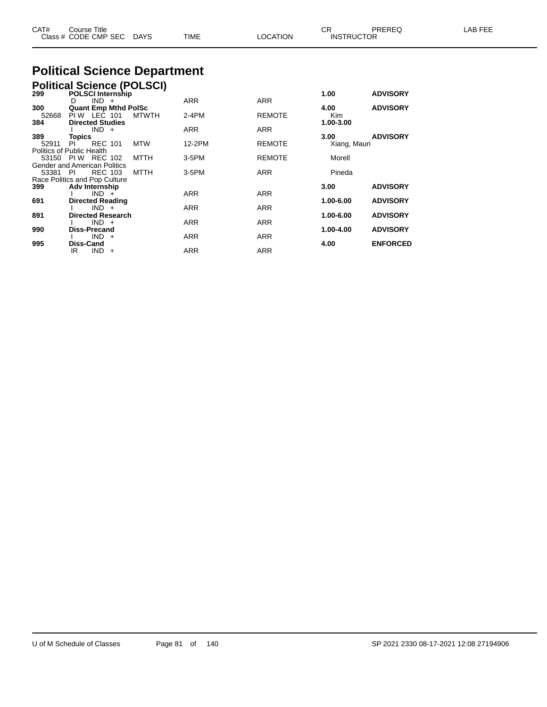| CAT# | Course Title         |             |             |                 | ∩n<br>◡           | PREREC | _AB FEF |
|------|----------------------|-------------|-------------|-----------------|-------------------|--------|---------|
|      | Class # CODE CMP SEC | <b>DAYS</b> | <b>TIME</b> | <b>LOCATION</b> | <b>INSTRUCTOR</b> |        |         |
|      |                      |             |             |                 |                   |        |         |

# **Political Science Department**

| <b>Political Science (POLSCI)</b><br>299 POLSCI Internship |                   |                                            |  |              |            |               |                    |                 |  |  |
|------------------------------------------------------------|-------------------|--------------------------------------------|--|--------------|------------|---------------|--------------------|-----------------|--|--|
|                                                            |                   |                                            |  |              |            |               | 1.00               | <b>ADVISORY</b> |  |  |
|                                                            | D                 | $IND +$                                    |  |              | <b>ARR</b> | <b>ARR</b>    |                    |                 |  |  |
| 300<br>52668                                               |                   | <b>Quant Emp Mthd PolSc</b><br>PIW LEC 101 |  | <b>MTWTH</b> | $2-4PM$    | <b>REMOTE</b> | 4.00<br><b>Kim</b> | <b>ADVISORY</b> |  |  |
| 384                                                        |                   | <b>Directed Studies</b>                    |  |              | <b>ARR</b> | <b>ARR</b>    | 1.00-3.00          |                 |  |  |
| 389                                                        | <b>Topics</b>     | $IND +$                                    |  |              |            |               | 3.00               | <b>ADVISORY</b> |  |  |
| 52911                                                      | PL                | <b>REC 101</b>                             |  | <b>MTW</b>   | 12-2PM     | <b>REMOTE</b> | Xiang, Mauri       |                 |  |  |
| Politics of Public Health                                  |                   |                                            |  |              |            |               |                    |                 |  |  |
|                                                            | 53150 PIW REC 102 |                                            |  | MTTH         | 3-5PM      | <b>REMOTE</b> | Morell             |                 |  |  |
| Gender and American Politics                               |                   |                                            |  |              |            |               |                    |                 |  |  |
| 53381 PI                                                   |                   | <b>REC 103</b>                             |  | MTTH         | 3-5PM      | <b>ARR</b>    | Pineda             |                 |  |  |
| Race Politics and Pop Culture                              |                   |                                            |  |              |            |               |                    |                 |  |  |
| 399                                                        |                   | <b>Adv Internship</b>                      |  |              |            |               | 3.00               | <b>ADVISORY</b> |  |  |
|                                                            |                   | $IND +$                                    |  |              | <b>ARR</b> | <b>ARR</b>    |                    |                 |  |  |
| 691                                                        |                   | <b>Directed Reading</b><br>$IND +$         |  |              | <b>ARR</b> | <b>ARR</b>    | 1.00-6.00          | <b>ADVISORY</b> |  |  |
| 891                                                        |                   | <b>Directed Research</b>                   |  |              |            |               | 1.00-6.00          | <b>ADVISORY</b> |  |  |
|                                                            |                   | $IND +$                                    |  |              | <b>ARR</b> | <b>ARR</b>    |                    |                 |  |  |
| 990                                                        |                   | <b>Diss-Precand</b>                        |  |              |            |               | 1.00-4.00          | <b>ADVISORY</b> |  |  |
|                                                            |                   | $IND +$                                    |  |              | <b>ARR</b> | <b>ARR</b>    |                    |                 |  |  |
| 995                                                        | Diss-Cand         |                                            |  |              |            |               | 4.00               | <b>ENFORCED</b> |  |  |
|                                                            | IR.               | IND.<br>$+$                                |  |              | <b>ARR</b> | <b>ARR</b>    |                    |                 |  |  |
|                                                            |                   |                                            |  |              |            |               |                    |                 |  |  |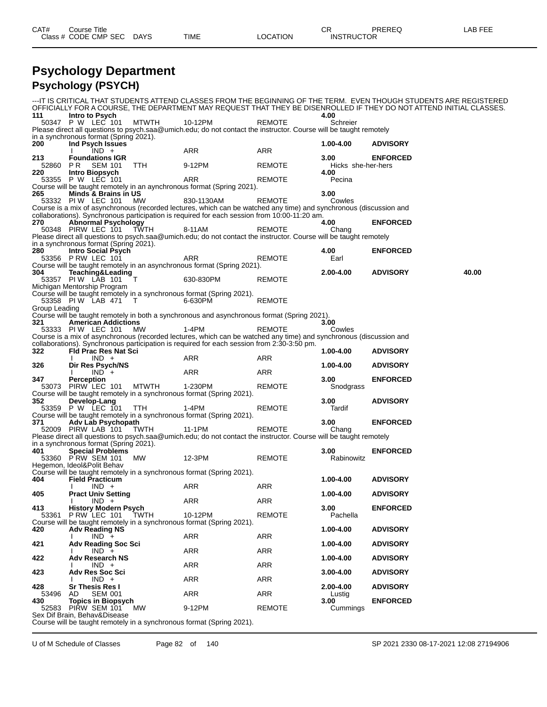| CAT# | ourse Titleٽ         |             |      |          | ⌒冖<br>◡ጙ          | PREREQ | LAB FEE |
|------|----------------------|-------------|------|----------|-------------------|--------|---------|
|      | Class # CODE CMP SEC | <b>DAYS</b> | TIME | LOCATION | <b>INSTRUCTOR</b> |        |         |

#### **Psychology Department Psychology (PSYCH)**

|                 |                                                 |             |                                                                                                                             |               |                                         | ---IT IS CRITICAL THAT STUDENTS ATTEND CLASSES FROM THE BEGINNING OF THE TERM. EVEN THOUGH STUDENTS ARE REGISTERED  |       |
|-----------------|-------------------------------------------------|-------------|-----------------------------------------------------------------------------------------------------------------------------|---------------|-----------------------------------------|---------------------------------------------------------------------------------------------------------------------|-------|
| 111             | Intro to Psych                                  |             |                                                                                                                             |               | 4.00                                    | OFFICIALLY FOR A COURSE, THE DEPARTMENT MAY REQUEST THAT THEY BE DISENROLLED IF THEY DO NOT ATTEND INITIAL CLASSES. |       |
|                 | 50347 P W LEC 101                               | MTWTH       | 10-12PM                                                                                                                     | <b>REMOTE</b> | Schreier                                |                                                                                                                     |       |
|                 | in a synchronous format (Spring 2021).          |             | Please direct all questions to psych.saa@umich.edu; do not contact the instructor. Course will be taught remotely           |               |                                         |                                                                                                                     |       |
| 200             | Ind Psych Issues                                |             |                                                                                                                             |               | $1.00 - 4.00$                           | <b>ADVISORY</b>                                                                                                     |       |
|                 | $IND +$                                         |             | ARR                                                                                                                         | ARR           |                                         |                                                                                                                     |       |
| 213<br>52860 PR | <b>Foundations IGR</b><br>SEM 101               | TTH         | 9-12PM                                                                                                                      | REMOTE        | 3.00 <sub>1</sub><br>Hicks she-her-hers | <b>ENFORCED</b>                                                                                                     |       |
| 220             | Intro Biopsych                                  |             |                                                                                                                             |               | 4.00                                    |                                                                                                                     |       |
|                 | 53355 P W LEC 101                               |             | ARR                                                                                                                         | <b>REMOTE</b> | Pecina                                  |                                                                                                                     |       |
|                 |                                                 |             | Course will be taught remotely in an aynchronous format (Spring 2021).                                                      |               |                                         |                                                                                                                     |       |
| 265             | Minds & Brains in US<br>53332 PIW LEC 101       | MW          | 830-1130AM                                                                                                                  | <b>REMOTE</b> | 3.00<br>Cowles                          |                                                                                                                     |       |
|                 |                                                 |             | Course is a mix of asynchronous (recorded lectures, which can be watched any time) and synchronous (discussion and          |               |                                         |                                                                                                                     |       |
|                 |                                                 |             | collaborations). Synchronous participation is required for each session from 10:00-11:20 am.                                |               |                                         |                                                                                                                     |       |
| 270             | <b>Abnormal Psychology</b>                      |             |                                                                                                                             |               | 4.00                                    | <b>ENFORCED</b>                                                                                                     |       |
|                 | 50348 PIRW LEC 101                              | TŴTH        | 8-11AM<br>Please direct all questions to psych.saa@umich.edu; do not contact the instructor. Course will be taught remotely | <b>REMOTE</b> | Chang                                   |                                                                                                                     |       |
|                 | in a synchronous format (Spring 2021).          |             |                                                                                                                             |               |                                         |                                                                                                                     |       |
| 280             | <b>Intro Social Psych</b>                       |             |                                                                                                                             |               | 4.00                                    | <b>ENFORCED</b>                                                                                                     |       |
|                 | 53356 P RW LEC 101                              |             | ARR                                                                                                                         | REMOTE        | Earl                                    |                                                                                                                     |       |
| 304             | Teaching&Leading                                |             | Course will be taught remotely in an asynchronous format (Spring 2021).                                                     |               | 2.00-4.00                               | <b>ADVISORY</b>                                                                                                     | 40.00 |
|                 | 53357 PIW LAB 101                               | $\top$      | 630-830PM                                                                                                                   | REMOTE        |                                         |                                                                                                                     |       |
|                 | Michigan Mentorship Program                     |             |                                                                                                                             |               |                                         |                                                                                                                     |       |
|                 |                                                 |             | Course will be taught remotely in a synchronous format (Spring 2021).                                                       |               |                                         |                                                                                                                     |       |
| Group Leading   | 53358 PIW LAB 471 T                             |             | 6-630PM                                                                                                                     | <b>REMOTE</b> |                                         |                                                                                                                     |       |
|                 |                                                 |             | Course will be taught remotely in both a synchronous and asynchronous format (Spring 2021).                                 |               |                                         |                                                                                                                     |       |
| 321             | <b>American Addictions</b>                      |             |                                                                                                                             |               | 3.00                                    |                                                                                                                     |       |
|                 | 53333 PIW LEC 101                               | MW          | 1-4PM                                                                                                                       | <b>REMOTE</b> | Cowles                                  |                                                                                                                     |       |
|                 |                                                 |             | Course is a mix of asynchronous (recorded lectures, which can be watched any time) and synchronous (discussion and          |               |                                         |                                                                                                                     |       |
| 322             | <b>Fld Prac Res Nat Sci</b>                     |             | collaborations). Synchronous participation is required for each session from 2:30-3:50 pm.                                  |               | 1.00-4.00                               | <b>ADVISORY</b>                                                                                                     |       |
|                 | $IND +$                                         |             |                                                                                                                             |               |                                         |                                                                                                                     |       |
|                 |                                                 |             | ARR                                                                                                                         | ARR           |                                         |                                                                                                                     |       |
| 326             | Dir Res Psych/NS                                |             |                                                                                                                             |               | 1.00-4.00                               | <b>ADVISORY</b>                                                                                                     |       |
|                 | $IND +$                                         |             | ARR                                                                                                                         | ARR           |                                         |                                                                                                                     |       |
| 347             | <b>Perception</b>                               |             |                                                                                                                             |               | 3.00                                    | <b>ENFORCED</b>                                                                                                     |       |
|                 | 53073 PIRW LEC 101 MTWTH                        |             | 1-230PM<br>Course will be taught remotely in a synchronous format (Spring 2021).                                            | <b>REMOTE</b> | Snodgrass                               |                                                                                                                     |       |
| 352             | Develop-Lang                                    |             |                                                                                                                             |               | 3.00                                    | <b>ADVISORY</b>                                                                                                     |       |
|                 | 53359 P W LEC 101                               | TTH         | 1-4PM                                                                                                                       | <b>REMOTE</b> | Tardif                                  |                                                                                                                     |       |
|                 |                                                 |             | Course will be taught remotely in a synchronous format (Spring 2021).                                                       |               |                                         |                                                                                                                     |       |
| 371             | Adv Lab Psychopath<br>52009 PIRW LAB 101 TWTH   |             | 11-1PM                                                                                                                      | REMOTE        | 3.00                                    | <b>ENFORCED</b>                                                                                                     |       |
|                 |                                                 |             | Please direct all questions to psych.saa@umich.edu; do not contact the instructor. Course will be taught remotely           |               | Chang                                   |                                                                                                                     |       |
|                 | in a synchronous format (Spring 2021).          |             |                                                                                                                             |               |                                         |                                                                                                                     |       |
| 401             | <b>Special Problems</b>                         |             |                                                                                                                             |               | 3.00                                    | <b>ENFORCED</b>                                                                                                     |       |
|                 | 53360 PRW SEM 101<br>Hegemon, Ideol&Polit Behav | MW          | 12-3PM                                                                                                                      | <b>REMOTE</b> | Rabinowitz                              |                                                                                                                     |       |
|                 |                                                 |             | Course will be taught remotely in a synchronous format (Spring 2021).                                                       |               |                                         |                                                                                                                     |       |
| 404             | <b>Field Practicum</b>                          |             |                                                                                                                             |               | 1.00-4.00                               | <b>ADVISORY</b>                                                                                                     |       |
|                 | $IND +$                                         |             | ARR                                                                                                                         | ARR           |                                         |                                                                                                                     |       |
| 405             | <b>Pract Univ Setting</b><br>$IND +$            |             |                                                                                                                             |               | 1.00-4.00                               | <b>ADVISORY</b>                                                                                                     |       |
| 413             | <b>History Modern Psych</b>                     |             | ARR                                                                                                                         | ARR           | 3.00                                    | <b>ENFORCED</b>                                                                                                     |       |
| 53361           | P RW LEC 101                                    | <b>TWTH</b> | 10-12PM                                                                                                                     | <b>REMOTE</b> | Pachella                                |                                                                                                                     |       |
|                 |                                                 |             | Course will be taught remotely in a synchronous format (Spring 2021).                                                       |               |                                         |                                                                                                                     |       |
| 420             | <b>Adv Reading NS</b><br>$IND +$                |             | ARR                                                                                                                         | ARR           | 1.00-4.00                               | <b>ADVISORY</b>                                                                                                     |       |
| 421             | <b>Adv Reading Soc Sci</b>                      |             |                                                                                                                             |               | 1.00-4.00                               | <b>ADVISORY</b>                                                                                                     |       |
|                 | $IND +$                                         |             | ARR                                                                                                                         | <b>ARR</b>    |                                         |                                                                                                                     |       |
| 422             | <b>Adv Research NS</b>                          |             |                                                                                                                             |               | 1.00-4.00                               | <b>ADVISORY</b>                                                                                                     |       |
| 423             | $IND +$<br>Adv Res Soc Sci                      |             | ARR                                                                                                                         | ARR           | 3.00-4.00                               | <b>ADVISORY</b>                                                                                                     |       |
|                 | $IND +$                                         |             | ARR                                                                                                                         | ARR           |                                         |                                                                                                                     |       |
| 428             | <b>Sr Thesis Res I</b>                          |             |                                                                                                                             |               | 2.00-4.00                               | <b>ADVISORY</b>                                                                                                     |       |
| 53496           | <b>SEM 001</b><br>AD.                           |             | ARR                                                                                                                         | ARR           | Lustig                                  |                                                                                                                     |       |
| 430<br>52583    | <b>Topics in Biopsych</b><br>PIRW SEM 101       | МW          | 9-12PM                                                                                                                      | REMOTE        | 3.00<br>Cummings                        | <b>ENFORCED</b>                                                                                                     |       |

Course will be taught remotely in a synchronous format (Spring 2021).

U of M Schedule of Classes Page 82 of 140 SP 2021 2330 08-17-2021 12:08 27194906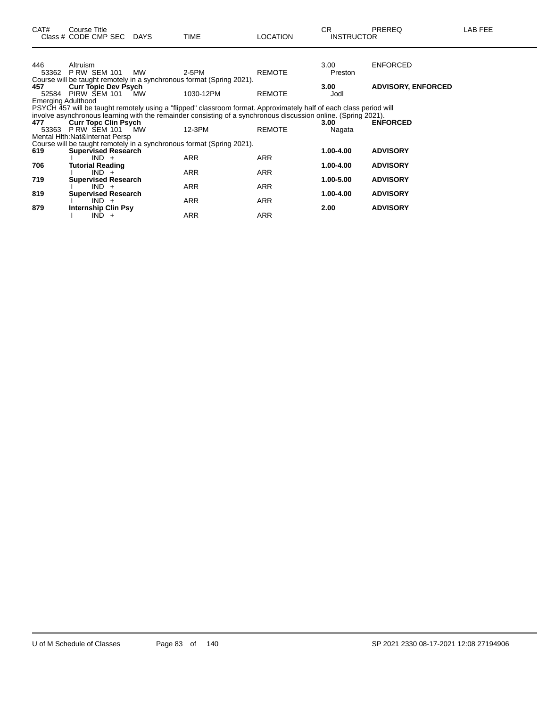| CAT#                      | Course Title<br>Class # CODE CMP SEC DAYS |           | <b>TIME</b>                                                                                                        | <b>LOCATION</b> | CR.<br><b>INSTRUCTOR</b> | PREREQ                    | LAB FEE |
|---------------------------|-------------------------------------------|-----------|--------------------------------------------------------------------------------------------------------------------|-----------------|--------------------------|---------------------------|---------|
|                           |                                           |           |                                                                                                                    |                 |                          |                           |         |
| 446                       | Altruism                                  |           |                                                                                                                    |                 | 3.00                     | <b>ENFORCED</b>           |         |
| 53362                     | <b>P RW SEM 101</b>                       | <b>MW</b> | 2-5PM<br>Course will be taught remotely in a synchronous format (Spring 2021).                                     | <b>REMOTE</b>   | Preston                  |                           |         |
| 457                       | <b>Curr Topic Dev Psych</b>               |           |                                                                                                                    |                 | 3.00                     | <b>ADVISORY, ENFORCED</b> |         |
|                           | 52584 PIRW SEM 101                        | MW.       | 1030-12PM                                                                                                          | <b>REMOTE</b>   | Jodl                     |                           |         |
| <b>Emerging Adulthood</b> |                                           |           |                                                                                                                    |                 |                          |                           |         |
|                           |                                           |           | PSYCH 457 will be taught remotely using a "flipped" classroom format. Approximately half of each class period will |                 |                          |                           |         |
|                           |                                           |           | involve asynchronous learning with the remainder consisting of a synchronous discussion online. (Spring 2021).     |                 |                          |                           |         |
| 477                       | <b>Curr Topc Clin Psych</b>               |           |                                                                                                                    |                 | 3.00                     | <b>ENFORCED</b>           |         |
| 53363                     | <b>P RW SEM 101</b>                       | MW        | 12-3PM                                                                                                             | <b>REMOTE</b>   | Nagata                   |                           |         |
|                           | Mental Hith: Nat&Internat Persp           |           | Course will be taught remotely in a synchronous format (Spring 2021).                                              |                 |                          |                           |         |
| 619                       | <b>Supervised Research</b>                |           |                                                                                                                    |                 | 1.00-4.00                | <b>ADVISORY</b>           |         |
|                           | $IND +$                                   |           | <b>ARR</b>                                                                                                         | <b>ARR</b>      |                          |                           |         |
| 706                       | <b>Tutorial Reading</b>                   |           |                                                                                                                    |                 | 1.00-4.00                | <b>ADVISORY</b>           |         |
|                           | $IND +$                                   |           | <b>ARR</b>                                                                                                         | <b>ARR</b>      |                          |                           |         |
| 719                       | <b>Supervised Research</b>                |           |                                                                                                                    |                 | 1.00-5.00                | <b>ADVISORY</b>           |         |
|                           | $IND +$                                   |           | <b>ARR</b>                                                                                                         | ARR             |                          |                           |         |
| 819                       | <b>Supervised Research</b>                |           |                                                                                                                    |                 | 1.00-4.00                | <b>ADVISORY</b>           |         |
| 879                       | $IND +$<br><b>Internship Clin Psy</b>     |           | <b>ARR</b>                                                                                                         | ARR             | 2.00                     | <b>ADVISORY</b>           |         |
|                           | $IND +$                                   |           | <b>ARR</b>                                                                                                         | <b>ARR</b>      |                          |                           |         |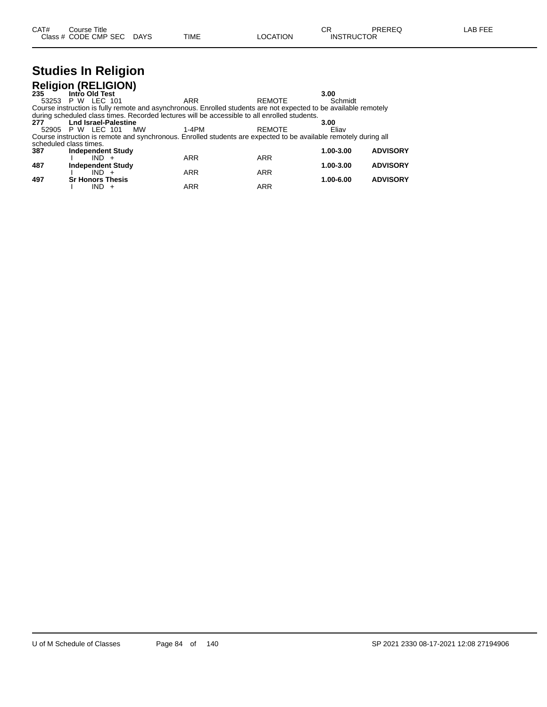#### **Studies In Religion Religion (RELIGION)**

| <b>NUMBER (NELIGION)</b> |                |         |                             |             |                                                                                                                  |               |                 |
|--------------------------|----------------|---------|-----------------------------|-------------|------------------------------------------------------------------------------------------------------------------|---------------|-----------------|
| 235                      | Intro Old Test |         |                             |             |                                                                                                                  | 3.00          |                 |
| 53253 P W LEC 101        |                |         |                             | <b>ARR</b>  |                                                                                                                  | <b>REMOTE</b> | Schmidt         |
|                          |                |         |                             |             | Course instruction is fully remote and asynchronous. Enrolled students are not expected to be available remotely |               |                 |
|                          |                |         |                             |             | during scheduled class times. Recorded lectures will be accessible to all enrolled students.                     |               |                 |
| 277                      |                |         | <b>Lnd Israel-Palestine</b> |             |                                                                                                                  | 3.00          |                 |
| 52905 P W LEC 101        |                |         |                             | 1-4PM<br>МW | <b>REMOTE</b>                                                                                                    |               | Eliav           |
|                          |                |         |                             |             | Course instruction is remote and synchronous. Enrolled students are expected to be available remotely during all |               |                 |
| scheduled class times.   |                |         |                             |             |                                                                                                                  |               |                 |
| 387                      |                |         | <b>Independent Study</b>    |             |                                                                                                                  | 1.00-3.00     | <b>ADVISORY</b> |
|                          |                | $IND +$ |                             | <b>ARR</b>  | <b>ARR</b>                                                                                                       |               |                 |
| 487                      |                |         | <b>Independent Study</b>    |             |                                                                                                                  | 1.00-3.00     | <b>ADVISORY</b> |
|                          |                | $IND +$ |                             | <b>ARR</b>  | <b>ARR</b>                                                                                                       |               |                 |
| 497                      |                |         | <b>Sr Honors Thesis</b>     |             |                                                                                                                  | 1.00-6.00     | <b>ADVISORY</b> |
|                          |                | IND +   |                             | <b>ARR</b>  | <b>ARR</b>                                                                                                       |               |                 |
|                          |                |         |                             |             |                                                                                                                  |               |                 |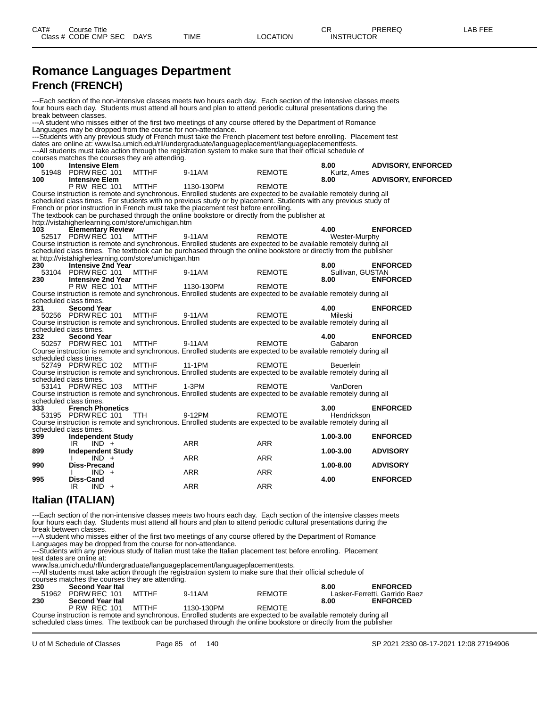#### **Romance Languages Department French (FRENCH)**

---Each section of the non-intensive classes meets two hours each day. Each section of the intensive classes meets four hours each day. Students must attend all hours and plan to attend periodic cultural presentations during the break between classes. ---A student who misses either of the first two meetings of any course offered by the Department of Romance Languages may be dropped from the course for non-attendance. ---Students with any previous study of French must take the French placement test before enrolling. Placement test dates are online at: www.lsa.umich.edu/rll/undergraduate/languageplacement/languageplacementtests. ---All students must take action through the registration system to make sure that their official schedule of courses matches the courses they are attending.<br>100 **Intensive Elem 100 Intensive Elem 8.00 ADVISORY, ENFORCED** 51948 Intensive Elem<br>
51948 PDRW REC 101 MTTHF 9-11AM REMOTE K<br>
51948 PDRW REC 101 MTTHF 9-11AM REMOTE K<br>
8.00 **1000 MTTHF 1130-130PM REMOTE 8.00 ADVISORY, ENFORCED P RW REC 101** Course instruction is remote and synchronous. Enrolled students are expected to be available remotely during all scheduled class times. For students with no previous study or by placement. Students with any previous study of French or prior instruction in French must take the placement test before enrolling. The textbook can be purchased through the online bookstore or directly from the publisher at http://vistahigherlearning.com/store/umichigan.htm<br>**103 Elementary Review**<br>52517 PDRW REC 101 MTTHF 9-1 **103 Elementary Review 4.00 ENFORCED** 52517 PDRW REC 101 MTTHF 9-11AM REMOTE Wester-Murphy Course instruction is remote and synchronous. Enrolled students are expected to be available remotely during all<br>Course instruction is remote and synchronous. Enrolled students are expected to be available remotely during scheduled class times. The textbook can be purchased through the online bookstore or directly from the publisher at http://vistahigherlearning.com/store/umichigan.htm<br>230 **Intensive 2nd Year 230 Intensive 2nd Year 8.00 ENFORCED** 53104 PDRW REC 101 MTTHF 9-11AM REMOTE 6.00 ENFURCED<br>230 Intensive 2nd Year 9-11AM REMOTE 8.00 ENFORCED **230 Intensive 2nd Year 8.00 ENFORCED** P RW REC 101 Course instruction is remote and synchronous. Enrolled students are expected to be available remotely during all scheduled class times.<br>231 **Second Year 231 Second Year 4.00 ENFORCED** 50256 PDRW REC 101 MTTHF 9-11AM REMOTE Mileski Course instruction is remote and synchronous. Enrolled students are expected to be available remotely during all scheduled class times.<br>232 **Second Ye 23 24.00 ENFORCED**<br>
23 **24.00 ENFORCED**<br>
23-11AM REMOTE Cabaron Gabaron 50257 PDRW REC 101 Course instruction is remote and synchronous. Enrolled students are expected to be available remotely during all scheduled class times 52749 PDRW REC 102 MTTHF 11-1PM REMOTE Beuerlein Course instruction is remote and synchronous. Enrolled students are expected to be available remotely during all scheduled class times. 53141 PDRW REC 103 MTTHF 1-3PM REMOTE VanDoren Course instruction is remote and synchronous. Enrolled students are expected to be available remotely during all scheduled class times.<br>333 French Pl **333 French Phonetics 3.00 ENFORCED** PDRW REC 101 Course instruction is remote and synchronous. Enrolled students are expected to be available remotely during all scheduled class times.<br>399 Independe **399 Independent Study 1.00-3.00 ENFORCED** IR IND + ARR ARR ARR **899 Independent Study 1.00-3.00 ADVISORY** I IND + ARR ARR ARR **990 Diss-Precand 1.00-8.00 ADVISORY** I IND + ARR ARR ARR **995 Diss-Cand 4.00 ENFORCED** IR IND + ARR ARR ARR **Italian (ITALIAN)**

---Each section of the non-intensive classes meets two hours each day. Each section of the intensive classes meets four hours each day. Students must attend all hours and plan to attend periodic cultural presentations during the break between classes.

---A student who misses either of the first two meetings of any course offered by the Department of Romance Languages may be dropped from the course for non-attendance.

---Students with any previous study of Italian must take the Italian placement test before enrolling. Placement test dates are online at:

www.lsa.umich.edu/rll/undergraduate/languageplacement/languageplacementtests.

---All students must take action through the registration system to make sure that their official schedule of

| courses matches the courses they are attending. |                          |  |                                                                                                                  |               |      |                               |  |  |  |  |
|-------------------------------------------------|--------------------------|--|------------------------------------------------------------------------------------------------------------------|---------------|------|-------------------------------|--|--|--|--|
| 230                                             | <b>Second Year Ital</b>  |  |                                                                                                                  |               | 8.00 | <b>ENFORCED</b>               |  |  |  |  |
|                                                 | 51962 PDRW REC 101 MTTHE |  | 9-11AM                                                                                                           | REMOTE        |      | Lasker-Ferretti, Garrido Baez |  |  |  |  |
| 230                                             | <b>Second Year Ital</b>  |  |                                                                                                                  |               | 8.00 | <b>ENFORCED</b>               |  |  |  |  |
|                                                 | PRW REC 101 MTTHE        |  | 1130-130PM                                                                                                       | <b>REMOTE</b> |      |                               |  |  |  |  |
|                                                 |                          |  | Course instruction is remote and synchronous. Enrolled students are expected to be available remotely during all |               |      |                               |  |  |  |  |
|                                                 |                          |  | a de adolada da canta a Tha tantha do an baine da an danan de tha an San baidhean an dheath Chemitha no de San   |               |      |                               |  |  |  |  |

scheduled class times. The textbook can be purchased through the online bookstore or directly from the publisher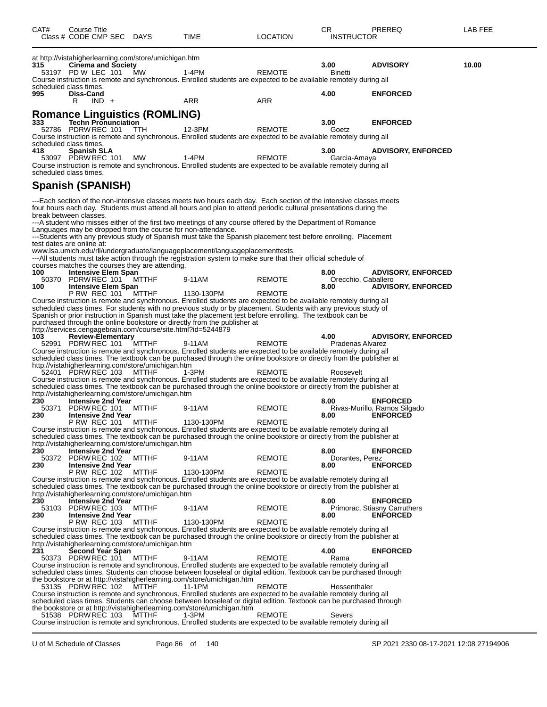| CAT#                          | <b>Course Title</b> | Class # CODE CMP SEC DAYS  |                                                                    | TIME                                                                                                                                                                                                                                    | <b>LOCATION</b> | СR<br><b>INSTRUCTOR</b> | PREREQ                                          | LAB FEE |
|-------------------------------|---------------------|----------------------------|--------------------------------------------------------------------|-----------------------------------------------------------------------------------------------------------------------------------------------------------------------------------------------------------------------------------------|-----------------|-------------------------|-------------------------------------------------|---------|
| 315                           | 53197 PD W LEC 101  | <b>Cinema and Society</b>  | at http://vistahigherlearning.com/store/umichigan.htm<br><b>MW</b> | 1-4PM<br>Course instruction is remote and synchronous. Enrolled students are expected to be available remotely during all                                                                                                               | <b>REMOTE</b>   | 3.00<br><b>Binetti</b>  | <b>ADVISORY</b>                                 | 10.00   |
| scheduled class times.<br>995 | Diss-Cand<br>R      | $IND +$                    |                                                                    | ARR                                                                                                                                                                                                                                     | <b>ARR</b>      | 4.00                    | <b>ENFORCED</b>                                 |         |
| 333                           |                     | <b>Techn Pronunciation</b> | <b>Romance Linguistics (ROMLING)</b>                               |                                                                                                                                                                                                                                         |                 | 3.00                    | <b>ENFORCED</b>                                 |         |
|                               |                     | 52786 PDRW REC 101 TTH     |                                                                    | 12-3PM                                                                                                                                                                                                                                  | <b>REMOTE</b>   | Goetz                   |                                                 |         |
| scheduled class times.        |                     |                            |                                                                    | Course instruction is remote and synchronous. Enrolled students are expected to be available remotely during all                                                                                                                        |                 |                         |                                                 |         |
| 418                           | <b>Spanish SLA</b>  |                            |                                                                    |                                                                                                                                                                                                                                         |                 | 3.00                    | <b>ADVISORY, ENFORCED</b>                       |         |
|                               | 53097 PDRW REC 101  |                            | MW                                                                 | 1-4PM                                                                                                                                                                                                                                   | <b>REMOTE</b>   | Garcia-Amaya            |                                                 |         |
| scheduled class times.        |                     |                            |                                                                    | Course instruction is remote and synchronous. Enrolled students are expected to be available remotely during all                                                                                                                        |                 |                         |                                                 |         |
| Spanish (SPANISH)             |                     |                            |                                                                    |                                                                                                                                                                                                                                         |                 |                         |                                                 |         |
| break between classes.        |                     |                            |                                                                    | ---Each section of the non-intensive classes meets two hours each day. Each section of the intensive classes meets<br>four hours each day. Students must attend all hours and plan to attend periodic cultural presentations during the |                 |                         |                                                 |         |
|                               |                     |                            |                                                                    | ---A student who misses either of the first two meetings of any course offered by the Department of Romance                                                                                                                             |                 |                         |                                                 |         |
|                               |                     |                            |                                                                    | Languages may be dropped from the course for non-attendance.                                                                                                                                                                            |                 |                         |                                                 |         |
| test dates are online at:     |                     |                            |                                                                    | ---Students with any previous study of Spanish must take the Spanish placement test before enrolling. Placement                                                                                                                         |                 |                         |                                                 |         |
|                               |                     |                            |                                                                    | www.lsa.umich.edu/rll/undergraduate/languageplacement/languageplacementtests.                                                                                                                                                           |                 |                         |                                                 |         |
|                               |                     |                            | courses matches the courses they are attending.                    | ---All students must take action through the registration system to make sure that their official schedule of                                                                                                                           |                 |                         |                                                 |         |
| 100                           |                     | <b>Intensive Elem Span</b> |                                                                    |                                                                                                                                                                                                                                         |                 | 8.00                    | <b>ADVISORY, ENFORCED</b>                       |         |
|                               | 50370 PDRW REC 101  |                            | MTTHF                                                              | 9-11AM                                                                                                                                                                                                                                  | <b>REMOTE</b>   | Orecchio, Caballero     |                                                 |         |
| 100                           | <b>P RW REC 101</b> | <b>Intensive Elem Span</b> | MTTHF                                                              | 1130-130PM                                                                                                                                                                                                                              | <b>REMOTE</b>   | 8.00                    | <b>ADVISORY, ENFORCED</b>                       |         |
|                               |                     |                            |                                                                    | Course instruction is remote and synchronous. Enrolled students are expected to be available remotely during all                                                                                                                        |                 |                         |                                                 |         |
|                               |                     |                            |                                                                    | scheduled class times. For students with no previous study or by placement. Students with any previous study of                                                                                                                         |                 |                         |                                                 |         |
|                               |                     |                            |                                                                    | Spanish or prior instruction in Spanish must take the placement test before enrolling. The textbook can be<br>purchased through the online bookstore or directly from the publisher at                                                  |                 |                         |                                                 |         |
|                               |                     |                            | http://services.cengagebrain.com/course/site.html?id=5244879       |                                                                                                                                                                                                                                         |                 |                         |                                                 |         |
| 103                           |                     | Review-Elementary          |                                                                    |                                                                                                                                                                                                                                         |                 | 4.00                    | <b>ADVISORY, ENFORCED</b>                       |         |
|                               |                     | 52991 PDRW REC 101 MTTHF   |                                                                    | 9-11AM<br>Course instruction is remote and synchronous. Enrolled students are expected to be available remotely during all                                                                                                              | <b>REMOTE</b>   | Pradenas Alvarez        |                                                 |         |
|                               |                     |                            |                                                                    | scheduled class times. The textbook can be purchased through the online bookstore or directly from the publisher at                                                                                                                     |                 |                         |                                                 |         |
|                               |                     |                            | http://vistahigherlearning.com/store/umichigan.htm                 |                                                                                                                                                                                                                                         |                 |                         |                                                 |         |
|                               |                     | 52401 PDRW REC 103         | MTTHF                                                              | 1-3PM<br>Course instruction is remote and synchronous. Enrolled students are expected to be available remotely during all                                                                                                               | REMOTE          | Roosevelt               |                                                 |         |
|                               |                     |                            |                                                                    | scheduled class times. The textbook can be purchased through the online bookstore or directly from the publisher at                                                                                                                     |                 |                         |                                                 |         |
|                               |                     |                            | http://vistahigherlearning.com/store/umichigan.htm                 |                                                                                                                                                                                                                                         |                 |                         |                                                 |         |
| 230<br>50371                  | PDRW REC 101        | <b>Intensive 2nd Year</b>  | MTTHF                                                              | 9-11AM                                                                                                                                                                                                                                  | <b>REMOTE</b>   | 8.00                    | <b>ENFORCED</b><br>Rivas-Murillo, Ramos Silgado |         |
| 230                           |                     | <b>Intensive 2nd Year</b>  |                                                                    |                                                                                                                                                                                                                                         |                 | 8.00                    | <b>ENFORCED</b>                                 |         |
|                               | <b>P RW REC 101</b> |                            | MTTHF                                                              | 1130-130PM                                                                                                                                                                                                                              | REMOTE          |                         |                                                 |         |
|                               |                     |                            |                                                                    | Course instruction is remote and synchronous. Enrolled students are expected to be available remotely during all<br>scheduled class times. The textbook can be purchased through the online bookstore or directly from the publisher at |                 |                         |                                                 |         |
|                               |                     |                            | http://vistahigherlearning.com/store/umichigan.htm                 |                                                                                                                                                                                                                                         |                 |                         |                                                 |         |
| 230                           |                     | <b>Intensive 2nd Year</b>  |                                                                    |                                                                                                                                                                                                                                         |                 | 8.00                    | <b>ENFORCED</b>                                 |         |
| 230                           | 50372 PDRW REC 102  | <b>Intensive 2nd Year</b>  | MTTHF                                                              | 9-11AM                                                                                                                                                                                                                                  | <b>REMOTE</b>   | Dorantes, Perez<br>8.00 | <b>ENFORCED</b>                                 |         |
|                               |                     | <b>P RW REC 102</b>        | MTTHF                                                              | 1130-130PM                                                                                                                                                                                                                              | <b>REMOTE</b>   |                         |                                                 |         |
|                               |                     |                            |                                                                    | Course instruction is remote and synchronous. Enrolled students are expected to be available remotely during all                                                                                                                        |                 |                         |                                                 |         |
|                               |                     |                            | http://vistahigherlearning.com/store/umichigan.htm                 | scheduled class times. The textbook can be purchased through the online bookstore or directly from the publisher at                                                                                                                     |                 |                         |                                                 |         |
| 230                           |                     | Intensive 2nd Year         |                                                                    |                                                                                                                                                                                                                                         |                 | 8.00                    | <b>ENFORCED</b>                                 |         |
| 53103                         | PDRW REC 103        |                            | MTTHF                                                              | 9-11AM                                                                                                                                                                                                                                  | <b>REMOTE</b>   |                         | Primorac, Stiasny Carruthers                    |         |
| 230                           | <b>P RW REC 103</b> | <b>Intensive 2nd Year</b>  | MTTHF                                                              | 1130-130PM                                                                                                                                                                                                                              | <b>REMOTE</b>   | 8.00                    | <b>ENFORCED</b>                                 |         |
|                               |                     |                            |                                                                    | Course instruction is remote and synchronous. Enrolled students are expected to be available remotely during all                                                                                                                        |                 |                         |                                                 |         |
|                               |                     |                            | http://vistahigherlearning.com/store/umichigan.htm                 | scheduled class times. The textbook can be purchased through the online bookstore or directly from the publisher at                                                                                                                     |                 |                         |                                                 |         |
| 231                           |                     | Second Year Span           |                                                                    |                                                                                                                                                                                                                                         |                 | 4.00                    | <b>ENFORCED</b>                                 |         |
|                               | 50373 PDRW REC 101  |                            | MTTHF                                                              | 9-11AM                                                                                                                                                                                                                                  | <b>REMOTE</b>   | Rama                    |                                                 |         |
|                               |                     |                            |                                                                    | Course instruction is remote and synchronous. Enrolled students are expected to be available remotely during all                                                                                                                        |                 |                         |                                                 |         |
|                               |                     |                            |                                                                    | scheduled class times. Students can choose between looseleaf or digital edition. Textbook can be purchased through<br>the bookstore or at http://vistahigherlearning.com/store/umichigan.htm                                            |                 |                         |                                                 |         |
|                               | 53135 PDRW REC 102  |                            | MTTHF                                                              | 11-1PM                                                                                                                                                                                                                                  | <b>REMOTE</b>   | Hessenthaler            |                                                 |         |
|                               |                     |                            |                                                                    | Course instruction is remote and synchronous. Enrolled students are expected to be available remotely during all<br>scheduled class times. Students can choose between looseleaf or digital edition. Textbook can be purchased through  |                 |                         |                                                 |         |
|                               |                     |                            |                                                                    | the bookstore or at http://vistahigherlearning.com/store/umichigan.htm                                                                                                                                                                  |                 |                         |                                                 |         |
|                               | 51538 PDRW REC 103  |                            | MTTHF                                                              | 1-3PM                                                                                                                                                                                                                                   | <b>REMOTE</b>   | Severs                  |                                                 |         |
|                               |                     |                            |                                                                    | Course instruction is remote and synchronous. Enrolled students are expected to be available remotely during all                                                                                                                        |                 |                         |                                                 |         |

U of M Schedule of Classes Page 86 of 140 SP 2021 2330 08-17-2021 12:08 27194906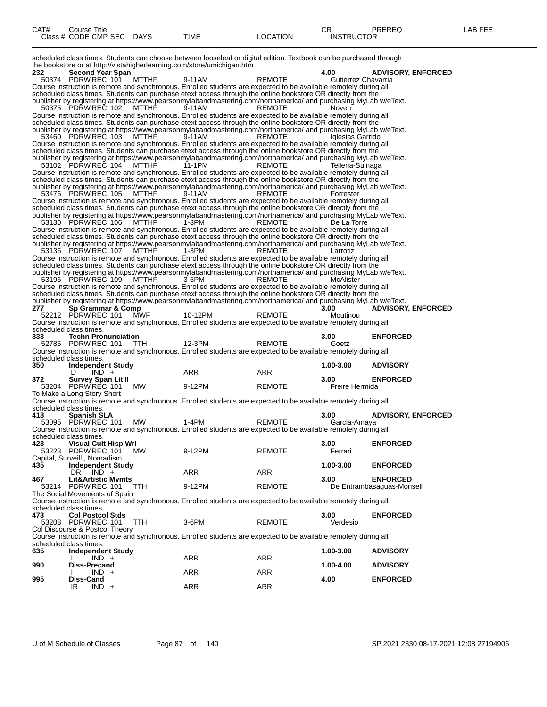| CAT# | ourse Titleٽ         |             |      |          | ⌒冖<br>◡⊓          | PREREQ | _AB FEE |
|------|----------------------|-------------|------|----------|-------------------|--------|---------|
|      | Class # CODE CMP SEC | <b>DAYS</b> | TIME | LOCATION | <b>INSTRUCTOR</b> |        |         |

scheduled class times. Students can choose between looseleaf or digital edition. Textbook can be purchased through the bookstore or at http://vistahigherlearning.com/store/umichigan.htm

| 232 | Second Year Span                    |            |                                                                                                                            |               | 4.00                | <b>ADVISORY, ENFORCED</b> |
|-----|-------------------------------------|------------|----------------------------------------------------------------------------------------------------------------------------|---------------|---------------------|---------------------------|
|     | 50374 PDRW REC 101                  | MTTHF      | 9-11AM                                                                                                                     | REMOTE        | Gutierrez Chavarria |                           |
|     |                                     |            | Course instruction is remote and synchronous. Enrolled students are expected to be available remotely during all           |               |                     |                           |
|     |                                     |            | scheduled class times. Students can purchase etext access through the online bookstore OR directly from the                |               |                     |                           |
|     |                                     |            | publisher by registering at https://www.pearsonmylabandmastering.com/northamerica/ and purchasing MyLab w/eText.           |               |                     |                           |
|     | 50375 PDRW REC 102                  | MTTHF      | 9-11AM                                                                                                                     | <b>REMOTE</b> | Noverr              |                           |
|     |                                     |            | Course instruction is remote and synchronous. Enrolled students are expected to be available remotely during all           |               |                     |                           |
|     |                                     |            | scheduled class times. Students can purchase etext access through the online bookstore OR directly from the                |               |                     |                           |
|     |                                     |            | publisher by registering at https://www.pearsonmylabandmastering.com/northamerica/ and purchasing MyLab w/eText.           |               |                     |                           |
|     | 53460 PDRW REC 103                  | MTTHF      | 9-11AM                                                                                                                     | <b>REMOTE</b> | Iglesias Garrido    |                           |
|     |                                     |            | Course instruction is remote and synchronous. Enrolled students are expected to be available remotely during all           |               |                     |                           |
|     |                                     |            | scheduled class times. Students can purchase etext access through the online bookstore OR directly from the                |               |                     |                           |
|     | 53102 PDRW REC 104 MTTHF            |            | publisher by registering at https://www.pearsonmylabandmastering.com/northamerica/ and purchasing MyLab w/eText.<br>11-1PM | REMOTE        |                     |                           |
|     |                                     |            | Course instruction is remote and synchronous. Enrolled students are expected to be available remotely during all           |               | Telleria-Suinaga    |                           |
|     |                                     |            | scheduled class times. Students can purchase etext access through the online bookstore OR directly from the                |               |                     |                           |
|     |                                     |            | publisher by registering at https://www.pearsonmylabandmastering.com/northamerica/ and purchasing MyLab w/eText.           |               |                     |                           |
|     | 53476 PDRW REC 105                  | MTTHF      | 9-11AM                                                                                                                     | <b>REMOTE</b> | Forrester           |                           |
|     |                                     |            | Course instruction is remote and synchronous. Enrolled students are expected to be available remotely during all           |               |                     |                           |
|     |                                     |            | scheduled class times. Students can purchase etext access through the online bookstore OR directly from the                |               |                     |                           |
|     |                                     |            | publisher by registering at https://www.pearsonmylabandmastering.com/northamerica/ and purchasing MyLab w/eText.           |               |                     |                           |
|     | 53130 PDRW REC 106                  | MTTHF      | 1-3PM                                                                                                                      | <b>REMOTE</b> | De La Torre         |                           |
|     |                                     |            | Course instruction is remote and synchronous. Enrolled students are expected to be available remotely during all           |               |                     |                           |
|     |                                     |            | scheduled class times. Students can purchase etext access through the online bookstore OR directly from the                |               |                     |                           |
|     |                                     |            | publisher by registering at https://www.pearsonmylabandmastering.com/northamerica/ and purchasing MyLab w/eText.           |               |                     |                           |
|     | 53136 PDRW REC 107 MTTHF            |            | 1-3PM                                                                                                                      | REMOTE        | Larrotiz            |                           |
|     |                                     |            | Course instruction is remote and synchronous. Enrolled students are expected to be available remotely during all           |               |                     |                           |
|     |                                     |            | scheduled class times. Students can purchase etext access through the online bookstore OR directly from the                |               |                     |                           |
|     |                                     |            | publisher by registering at https://www.pearsonmylabandmastering.com/northamerica/ and purchasing MyLab w/eText.           |               |                     |                           |
|     | 53196 PDRW REC 109                  | MTTHF      | 3-5PM                                                                                                                      | <b>REMOTE</b> | McAlister           |                           |
|     |                                     |            | Course instruction is remote and synchronous. Enrolled students are expected to be available remotely during all           |               |                     |                           |
|     |                                     |            | scheduled class times. Students can purchase etext access through the online bookstore OR directly from the                |               |                     |                           |
|     |                                     |            | publisher by registering at https://www.pearsonmylabandmastering.com/northamerica/ and purchasing MyLab w/eText.           |               |                     |                           |
| 277 | Sp Grammar & Comp                   |            |                                                                                                                            |               | 3.00                | <b>ADVISORY, ENFORCED</b> |
|     | 52212 PDRW REC 101 MWF              |            | 10-12PM                                                                                                                    | <b>REMOTE</b> | Moutinou            |                           |
|     |                                     |            | Course instruction is remote and synchronous. Enrolled students are expected to be available remotely during all           |               |                     |                           |
|     | scheduled class times.              |            |                                                                                                                            |               |                     |                           |
|     |                                     |            |                                                                                                                            |               |                     |                           |
| 333 | <b>Techn Pronunciation</b>          |            |                                                                                                                            |               | 3.00                | <b>ENFORCED</b>           |
|     | 52785 PDRW REC 101                  | <b>TTH</b> | 12-3PM                                                                                                                     | <b>REMOTE</b> | Goetz               |                           |
|     |                                     |            | Course instruction is remote and synchronous. Enrolled students are expected to be available remotely during all           |               |                     |                           |
|     | scheduled class times.              |            |                                                                                                                            |               |                     |                           |
| 350 | <b>Independent Study</b>            |            |                                                                                                                            |               | 1.00-3.00           | <b>ADVISORY</b>           |
|     | $IND +$<br>D                        |            | ARR                                                                                                                        | ARR           |                     |                           |
| 372 | <b>Survey Span Lit II</b>           |            |                                                                                                                            |               | 3.00                | <b>ENFORCED</b>           |
|     | 53204 PDRW REC 101                  | MW         | 9-12PM                                                                                                                     | <b>REMOTE</b> | Freire Hermida      |                           |
|     | To Make a Long Story Short          |            |                                                                                                                            |               |                     |                           |
|     |                                     |            | Course instruction is remote and synchronous. Enrolled students are expected to be available remotely during all           |               |                     |                           |
|     | scheduled class times.              |            |                                                                                                                            |               |                     |                           |
| 418 | <b>Spanish SLA</b>                  |            |                                                                                                                            |               | 3.00                | <b>ADVISORY, ENFORCED</b> |
|     | 53095 PDRW REC 101                  | MW.        | 1-4PM                                                                                                                      | <b>REMOTE</b> | Garcia-Amaya        |                           |
|     |                                     |            | Course instruction is remote and synchronous. Enrolled students are expected to be available remotely during all           |               |                     |                           |
|     | scheduled class times.              |            |                                                                                                                            |               |                     |                           |
| 423 | <b>Visual Cult Hisp Wrl</b>         |            |                                                                                                                            |               | 3.00                | <b>ENFORCED</b>           |
|     | 53223 PDRW REC 101                  | MW.        | 9-12PM                                                                                                                     | <b>REMOTE</b> | Ferrari             |                           |
|     | Capital, Surveill., Nomadism        |            |                                                                                                                            |               |                     |                           |
| 435 | <b>Independent Study</b>            |            |                                                                                                                            |               | 1.00-3.00           | <b>ENFORCED</b>           |
|     | DR IND +                            |            | ARR                                                                                                                        | ARR           |                     |                           |
| 467 | <b>Lit&amp;Artistic Mymts</b>       |            |                                                                                                                            |               | 3.00                | <b>ENFORCED</b>           |
|     | 53214 PDRW REC 101                  | TTH.       | 9-12PM                                                                                                                     | <b>REMOTE</b> |                     | De Entrambasaguas-Monsell |
|     | The Social Movements of Spain       |            |                                                                                                                            |               |                     |                           |
|     |                                     |            | Course instruction is remote and synchronous. Enrolled students are expected to be available remotely during all           |               |                     |                           |
|     | scheduled class times.              |            |                                                                                                                            |               |                     |                           |
| 473 | <b>Col Postcol Stds</b>             |            |                                                                                                                            |               | 3.00                | <b>ENFORCED</b>           |
|     | 53208 PDRW REC 101                  | TTH        | 3-6PM                                                                                                                      | <b>REMOTE</b> | Verdesio            |                           |
|     | Col Discourse & Postcol Theory      |            |                                                                                                                            |               |                     |                           |
|     | scheduled class times.              |            | Course instruction is remote and synchronous. Enrolled students are expected to be available remotely during all           |               |                     |                           |
|     |                                     |            |                                                                                                                            |               | 1.00-3.00           |                           |
| 635 | <b>Independent Study</b><br>$IND +$ |            |                                                                                                                            |               |                     | <b>ADVISORY</b>           |
| 990 |                                     |            | ARR                                                                                                                        | <b>ARR</b>    |                     | <b>ADVISORY</b>           |
|     | <b>Diss-Precand</b><br>$IND +$      |            | ARR                                                                                                                        | <b>ARR</b>    | 1.00-4.00           |                           |
| 995 | Diss-Cand                           |            | ARR                                                                                                                        | ARR           | 4.00                | <b>ENFORCED</b>           |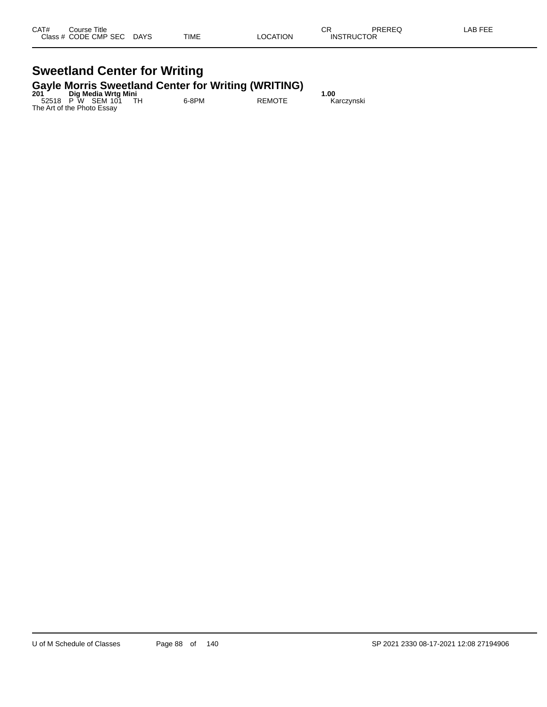#### **Sweetland Center for Writing Gayle Morris Sweetland Center for Writing (WRITING)**

| 201 | Dig Media Wrtg Mini        |       | .             | 1.00       |
|-----|----------------------------|-------|---------------|------------|
|     | 52518 P W SEM 101 TH       | 6-8PM | <b>REMOTE</b> | Karczynski |
|     | The Art of the Photo Essay |       |               |            |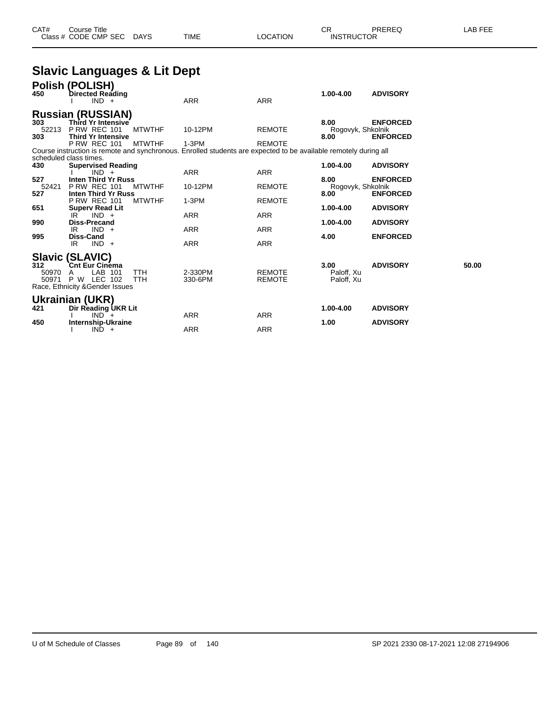|                       | <b>Slavic Languages &amp; Lit Dept</b>                                                                                                                      |                                                                                                                         |                                |                                   |                                    |       |
|-----------------------|-------------------------------------------------------------------------------------------------------------------------------------------------------------|-------------------------------------------------------------------------------------------------------------------------|--------------------------------|-----------------------------------|------------------------------------|-------|
| 450                   | Polish (POLISH)<br><b>Directed Reading</b><br>$IND +$                                                                                                       | <b>ARR</b>                                                                                                              | <b>ARR</b>                     | 1.00-4.00                         | <b>ADVISORY</b>                    |       |
| 303<br>52213<br>303   | <b>Russian (RUSSIAN)</b><br>Third Yr Intensive<br><b>P RW REC 101</b><br><b>MTWTHF</b><br><b>Third Yr Intensive</b><br><b>MTWTHF</b><br><b>P RW REC 101</b> | 10-12PM<br>$1-3PM$                                                                                                      | <b>REMOTE</b><br><b>REMOTE</b> | 8.00<br>Rogovyk, Shkolnik<br>8.00 | <b>ENFORCED</b><br><b>ENFORCED</b> |       |
| 430                   | scheduled class times.<br><b>Supervised Reading</b><br>$IND +$                                                                                              | Course instruction is remote and synchronous. Enrolled students are expected to be available remotely during all<br>ARR | <b>ARR</b>                     | 1.00-4.00                         | <b>ADVISORY</b>                    |       |
| 527<br>52421<br>527   | <b>Inten Third Yr Russ</b><br><b>P RW REC 101</b><br><b>MTWTHF</b><br>Inten Third Yr Russ                                                                   | 10-12PM                                                                                                                 | <b>REMOTE</b>                  | 8.00<br>Rogovyk, Shkolnik<br>8.00 | <b>ENFORCED</b><br><b>ENFORCED</b> |       |
| 651<br>990            | <b>P RW REC 101</b><br><b>MTWTHF</b><br><b>Superv Read Lit</b><br>$IND +$<br>IR.<br><b>Diss-Precand</b>                                                     | $1-3PM$<br>ARR                                                                                                          | <b>REMOTE</b><br><b>ARR</b>    | 1.00-4.00<br>1.00-4.00            | <b>ADVISORY</b><br><b>ADVISORY</b> |       |
| 995                   | $IND +$<br>IR.<br><b>Diss-Cand</b><br>$IND +$<br>IR                                                                                                         | <b>ARR</b><br><b>ARR</b>                                                                                                | ARR<br><b>ARR</b>              | 4.00                              | <b>ENFORCED</b>                    |       |
| 312<br>50970<br>50971 | <b>Slavic (SLAVIC)</b><br><b>Cnt Eur Cinéma</b><br>LAB 101<br><b>TTH</b><br>A<br>P W LEC 102<br><b>TTH</b><br>Race, Ethnicity & Gender Issues               | 2-330PM<br>330-6PM                                                                                                      | <b>REMOTE</b><br><b>REMOTE</b> | 3.00<br>Paloff, Xu<br>Paloff, Xu  | <b>ADVISORY</b>                    | 50.00 |
| 421                   | Ukrainian (UKR)<br>Dir Reading UKR Lit<br>$IND +$                                                                                                           | <b>ARR</b>                                                                                                              | <b>ARR</b>                     | 1.00-4.00                         | <b>ADVISORY</b>                    |       |
| 450                   | Internship-Ukraine<br>$IND +$                                                                                                                               | <b>ARR</b>                                                                                                              | <b>ARR</b>                     | 1.00                              | <b>ADVISORY</b>                    |       |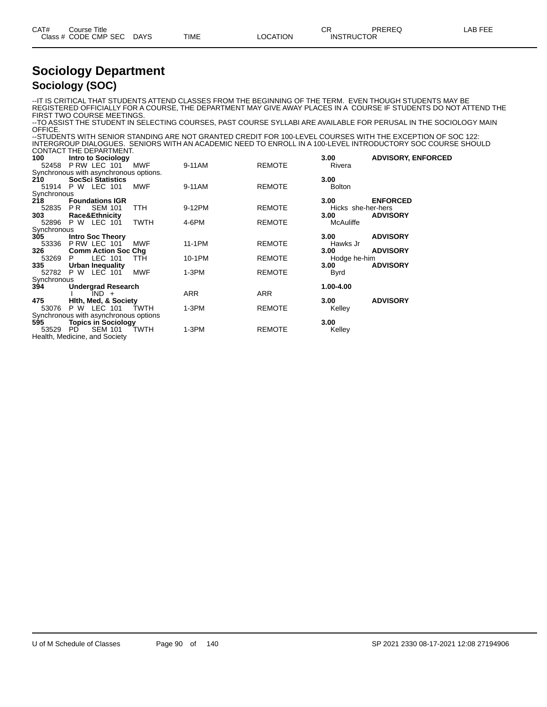| CAT# | Course Title         |      |      |          | ∩⊓<br>◡⊓          | PREREQ | -AB FEE |
|------|----------------------|------|------|----------|-------------------|--------|---------|
|      | Class # CODE CMP SEC | DAYS | TIME | LOCATION | <b>INSTRUCTOR</b> |        |         |

#### **Sociology Department Sociology (SOC)**

--IT IS CRITICAL THAT STUDENTS ATTEND CLASSES FROM THE BEGINNING OF THE TERM. EVEN THOUGH STUDENTS MAY BE REGISTERED OFFICIALLY FOR A COURSE, THE DEPARTMENT MAY GIVE AWAY PLACES IN A COURSE IF STUDENTS DO NOT ATTEND THE FIRST TWO COURSE MEETINGS.

--TO ASSIST THE STUDENT IN SELECTING COURSES, PAST COURSE SYLLABI ARE AVAILABLE FOR PERUSAL IN THE SOCIOLOGY MAIN OFFICE.

--STUDENTS WITH SENIOR STANDING ARE NOT GRANTED CREDIT FOR 100-LEVEL COURSES WITH THE EXCEPTION OF SOC 122: INTERGROUP DIALOGUES. SENIORS WITH AN ACADEMIC NEED TO ENROLL IN A 100-LEVEL INTRODUCTORY SOC COURSE SHOULD CONTACT THE DEPARTMENT.

|             | <b>CONTACT THE DEPARTMENT.</b>         |            |            |               |                    |                           |
|-------------|----------------------------------------|------------|------------|---------------|--------------------|---------------------------|
| 100         | <b>Intro to Sociology</b>              |            |            |               | 3.00               | <b>ADVISORY, ENFORCED</b> |
|             | 52458 P RW LEC 101 MWF                 |            | 9-11AM     | <b>REMOTE</b> | Rivera             |                           |
|             | Synchronous with asynchronous options. |            |            |               |                    |                           |
| 210         | <b>SocSci Statistics</b>               |            |            |               | 3.00               |                           |
|             | 51914 P W LEC 101                      | <b>MWF</b> | 9-11AM     | <b>REMOTE</b> | <b>Bolton</b>      |                           |
| Synchronous |                                        |            |            |               |                    |                           |
| 218         | <b>Foundations IGR</b>                 |            |            |               | 3.00               | <b>ENFORCED</b>           |
| 52835       | PR -<br><b>SEM 101</b>                 | <b>TTH</b> | 9-12PM     | <b>REMOTE</b> | Hicks she-her-hers |                           |
| 303         | <b>Race&amp;Ethnicity</b>              |            |            |               | 3.00               | <b>ADVISORY</b>           |
| 52896       | P W LEC 101                            | TWTH       | 4-6PM      | <b>REMOTE</b> | McAuliffe          |                           |
| Synchronous |                                        |            |            |               |                    |                           |
| 305         | <b>Intro Soc Theory</b>                |            |            |               | 3.00               | <b>ADVISORY</b>           |
| 53336       | PRW LEC 101                            | MWF        | 11-1PM     | <b>REMOTE</b> | Hawks Jr           |                           |
| 326         | <b>Comm Action Soc Chg</b>             |            |            |               | 3.00               | <b>ADVISORY</b>           |
| 53269       | LEC 101<br>P.                          | <b>TTH</b> | 10-1PM     | <b>REMOTE</b> | Hodge he-him       |                           |
| 335         | Urban Inequality                       |            |            |               | 3.00               | <b>ADVISORY</b>           |
| 52782       | P W LEC 101                            | <b>MWF</b> | $1-3PM$    | <b>REMOTE</b> | Byrd               |                           |
| Synchronous |                                        |            |            |               |                    |                           |
| 394         | <b>Undergrad Research</b>              |            |            |               | 1.00-4.00          |                           |
|             | $IND +$                                |            | <b>ARR</b> | <b>ARR</b>    |                    |                           |
| 475         | Hith, Med, & Society                   |            |            |               | 3.00               | <b>ADVISORY</b>           |
| 53076       | P W LEC 101                            | TWTH       | $1-3PM$    | <b>REMOTE</b> | Kelley             |                           |
|             | Synchronous with asynchronous options  |            |            |               |                    |                           |
| 595         | <b>Topics in Sociology</b>             |            |            |               | 3.00               |                           |
| 53529       | SEM 101 TWTH<br>PD.                    |            | $1-3PM$    | <b>REMOTE</b> | Kelley             |                           |
|             | Health, Medicine, and Society          |            |            |               |                    |                           |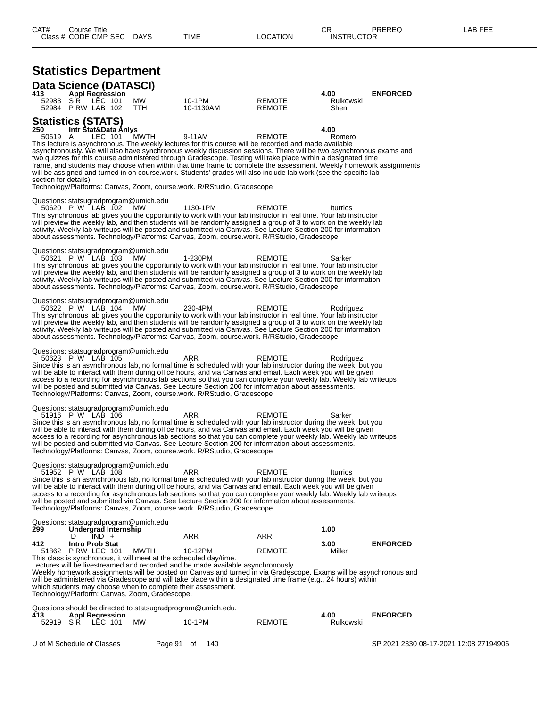| <b>Statistics Department</b> |
|------------------------------|
| Both Balance (BATABON        |

| Data Science (DATASCI)                                               |   |                                                            |                                                     |                                                                                      |                                                                                                                                                                                                                                                                                                                                                                                                                                                                                                                                                                                                         |                           |                 |
|----------------------------------------------------------------------|---|------------------------------------------------------------|-----------------------------------------------------|--------------------------------------------------------------------------------------|---------------------------------------------------------------------------------------------------------------------------------------------------------------------------------------------------------------------------------------------------------------------------------------------------------------------------------------------------------------------------------------------------------------------------------------------------------------------------------------------------------------------------------------------------------------------------------------------------------|---------------------------|-----------------|
| 413<br>52983                                                         |   | <b>Appl Regression</b><br>SR LEC 101<br>52984 P RW LAB 102 | <b>MW</b><br><b>TTH</b>                             | 10-1PM<br>10-1130AM                                                                  | REMOTE<br><b>REMOTE</b>                                                                                                                                                                                                                                                                                                                                                                                                                                                                                                                                                                                 | 4.00<br>Rulkowski<br>Shen | <b>ENFORCED</b> |
| <b>Statistics (STATS)</b><br>250<br>50619 A<br>section for details). |   | Intr Stat&Data Anlys<br>LEC 101                            | MWTH                                                | 9-11AM<br>Technology/Platforms: Canvas, Zoom, course.work. R/RStudio, Gradescope     | <b>REMOTE</b><br>This lecture is asynchronous. The weekly lectures for this course will be recorded and made available<br>asynchronously. We will also have synchronous weekly discussion sessions. There will be two asynchronous exams and<br>two quizzes for this course administered through Gradescope. Testing will take place within a designated time<br>frame, and students may choose when within that time frame to complete the assessment. Weekly homework assignments<br>will be assigned and turned in on course work. Students' grades will also include lab work (see the specific lab | 4.00<br>Romero            |                 |
|                                                                      |   | 50620 P W LAB 102                                          | Questions: statsugradprogram@umich.edu<br>MW.       | 1130-1PM                                                                             | <b>REMOTE</b><br>This synchronous lab gives you the opportunity to work with your lab instructor in real time. Your lab instructor<br>will preview the weekly lab, and then students will be randomly assigned a group of 3 to work on the weekly lab<br>activity. Weekly lab writeups will be posted and submitted via Canvas. See Lecture Section 200 for information<br>about assessments. Technology/Platforms: Canvas, Zoom, course.work. R/RStudio, Gradescope                                                                                                                                    | Iturrios                  |                 |
|                                                                      |   | 50621 P W LAB 103                                          | Questions: statsugradprogram@umich.edu<br><b>MW</b> | 1-230PM                                                                              | <b>REMOTE</b><br>This synchronous lab gives you the opportunity to work with your lab instructor in real time. Your lab instructor<br>will preview the weekly lab, and then students will be randomly assigned a group of 3 to work on the weekly lab<br>activity. Weekly lab writeups will be posted and submitted via Canvas. See Lecture Section 200 for information<br>about assessments. Technology/Platforms: Canvas, Zoom, course.work. R/RStudio, Gradescope                                                                                                                                    | Sarker                    |                 |
|                                                                      |   | 50622 P W LAB 104                                          | Questions: statsugradprogram@umich.edu<br><b>MW</b> | 230-4PM                                                                              | <b>REMOTE</b><br>This synchronous lab gives you the opportunity to work with your lab instructor in real time. Your lab instructor<br>will preview the weekly lab, and then students will be randomly assigned a group of 3 to work on the weekly lab<br>activity. Weekly lab writeups will be posted and submitted via Canvas. See Lecture Section 200 for information<br>about assessments. Technology/Platforms: Canvas, Zoom, course.work. R/RStudio, Gradescope                                                                                                                                    | Rodriguez                 |                 |
|                                                                      |   | 50623 P W LAB 105                                          | Questions: statsugradprogram@umich.edu              | ARR<br>Technology/Platforms: Canvas, Zoom, course.work. R/RStudio, Gradescope        | REMOTE<br>Since this is an asynchronous lab, no formal time is scheduled with your lab instructor during the week, but you<br>will be able to interact with them during office hours, and via Canvas and email. Each week you will be given<br>access to a recording for asynchronous lab sections so that you can complete your weekly lab. Weekly lab writeups<br>will be posted and submitted via Canvas. See Lecture Section 200 for information about assessments.                                                                                                                                 | Rodriguez                 |                 |
|                                                                      |   | 51916 P W LAB 106                                          | Questions: statsugradprogram@umich.edu              | ARR<br>Technology/Platforms: Canvas, Zoom, course.work. R/RStudio, Gradescope        | REMOTE<br>Since this is an asynchronous lab, no formal time is scheduled with your lab instructor during the week, but you<br>will be able to interact with them during office hours, and via Canvas and email. Each week you will be given<br>access to a recording for asynchronous lab sections so that you can complete your weekly lab. Weekly lab writeups<br>will be posted and submitted via Canvas. See Lecture Section 200 for information about assessments.                                                                                                                                 | Sarker                    |                 |
|                                                                      |   | 51952 P W LAB 108                                          | Questions: statsugradprogram@umich.edu              | ARR<br>Technology/Platforms: Canvas, Zoom, course.work. R/RStudio, Gradescope        | <b>REMOTE</b><br>Since this is an asynchronous lab, no formal time is scheduled with your lab instructor during the week, but you<br>will be able to interact with them during office hours, and via Canvas and email. Each week you will be given<br>access to a recording for asynchronous lab sections so that you can complete your weekly lab. Weekly lab writeups<br>will be posted and submitted via Canvas. See Lecture Section 200 for information about assessments.                                                                                                                          | Iturrios                  |                 |
| 299                                                                  |   | Undergrad Internship                                       | Questions: statsugradprogram@umich.edu              |                                                                                      |                                                                                                                                                                                                                                                                                                                                                                                                                                                                                                                                                                                                         | 1.00                      |                 |
| 412                                                                  | D | $IND +$<br><b>Intro Prob Stat</b><br>51862 P RW LEC 101    | MWTH                                                | ARR<br>10-12PM<br>This class is synchronous, it will meet at the scheduled day/time. | <b>ARR</b><br><b>REMOTE</b>                                                                                                                                                                                                                                                                                                                                                                                                                                                                                                                                                                             | 3.00<br>Miller            | <b>ENFORCED</b> |
|                                                                      |   |                                                            | Technology/Platform: Canvas, Zoom, Gradescope.      | which students may choose when to complete their assessment.                         | Lectures will be livestreamed and recorded and be made available asynchronously.<br>Weekly homework assignments will be posted on Canvas and turned in via Gradescope. Exams will be asynchronous and<br>will be administered via Gradescope and will take place within a designated time frame (e.g., 24 hours) within                                                                                                                                                                                                                                                                                 |                           |                 |
| 413                                                                  |   | <b>Appl Regression</b><br>52919 SR LEC 101                 | МW                                                  | Questions should be directed to statsugradprogram@umich.edu.<br>10-1PM               | <b>REMOTE</b>                                                                                                                                                                                                                                                                                                                                                                                                                                                                                                                                                                                           | 4.00<br>Rulkowski         | <b>ENFORCED</b> |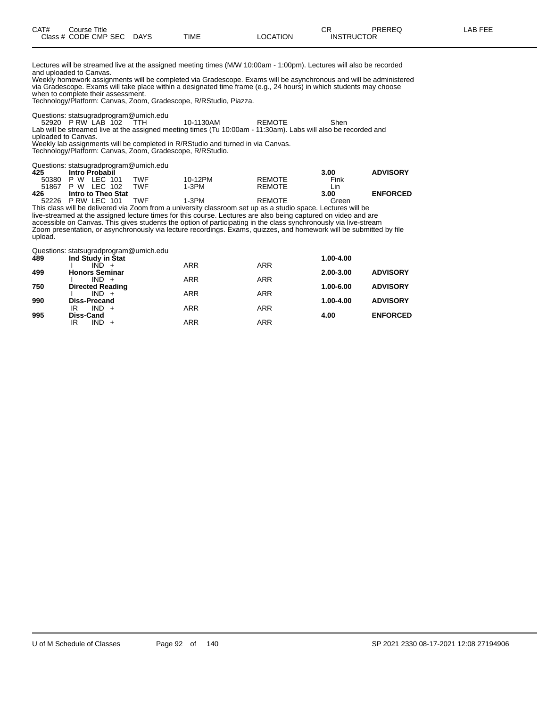Lectures will be streamed live at the assigned meeting times (M/W 10:00am - 1:00pm). Lectures will also be recorded and uploaded to Canvas.

Weekly homework assignments will be completed via Gradescope. Exams will be asynchronous and will be administered via Gradescope. Exams will take place within a designated time frame (e.g., 24 hours) in which students may choose when to complete their assessment.

Technology/Platform: Canvas, Zoom, Gradescope, R/RStudio, Piazza.

Questions: statsugradprogram@umich.edu

52920 P RW LAB 102 TTH 10-1130AM REMOTE Shen Lab will be streamed live at the assigned meeting times (Tu 10:00am - 11:30am). Labs will also be recorded and uploaded to Canvas.

Weekly lab assignments will be completed in R/RStudio and turned in via Canvas. Technology/Platform: Canvas, Zoom, Gradescope, R/RStudio.

Questions: statsugradprogram@umich.edu

| 425   | <b>Intro Probabil</b> |     |         |               | 3.00  | <b>ADVISORY</b> |
|-------|-----------------------|-----|---------|---------------|-------|-----------------|
| 50380 | P W LEC 101           | TWF | 10-12PM | <b>REMOTE</b> | Fink  |                 |
|       | 51867 P W LEC 102     | TWF | 1-3PM   | <b>REMOTE</b> | Lin   |                 |
| 426   | Intro to Theo Stat    |     |         |               | 3.00  | <b>ENFORCED</b> |
| 52226 | PRW LEC 101           | TWF | 1-3PM   | <b>REMOTE</b> | Green |                 |

This class will be delivered via Zoom from a university classroom set up as a studio space. Lectures will be live-streamed at the assigned lecture times for this course. Lectures are also being captured on video and are accessible on Canvas. This gives students the option of participating in the class synchronously via live-stream Zoom presentation, or asynchronously via lecture recordings. Exams, quizzes, and homework will be submitted by file upload.

Questions: statsugradprogram@umich.edu

| 489 | Ind Study in Stat                  |            |            | 1.00-4.00 |                 |
|-----|------------------------------------|------------|------------|-----------|-----------------|
|     | IND                                | <b>ARR</b> | <b>ARR</b> |           |                 |
| 499 | <b>Honors Seminar</b>              |            |            | 2.00-3.00 | <b>ADVISORY</b> |
|     | $IND +$                            | <b>ARR</b> | <b>ARR</b> |           |                 |
| 750 | <b>Directed Reading</b><br>$IND +$ | <b>ARR</b> | <b>ARR</b> | 1.00-6.00 | <b>ADVISORY</b> |
| 990 | <b>Diss-Precand</b>                |            |            | 1.00-4.00 | <b>ADVISORY</b> |
|     | $IND +$<br>ΙR                      | <b>ARR</b> | <b>ARR</b> |           |                 |
| 995 | <b>Diss-Cand</b>                   |            |            | 4.00      | <b>ENFORCED</b> |
|     | $IND +$<br>IR                      | ARR        | ARR        |           |                 |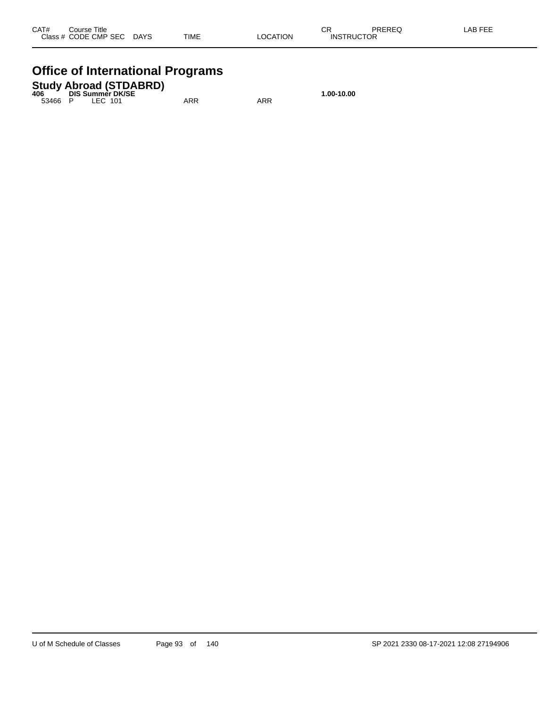### **Office of International Programs**

## **Study Abroad (STDABRD) 406 DIS Summer DK/SE 1.00-10.00**

53466 P LEC 101 ARR ARR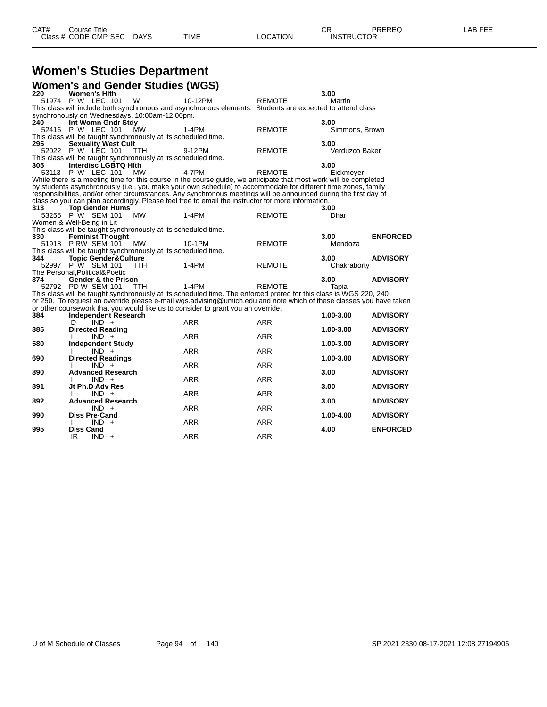## **Women's Studies Department**

|     |                                               |            | <b>Women's and Gender Studies (WGS)</b>                                                                            |               |                |                 |
|-----|-----------------------------------------------|------------|--------------------------------------------------------------------------------------------------------------------|---------------|----------------|-----------------|
| 220 | <b>Women's Hith</b>                           |            |                                                                                                                    |               | 3.00           |                 |
|     | 51974 P W LEC 101                             | W          | 10-12PM                                                                                                            | <b>REMOTE</b> | Martin         |                 |
|     |                                               |            | This class will include both synchronous and asynchronous elements. Students are expected to attend class          |               |                |                 |
|     | synchronously on Wednesdays, 10:00am-12:00pm. |            |                                                                                                                    |               |                |                 |
| 240 | Int Womn Gndr Stdy                            |            |                                                                                                                    |               | 3.00           |                 |
|     | 52416 P W LEC 101                             | <b>MW</b>  | 1-4PM                                                                                                              | <b>REMOTE</b> | Simmons, Brown |                 |
|     |                                               |            | This class will be taught synchronously at its scheduled time.                                                     |               |                |                 |
| 295 | <b>Sexuality West Cult</b>                    |            |                                                                                                                    |               | 3.00           |                 |
|     | 52022 P W LEC 101                             | TTH.       | 9-12PM                                                                                                             | <b>REMOTE</b> | Verduzco Baker |                 |
|     |                                               |            | This class will be taught synchronously at its scheduled time.                                                     |               |                |                 |
| 305 | Interdisc LGBTQ Hith                          |            |                                                                                                                    |               | 3.00           |                 |
|     | 53113 P W LEC 101                             | <b>MW</b>  | 4-7PM                                                                                                              | <b>REMOTE</b> | Eickmeyer      |                 |
|     |                                               |            | While there is a meeting time for this course in the course guide, we anticipate that most work will be completed  |               |                |                 |
|     |                                               |            | by students asynchronously (i.e., you make your own schedule) to accommodate for different time zones, family      |               |                |                 |
|     |                                               |            | responsibilities, and/or other circumstances. Any synchronous meetings will be announced during the first day of   |               |                |                 |
|     |                                               |            | class so you can plan accordingly. Please feel free to email the instructor for more information.                  |               |                |                 |
| 313 | <b>Top Gender Hums</b>                        |            |                                                                                                                    |               | 3.00           |                 |
|     | 53255 P W SEM 101                             | <b>MW</b>  | $1-4PM$                                                                                                            | <b>REMOTE</b> | Dhar           |                 |
|     | Women & Well-Being in Lit                     |            |                                                                                                                    |               |                |                 |
|     |                                               |            | This class will be taught synchronously at its scheduled time.                                                     |               |                |                 |
| 330 | <b>Feminist Thought</b>                       |            |                                                                                                                    |               | 3.00           | <b>ENFORCED</b> |
|     | 51918 P RW SEM 101                            | <b>MW</b>  | 10-1PM                                                                                                             | <b>REMOTE</b> | Mendoza        |                 |
|     |                                               |            | This class will be taught synchronously at its scheduled time.                                                     |               |                |                 |
| 344 | <b>Topic Gender&amp;Culture</b>               |            |                                                                                                                    |               | 3.00           | <b>ADVISORY</b> |
|     | 52997 P W SEM 101                             | TTH.       | $1-4PM$                                                                                                            | <b>REMOTE</b> | Chakraborty    |                 |
|     | The Personal, Political& Poetic               |            |                                                                                                                    |               |                |                 |
| 374 | <b>Gender &amp; the Prison</b>                |            |                                                                                                                    |               | 3.00           | <b>ADVISORY</b> |
|     | 52792 PD W SEM 101                            | <b>TTH</b> | $1-4PM$                                                                                                            | <b>REMOTE</b> | Tapia          |                 |
|     |                                               |            | This class will be taught synchronously at its scheduled time. The enforced prereq for this class is WGS 220, 240  |               |                |                 |
|     |                                               |            | or 250. To request an override please e-mail wgs.advising@umich.edu and note which of these classes you have taken |               |                |                 |
|     |                                               |            | or other coursework that you would like us to consider to grant you an override.                                   |               |                |                 |
| 384 | Independent Research                          |            |                                                                                                                    |               | 1.00-3.00      | <b>ADVISORY</b> |
|     | $IND +$<br>D                                  |            | <b>ARR</b>                                                                                                         | ARR           |                |                 |
| 385 | <b>Directed Reading</b>                       |            |                                                                                                                    |               | 1.00-3.00      | <b>ADVISORY</b> |
|     | $IND +$                                       |            | <b>ARR</b>                                                                                                         | <b>ARR</b>    |                |                 |
| 580 | <b>Independent Study</b>                      |            |                                                                                                                    |               | 1.00-3.00      | <b>ADVISORY</b> |
|     | $IND +$                                       |            | <b>ARR</b>                                                                                                         | <b>ARR</b>    |                |                 |
| 690 | <b>Directed Readings</b>                      |            |                                                                                                                    |               | 1.00-3.00      | <b>ADVISORY</b> |
|     | $IND +$                                       |            | <b>ARR</b>                                                                                                         | <b>ARR</b>    |                |                 |
| 890 | <b>Advanced Research</b>                      |            |                                                                                                                    |               | 3.00           | <b>ADVISORY</b> |
|     | $IND +$                                       |            | <b>ARR</b>                                                                                                         | <b>ARR</b>    |                |                 |
| 891 | Jt Ph.D Adv Res                               |            |                                                                                                                    |               | 3.00           | <b>ADVISORY</b> |
|     | $IND +$                                       |            | <b>ARR</b>                                                                                                         | <b>ARR</b>    |                |                 |
| 892 | <b>Advanced Research</b>                      |            |                                                                                                                    |               | 3.00           | <b>ADVISORY</b> |
|     | $IND +$                                       |            | <b>ARR</b>                                                                                                         | <b>ARR</b>    |                |                 |
| 990 | <b>Diss Pre-Cand</b>                          |            |                                                                                                                    |               | 1.00-4.00      | <b>ADVISORY</b> |
|     | $IND +$                                       |            | <b>ARR</b>                                                                                                         | <b>ARR</b>    |                |                 |
| 995 | <b>Diss Cand</b>                              |            |                                                                                                                    |               | 4.00           | <b>ENFORCED</b> |
|     | IR<br>$IND +$                                 |            | <b>ARR</b>                                                                                                         | <b>ARR</b>    |                |                 |
|     |                                               |            |                                                                                                                    |               |                |                 |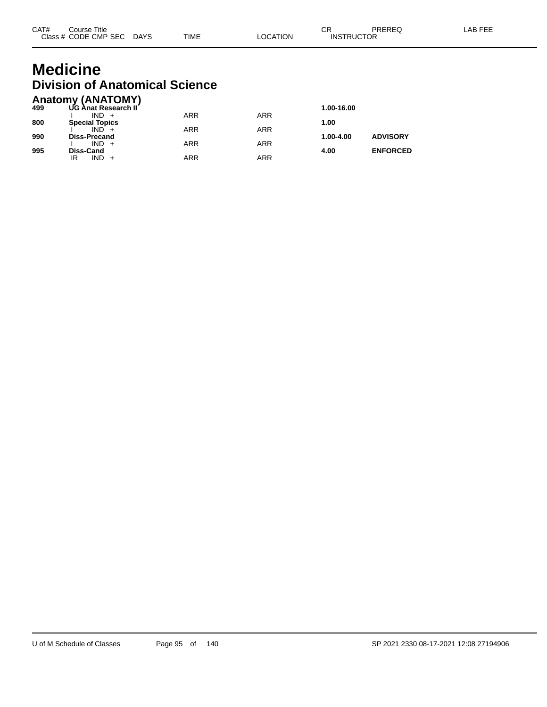## **Medicine Division of Anatomical Science**

|     | <b>Anatomy (ANATOMY)</b> |            |     |            |                 |
|-----|--------------------------|------------|-----|------------|-----------------|
| 499 | UG Anat Research II      |            |     | 1.00-16.00 |                 |
|     | $IND +$                  | ARR        | ARR |            |                 |
| 800 | <b>Special Topics</b>    |            |     | 1.00       |                 |
|     | $IND +$                  | <b>ARR</b> | ARR |            |                 |
| 990 | <b>Diss-Precand</b>      |            |     | 1.00-4.00  | <b>ADVISORY</b> |
|     | $IND +$                  | <b>ARR</b> | ARR |            |                 |
| 995 | Diss-Cand                |            |     | 4.00       | <b>ENFORCED</b> |
|     | $IND +$<br>IR            | <b>ARR</b> | ARR |            |                 |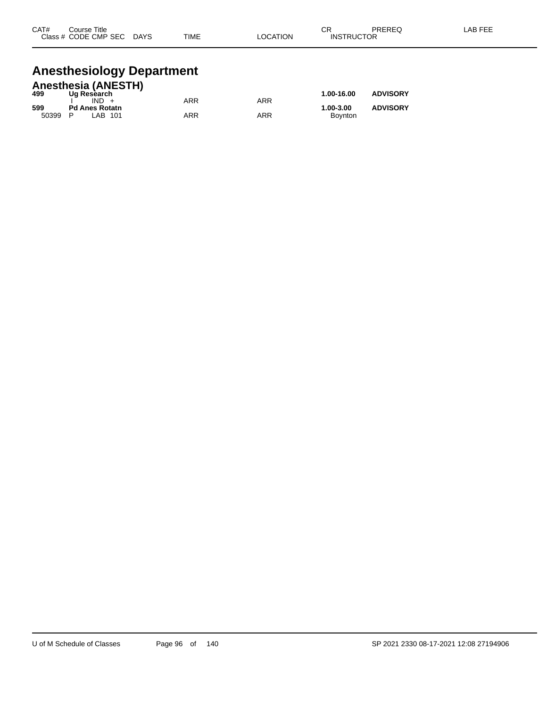| CAT# | Course Title         |             |             |                 | ⌒冖<br>◡∩          | PREREQ | LAB FEE |
|------|----------------------|-------------|-------------|-----------------|-------------------|--------|---------|
|      | Class # CODE CMP SEC | <b>DAYS</b> | <b>TIME</b> | <b>LOCATION</b> | <b>INSTRUCTOR</b> |        |         |
|      |                      |             |             |                 |                   |        |         |

## **Anesthesiology Department**

|       | <b>Anesthesia (ANESTH)</b> |     |     |                |                 |
|-------|----------------------------|-----|-----|----------------|-----------------|
| 499   | Ug Research                |     |     | 1.00-16.00     | <b>ADVISORY</b> |
|       | $IND +$                    | ARR | ARR |                |                 |
| 599   | <b>Pd Anes Rotatn</b>      |     |     | 1.00-3.00      | <b>ADVISORY</b> |
| 50399 | LAB 101<br>P               | ARR | ARR | <b>Bovnton</b> |                 |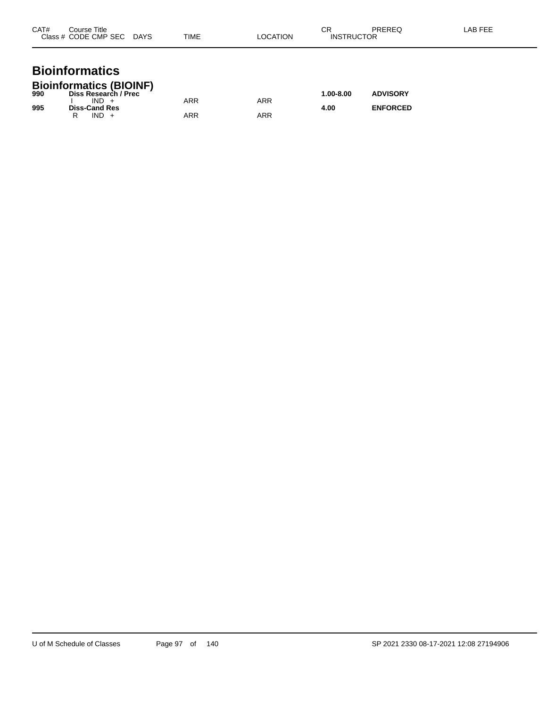| CAT#<br>Course Title<br>Class # CODE CMP SEC DAYS       | TIME | LOCATION | СR<br>PREREQ<br><b>INSTRUCTOR</b> | LAB FEE |
|---------------------------------------------------------|------|----------|-----------------------------------|---------|
| <b>Bioinformatics</b><br><b>Bioinformatics (BIOINE)</b> |      |          |                                   |         |

| 990 | P <sub>1</sub><br>Diss Research / Prec |     |     | $1.00 - 8.00$ | <b>ADVISORY</b> |
|-----|----------------------------------------|-----|-----|---------------|-----------------|
|     | IND.                                   | ARR | ARR |               |                 |
| 995 | <b>Diss-Cand Res</b><br>IND.           | ARR | ARR | 4.00          | <b>ENFORCED</b> |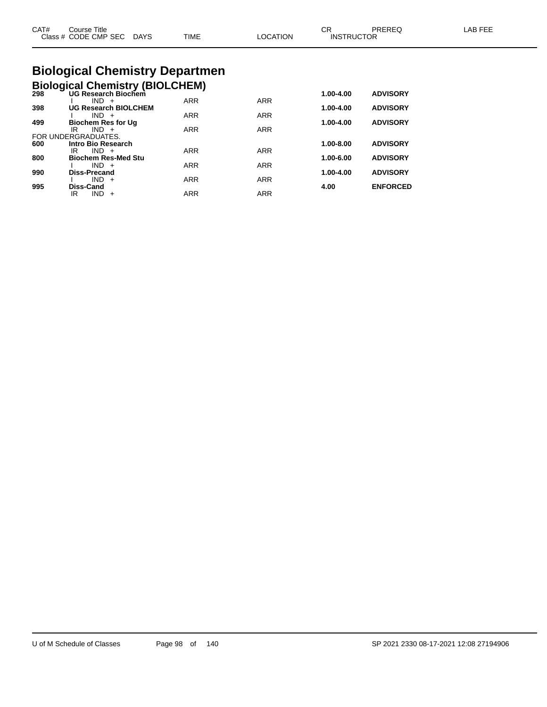|              | TIME                      | LOCATION |    |                             |
|--------------|---------------------------|----------|----|-----------------------------|
| Course Title |                           |          |    | LAB FEE                     |
|              | Class # CODE CMP SEC DAYS |          | СR | PREREQ<br><b>INSTRUCTOR</b> |

## **Biological Chemistry Departmen**

|  | <b>Biological Chemistry (BIOLCHEM)</b> |  |
|--|----------------------------------------|--|
|  |                                        |  |

|     | <b>DIVIOYIVAL OTICHIISH (DIVEDITEM)</b> |            |            |               |                 |
|-----|-----------------------------------------|------------|------------|---------------|-----------------|
| 298 | <b>UG Research Biochem</b>              |            |            | 1.00-4.00     | <b>ADVISORY</b> |
|     | $IND +$                                 | <b>ARR</b> | <b>ARR</b> |               |                 |
| 398 | <b>UG Research BIOLCHEM</b>             |            |            | 1.00-4.00     | <b>ADVISORY</b> |
|     | $IND +$                                 | <b>ARR</b> | <b>ARR</b> |               |                 |
| 499 | <b>Biochem Res for Ug</b>               |            |            | $1.00 - 4.00$ | <b>ADVISORY</b> |
|     | IR<br>$IND +$                           | <b>ARR</b> | <b>ARR</b> |               |                 |
|     | FOR UNDERGRADUATES.                     |            |            |               |                 |
| 600 | Intro Bio Research                      |            |            | 1.00-8.00     | <b>ADVISORY</b> |
|     | $IND +$<br>IR                           | <b>ARR</b> | <b>ARR</b> |               |                 |
| 800 | <b>Biochem Res-Med Stu</b>              |            |            | 1.00-6.00     | <b>ADVISORY</b> |
|     | $IND +$                                 | <b>ARR</b> | <b>ARR</b> |               |                 |
| 990 | Diss-Precand                            |            |            | $1.00 - 4.00$ | <b>ADVISORY</b> |
|     | $IND +$                                 | <b>ARR</b> | <b>ARR</b> |               |                 |
| 995 | Diss-Cand                               |            |            | 4.00          | <b>ENFORCED</b> |
|     | $IND +$<br>IR                           | <b>ARR</b> | <b>ARR</b> |               |                 |
|     |                                         |            |            |               |                 |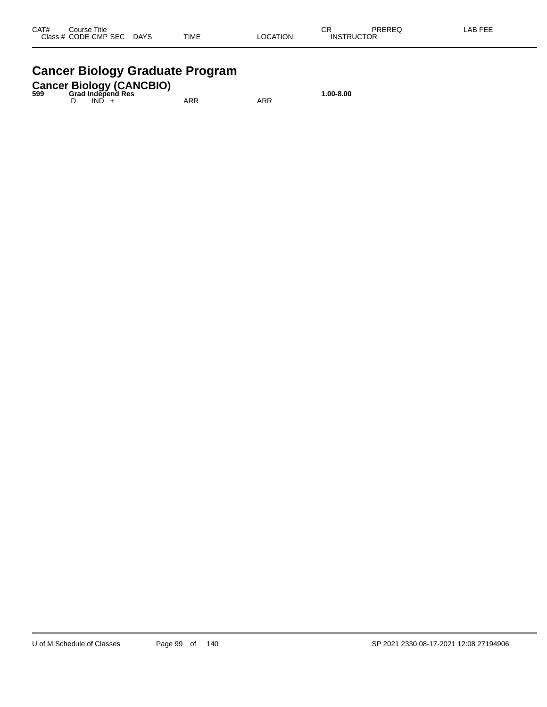### **Cancer Biology Graduate Program**

## **Cancer Biology (CANCBIO) 599 Grad Independ Res 1.00-8.00**

D IND + ARR ARR ARR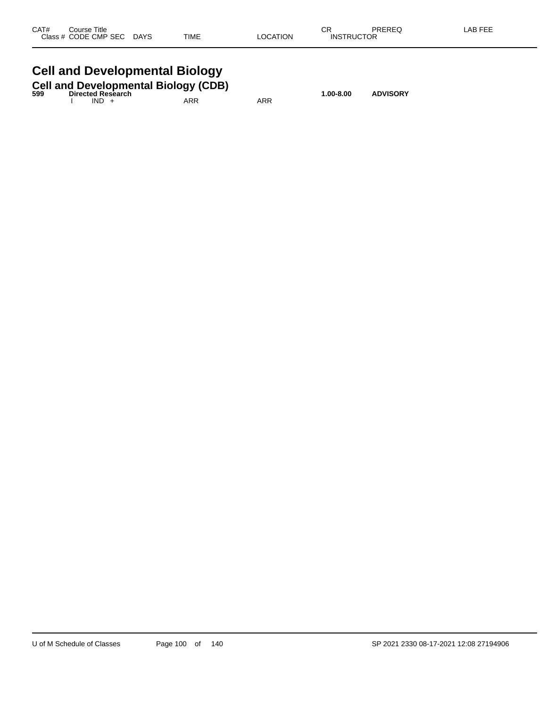| CAT#  | Title<br>Course    |                       |             |             | СR    | 5.0.00<br>. AP |
|-------|--------------------|-----------------------|-------------|-------------|-------|----------------|
| Class | CODE CMP SEC<br>__ | <b>DAYS</b><br>$\sim$ | <b>TIME</b> | TION<br>OC. | _____ |                |
|       |                    |                       |             |             |       |                |

## **Cell and Developmental Biology**

| 599 |         | <b>Cell and Developmental Biology (CDB)</b><br><b>Directed Research</b> |     |     | 1.00-8.00 | <b>ADVISORY</b> |
|-----|---------|-------------------------------------------------------------------------|-----|-----|-----------|-----------------|
|     | $IND +$ |                                                                         | ARR | ARR |           |                 |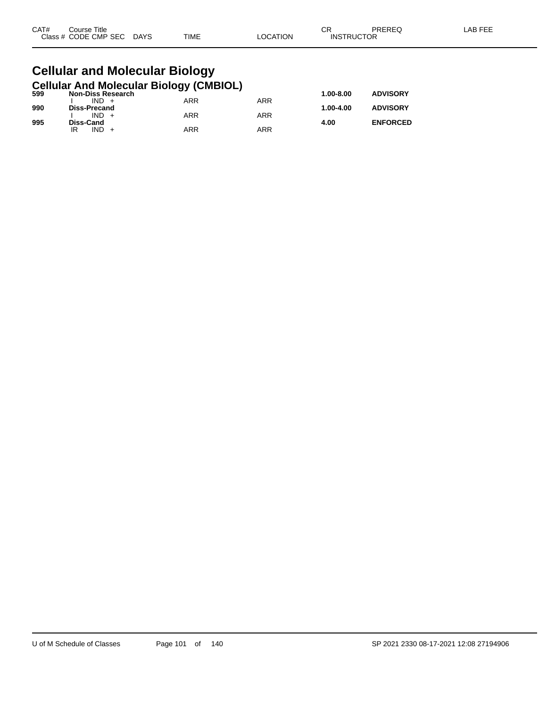| CAT# | Title<br>Course      |                       |             |          | СR                | PREREQ | LAB FEF |
|------|----------------------|-----------------------|-------------|----------|-------------------|--------|---------|
|      | Class # CODE CMP SEC | <b>DAYS</b><br>$\sim$ | <b>TIME</b> | _OCATION | <b>INSTRUCTOR</b> |        |         |

#### **Cellular and Molecular Biology Cellular And Molecular Biology (CMBIOL)**

| 599 | <b>Non-Diss Research</b> | . . |            | $1.00 - 8.00$ | <b>ADVISORY</b> |
|-----|--------------------------|-----|------------|---------------|-----------------|
|     | $IND +$                  | ARR | ARR        |               |                 |
| 990 | Diss-Precand             |     |            | 1.00-4.00     | <b>ADVISORY</b> |
|     | $IND +$                  | ARR | <b>ARR</b> |               |                 |
| 995 | Diss-Cand                |     |            | 4.00          | <b>ENFORCED</b> |
|     | IND.<br>IR               | ARR | ARR        |               |                 |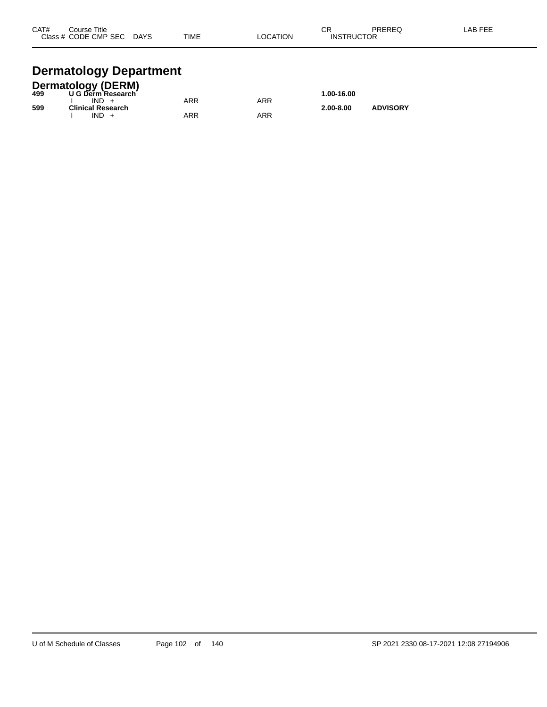| CAT# | Course Title              |             |          | ⌒冖                | PREREQ | LAB FEE |
|------|---------------------------|-------------|----------|-------------------|--------|---------|
|      | Class # CODE CMP SEC DAYS | <b>TIME</b> | LOCATION | <b>INSTRUCTOR</b> |        |         |
|      |                           |             |          |                   |        |         |

# **Dermatology Department**

| <b>Dermatology (DERM)</b> |                          |     |     |               |                 |  |  |  |
|---------------------------|--------------------------|-----|-----|---------------|-----------------|--|--|--|
| 499                       | U G Derm Research        |     |     | 1.00-16.00    |                 |  |  |  |
|                           | $IND +$                  | ARR | ARR |               |                 |  |  |  |
| 599                       | <b>Clinical Research</b> |     |     | $2.00 - 8.00$ | <b>ADVISORY</b> |  |  |  |
|                           | $IND +$                  | ARR | ARR |               |                 |  |  |  |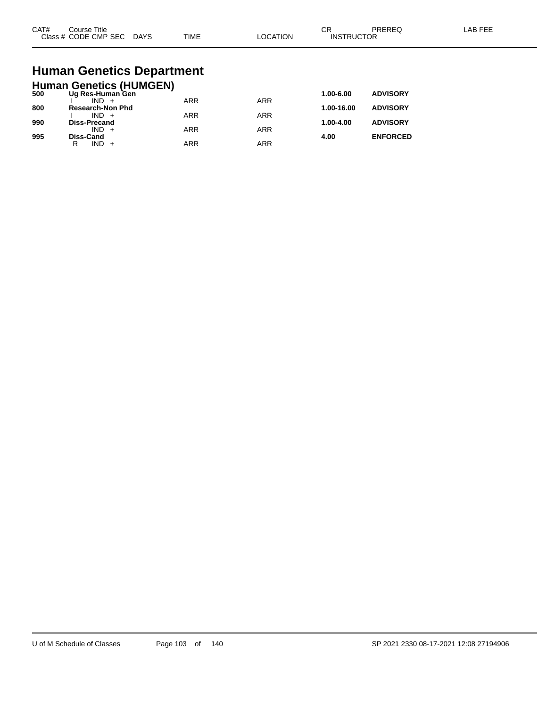| CAT#<br>$2 \cdot 2 \cdot 2$ | Title<br>ourse<br>CMP SEC<br>חר∈<br>$ -$ | DAYS<br>$\sim$ | <b>TIME</b> | ורו | $\sim$<br>UΗ<br>⊣N.S<br>₽ | ____ |  |
|-----------------------------|------------------------------------------|----------------|-------------|-----|---------------------------|------|--|
|-----------------------------|------------------------------------------|----------------|-------------|-----|---------------------------|------|--|

# **Human Genetics Department**

|     | <b>Human Genetics (HUMGEN)</b> |            |            |            |                 |
|-----|--------------------------------|------------|------------|------------|-----------------|
| 500 | Ug Res-Human Gen               |            |            | 1.00-6.00  | <b>ADVISORY</b> |
|     |                                | <b>ARR</b> | <b>ARR</b> |            |                 |
| 800 | <b>Research-Non Phd</b>        |            |            | 1.00-16.00 | <b>ADVISORY</b> |
|     | $IND +$                        | <b>ARR</b> | ARR        |            | <b>ADVISORY</b> |
| 990 | <b>Diss-Precand</b><br>$IND +$ | <b>ARR</b> | ARR        | 1.00-4.00  |                 |
| 995 | Diss-Cand                      |            |            | 4.00       | <b>ENFORCED</b> |
|     | $IND +$<br>R                   | <b>ARR</b> | ARR        |            |                 |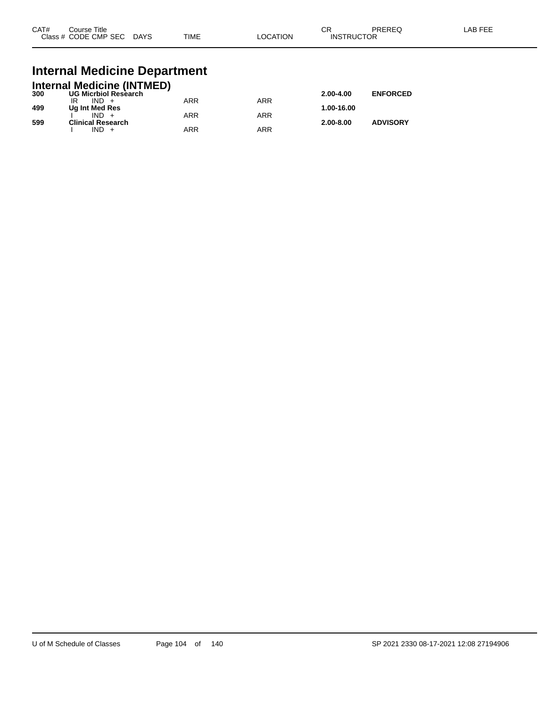| CAT# | Course Title<br>Class # CODE CMP SEC | <b>DAYS</b> | <b>TIME</b> | LOCATION | ∩n<br>◡⊓<br><b>INSTRUCTOR</b> | PREREQ | _AB FEF |
|------|--------------------------------------|-------------|-------------|----------|-------------------------------|--------|---------|
|      |                                      |             |             |          |                               |        |         |

#### **Internal Medicine Department**

|     | <b>Internal Medicine (INTMED)</b> |     |     |               |                 |
|-----|-----------------------------------|-----|-----|---------------|-----------------|
| 300 | <b>UG Micrbiol Research</b>       |     |     | $2.00 - 4.00$ | <b>ENFORCED</b> |
|     | $IND +$                           | ARR | ARR |               |                 |
| 499 | Ug Int Med Res                    |     |     | 1.00-16.00    |                 |
|     | $IND +$                           | ARR | ARR |               |                 |
| 599 | <b>Clinical Research</b>          |     |     | $2.00 - 8.00$ | <b>ADVISORY</b> |
|     | $IND +$                           | ARR | ARR |               |                 |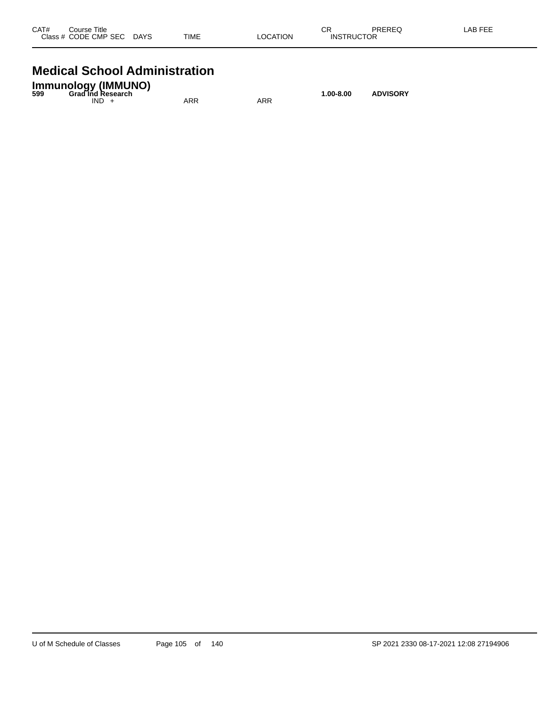| CAT# | Course Title<br>Class # CODE CMP SEC | <b>DAYS</b> | <b>TIME</b> | <b>LOCATION</b> | СR<br><b>INSTRUCTOR</b> | PREREQ | <b>LAB FEE</b> |
|------|--------------------------------------|-------------|-------------|-----------------|-------------------------|--------|----------------|
|      |                                      |             |             |                 |                         |        |                |

#### **Medical School Administration**

| <b>Immunology (IMMUNO)</b><br><b>Grad Ind Research</b><br>599 |     |     | 1.00-8.00 | <b>ADVISORY</b> |
|---------------------------------------------------------------|-----|-----|-----------|-----------------|
| IND.                                                          | ARR | ARR |           |                 |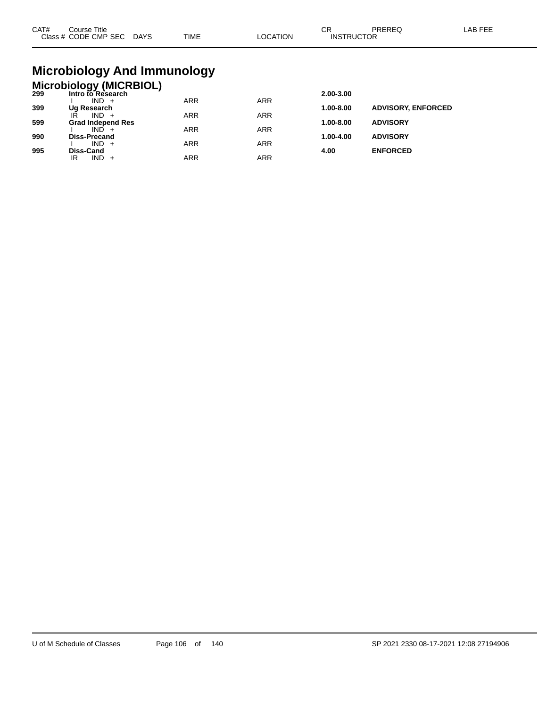| CAT# | ourse Titleٽ<br>Class # CODE CMP SEC DAYS | TIME | LOCATION | ∩⊓<br>◡┍<br><b>INSTRUCTOR</b> | PREREC | LAB FEE |
|------|-------------------------------------------|------|----------|-------------------------------|--------|---------|
|      |                                           |      |          |                               |        |         |

## **Microbiology And Immunology**

## **Microbiology (MICRBIOL) 299 Intro to Research 2.00-3.00**

| -33 | IIIUUUIVIV0560UIII       |            |     | 2.00-J.00     |                           |
|-----|--------------------------|------------|-----|---------------|---------------------------|
|     | $IND +$                  | <b>ARR</b> | ARR |               |                           |
| 399 | Ug Research              |            |     | 1.00-8.00     | <b>ADVISORY, ENFORCED</b> |
|     | IR<br>$IND +$            | <b>ARR</b> | ARR |               |                           |
| 599 | <b>Grad Independ Res</b> |            |     | $1.00 - 8.00$ | <b>ADVISORY</b>           |
|     | $IND +$                  | <b>ARR</b> | ARR |               |                           |
| 990 | <b>Diss-Precand</b>      |            |     | $1.00 - 4.00$ | <b>ADVISORY</b>           |
|     | $IND +$                  | ARR        | ARR |               |                           |
| 995 | Diss-Cand                |            |     | 4.00          | <b>ENFORCED</b>           |
|     | $IND +$<br>IR            | ARR        | ARR |               |                           |
|     |                          |            |     |               |                           |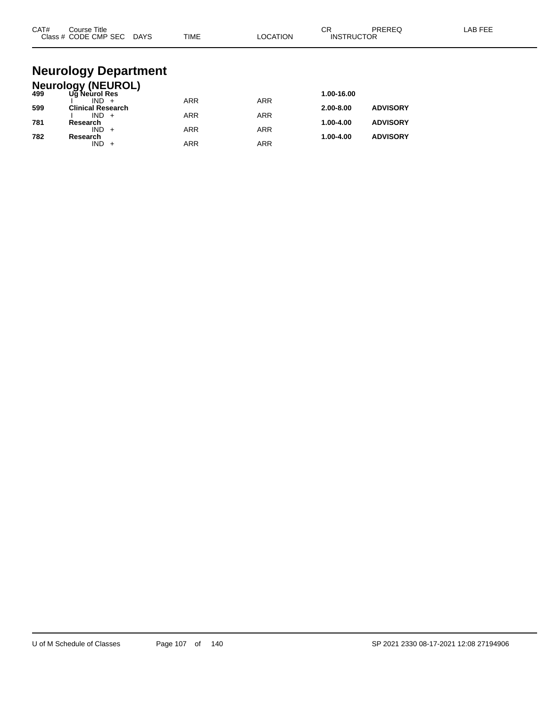| CAT# | Course Title<br>Class # CODE CMP SEC DAYS  | <b>TIME</b> | <b>LOCATION</b> | CR<br><b>PREREQ</b><br><b>INSTRUCTOR</b> | LAB FEE |
|------|--------------------------------------------|-------------|-----------------|------------------------------------------|---------|
|      | <b>Neurology Department</b>                |             |                 |                                          |         |
|      |                                            |             |                 |                                          |         |
| 499  | <b>Neurology (NEUROL)</b><br>Ug Neurol Res |             |                 | 1.00-16.00                               |         |
| 599  | $IND +$<br><b>Clinical Research</b>        | <b>ARR</b>  | <b>ARR</b>      | <b>ADVISORY</b><br>2.00-8.00             |         |
| 781  | $IND +$<br>Research                        | <b>ARR</b>  | <b>ARR</b>      | 1.00-4.00<br><b>ADVISORY</b>             |         |
| 782  | $IND +$<br>Research                        | <b>ARR</b>  | <b>ARR</b>      | <b>ADVISORY</b><br>1.00-4.00             |         |

 $IND + ARR$  ARR ARR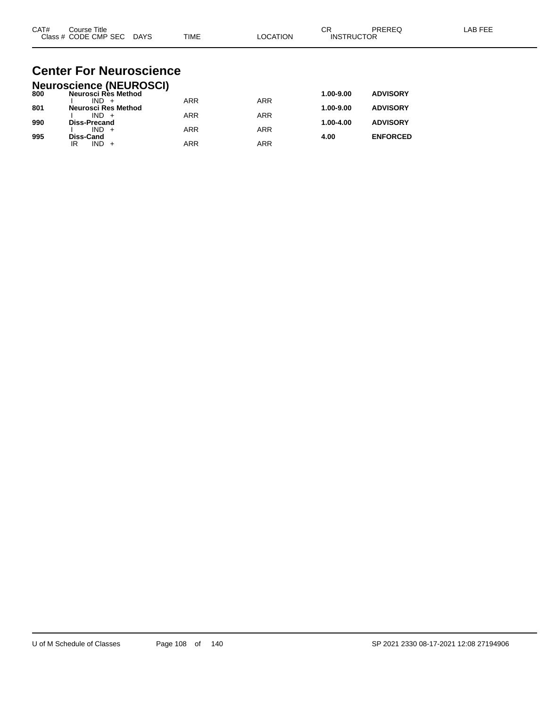| CAT# | Title<br>Course      |             |             |          | ⌒г<br>◡           | PREREC | $\lambda$ $\Gamma$ $\Gamma$ $\Gamma$<br>AR |
|------|----------------------|-------------|-------------|----------|-------------------|--------|--------------------------------------------|
|      | Class # CODE CMP SEC | <b>DAYS</b> | <b>TIME</b> | LOCATION | <b>INSTRUCTOR</b> |        |                                            |

#### **Center For Neuroscience Neuroscience (NEUROSCI)**

|     | Neuroscience (NEUROSCI) |            |            |           |                 |
|-----|-------------------------|------------|------------|-----------|-----------------|
| 800 | Neurosci Rès Method     |            |            | 1.00-9.00 | <b>ADVISORY</b> |
|     | $IND +$                 | <b>ARR</b> | <b>ARR</b> |           |                 |
| 801 | Neurosci Res Method     |            |            | 1.00-9.00 | <b>ADVISORY</b> |
|     | $IND +$                 | ARR        | ARR        |           |                 |
| 990 | <b>Diss-Precand</b>     |            |            | 1.00-4.00 | <b>ADVISORY</b> |
|     | $IND +$                 | <b>ARR</b> | ARR        |           |                 |
| 995 | Diss-Cand               |            |            | 4.00      | <b>ENFORCED</b> |
|     | $IND +$<br>IR           | ARR        | ARR        |           |                 |
|     |                         |            |            |           |                 |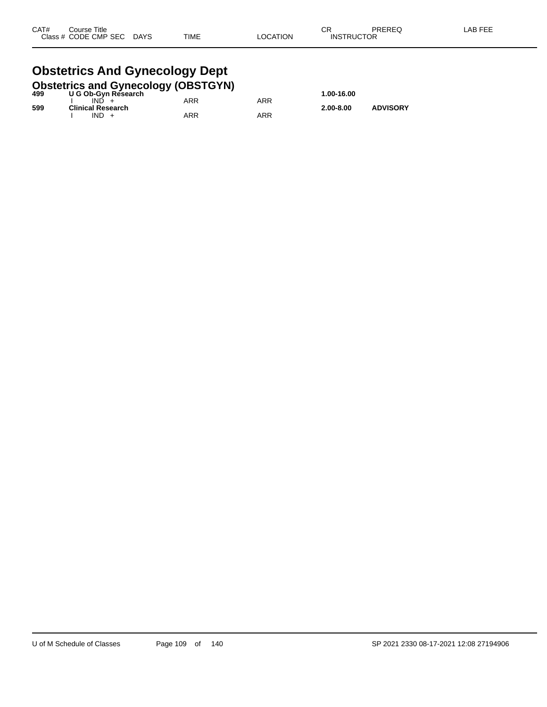#### **Obstetrics And Gynecology Dept**<br>Obstetrics and Gynecology (OBSTGYN **Obstetrics and Gynecology (OBSTGYN)**

| 499 | <b>ODSIGITIES AND OVERCOIOGY (ODSTOTIV)</b><br>U G Ob-Gyn Research |     |     | 1.00-16.00    |                 |
|-----|--------------------------------------------------------------------|-----|-----|---------------|-----------------|
|     | IND.                                                               | ARR | ARR |               |                 |
| 599 | <b>Clinical Research</b><br>$IND +$                                | ARR | ARR | $2.00 - 8.00$ | <b>ADVISORY</b> |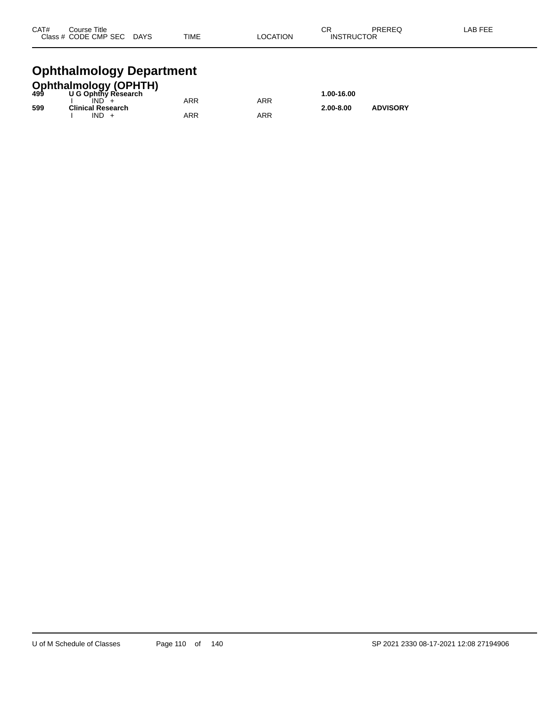| CAT# | Course Title         |             |      |          | СR                | PREREQ | LAB FEE |
|------|----------------------|-------------|------|----------|-------------------|--------|---------|
|      | Class # CODE CMP SEC | <b>DAYS</b> | TIME | LOCATION | <b>INSTRUCTOR</b> |        |         |
|      |                      |             |      |          |                   |        |         |

#### **Ophthalmology Department**

|     | <b>Ophthalmology (OPHTH)</b><br>499 U G Ophthy Research |     |     |               |                 |
|-----|---------------------------------------------------------|-----|-----|---------------|-----------------|
|     |                                                         |     |     | 1.00-16.00    |                 |
|     | IND.                                                    | ARR | ARR |               |                 |
| 599 | <b>Clinical Research</b>                                |     |     | $2.00 - 8.00$ | <b>ADVISORY</b> |
|     | $IND +$                                                 | ARR | ARR |               |                 |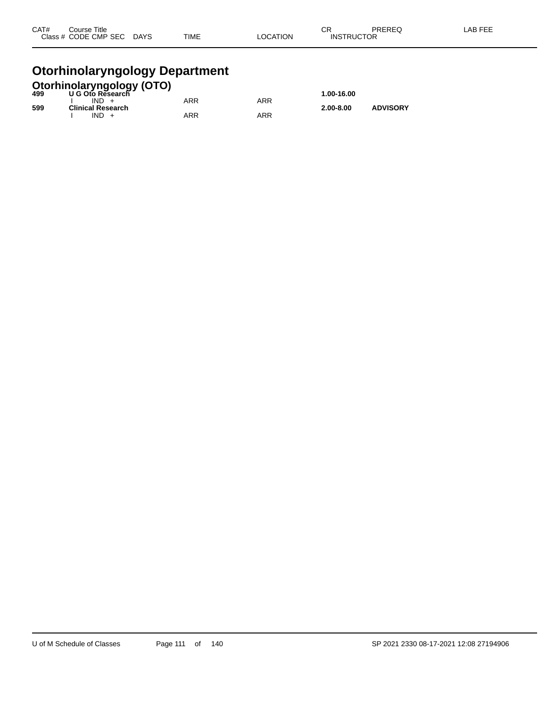| CAT# | Course Title              |             |          | ⌒冖                | PREREQ | LAB FEE |
|------|---------------------------|-------------|----------|-------------------|--------|---------|
|      | Class # CODE CMP SEC DAYS | <b>TIME</b> | LOCATION | <b>INSTRUCTOR</b> |        |         |
|      |                           |             |          |                   |        |         |

#### **Otorhinolaryngology Department**

|     | <b>Otorhinolaryngology (OTO)</b><br>499 U G Oto Research |            |     |               |                 |
|-----|----------------------------------------------------------|------------|-----|---------------|-----------------|
|     |                                                          |            |     | 1.00-16.00    |                 |
|     | $IND +$                                                  | <b>ARR</b> | ARR |               |                 |
| 599 | <b>Clinical Research</b>                                 |            |     | $2.00 - 8.00$ | <b>ADVISORY</b> |
|     | $IND +$                                                  | ARR        | ARR |               |                 |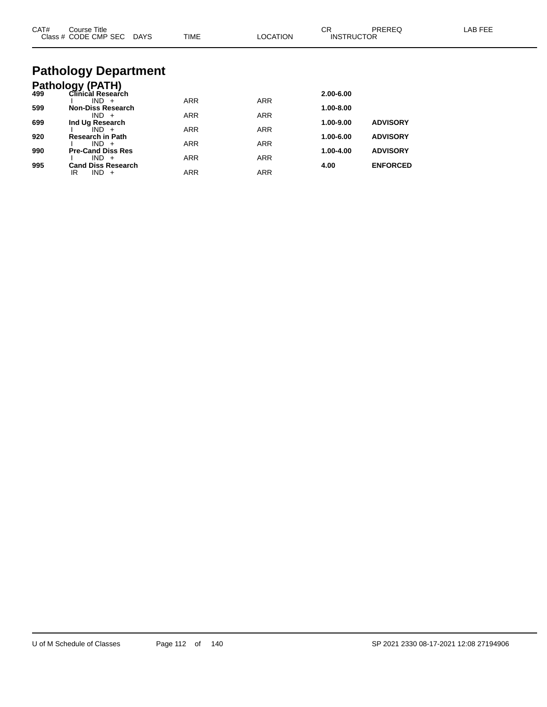| CAT# | Course Title<br>Class # CODE CMP SEC DAYS | <b>TIME</b> | <b>LOCATION</b> | СR<br><b>INSTRUCTOR</b> | PREREQ          | <b>LAB FEE</b> |
|------|-------------------------------------------|-------------|-----------------|-------------------------|-----------------|----------------|
|      | <b>Pathology Department</b>               |             |                 |                         |                 |                |
|      | <b>Pathology (PATH)</b>                   |             |                 |                         |                 |                |
| 499  | Clinical Research                         |             |                 | 2.00-6.00               |                 |                |
|      | $IND +$                                   | <b>ARR</b>  | <b>ARR</b>      |                         |                 |                |
| 599  | <b>Non-Diss Research</b><br>$IND +$       | <b>ARR</b>  | <b>ARR</b>      | 1.00-8.00               |                 |                |
| 699  | Ind Ug Research                           |             |                 | 1.00-9.00               | <b>ADVISORY</b> |                |
|      | $IND +$                                   | <b>ARR</b>  | <b>ARR</b>      |                         |                 |                |
| 920  | <b>Research in Path</b>                   |             |                 | 1.00-6.00               | <b>ADVISORY</b> |                |
| 990  | $IND +$<br><b>Pre-Cand Diss Res</b>       | <b>ARR</b>  | <b>ARR</b>      | 1.00-4.00               | <b>ADVISORY</b> |                |
|      | $IND +$                                   | <b>ARR</b>  | <b>ARR</b>      |                         |                 |                |
| 995  | <b>Cand Diss Research</b>                 |             |                 | 4.00                    | <b>ENFORCED</b> |                |
|      | $IND +$<br>IR                             | <b>ARR</b>  | <b>ARR</b>      |                         |                 |                |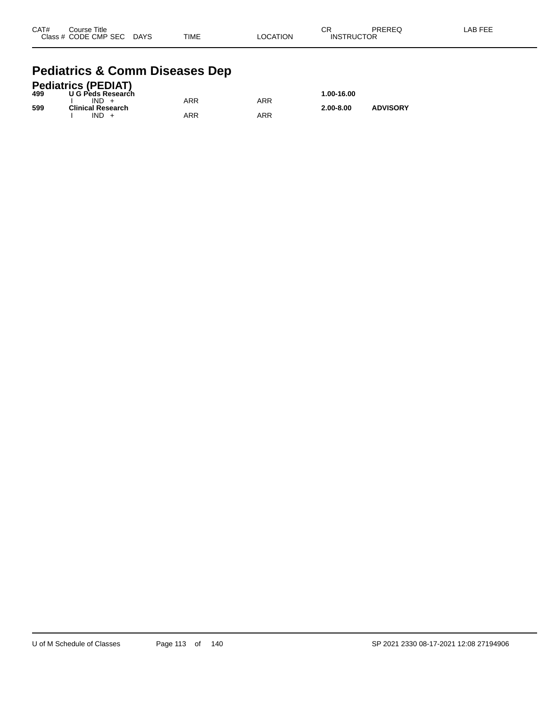| CAT# | Course Title              |             |          | CR                | PREREQ | -AB FEE |
|------|---------------------------|-------------|----------|-------------------|--------|---------|
|      | Class # CODE CMP SEC DAYS | <b>TIME</b> | LOCATION | <b>INSTRUCTOR</b> |        |         |

#### **Pediatrics & Comm Diseases Dep**

|     | <b>Pediatrics (PEDIAT)</b> |     |     |               |                 |
|-----|----------------------------|-----|-----|---------------|-----------------|
| 499 | U G Peds Research          |     |     | 1.00-16.00    |                 |
|     | $IND +$                    | ARR | ARR |               |                 |
| 599 | <b>Clinical Research</b>   |     |     | $2.00 - 8.00$ | <b>ADVISORY</b> |
|     | $IND +$                    | ARR | ARR |               |                 |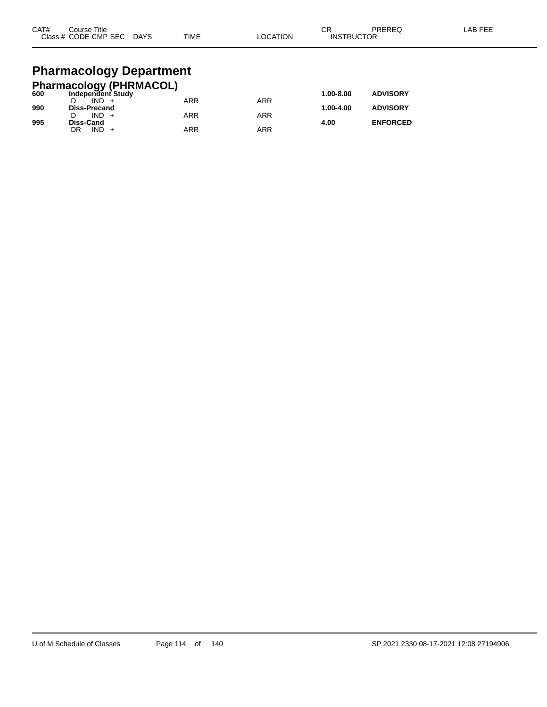| CAT# | Course Title<br>Class # CODE CMP SEC | <b>DAYS</b> | <b>TIME</b> | <b>OCATION</b> | ◠◻<br>- 613<br><b>INSTRUCTOR</b> | <b>PREREQ</b> | AB FEE. |
|------|--------------------------------------|-------------|-------------|----------------|----------------------------------|---------------|---------|
|      |                                      |             |             |                |                                  |               |         |

#### **Pharmacology Department**

|     | <b>Pharmacology (PHRMACOL)</b> |            |     |               |                 |
|-----|--------------------------------|------------|-----|---------------|-----------------|
| 600 | Independent Study              |            |     | $1.00 - 8.00$ | <b>ADVISORY</b> |
|     | $IND +$                        | <b>ARR</b> | ARR |               |                 |
| 990 | <b>Diss-Precand</b>            |            |     | 1.00-4.00     | <b>ADVISORY</b> |
|     | $IND +$                        | <b>ARR</b> | ARR |               |                 |
| 995 | <b>Diss-Cand</b>               |            |     | 4.00          | <b>ENFORCED</b> |
|     | $IND +$<br>DR                  | ARR        | ARR |               |                 |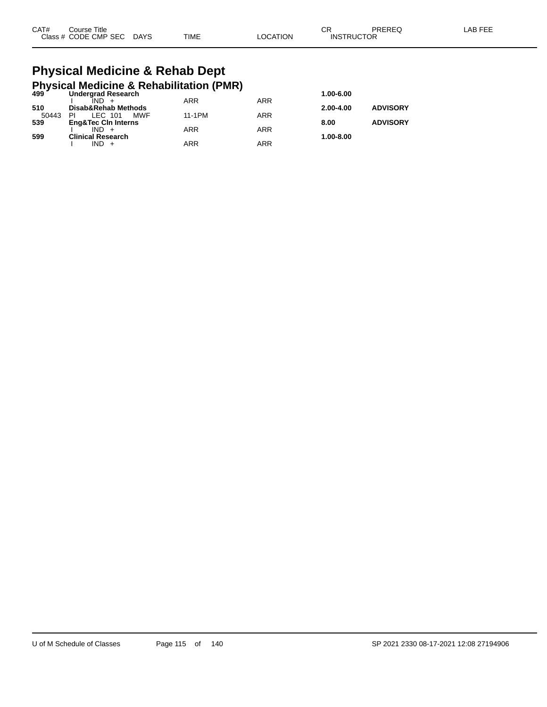| CAT# | Course Title              |             |                 | ∩⊓<br>◡◚          | PREREQ | LAB FEE |
|------|---------------------------|-------------|-----------------|-------------------|--------|---------|
|      | Class # CODE CMP SEC DAYS | <b>TIME</b> | <b>LOCATION</b> | <b>INSTRUCTOR</b> |        |         |

#### **Physical Medicine & Rehab Dept Physical Medicine & Rehabilitation (PMR)**

| $499^{\prime}$ | <b>Undergrad Research</b>      |            |     | 1.00-6.00     |                 |
|----------------|--------------------------------|------------|-----|---------------|-----------------|
|                | $IND +$                        | <b>ARR</b> | ARR |               |                 |
| 510            | Disab&Rehab Methods            |            |     | $2.00 - 4.00$ | <b>ADVISORY</b> |
| 50443          | MWF<br>LEC 101<br>ΡI           | 11-1PM     | ARR |               |                 |
| 539            | <b>Eng&amp;Tec Cin Interns</b> |            |     | 8.00          | <b>ADVISORY</b> |
|                | $IND +$                        | <b>ARR</b> | ARR |               |                 |
| 599            | <b>Clinical Research</b>       |            |     | 1.00-8.00     |                 |
|                | $IND +$                        | ARR        | ARR |               |                 |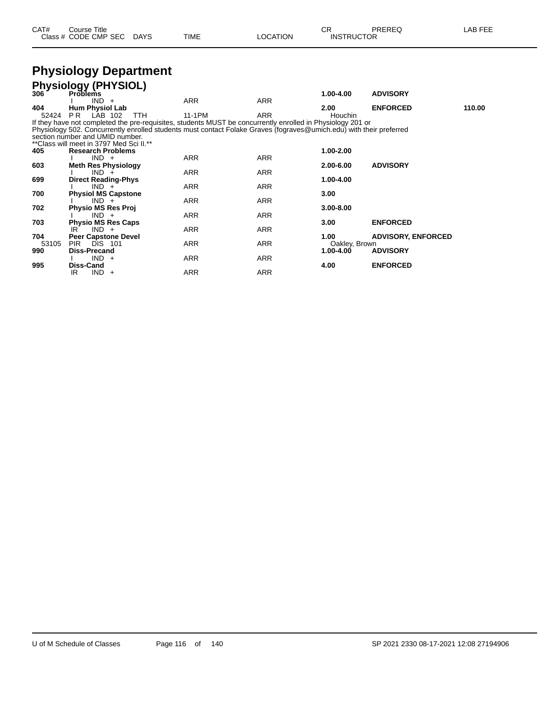| CAT# | Course Title              |             |                 | ∩⊓                | PREREQ | <b>LAB FEE</b> |
|------|---------------------------|-------------|-----------------|-------------------|--------|----------------|
|      | Class # CODE CMP SEC DAYS | <b>TIME</b> | <b>LOCATION</b> | <b>INSTRUCTOR</b> |        |                |

#### **Physiology Department**

| <b>Problems</b>                 |                                                                                                                                                                                                                                                                                                                                                                                                                                                                                        |                                                                                                                            | 1.00-4.00                                                                                                    | <b>ADVISORY</b>                                                                                   |                                                                                                                                                                                                                                                                                                                                                             |
|---------------------------------|----------------------------------------------------------------------------------------------------------------------------------------------------------------------------------------------------------------------------------------------------------------------------------------------------------------------------------------------------------------------------------------------------------------------------------------------------------------------------------------|----------------------------------------------------------------------------------------------------------------------------|--------------------------------------------------------------------------------------------------------------|---------------------------------------------------------------------------------------------------|-------------------------------------------------------------------------------------------------------------------------------------------------------------------------------------------------------------------------------------------------------------------------------------------------------------------------------------------------------------|
| $IND +$                         | ARR                                                                                                                                                                                                                                                                                                                                                                                                                                                                                    | <b>ARR</b>                                                                                                                 |                                                                                                              |                                                                                                   |                                                                                                                                                                                                                                                                                                                                                             |
| <b>Hum Physiol Lab</b>          |                                                                                                                                                                                                                                                                                                                                                                                                                                                                                        |                                                                                                                            | 2.00                                                                                                         | <b>ENFORCED</b>                                                                                   | 110.00                                                                                                                                                                                                                                                                                                                                                      |
| <b>PR</b> LAB 102<br><b>TTH</b> | 11-1PM                                                                                                                                                                                                                                                                                                                                                                                                                                                                                 | <b>ARR</b>                                                                                                                 | Houchin                                                                                                      |                                                                                                   |                                                                                                                                                                                                                                                                                                                                                             |
|                                 |                                                                                                                                                                                                                                                                                                                                                                                                                                                                                        |                                                                                                                            |                                                                                                              |                                                                                                   |                                                                                                                                                                                                                                                                                                                                                             |
|                                 |                                                                                                                                                                                                                                                                                                                                                                                                                                                                                        |                                                                                                                            |                                                                                                              |                                                                                                   |                                                                                                                                                                                                                                                                                                                                                             |
|                                 |                                                                                                                                                                                                                                                                                                                                                                                                                                                                                        |                                                                                                                            |                                                                                                              |                                                                                                   |                                                                                                                                                                                                                                                                                                                                                             |
|                                 |                                                                                                                                                                                                                                                                                                                                                                                                                                                                                        |                                                                                                                            |                                                                                                              |                                                                                                   |                                                                                                                                                                                                                                                                                                                                                             |
| <b>Research Problems</b>        |                                                                                                                                                                                                                                                                                                                                                                                                                                                                                        |                                                                                                                            |                                                                                                              |                                                                                                   |                                                                                                                                                                                                                                                                                                                                                             |
|                                 |                                                                                                                                                                                                                                                                                                                                                                                                                                                                                        |                                                                                                                            |                                                                                                              |                                                                                                   |                                                                                                                                                                                                                                                                                                                                                             |
|                                 |                                                                                                                                                                                                                                                                                                                                                                                                                                                                                        |                                                                                                                            |                                                                                                              |                                                                                                   |                                                                                                                                                                                                                                                                                                                                                             |
|                                 |                                                                                                                                                                                                                                                                                                                                                                                                                                                                                        |                                                                                                                            |                                                                                                              |                                                                                                   |                                                                                                                                                                                                                                                                                                                                                             |
|                                 |                                                                                                                                                                                                                                                                                                                                                                                                                                                                                        |                                                                                                                            |                                                                                                              |                                                                                                   |                                                                                                                                                                                                                                                                                                                                                             |
|                                 |                                                                                                                                                                                                                                                                                                                                                                                                                                                                                        |                                                                                                                            |                                                                                                              |                                                                                                   |                                                                                                                                                                                                                                                                                                                                                             |
|                                 |                                                                                                                                                                                                                                                                                                                                                                                                                                                                                        |                                                                                                                            |                                                                                                              |                                                                                                   |                                                                                                                                                                                                                                                                                                                                                             |
|                                 |                                                                                                                                                                                                                                                                                                                                                                                                                                                                                        |                                                                                                                            |                                                                                                              |                                                                                                   |                                                                                                                                                                                                                                                                                                                                                             |
|                                 |                                                                                                                                                                                                                                                                                                                                                                                                                                                                                        |                                                                                                                            |                                                                                                              |                                                                                                   |                                                                                                                                                                                                                                                                                                                                                             |
|                                 |                                                                                                                                                                                                                                                                                                                                                                                                                                                                                        |                                                                                                                            |                                                                                                              |                                                                                                   |                                                                                                                                                                                                                                                                                                                                                             |
|                                 |                                                                                                                                                                                                                                                                                                                                                                                                                                                                                        |                                                                                                                            |                                                                                                              |                                                                                                   |                                                                                                                                                                                                                                                                                                                                                             |
|                                 |                                                                                                                                                                                                                                                                                                                                                                                                                                                                                        |                                                                                                                            |                                                                                                              |                                                                                                   |                                                                                                                                                                                                                                                                                                                                                             |
|                                 |                                                                                                                                                                                                                                                                                                                                                                                                                                                                                        |                                                                                                                            |                                                                                                              |                                                                                                   |                                                                                                                                                                                                                                                                                                                                                             |
|                                 |                                                                                                                                                                                                                                                                                                                                                                                                                                                                                        |                                                                                                                            |                                                                                                              |                                                                                                   |                                                                                                                                                                                                                                                                                                                                                             |
|                                 |                                                                                                                                                                                                                                                                                                                                                                                                                                                                                        |                                                                                                                            |                                                                                                              |                                                                                                   |                                                                                                                                                                                                                                                                                                                                                             |
|                                 |                                                                                                                                                                                                                                                                                                                                                                                                                                                                                        |                                                                                                                            |                                                                                                              |                                                                                                   |                                                                                                                                                                                                                                                                                                                                                             |
|                                 |                                                                                                                                                                                                                                                                                                                                                                                                                                                                                        |                                                                                                                            |                                                                                                              |                                                                                                   |                                                                                                                                                                                                                                                                                                                                                             |
|                                 |                                                                                                                                                                                                                                                                                                                                                                                                                                                                                        |                                                                                                                            |                                                                                                              |                                                                                                   |                                                                                                                                                                                                                                                                                                                                                             |
|                                 | <b>Physiology (PHYSIOL)</b><br>section number and UMID number.<br>** Class will meet in 3797 Med Sci II.**<br>$IND +$<br><b>Meth Res Physiology</b><br>$IND +$<br><b>Direct Reading-Phys</b><br>$IND +$<br><b>Physiol MS Capstone</b><br>$IND +$<br><b>Physio MS Res Proj</b><br>$IND +$<br><b>Physio MS Res Caps</b><br>$IND +$<br>IR.<br><b>Peer Capstone Devel</b><br><b>PIR</b><br><b>DIS 101</b><br><b>Diss-Precand</b><br>IND.<br>$+$<br>Diss-Cand<br><b>IND</b><br>IR<br>$^{+}$ | <b>ARR</b><br><b>ARR</b><br><b>ARR</b><br><b>ARR</b><br><b>ARR</b><br><b>ARR</b><br><b>ARR</b><br><b>ARR</b><br><b>ARR</b> | <b>ARR</b><br><b>ARR</b><br><b>ARR</b><br>ARR<br><b>ARR</b><br><b>ARR</b><br>ARR<br><b>ARR</b><br><b>ARR</b> | 1.00-2.00<br>2.00-6.00<br>1.00-4.00<br>3.00<br>$3.00 - 8.00$<br>3.00<br>1.00<br>1.00-4.00<br>4.00 | If they have not completed the pre-requisites, students MUST be concurrently enrolled in Physiology 201 or<br>Physiology 502. Concurrently enrolled students must contact Folake Graves (fograves@umich.edu) with their preferred<br><b>ADVISORY</b><br><b>ENFORCED</b><br><b>ADVISORY, ENFORCED</b><br>Oakley, Brown<br><b>ADVISORY</b><br><b>ENFORCED</b> |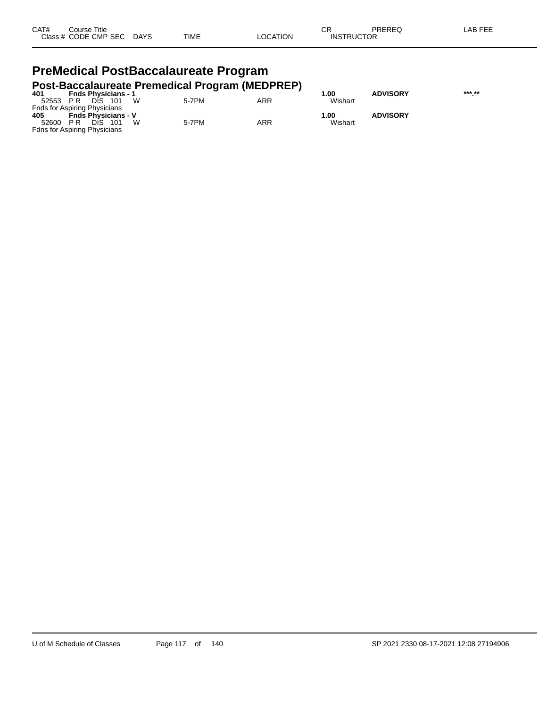| CAT# | Title<br>Course      |             |             |          | ⌒г<br>◡           | PREREQ | _AB FEF |
|------|----------------------|-------------|-------------|----------|-------------------|--------|---------|
|      | Class # CODE CMP SEC | <b>DAYS</b> | <b>TIME</b> | _OCATION | <b>INSTRUCTOR</b> |        |         |

#### **PreMedical PostBaccalaureate Program Post-Baccalaureate Premedical Program (MEDPREP)**

| 401   | <b>Fnds Physicians - 1</b>          | ີ     |     | .00     | <b>ADVISORY</b> | *** ** |
|-------|-------------------------------------|-------|-----|---------|-----------------|--------|
| 52553 | W<br>DIS.<br>- 101<br>PR            | 5-7PM | ARR | Wishart |                 |        |
|       | <b>Fnds for Aspiring Physicians</b> |       |     |         |                 |        |
| 405   | <b>Fnds Physicians - V</b>          |       |     | 1.00    | <b>ADVISORY</b> |        |
| 52600 | W<br>DIS.<br>- 101<br>PR            | 5-7PM | ARR | Wishart |                 |        |
|       | <b>Fdns for Aspiring Physicians</b> |       |     |         |                 |        |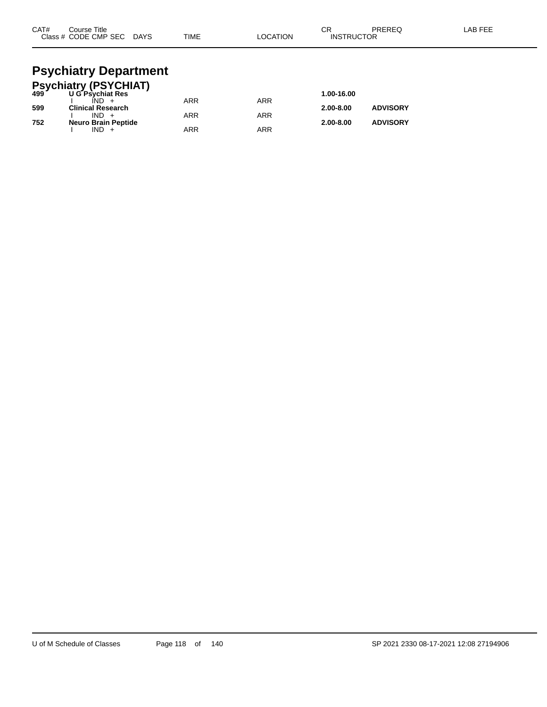| CAT#<br>Course Title<br>Class # CODE CMP SEC DAYS | TIME | <b>LOCATION</b> | СR<br><b>INSTRUCTOR</b> | PRERFO | LAB FEE |
|---------------------------------------------------|------|-----------------|-------------------------|--------|---------|
| Doughiatry Donortmant                             |      |                 |                         |        |         |

#### **Psychiatry Department Psychiatry (PSYCHIAT)**

|     | <b>FSychiatry (FSTCTTAT)</b><br>499 UG Psychiat Res |     |            | 1.00-16.00    |                 |
|-----|-----------------------------------------------------|-----|------------|---------------|-----------------|
|     | $IND +$                                             | ARR | <b>ARR</b> |               |                 |
| 599 | <b>Clinical Research</b>                            |     |            | $2.00 - 8.00$ | <b>ADVISORY</b> |
|     | $IND +$                                             | ARR | ARR        |               |                 |
| 752 | <b>Neuro Brain Peptide</b>                          |     |            | $2.00 - 8.00$ | <b>ADVISORY</b> |
|     | $IND +$                                             | ARR | ARR        |               |                 |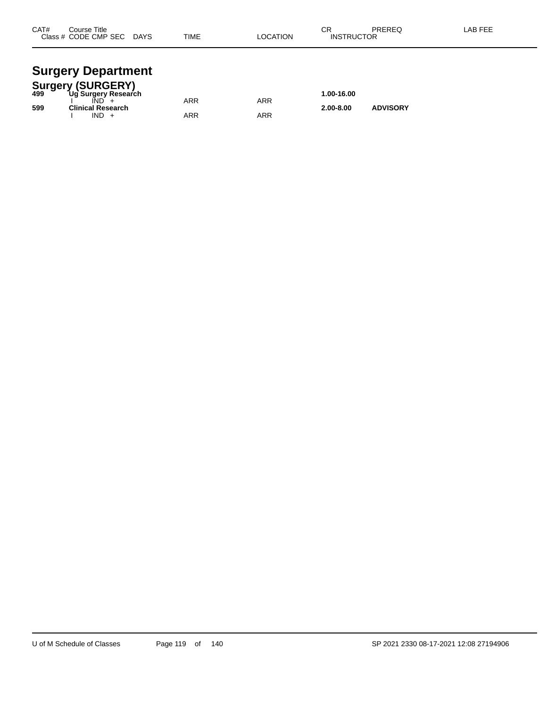| CAT# | Course Title<br>Class # CODE CMP SEC | <b>DAYS</b> | <b>TIME</b> | <b>LOCATION</b> | ◠◻<br>۱۷۱۰ -<br><b>INSTRUCTOR</b> | PREREQ | <b>AB FEF</b> |
|------|--------------------------------------|-------------|-------------|-----------------|-----------------------------------|--------|---------------|
|      |                                      |             |             |                 |                                   |        |               |

#### **Surgery Department**

|     | <b>Surgery (SURGERY)</b> |     |     |               |                 |  |
|-----|--------------------------|-----|-----|---------------|-----------------|--|
| 499 | Ug Surgery Research      |     |     | 1.00-16.00    |                 |  |
|     |                          | ARR | ARR |               |                 |  |
| 599 | <b>Clinical Research</b> |     |     | $2.00 - 8.00$ | <b>ADVISORY</b> |  |
|     | $IND +$                  | ARR | ARR |               |                 |  |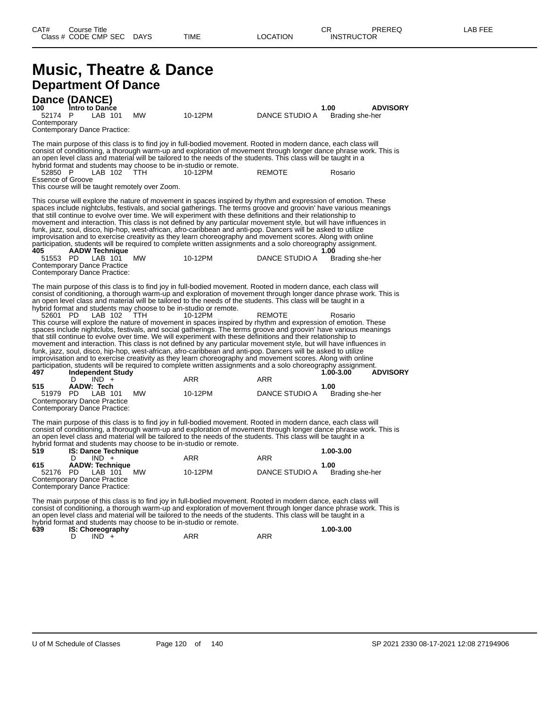#### **Music, Theatre & Dance Department Of Dance**

**Dance (DANCE) 100 Intro to Dance 1.00 ADVISORY** 52174 P LAB 101 MW 10-12PM DANCE STUDIO A Brading she-her **Contemporary** Contemporary Dance Practice: The main purpose of this class is to find joy in full-bodied movement. Rooted in modern dance, each class will consist of conditioning, a thorough warm-up and exploration of movement through longer dance phrase work. This is an open level class and material will be tailored to the needs of the students. This class will be taught in a hybrid format and students may choose to be in-studio or remote. 52850 P LAB 102 TTH 10-12PM REMOTE Rosario Essence of Groove This course will be taught remotely over Zoom. This course will explore the nature of movement in spaces inspired by rhythm and expression of emotion. These spaces include nightclubs, festivals, and social gatherings. The terms groove and groovin' have various meanings that still continue to evolve over time. We will experiment with these definitions and their relationship to movement and interaction. This class is not defined by any particular movement style, but will have influences in funk, jazz, soul, disco, hip-hop, west-african, afro-caribbean and anti-pop. Dancers will be asked to utilize improvisation and to exercise creativity as they learn choreography and movement scores. Along with online participation, students will be required to complete written assignments and a solo choreography assignment.<br>405 1.00 **405 AADW Technique 1.00** 51553 PD LAB 101 MW 10-12PM DANCE STUDIO A Brading she-her Contemporary Dance Practice Contemporary Dance Practice: The main purpose of this class is to find joy in full-bodied movement. Rooted in modern dance, each class will consist of conditioning, a thorough warm-up and exploration of movement through longer dance phrase work. This is an open level class and material will be tailored to the needs of the students. This class will be taught in a hybrid format and students may choose to be in-studio or remote. 52601 PD LAB 102 TTH 10-12PM REMOTE Rosario This course will explore the nature of movement in spaces inspired by rhythm and expression of emotion. These spaces include nightclubs, festivals, and social gatherings. The terms groove and groovin' have various meanings that still continue to evolve over time. We will experiment with these definitions and their relationship to movement and interaction. This class is not defined by any particular movement style, but will have influences in funk, jazz, soul, disco, hip-hop, west-african, afro-caribbean and anti-pop. Dancers will be asked to utilize improvisation and to exercise creativity as they learn choreography and movement scores. Along with online participation, students will be required to complete written assignments and a solo choreography assignment.<br>1.00-3.00 ADVISORY 1-00-3.00 **497 Independent Study 1.000 <b>ADVISORY 1.000 ADVISORY ADVISORY ADVISORY ADVISORY ADVISORY ADVISORY**  $IND +$ **515 AADW: Tech 1.00** DANCE STUDIO A Contemporary Dance Practice Contemporary Dance Practice:

The main purpose of this class is to find joy in full-bodied movement. Rooted in modern dance, each class will consist of conditioning, a thorough warm-up and exploration of movement through longer dance phrase work. This is an open level class and material will be tailored to the needs of the students. This class will be taught in a hybrid format and students may choose to be in-studio or remote.

| 519      | <b>IS: Dance Technique</b>   |         |                | 1.00-3.00       |
|----------|------------------------------|---------|----------------|-----------------|
|          | $IND +$                      | ARR     | ARR            |                 |
| 615      | <b>AADW: Technique</b>       |         |                | 1.00            |
| 52176 PD | <b>MW</b><br>LAB 101         | 10-12PM | DANCE STUDIO A | Brading she-her |
|          | Contemporary Dance Practice  |         |                |                 |
|          | Contemporary Dance Practice: |         |                |                 |

The main purpose of this class is to find joy in full-bodied movement. Rooted in modern dance, each class will consist of conditioning, a thorough warm-up and exploration of movement through longer dance phrase work. This is an open level class and material will be tailored to the needs of the students. This class will be taught in a hybrid format and students may choose to be in-studio or remote.<br>639 **IS: Choreography** 

| 639 | <b>IS: Choreography</b> |     |     | 1.00-3.00 |
|-----|-------------------------|-----|-----|-----------|
|     | <b>IND</b>              | ARR | ARR |           |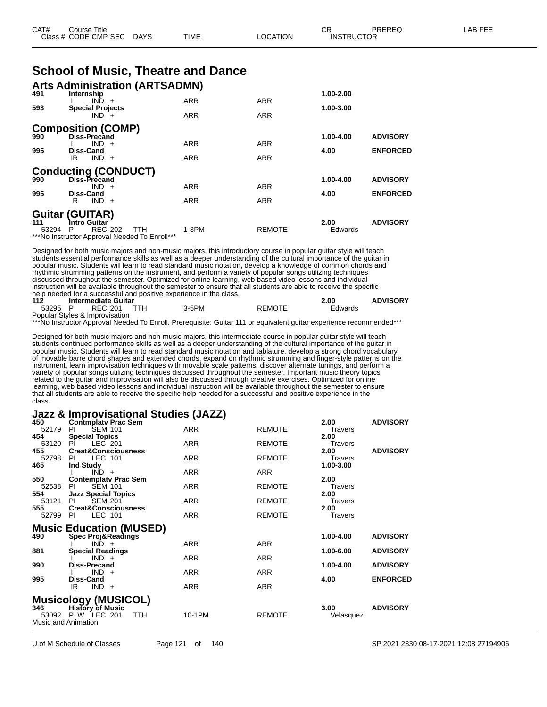| CAT# | Course Title         |             |      |          | ∩⊓<br>◡ॸ          | PREREQ | LAB FEE |
|------|----------------------|-------------|------|----------|-------------------|--------|---------|
|      | Class # CODE CMP SEC | <b>DAYS</b> | TIME | LOCATION | <b>INSTRUCTOR</b> |        |         |

| <b>School of Music, Theatre and Dance</b> |  |  |
|-------------------------------------------|--|--|
|-------------------------------------------|--|--|

| 491   | <b>Arts Administration (ARTSADMN)</b><br>Internship |            |               | $1.00 - 2.00$ |                 |
|-------|-----------------------------------------------------|------------|---------------|---------------|-----------------|
|       | $IND +$                                             | <b>ARR</b> | <b>ARR</b>    |               |                 |
| 593   | <b>Special Projects</b><br>$IND +$                  | <b>ARR</b> | <b>ARR</b>    | 1.00-3.00     |                 |
| 990   | <b>Composition (COMP)</b><br><b>Diss-Precand</b>    |            |               | 1.00-4.00     | <b>ADVISORY</b> |
|       | $IND +$                                             | <b>ARR</b> | <b>ARR</b>    |               |                 |
| 995   | <b>Diss-Cand</b><br>$IND +$<br>IR                   | <b>ARR</b> | <b>ARR</b>    | 4.00          | <b>ENFORCED</b> |
|       | <b>Conducting (CONDUCT)</b><br>Diss-Precand         |            |               | 1.00-4.00     | <b>ADVISORY</b> |
| 990   | $IND +$                                             | <b>ARR</b> | <b>ARR</b>    |               |                 |
| 995   | <b>Diss-Cand</b>                                    |            |               | 4.00          | <b>ENFORCED</b> |
|       | $IND +$<br>R                                        | <b>ARR</b> | <b>ARR</b>    |               |                 |
| 111   | <b>Guitar (GUITAR)</b><br>Intro Guitar              |            |               | 2.00          | <b>ADVISORY</b> |
| 53294 | <b>REC 202</b><br><b>TTH</b><br>P                   | $1-3PM$    | <b>REMOTE</b> | Edwards       |                 |
|       | ***No Instructor Approval Needed To Enroll***       |            |               |               |                 |

Designed for both music majors and non-music majors, this introductory course in popular guitar style will teach students essential performance skills as well as a deeper understanding of the cultural importance of the guitar in popular music. Students will learn to read standard music notation, develop a knowledge of common chords and rhythmic strumming patterns on the instrument, and perform a variety of popular songs utilizing techniques discussed throughout the semester. Optimized for online learning, web based video lessons and individual instruction will be available throughout the semester to ensure that all students are able to receive the specific help needed for a successful and positive experience in the class.<br>112 **Intermediate Guitar** 

**112 Intermediate Guitar 2.00 ADVISORY** 53295 P REC 201 TTH 3-5PM REMOTE Edwards Popular Styles & Improvisation

\*\*\*No Instructor Approval Needed To Enroll. Prerequisite: Guitar 111 or equivalent guitar experience recommended\*\*\*

Designed for both music majors and non-music majors, this intermediate course in popular guitar style will teach students continued performance skills as well as a deeper understanding of the cultural importance of the guitar in popular music. Students will learn to read standard music notation and tablature, develop a strong chord vocabulary of movable barre chord shapes and extended chords, expand on rhythmic strumming and finger-style patterns on the instrument, learn improvisation techniques with movable scale patterns, discover alternate tunings, and perform a variety of popular songs utilizing techniques discussed throughout the semester. Important music theory topics related to the guitar and improvisation will also be discussed through creative exercises. Optimized for online learning, web based video lessons and individual instruction will be available throughout the semester to ensure that all students are able to receive the specific help needed for a successful and positive experience in the class.

#### **Jazz & Improvisational Studies (JAZZ)**

| 450   | <b>Contmplaty Prac Sem</b>      |            |               | 2.00           | <b>ADVISORY</b> |
|-------|---------------------------------|------------|---------------|----------------|-----------------|
| 52179 | <b>SEM 101</b><br>PI.           | <b>ARR</b> | <b>REMOTE</b> | <b>Travers</b> |                 |
| 454   | <b>Special Topics</b>           |            |               | 2.00           |                 |
| 53120 | LEC 201<br>PL                   | <b>ARR</b> | <b>REMOTE</b> | <b>Travers</b> |                 |
| 455   | <b>Creat&amp;Consciousness</b>  |            |               | 2.00           | <b>ADVISORY</b> |
| 52798 | LEC 101<br>PI.                  | <b>ARR</b> | <b>REMOTE</b> | Travers        |                 |
| 465   | <b>Ind Study</b>                |            |               | 1.00-3.00      |                 |
|       | $IND +$                         | <b>ARR</b> | <b>ARR</b>    |                |                 |
| 550   | <b>Contemplaty Prac Sem</b>     |            |               | 2.00           |                 |
| 52538 | <b>SEM 101</b><br><b>PI</b>     | <b>ARR</b> | <b>REMOTE</b> | <b>Travers</b> |                 |
| 554   | <b>Jazz Special Topics</b>      |            |               | 2.00           |                 |
| 53121 | <b>SEM 201</b><br>PI            | <b>ARR</b> | <b>REMOTE</b> | Travers        |                 |
| 555   | <b>Creat&amp;Consciousness</b>  |            |               | 2.00           |                 |
| 52799 | LEC 101<br>- PI                 | ARR        | <b>REMOTE</b> | <b>Travers</b> |                 |
|       | <b>Music Education (MUSED)</b>  |            |               |                |                 |
| 490   | <b>Spec Proj&amp;Readings</b>   |            |               | $1.00 - 4.00$  | <b>ADVISORY</b> |
|       | $IND +$                         | <b>ARR</b> | <b>ARR</b>    |                |                 |
| 881   | <b>Special Readings</b>         |            |               | 1.00-6.00      | <b>ADVISORY</b> |
|       | $IND +$                         | <b>ARR</b> | <b>ARR</b>    |                |                 |
| 990   | <b>Diss-Precand</b>             |            |               | 1.00-4.00      | <b>ADVISORY</b> |
|       | $IND +$                         | ARR        | ARR           |                |                 |
| 995   | Diss-Cand                       |            |               | 4.00           | <b>ENFORCED</b> |
|       | $IND +$<br>IR                   | <b>ARR</b> | <b>ARR</b>    |                |                 |
|       |                                 |            |               |                |                 |
|       | <b>Musicology (MUSICOL)</b>     |            |               |                |                 |
| 346   | <b>History of Music</b>         |            |               | 3.00           | <b>ADVISORY</b> |
|       | 53092 P W LEC 201<br><b>TTH</b> | 10-1PM     | <b>REMOTE</b> | Velasquez      |                 |
|       | Music and Animation             |            |               |                |                 |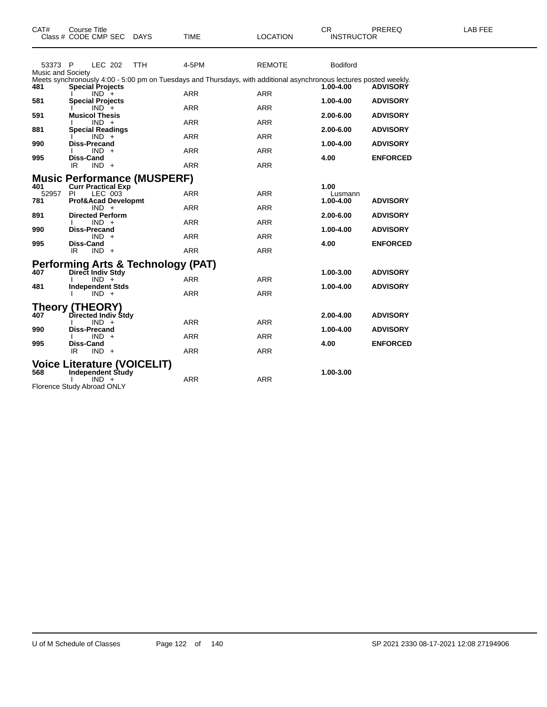|                              | Class # CODE CMP SEC                                                                             |         | <b>DAYS</b> | TIME                                                        | LOCATION                                                                                                                         | <b>INSTRUCTOR</b>      |                                    |
|------------------------------|--------------------------------------------------------------------------------------------------|---------|-------------|-------------------------------------------------------------|----------------------------------------------------------------------------------------------------------------------------------|------------------------|------------------------------------|
| 53373 P<br>Music and Society |                                                                                                  | LEC 202 | <b>TTH</b>  | 4-5PM                                                       | <b>REMOTE</b>                                                                                                                    | <b>Bodiford</b>        |                                    |
| 481                          | <b>Special Projects</b><br>$IND +$                                                               |         |             | <b>ARR</b>                                                  | Meets synchronously 4:00 - 5:00 pm on Tuesdays and Thursdays, with additional asynchronous lectures posted weekly.<br><b>ARR</b> | 1.00-4.00              | <b>ADVISORY</b>                    |
| 581                          | <b>Special Projects</b><br>$IND +$                                                               |         |             | <b>ARR</b>                                                  | ARR                                                                                                                              | 1.00-4.00              | <b>ADVISORY</b>                    |
| 591                          | <b>Musicol Thesis</b><br>$IND +$                                                                 |         |             | <b>ARR</b>                                                  | <b>ARR</b>                                                                                                                       | 2.00-6.00              | <b>ADVISORY</b>                    |
| 881<br>990                   | <b>Special Readings</b><br>$IND +$<br><b>Diss-Precand</b>                                        |         |             | <b>ARR</b>                                                  | <b>ARR</b>                                                                                                                       | 2.00-6.00<br>1.00-4.00 | <b>ADVISORY</b><br><b>ADVISORY</b> |
| 995                          | $IND +$<br>Diss-Cand                                                                             |         |             | <b>ARR</b>                                                  | <b>ARR</b>                                                                                                                       | 4.00                   | <b>ENFORCED</b>                    |
|                              | IR.<br>$IND +$                                                                                   |         |             | <b>ARR</b>                                                  | <b>ARR</b>                                                                                                                       |                        |                                    |
| 52957                        | <b>Music Performance (MUSPERF)</b><br>401 Curr Practical Exp<br>PI                               | LEC 003 |             | <b>ARR</b>                                                  | <b>ARR</b>                                                                                                                       | 1.00<br>Lusmann        |                                    |
| 781<br>891                   | Prof&Acad Developmt<br>$IND +$<br><b>Directed Perform</b>                                        |         |             | <b>ARR</b>                                                  | <b>ARR</b>                                                                                                                       | 1.00-4.00<br>2.00-6.00 | <b>ADVISORY</b><br><b>ADVISORY</b> |
| 990                          | $IND +$<br><b>Diss-Precand</b>                                                                   |         |             | <b>ARR</b>                                                  | <b>ARR</b>                                                                                                                       | 1.00-4.00              | <b>ADVISORY</b>                    |
| 995                          | $IND +$<br><b>Diss-Cand</b><br>IR<br>$IND +$                                                     |         |             | <b>ARR</b><br><b>ARR</b>                                    | <b>ARR</b><br><b>ARR</b>                                                                                                         | 4.00                   | <b>ENFORCED</b>                    |
|                              |                                                                                                  |         |             | Performing Arts & Technology (PAT)<br>407 Direct Indiv Stdy |                                                                                                                                  |                        |                                    |
| 481                          | $IND +$<br><b>Independent Stds</b>                                                               |         |             | <b>ARR</b>                                                  | <b>ARR</b>                                                                                                                       | 1.00-3.00<br>1.00-4.00 | <b>ADVISORY</b><br><b>ADVISORY</b> |
|                              | $IND +$                                                                                          |         |             | <b>ARR</b>                                                  | <b>ARR</b>                                                                                                                       |                        |                                    |
| 407                          | Theory (THEORY)<br>Directed Indiv Stdy<br>$IND +$                                                |         |             | <b>ARR</b>                                                  | <b>ARR</b>                                                                                                                       | $2.00 - 4.00$          | <b>ADVISORY</b>                    |
| 990                          | <b>Diss-Precand</b><br>$IND +$                                                                   |         |             | <b>ARR</b>                                                  | <b>ARR</b>                                                                                                                       | 1.00-4.00              | <b>ADVISORY</b>                    |
| 995                          | <b>Diss-Cand</b><br>IR<br>$IND +$                                                                |         |             | <b>ARR</b>                                                  | <b>ARR</b>                                                                                                                       | 4.00                   | <b>ENFORCED</b>                    |
| 568                          | <b>Voice Literature (VOICELIT)</b><br>Independent Study<br>$IND +$<br>Florence Study Abroad ONLY |         |             | <b>ARR</b>                                                  | <b>ARR</b>                                                                                                                       | 1.00-3.00              |                                    |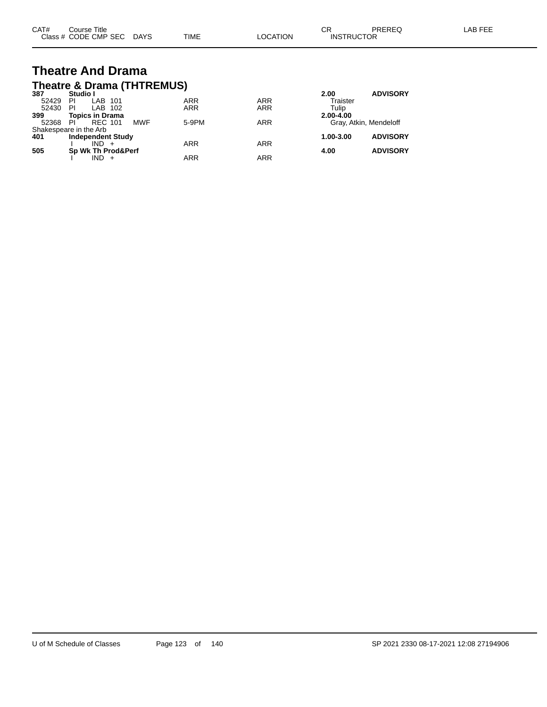| CAT# | Course Title              |      |                 | Ωn<br>◡ጙ          | PREREQ | LAB FEE |
|------|---------------------------|------|-----------------|-------------------|--------|---------|
|      | Class # CODE CMP SEC DAYS | TIME | <b>LOCATION</b> | <b>INSTRUCTOR</b> |        |         |

#### **Theatre And Drama Theatre & Drama (THTREMUS)**

| 387   | Studio I                    |            |            | 2.00          | <b>ADVISORY</b>        |
|-------|-----------------------------|------------|------------|---------------|------------------------|
| 52429 | LAB 101<br>PI               | <b>ARR</b> | <b>ARR</b> | Traister      |                        |
| 52430 | LAB 102<br>PI               | <b>ARR</b> | <b>ARR</b> | Tulip         |                        |
| 399   | <b>Topics in Drama</b>      |            |            | 2.00-4.00     |                        |
| 52368 | <b>MWF</b><br>PI<br>REC 101 | 5-9PM      | <b>ARR</b> |               | Gray, Atkin, Mendeloff |
|       | Shakespeare in the Arb      |            |            |               |                        |
| 401   | <b>Independent Study</b>    |            |            | $1.00 - 3.00$ | <b>ADVISORY</b>        |
|       | $IND +$                     | <b>ARR</b> | <b>ARR</b> |               |                        |
| 505   | Sp Wk Th Prod&Perf          |            |            | 4.00          | <b>ADVISORY</b>        |
|       | $IND +$                     | ARR        | ARR        |               |                        |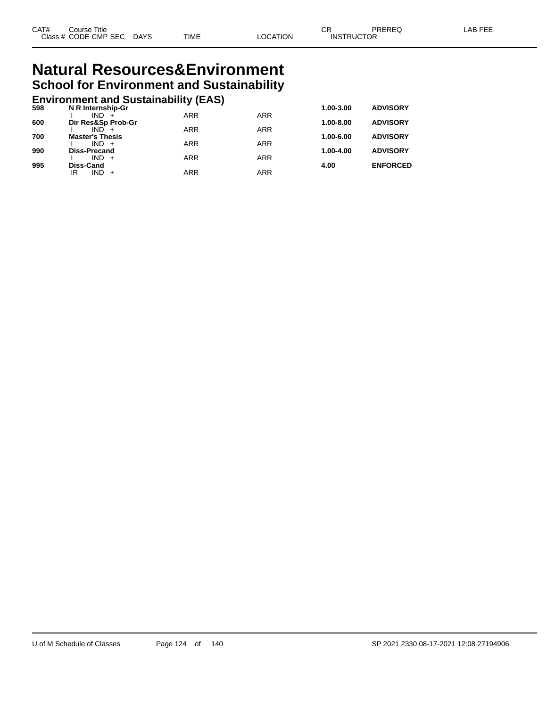#### **Natural Resources&Environment School for Environment and Sustainability**

#### **Environment and Sustainability (EAS) 598 N R Internship-Gr 1.00-3.00 ADVISORY**

| ้วงช | N R INTERNSNIP-GT             |            |            | 1.00-3.00     | <b>ADVISORT</b> |
|------|-------------------------------|------------|------------|---------------|-----------------|
| 600  | $IND +$<br>Dir Res&Sp Prob-Gr | ARR        | <b>ARR</b> | $1.00 - 8.00$ | <b>ADVISORY</b> |
|      | $IND +$                       | ARR        | <b>ARR</b> |               |                 |
| 700  | <b>Master's Thesis</b>        |            |            | 1.00-6.00     | <b>ADVISORY</b> |
|      | $IND +$                       | <b>ARR</b> | <b>ARR</b> |               |                 |
| 990  | <b>Diss-Precand</b>           |            |            | 1.00-4.00     | <b>ADVISORY</b> |
|      | $IND +$                       | ARR        | <b>ARR</b> |               |                 |
| 995  | Diss-Cand                     |            |            | 4.00          | <b>ENFORCED</b> |
|      | $IND +$<br>IR                 | ARR        | <b>ARR</b> |               |                 |
|      |                               |            |            |               |                 |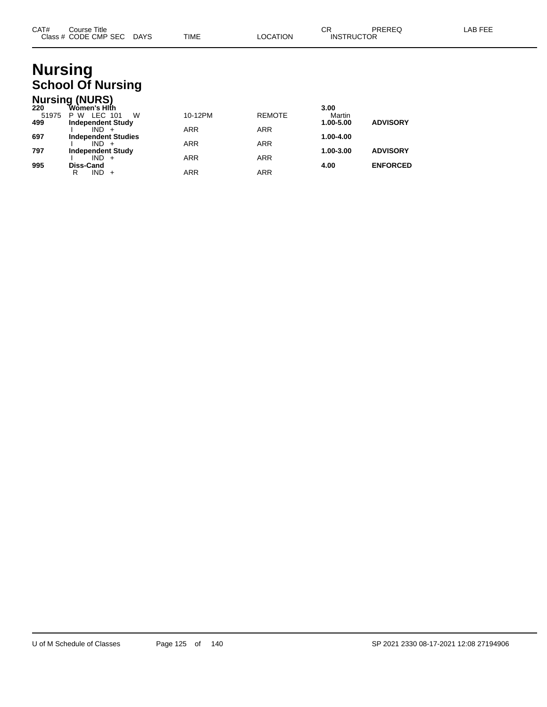| CAT# | Course Title              |      |          | СR                | PREREQ | LAB FEE |
|------|---------------------------|------|----------|-------------------|--------|---------|
|      | Class # CODE CMP SEC DAYS | TIME | LOCATION | <b>INSTRUCTOR</b> |        |         |

## **Nursing School Of Nursing**

|                     | <b>Nursing (NURS)</b>                                               |                          |                          |                             |                 |
|---------------------|---------------------------------------------------------------------|--------------------------|--------------------------|-----------------------------|-----------------|
| 220<br>51975<br>499 | Wòmen's Hlṫh<br>W<br>LEC 101<br>W<br>P.<br><b>Independent Study</b> | 10-12PM                  | <b>REMOTE</b>            | 3.00<br>Martin<br>1.00-5.00 | <b>ADVISORY</b> |
| 697                 | $IND +$<br><b>Independent Studies</b>                               | <b>ARR</b>               | <b>ARR</b>               | 1.00-4.00                   |                 |
| 797                 | $IND +$<br><b>Independent Study</b>                                 | <b>ARR</b>               | <b>ARR</b>               | 1.00-3.00                   | <b>ADVISORY</b> |
| 995                 | $IND +$<br><b>Diss-Cand</b><br>$IND +$<br>R                         | <b>ARR</b><br><b>ARR</b> | <b>ARR</b><br><b>ARR</b> | 4.00                        | <b>ENFORCED</b> |
|                     |                                                                     |                          |                          |                             |                 |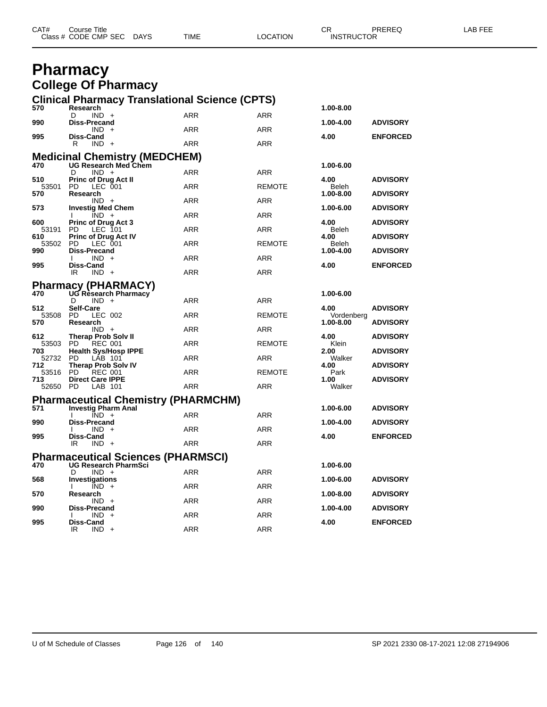| CAT# | Course Title<br>Class # CODE CMP SEC | <b>DAYS</b> | TIME | LOCATION | СR<br><b>INSTRUCTOR</b> | PREREQ | FEE<br>_AB |
|------|--------------------------------------|-------------|------|----------|-------------------------|--------|------------|
|      |                                      |             |      |          |                         |        |            |

#### **Pharmacy College Of Pharmacy**

|              | <b>Clinical Pharmacy Translational Science (CPTS)</b>                    |            |               |                    |                 |
|--------------|--------------------------------------------------------------------------|------------|---------------|--------------------|-----------------|
| 570          | Research<br>$IND +$<br>D                                                 | <b>ARR</b> | <b>ARR</b>    | 1.00-8.00          |                 |
| 990          | <b>Diss-Precand</b><br>$IND +$                                           | <b>ARR</b> | <b>ARR</b>    | 1.00-4.00          | <b>ADVISORY</b> |
| 995          | <b>Diss-Cand</b><br>R<br><b>IND</b><br>$+$                               | <b>ARR</b> | <b>ARR</b>    | 4.00               | <b>ENFORCED</b> |
|              |                                                                          |            |               |                    |                 |
|              | Medicinal Chemistry (MEDCHEM)<br>470 UG Research Med Chem                |            |               | 1.00-6.00          |                 |
| 510          | D<br>$IND +$<br>Princ of Drug Act II                                     | <b>ARR</b> | <b>ARR</b>    | 4.00               | <b>ADVISORY</b> |
| 53501<br>570 | LEC 001<br><b>PD</b><br>Research                                         | <b>ARR</b> | <b>REMOTE</b> | Beleh<br>1.00-8.00 | <b>ADVISORY</b> |
|              | $IND +$                                                                  | <b>ARR</b> | <b>ARR</b>    |                    |                 |
| 573          | <b>Investig Med Chem</b><br>$\overline{IND}$ +                           | ARR        | <b>ARR</b>    | 1.00-6.00          | <b>ADVISORY</b> |
| 600<br>53191 | <b>Princ of Drug Act 3</b><br>PD<br>LEC 101                              | <b>ARR</b> | <b>ARR</b>    | 4.00<br>Beleh      | <b>ADVISORY</b> |
| 610<br>53502 | <b>Princ of Drug Act IV</b><br>PD.<br>LEC 001                            | <b>ARR</b> | <b>REMOTE</b> | 4.00<br>Beleh      | <b>ADVISORY</b> |
| 990          | Diss-Precand                                                             |            |               | 1.00-4.00          | <b>ADVISORY</b> |
| 995          | $IND +$<br><b>Diss-Cand</b>                                              | <b>ARR</b> | <b>ARR</b>    | 4.00               | <b>ENFORCED</b> |
|              | IR.<br>$IND +$                                                           | <b>ARR</b> | <b>ARR</b>    |                    |                 |
| 470          | <b>Pharmacy (PHARMACY)</b><br>UG Rèsearch Pharmacy                       |            |               | 1.00-6.00          |                 |
|              | D<br>$IND +$                                                             | <b>ARR</b> | <b>ARR</b>    |                    |                 |
| 512<br>53508 | Self-Care<br>LEC 002<br>PD.                                              | <b>ARR</b> | <b>REMOTE</b> | 4.00<br>Vordenberg | <b>ADVISORY</b> |
| 570          | Research<br>$IND +$                                                      | <b>ARR</b> | <b>ARR</b>    | 1.00-8.00          | <b>ADVISORY</b> |
| 612<br>53503 | <b>Therap Prob Solv II</b><br><b>PD</b><br><b>REC 001</b>                | <b>ARR</b> | <b>REMOTE</b> | 4.00<br>Klein      | <b>ADVISORY</b> |
| 703          | <b>Health Sys/Hosp IPPE</b>                                              |            |               | 2.00               | <b>ADVISORY</b> |
| 52732<br>712 | <b>PD</b><br>LÁB 101<br><b>Therap Prob Solv IV</b>                       | <b>ARR</b> | <b>ARR</b>    | Walker<br>4.00     | <b>ADVISORY</b> |
| 53516<br>713 | <b>PD</b><br><b>REC 001</b><br><b>Direct Care IPPE</b>                   | <b>ARR</b> | <b>REMOTE</b> | Park<br>1.00       | <b>ADVISORY</b> |
| 52650 PD     | LAB 101                                                                  | <b>ARR</b> | <b>ARR</b>    | Walker             |                 |
|              | <b>Pharmaceutical Chemistry (PHARMCHM)</b>                               |            |               |                    |                 |
| 571          | <b>Investig Pharm Anal</b><br>$IND +$                                    | <b>ARR</b> | <b>ARR</b>    | 1.00-6.00          | <b>ADVISORY</b> |
| 990          | <b>Diss-Precand</b><br>$IND +$                                           | <b>ARR</b> | <b>ARR</b>    | 1.00-4.00          | <b>ADVISORY</b> |
| 995          | <b>Diss-Cand</b>                                                         |            |               | 4.00               | <b>ENFORCED</b> |
|              | IR<br>$IND +$                                                            | <b>ARR</b> | <b>ARR</b>    |                    |                 |
| 470          | <b>Pharmaceutical Sciences (PHARMSCI)</b><br><b>UG Research PharmSci</b> |            |               | 1.00-6.00          |                 |
| 568          | D<br>$IND +$<br>Investigations                                           | <b>ARR</b> | <b>ARR</b>    | 1.00-6.00          | <b>ADVISORY</b> |
|              | $IND +$                                                                  | <b>ARR</b> | ARR           |                    |                 |
| 570          | Research<br>$IND +$                                                      | <b>ARR</b> | ARR           | 1.00-8.00          | <b>ADVISORY</b> |
| 990          | Diss-Precand<br><b>IND</b>                                               | <b>ARR</b> | <b>ARR</b>    | 1.00-4.00          | <b>ADVISORY</b> |
| 995          | <b>Diss-Cand</b><br>$IND +$<br>IR                                        | <b>ARR</b> | <b>ARR</b>    | 4.00               | <b>ENFORCED</b> |
|              |                                                                          |            |               |                    |                 |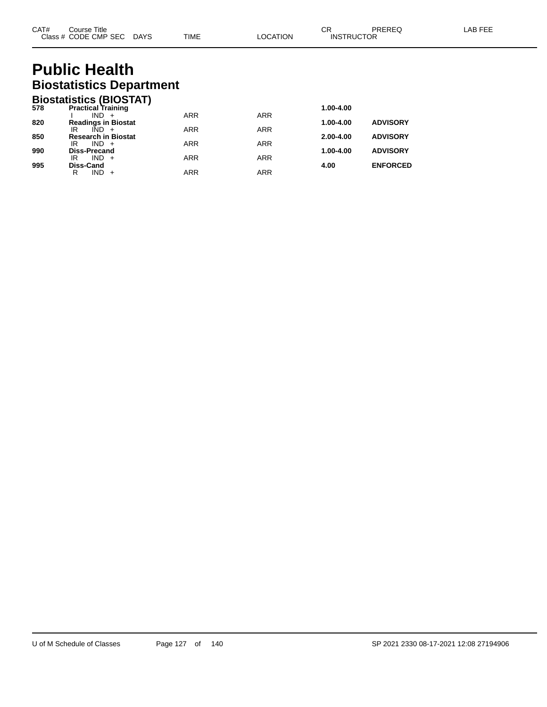### **Public Health Biostatistics Department**

|     | <b>Biostatistics (BIOSTAT)</b>              |            |            |               |                 |
|-----|---------------------------------------------|------------|------------|---------------|-----------------|
| 578 | <b>Practical Training</b>                   |            |            | 1.00-4.00     |                 |
|     | IND.<br>$+$                                 | <b>ARR</b> | <b>ARR</b> |               |                 |
| 820 | <b>Readings in Biostat</b>                  |            |            | 1.00-4.00     | <b>ADVISORY</b> |
| 850 | $IND +$<br>IR<br><b>Research in Biostat</b> | <b>ARR</b> | <b>ARR</b> | $2.00 - 4.00$ | <b>ADVISORY</b> |
|     | $IND +$<br>IR                               | <b>ARR</b> | <b>ARR</b> |               |                 |
| 990 | <b>Diss-Precand</b>                         |            |            | 1.00-4.00     | <b>ADVISORY</b> |
|     | $IND +$<br>IR                               | <b>ARR</b> | <b>ARR</b> |               |                 |
| 995 | <b>Diss-Cand</b>                            |            |            | 4.00          | <b>ENFORCED</b> |
|     | <b>IND</b><br>R                             | ARR        | <b>ARR</b> |               |                 |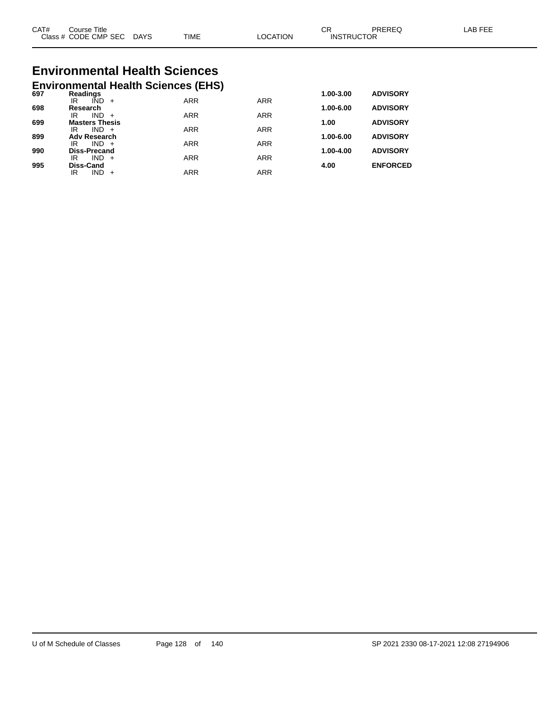| CAT#<br>Class | Title<br>′Jourse<br><b>CODE CMP SEC</b> | <b>DAYS</b> | <b>TIME</b> | <b>TION</b><br>ററ | ⌒冖<br>◡◠<br>JCTOR<br><b>INSTRI</b> | DDEDEC | AB F |
|---------------|-----------------------------------------|-------------|-------------|-------------------|------------------------------------|--------|------|
|               |                                         |             |             |                   |                                    |        |      |

# **Environmental Health Sciences**

|     |                                   | <b>Environmental Health Sciences (EHS)</b> |            |            |           |                 |
|-----|-----------------------------------|--------------------------------------------|------------|------------|-----------|-----------------|
| 697 | Readings                          |                                            |            |            | 1.00-3.00 | <b>ADVISORY</b> |
|     | IÑD<br>IR                         | $+$                                        | <b>ARR</b> | <b>ARR</b> |           |                 |
| 698 | Research<br><b>IND</b><br>ΙR      | $+$                                        | <b>ARR</b> | <b>ARR</b> | 1.00-6.00 | <b>ADVISORY</b> |
| 699 | <b>Masters Thesis</b>             |                                            |            |            | 1.00      | <b>ADVISORY</b> |
|     | $IND +$<br>IR                     |                                            | <b>ARR</b> | <b>ARR</b> |           |                 |
| 899 | <b>Adv Research</b>               |                                            |            |            | 1.00-6.00 | <b>ADVISORY</b> |
|     | $IND +$<br>IR                     |                                            | <b>ARR</b> | <b>ARR</b> |           |                 |
| 990 | <b>Diss-Precand</b><br>IND.<br>IR | $+$                                        | <b>ARR</b> | <b>ARR</b> | 1.00-4.00 | <b>ADVISORY</b> |
| 995 | <b>Diss-Cand</b>                  |                                            |            |            | 4.00      | <b>ENFORCED</b> |
|     | IND<br>IR                         |                                            | ARR        | <b>ARR</b> |           |                 |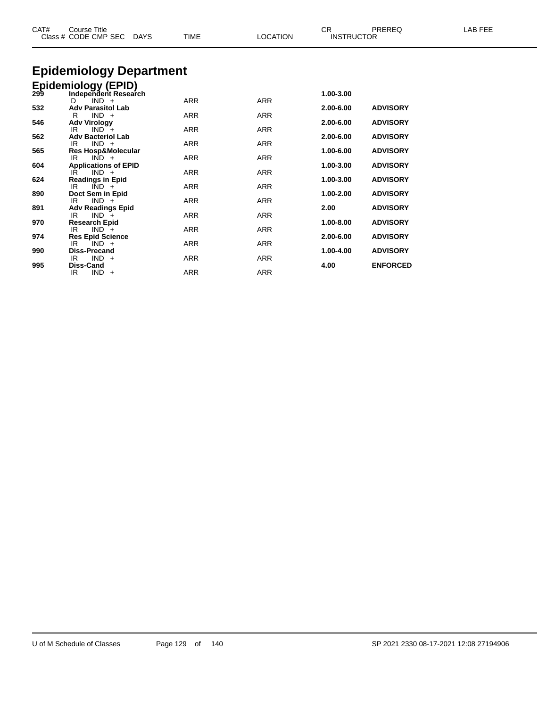| CAT# | <b>Course Title</b><br>Class # CODE CMP SEC DAYS | <b>TIME</b> | <b>LOCATION</b> | CR<br><b>INSTRUCTOR</b> | PREREQ          | LAB FEE |
|------|--------------------------------------------------|-------------|-----------------|-------------------------|-----------------|---------|
|      |                                                  |             |                 |                         |                 |         |
|      | <b>Epidemiology Department</b>                   |             |                 |                         |                 |         |
|      | Epidemiology (EPID)<br>299 Independent Researd   |             |                 |                         |                 |         |
|      | Independent Research                             |             |                 | 1.00-3.00               |                 |         |
|      | $IND +$<br>D                                     | <b>ARR</b>  | <b>ARR</b>      |                         |                 |         |
| 532  | <b>Adv Parasitol Lab</b><br>$IND +$<br>R         | <b>ARR</b>  | <b>ARR</b>      | 2.00-6.00               | <b>ADVISORY</b> |         |
| 546  | <b>Adv Virology</b>                              |             |                 | 2.00-6.00               | <b>ADVISORY</b> |         |
|      | $IND +$<br>IR                                    | <b>ARR</b>  | <b>ARR</b>      |                         |                 |         |
| 562  | <b>Adv Bacteriol Lab</b>                         |             |                 | 2.00-6.00               | <b>ADVISORY</b> |         |
|      | $IND +$<br>IR                                    | <b>ARR</b>  | <b>ARR</b>      |                         |                 |         |
| 565  | <b>Res Hosp&amp;Molecular</b><br>$IND +$<br>IR   | ARR         | <b>ARR</b>      | 1.00-6.00               | <b>ADVISORY</b> |         |
| 604  | <b>Applications of EPID</b>                      |             |                 | 1.00-3.00               | <b>ADVISORY</b> |         |
|      | $IND +$<br>IR                                    | <b>ARR</b>  | <b>ARR</b>      |                         |                 |         |
| 624  | <b>Readings in Epid</b>                          |             |                 | 1.00-3.00               | <b>ADVISORY</b> |         |
|      | IR<br>$IND +$                                    | <b>ARR</b>  | <b>ARR</b>      |                         |                 |         |
| 890  | Doct Sem in Epid<br>$IND +$<br>IR                | <b>ARR</b>  | <b>ARR</b>      | 1.00-2.00               | <b>ADVISORY</b> |         |
| 891  | <b>Adv Readings Epid</b>                         |             |                 | 2.00                    | <b>ADVISORY</b> |         |
|      | $IND +$<br>IR                                    | ARR         | <b>ARR</b>      |                         |                 |         |
| 970  | <b>Research Epid</b>                             |             |                 | 1.00-8.00               | <b>ADVISORY</b> |         |
|      | $IND +$<br>IR                                    | <b>ARR</b>  | <b>ARR</b>      |                         |                 |         |
| 974  | <b>Res Epid Science</b><br>$IND +$<br>IR         | <b>ARR</b>  | <b>ARR</b>      | 2.00-6.00               | <b>ADVISORY</b> |         |
| 990  | <b>Diss-Precand</b>                              |             |                 | 1.00-4.00               | <b>ADVISORY</b> |         |
|      | $IND +$<br>IR                                    | <b>ARR</b>  | ARR             |                         |                 |         |
| 995  | Diss-Cand                                        |             |                 | 4.00                    | <b>ENFORCED</b> |         |
|      | IR<br>$IND +$                                    | <b>ARR</b>  | <b>ARR</b>      |                         |                 |         |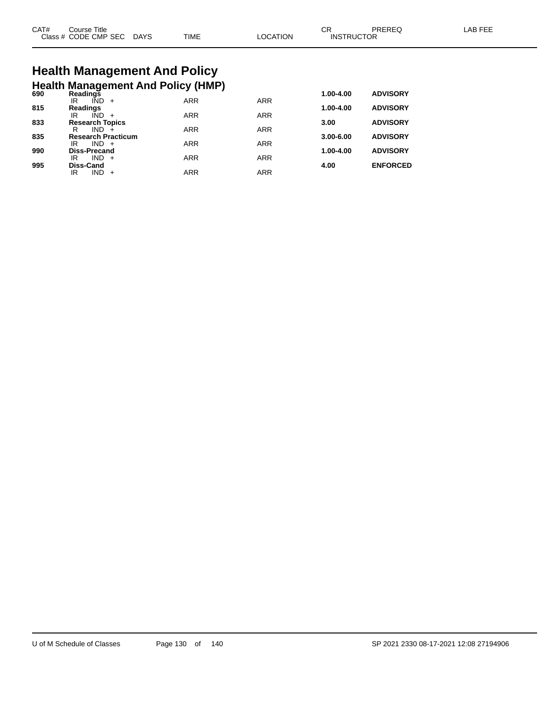| CAT# | Course Title .       |             |             |                | СF                | <b>PRERE</b> | AR FFF |
|------|----------------------|-------------|-------------|----------------|-------------------|--------------|--------|
|      | Class # CODE CMP SEC | <b>DAYS</b> | <b>TIME</b> | <b>OCATION</b> | <b>INSTRUCTOR</b> |              |        |

### **Health Management And Policy Health Management And Policy (HMP) 690 Readings 1.00-4.00 ADVISORY**

| งงบ | Readilius                 |            |            | 1.VV-4.VV     | <b>ADVIJURI</b> |
|-----|---------------------------|------------|------------|---------------|-----------------|
|     | IÑD<br>ΙR<br>$+$          | <b>ARR</b> | <b>ARR</b> |               |                 |
| 815 | <b>Readings</b>           |            |            | $1.00 - 4.00$ | <b>ADVISORY</b> |
|     | IND<br>IR                 | <b>ARR</b> | <b>ARR</b> |               |                 |
| 833 | <b>Research Topics</b>    |            |            | 3.00          | <b>ADVISORY</b> |
|     | R<br>IND.                 | <b>ARR</b> | <b>ARR</b> |               |                 |
| 835 | <b>Research Practicum</b> |            |            | $3.00 - 6.00$ | <b>ADVISORY</b> |
|     | $IND +$<br>IR             | <b>ARR</b> | <b>ARR</b> |               |                 |
| 990 | <b>Diss-Precand</b>       |            |            | $1.00 - 4.00$ | <b>ADVISORY</b> |
|     | $IND +$<br>IR             | <b>ARR</b> | <b>ARR</b> |               |                 |
| 995 | Diss-Cand                 |            |            | 4.00          | <b>ENFORCED</b> |
|     | IND.<br>IR<br>$+$         | <b>ARR</b> | ARR        |               |                 |
|     |                           |            |            |               |                 |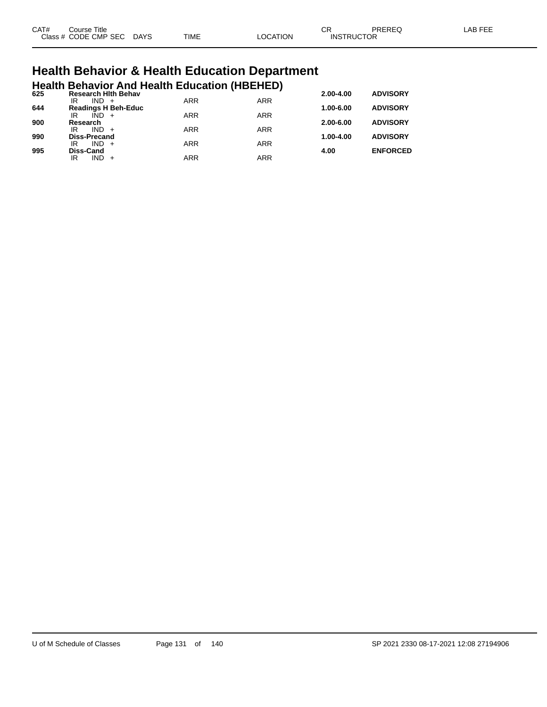| CAT# | Title<br>Course      |             |             |                | $\cap$<br>◡       | PREREQ | AR EEI |
|------|----------------------|-------------|-------------|----------------|-------------------|--------|--------|
|      | Class # CODE CMP SEC | <b>DAYS</b> | <b>TIME</b> | <b>OCATION</b> | <b>INSTRUCTOR</b> |        |        |

# **Health Behavior & Health Education Department**

|     |                           |         | <b>Health Behavior And Health Education (HBEHED)</b> |            |            |               |                 |
|-----|---------------------------|---------|------------------------------------------------------|------------|------------|---------------|-----------------|
| 625 | IR                        | $IND +$ | <b>Research Hith Behav</b>                           | <b>ARR</b> | <b>ARR</b> | 2.00-4.00     | <b>ADVISORY</b> |
| 644 |                           |         | <b>Readings H Beh-Educ</b>                           |            |            | $1.00 - 6.00$ | <b>ADVISORY</b> |
| 900 | IR<br>Research            | $IND +$ |                                                      | <b>ARR</b> | <b>ARR</b> | $2.00 - 6.00$ | <b>ADVISORY</b> |
|     | IR                        | $IND +$ |                                                      | <b>ARR</b> | <b>ARR</b> |               |                 |
| 990 | <b>Diss-Precand</b><br>IR | $IND +$ |                                                      | <b>ARR</b> | <b>ARR</b> | 1.00-4.00     | <b>ADVISORY</b> |
| 995 | Diss-Cand                 |         |                                                      |            |            | 4.00          | <b>ENFORCED</b> |
|     | ΙR                        | $IND +$ |                                                      | <b>ARR</b> | <b>ARR</b> |               |                 |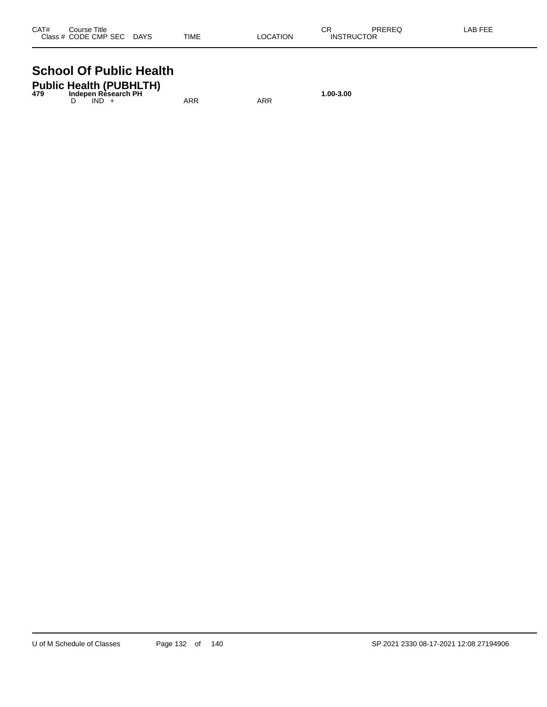| CAT# | Course Title              |             |          | СR                | PREREQ | LAB FEE |
|------|---------------------------|-------------|----------|-------------------|--------|---------|
|      | Class # CODE CMP SEC DAYS | <b>TIME</b> | LOCATION | <b>INSTRUCTOR</b> |        |         |

#### **School Of Public Health**

| 479 | <b>Public Health (PUBHLTH)</b><br>Indepen Rèsearch PH |     |     | 1.00-3.00 |
|-----|-------------------------------------------------------|-----|-----|-----------|
|     | $IND +$                                               | ARR | ARR |           |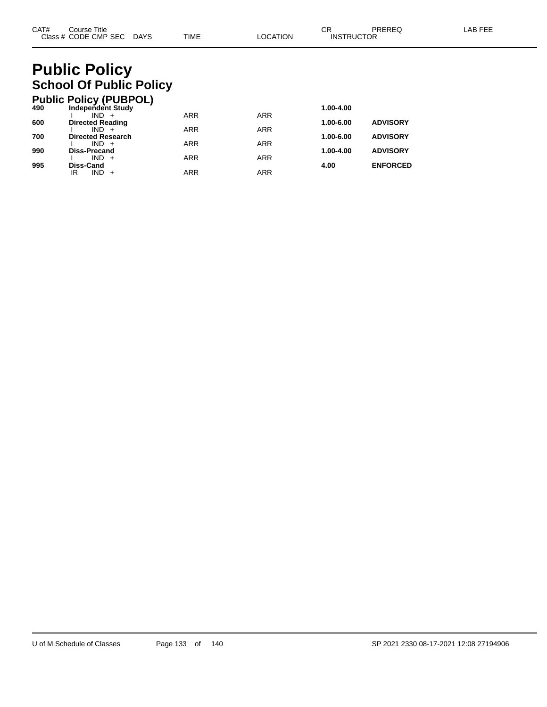#### **Public Policy School Of Public Policy**

|     | <b>Public Policy (PUBPOL)</b>      |            |            |           |                 |
|-----|------------------------------------|------------|------------|-----------|-----------------|
| 490 | <b>Independent Study</b>           |            |            | 1.00-4.00 |                 |
|     | $IND +$                            | <b>ARR</b> | <b>ARR</b> |           |                 |
| 600 | <b>Directed Reading</b><br>$IND +$ | <b>ARR</b> | <b>ARR</b> | 1.00-6.00 | <b>ADVISORY</b> |
| 700 | <b>Directed Research</b>           |            |            | 1.00-6.00 | <b>ADVISORY</b> |
|     | $IND +$                            | <b>ARR</b> | <b>ARR</b> |           |                 |
| 990 | <b>Diss-Precand</b>                |            |            | 1.00-4.00 | <b>ADVISORY</b> |
| 995 | $IND +$<br>Diss-Cand               | <b>ARR</b> | <b>ARR</b> | 4.00      | <b>ENFORCED</b> |
|     | $IND +$<br>ΙR                      | <b>ARR</b> | ARR        |           |                 |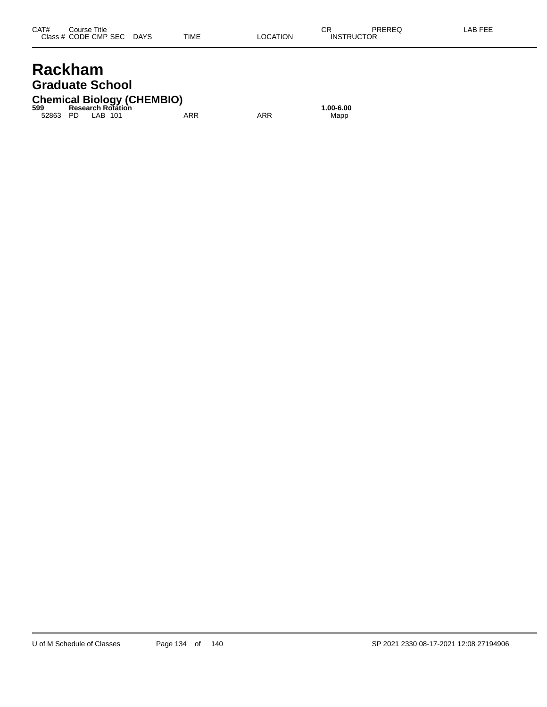#### **Rackham Graduate School**

#### **Chemical Biology (CHEMBIO) 599 Research Rotation 1.00-6.00**

52863 PD LAB 101 ARR ARR Mapp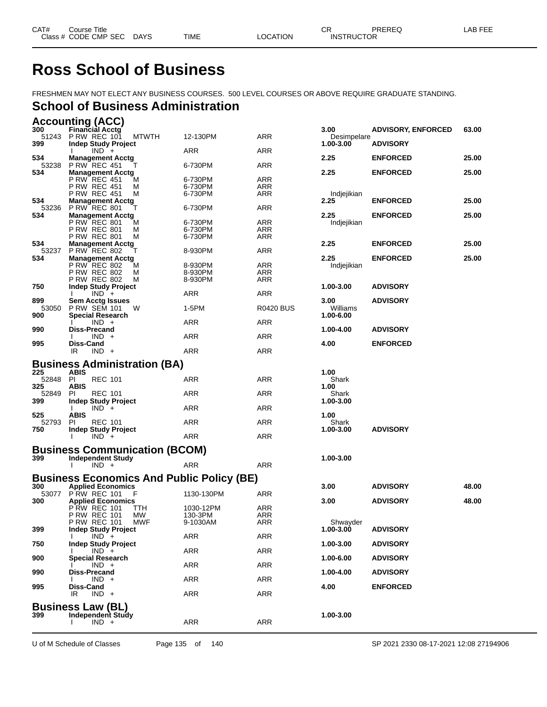## **Ross School of Business**

FRESHMEN MAY NOT ELECT ANY BUSINESS COURSES. 500 LEVEL COURSES OR ABOVE REQUIRE GRADUATE STANDING.

# **School of Business Administration**

|              | <b>Accounting (ACC)</b>                                        |                     |                  |                     |                           |       |
|--------------|----------------------------------------------------------------|---------------------|------------------|---------------------|---------------------------|-------|
| 300          | <b>Financial Acctg</b><br>51243 P RW REC 101<br><b>MTWTH</b>   | 12-130PM            | ARR              | 3.00<br>Desimpelare | <b>ADVISORY, ENFORCED</b> | 63.00 |
| 399          | <b>Indep Study Project</b>                                     |                     |                  | $1.00 - 3.00$       | <b>ADVISORY</b>           |       |
| 534          | $IND +$<br><b>Management Acctg</b>                             | ARR                 | ARR              | 2.25                | <b>ENFORCED</b>           | 25.00 |
| 53238        | <b>P RW REC 451</b>                                            | 6-730PM             | ARR              |                     |                           |       |
| 534          | <b>Management Acctg</b><br>P RW REC 451<br>м                   | 6-730PM             | ARR              | 2.25                | <b>ENFORCED</b>           | 25.00 |
|              | P RW REC 451<br>M                                              | 6-730PM             | ARR              |                     |                           |       |
| 534          | <b>P RW REC 451</b><br>М                                       | 6-730PM             | ARR              | Indjejikian         |                           |       |
| 53236        | <b>Management Acctg</b><br><b>P RW REC 801</b>                 | 6-730PM             | ARR              | 2.25                | <b>ENFORCED</b>           | 25.00 |
| 534          | <b>Management Acctg</b>                                        |                     |                  | 2.25                | <b>ENFORCED</b>           | 25.00 |
|              | P RW REC 801<br>м<br><b>P RW REC 801</b><br>M                  | 6-730PM<br>6-730PM  | ARR<br>ARR       | Indjejikian         |                           |       |
|              | P RW REC 801<br>М                                              | 6-730PM             | ARR              |                     |                           |       |
| 534          | <b>Management Acctg</b>                                        |                     |                  | 2.25                | <b>ENFORCED</b>           | 25.00 |
| 53237<br>534 | <b>P RW REC 802</b><br><b>Management Acctg</b>                 | 8-930PM             | ARR              | 2.25                | <b>ENFORCED</b>           | 25.00 |
|              | P RW REC 802<br>м                                              | 8-930PM             | ARR              | Indjejikian         |                           |       |
|              | <b>P RW REC 802</b><br>M                                       | 8-930PM             | ARR              |                     |                           |       |
| 750          | <b>P RW REC 802</b><br>M<br><b>Indep Study Project</b>         | 8-930PM             | ARR              | 1.00-3.00           | <b>ADVISORY</b>           |       |
|              | $IND +$                                                        | ARR                 | ARR              |                     |                           |       |
| 899          | <b>Sem Acctg Issues</b><br>53050 P RW SEM 101<br>W             | 1-5PM               | <b>R0420 BUS</b> | 3.00<br>Williams    | <b>ADVISORY</b>           |       |
| 900          | <b>Special Research</b>                                        |                     |                  | 1.00-6.00           |                           |       |
|              | $IND +$                                                        | ARR                 | ARR              |                     |                           |       |
| 990          | Diss-Precand<br>IND.<br>$\ddot{}$                              | ARR                 | ARR              | 1.00-4.00           | <b>ADVISORY</b>           |       |
| 995          | Diss-Cand                                                      |                     |                  | 4.00                | <b>ENFORCED</b>           |       |
|              | $IND +$<br>IR.                                                 | ARR                 | ARR              |                     |                           |       |
|              | <b>Business Administration (BA)</b>                            |                     |                  |                     |                           |       |
| 225<br>52848 | <b>ABIS</b><br>PI<br><b>REC 101</b>                            | <b>ARR</b>          | ARR              | 1.00<br>Shark       |                           |       |
| 325          | <b>ABIS</b>                                                    |                     |                  | 1.00                |                           |       |
| 52849        | PI<br><b>REC 101</b>                                           | ARR                 | ARR              | Shark               |                           |       |
| 399          | Indep Study Project<br>$IND +$<br>Ι.                           | ARR                 | ARR              | 1.00-3.00           |                           |       |
| 525          | ABIS                                                           |                     |                  | 1.00                |                           |       |
| 52793<br>750 | <b>REC 101</b><br>PI<br><b>Indep Study Project</b>             | <b>ARR</b>          | ARR              | Shark<br>1.00-3.00  | <b>ADVISORY</b>           |       |
|              | $IND +$                                                        | ARR                 | ARR              |                     |                           |       |
|              | <b>Business Communication (BCOM)</b>                           |                     |                  |                     |                           |       |
| 399          | <b>Independent Study</b>                                       |                     |                  | 1.00-3.00           |                           |       |
|              | $IND +$                                                        | ARR                 | ARR              |                     |                           |       |
|              | <b>Business Economics And Public Policy (BE)</b>               |                     |                  |                     |                           |       |
| 300<br>53077 | <b>Applied Economics</b><br><b>P RW REC 101</b><br>F           | 1130-130PM          | ARR              | 3.00                | <b>ADVISORY</b>           | 48.00 |
| 300          | <b>Applied Economics</b>                                       |                     |                  | 3.00                | <b>ADVISORY</b>           | 48.00 |
|              | <b>PRW REC 101</b><br>ттн                                      | 1030-12PM           | ARR              |                     |                           |       |
|              | MW<br><b>P RW REC 101</b><br><b>P RW REC 101</b><br><b>MWF</b> | 130-3PM<br>9-1030AM | ARR<br>ARR       | Shwavder            |                           |       |
| 399          | <b>Indep Study Project</b>                                     |                     |                  | 1.00-3.00           | <b>ADVISORY</b>           |       |
| 750          | $IND +$<br><b>Indep Study Project</b>                          | ARR                 | ARR              | 1.00-3.00           | <b>ADVISORY</b>           |       |
|              | $IND +$                                                        | ARR                 | ARR              |                     |                           |       |
| 900          | <b>Special Research</b><br>$IND +$                             | ARR                 | ARR              | 1.00-6.00           | <b>ADVISORY</b>           |       |
| 990          | Diss-Precand                                                   |                     |                  | 1.00-4.00           | <b>ADVISORY</b>           |       |
|              | $IND +$                                                        | ARR                 | ARR              |                     |                           |       |
| 995          | Diss-Cand<br>IR<br>$IND +$                                     | ARR                 | ARR              | 4.00                | <b>ENFORCED</b>           |       |
|              | <b>Business Law (BL)</b>                                       |                     |                  |                     |                           |       |
| 399          | Independent Study                                              |                     |                  | 1.00-3.00           |                           |       |
|              | $IND +$<br>$\mathbf{I}$                                        | ARR                 | ARR              |                     |                           |       |
|              |                                                                |                     |                  |                     |                           |       |

U of M Schedule of Classes Page 135 of 140 SP 2021 2330 08-17-2021 12:08 27194906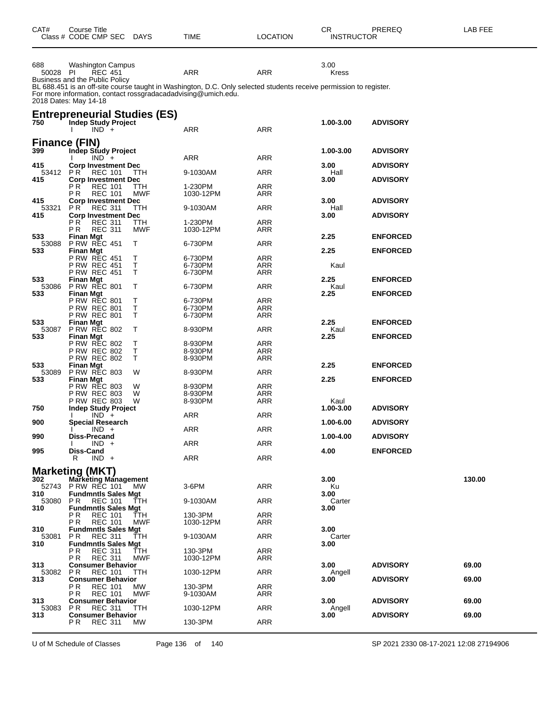| CAT#            | Course Title<br>Class # CODE CMP SEC DAYS                                                      |             | <b>TIME</b>                                                          | <b>LOCATION</b>                                                                                                           | CR.<br><b>INSTRUCTOR</b> | PREREQ          | LAB FEE |  |
|-----------------|------------------------------------------------------------------------------------------------|-------------|----------------------------------------------------------------------|---------------------------------------------------------------------------------------------------------------------------|--------------------------|-----------------|---------|--|
| 688<br>50028 PI | Washington Campus<br><b>REC 451</b><br>Business and the Public Policy<br>2018 Dates: May 14-18 |             | ARR<br>For more information, contact rossgradacadadvising@umich.edu. | ARR<br>BL 688.451 is an off-site course taught in Washington, D.C. Only selected students receive permission to register. | 3.00<br><b>Kress</b>     |                 |         |  |
| 750             | <b>Entrepreneurial Studies (ES)</b><br><b>Indep Study Project</b><br>$IND +$                   |             | ARR                                                                  | ARR                                                                                                                       | 1.00-3.00                | <b>ADVISORY</b> |         |  |
|                 | Finance (FIN)                                                                                  |             |                                                                      |                                                                                                                           |                          |                 |         |  |
| 399             | Indep Study Project<br>$IND +$                                                                 |             | ARR                                                                  | ARR                                                                                                                       | 1.00-3.00                | <b>ADVISORY</b> |         |  |
| 415<br>53412    | <b>Corp Investment Dec</b><br>PR.<br><b>REC 101</b>                                            | TTH.        | 9-1030AM                                                             | ARR                                                                                                                       | 3.00<br>Hall             | <b>ADVISORY</b> |         |  |
| 415             | <b>Corp Investment Dec</b><br>P R<br><b>REC 101</b>                                            | TTH         | 1-230PM                                                              | ARR                                                                                                                       | 3.00                     | <b>ADVISORY</b> |         |  |
| 415             | P R<br><b>REC 101</b><br><b>Corp Investment Dec</b>                                            | MWF         | 1030-12PM                                                            | ARR                                                                                                                       | 3.00                     | <b>ADVISORY</b> |         |  |
| 53321<br>415    | PR.<br><b>REC 311</b><br><b>Corp Investment Dec</b>                                            | <b>TTH</b>  | 9-1030AM                                                             | ARR                                                                                                                       | Hall<br>3.00             | <b>ADVISORY</b> |         |  |
|                 | РR<br><b>REC 311</b>                                                                           | TTH         | 1-230PM                                                              | ARR                                                                                                                       |                          |                 |         |  |
| 533             | <b>REC 311</b><br>P R<br><b>Finan Mgt</b>                                                      | MWF         | 1030-12PM                                                            | ARR                                                                                                                       | 2.25                     | <b>ENFORCED</b> |         |  |
| 53088<br>533    | <b>P RW REC 451</b><br><b>Finan Mgt</b>                                                        | Τ           | 6-730PM                                                              | ARR                                                                                                                       | 2.25                     | <b>ENFORCED</b> |         |  |
|                 | P RW REC 451<br><b>P RW REC 451</b>                                                            | Т<br>T      | 6-730PM<br>6-730PM                                                   | <b>ARR</b><br>ARR                                                                                                         | Kaul                     |                 |         |  |
| 533             | <b>P RW REC 451</b><br><b>Finan Mgt</b>                                                        | Τ           | 6-730PM                                                              | ARR                                                                                                                       | 2.25                     | <b>ENFORCED</b> |         |  |
| 53086<br>533    | <b>P RW REC 801</b><br><b>Finan Mgt</b>                                                        | Т           | 6-730PM                                                              | ARR                                                                                                                       | Kaul<br>2.25             | <b>ENFORCED</b> |         |  |
|                 | P RW REC 801                                                                                   | Т           | 6-730PM                                                              | <b>ARR</b>                                                                                                                |                          |                 |         |  |
|                 | P RW REC 801<br><b>P RW REC 801</b>                                                            | $\top$<br>Τ | 6-730PM<br>6-730PM                                                   | ARR<br>ARR                                                                                                                |                          |                 |         |  |
| 533<br>53087    | <b>Finan Mgt</b><br><b>P RW REC 802</b>                                                        | Т           | 8-930PM                                                              | ARR                                                                                                                       | 2.25<br>Kaul             | <b>ENFORCED</b> |         |  |
| 533             | <b>Finan Mgt</b><br>P RW REC 802                                                               | Т           | 8-930PM                                                              | <b>ARR</b>                                                                                                                | 2.25                     | <b>ENFORCED</b> |         |  |
|                 | P RW REC 802                                                                                   | T           | 8-930PM                                                              | ARR                                                                                                                       |                          |                 |         |  |
| 533             | <b>P RW REC 802</b><br>Finan Mgt                                                               | Τ           | 8-930PM                                                              | ARR                                                                                                                       | 2.25                     | <b>ENFORCED</b> |         |  |
| 53089<br>533    | <b>P RW REC 803</b><br><b>Finan Mgt</b>                                                        | W           | 8-930PM                                                              | ARR                                                                                                                       | 2.25                     | <b>ENFORCED</b> |         |  |
|                 | <b>P RW REC 803</b><br><b>P RW REC 803</b>                                                     | W<br>W      | 8-930PM<br>8-930PM                                                   | <b>ARR</b><br>ARR                                                                                                         |                          |                 |         |  |
|                 | <b>P RW REC 803</b>                                                                            | W           | 8-930PM                                                              | ARR                                                                                                                       | Kaul                     |                 |         |  |
| 750             | <b>Indep Study Project</b><br>$IND +$                                                          |             | ARR                                                                  | ARR                                                                                                                       | 1.00-3.00                | <b>ADVISORY</b> |         |  |
| 900             | <b>Special Research</b><br>$IND +$                                                             |             | ARR                                                                  | ARR                                                                                                                       | 1.00-6.00                | <b>ADVISORY</b> |         |  |
| 990             | Diss-Precand<br>$IND +$                                                                        |             | <b>ARR</b>                                                           | <b>ARR</b>                                                                                                                | 1.00-4.00                | <b>ADVISORY</b> |         |  |
| 995             | Diss-Cand                                                                                      |             |                                                                      |                                                                                                                           | 4.00                     | <b>ENFORCED</b> |         |  |
|                 | $IND +$<br>R                                                                                   |             | <b>ARR</b>                                                           | <b>ARR</b>                                                                                                                |                          |                 |         |  |
| 302             | <b>Marketing (MKT)</b><br><b>Marketing Management</b>                                          |             |                                                                      |                                                                                                                           | 3.00                     |                 | 130.00  |  |
| 52743<br>310    | <b>PRW REC 101</b><br><b>Fundmntls Sales Mgt</b>                                               | МW          | 3-6PM                                                                | <b>ARR</b>                                                                                                                | Ku<br>3.00               |                 |         |  |
| 53080<br>310    | P R<br><b>REC 101</b>                                                                          | TTH         | 9-1030AM                                                             | ARR                                                                                                                       | Carter<br>3.00           |                 |         |  |
|                 | <b>Fundmntls Sales Mgt</b><br>РR<br><b>REC 101</b>                                             | TTH         | 130-3PM                                                              | <b>ARR</b>                                                                                                                |                          |                 |         |  |
| 310             | <b>REC 101</b><br>PR.<br><b>Fundmntls Sales Mgt</b>                                            | MWF         | 1030-12PM                                                            | ARR                                                                                                                       | 3.00                     |                 |         |  |
| 53081<br>310    | ΡR<br><b>REC 311</b><br><b>Fundmntls Sales Mgt</b>                                             | TTH         | 9-1030AM                                                             | <b>ARR</b>                                                                                                                | Carter<br>3.00           |                 |         |  |
|                 | ΡR<br><b>REC 311</b><br>PR.<br><b>REC 311</b>                                                  | TTH<br>MWF  | 130-3PM<br>1030-12PM                                                 | <b>ARR</b><br>ARR                                                                                                         |                          |                 |         |  |
| 313             | <b>Consumer Behavior</b>                                                                       |             |                                                                      |                                                                                                                           | 3.00                     | <b>ADVISORY</b> | 69.00   |  |
| 53082<br>313    | P R<br><b>REC 101</b><br><b>Consumer Behavior</b>                                              | TTH         | 1030-12PM                                                            | <b>ARR</b>                                                                                                                | Angell<br>3.00           | <b>ADVISORY</b> | 69.00   |  |
|                 | ΡR<br><b>REC 101</b><br><b>REC 101</b><br>P R                                                  | MW.<br>MWF  | 130-3PM<br>9-1030AM                                                  | ARR<br>ARR                                                                                                                |                          |                 |         |  |
| 313<br>53083    | <b>Consumer Behavior</b><br><b>REC 311</b><br>P R                                              | ттн         | 1030-12PM                                                            | ARR                                                                                                                       | 3.00<br>Angell           | <b>ADVISORY</b> | 69.00   |  |
| 313             | <b>Consumer Behavior</b>                                                                       |             |                                                                      |                                                                                                                           | 3.00                     | <b>ADVISORY</b> | 69.00   |  |
|                 | ΡR<br><b>REC 311</b>                                                                           | МW          | 130-3PM                                                              | <b>ARR</b>                                                                                                                |                          |                 |         |  |

U of M Schedule of Classes Page 136 of 140 SP 2021 2330 08-17-2021 12:08 27194906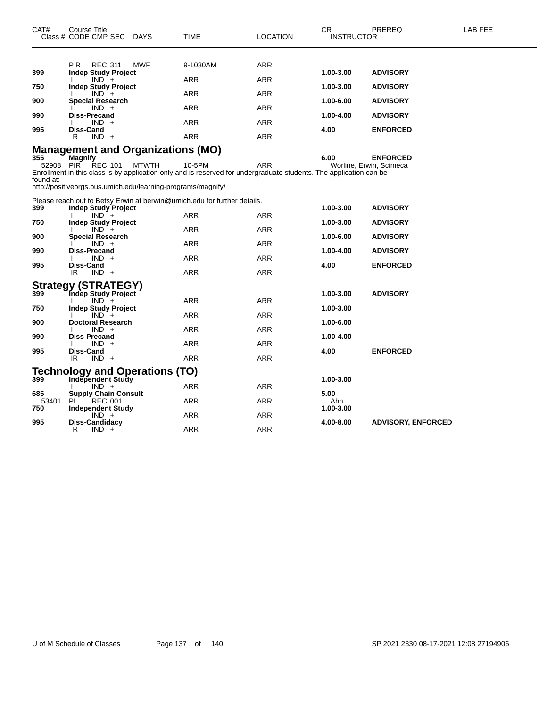| CAT#             | Course Title<br>Class # CODE CMP SEC                                                                                                                   | DAYS         | <b>TIME</b>              | <b>LOCATION</b>          | CR.<br><b>INSTRUCTOR</b> | PREREQ                                     | <b>LAB FEE</b> |
|------------------|--------------------------------------------------------------------------------------------------------------------------------------------------------|--------------|--------------------------|--------------------------|--------------------------|--------------------------------------------|----------------|
|                  |                                                                                                                                                        |              |                          |                          |                          |                                            |                |
| 399              | P R<br><b>REC 311</b><br><b>Indep Study Project</b>                                                                                                    | <b>MWF</b>   | 9-1030AM                 | <b>ARR</b>               | 1.00-3.00                | <b>ADVISORY</b>                            |                |
| 750              | $IND +$<br><b>Indep Study Project</b>                                                                                                                  |              | <b>ARR</b>               | <b>ARR</b>               | 1.00-3.00                | <b>ADVISORY</b>                            |                |
| 900              | $IND +$<br><b>Special Research</b>                                                                                                                     |              | <b>ARR</b>               | ARR                      | 1.00-6.00                | <b>ADVISORY</b>                            |                |
| 990              | $IND +$<br><b>Diss-Precand</b>                                                                                                                         |              | ARR                      | ARR                      | 1.00-4.00                | <b>ADVISORY</b>                            |                |
|                  | $IND +$                                                                                                                                                |              | <b>ARR</b>               | <b>ARR</b>               |                          |                                            |                |
| 995              | Diss-Cand<br>$IND +$<br>R                                                                                                                              |              | <b>ARR</b>               | ARR                      | 4.00                     | <b>ENFORCED</b>                            |                |
|                  | <b>Management and Organizations (MO)</b>                                                                                                               |              |                          |                          |                          |                                            |                |
| 355<br>52908 PIR | <b>Magnify</b><br><b>REC 101</b><br>Enrollment in this class is by application only and is reserved for undergraduate students. The application can be | <b>MTWTH</b> | 10-5PM                   | ARR                      | 6.00                     | <b>ENFORCED</b><br>Worline, Erwin, Scimeca |                |
| found at:        | http://positiveorgs.bus.umich.edu/learning-programs/magnify/                                                                                           |              |                          |                          |                          |                                            |                |
| 399              | Please reach out to Betsy Erwin at berwin@umich.edu for further details.<br><b>Indep Study Project</b>                                                 |              |                          |                          | 1.00-3.00                | <b>ADVISORY</b>                            |                |
| 750              | $IND +$<br><b>Indep Study Project</b>                                                                                                                  |              | <b>ARR</b>               | <b>ARR</b>               | 1.00-3.00                | <b>ADVISORY</b>                            |                |
|                  | $IND +$                                                                                                                                                |              | <b>ARR</b>               | <b>ARR</b>               |                          |                                            |                |
| 900              | <b>Special Research</b><br>$IND +$                                                                                                                     |              | ARR                      | <b>ARR</b>               | 1.00-6.00                | <b>ADVISORY</b>                            |                |
| 990              | Diss-Precand<br>$IND +$                                                                                                                                |              | ARR                      | ARR                      | 1.00-4.00                | <b>ADVISORY</b>                            |                |
| 995              | Diss-Cand<br>IR<br>$IND +$                                                                                                                             |              | <b>ARR</b>               | <b>ARR</b>               | 4.00                     | <b>ENFORCED</b>                            |                |
|                  | <b>Strategy (STRATEGY)</b>                                                                                                                             |              |                          |                          |                          |                                            |                |
| 399              | Indep Study Project<br>$IND +$                                                                                                                         |              | <b>ARR</b>               | <b>ARR</b>               | 1.00-3.00                | <b>ADVISORY</b>                            |                |
| 750              | <b>Indep Study Project</b><br>$IND +$                                                                                                                  |              | <b>ARR</b>               | <b>ARR</b>               | 1.00-3.00                |                                            |                |
| 900              | <b>Doctoral Research</b><br>$IND +$                                                                                                                    |              | ARR                      | ARR                      | 1.00-6.00                |                                            |                |
| 990              | Diss-Precand<br>$IND +$                                                                                                                                |              | <b>ARR</b>               | <b>ARR</b>               | 1.00-4.00                |                                            |                |
| 995              | Diss-Cand<br>$IND +$<br>IR.                                                                                                                            |              | <b>ARR</b>               | ARR                      | 4.00                     | <b>ENFORCED</b>                            |                |
|                  | Technology and Operations (TO)                                                                                                                         |              |                          |                          |                          |                                            |                |
| 399              | <b>Independent Study</b><br>$IND +$                                                                                                                    |              | ARR                      | ARR                      | 1.00-3.00                |                                            |                |
| 685              | <b>Supply Chain Consult</b><br>PI.                                                                                                                     |              | ARR                      | ARR                      | 5.00<br>Ahn              |                                            |                |
| 53401<br>750     | <b>REC 001</b><br>Independent Study                                                                                                                    |              |                          |                          | 1.00-3.00                |                                            |                |
| 995              | $IND +$<br>Diss-Candidacy<br>R<br>$IND +$                                                                                                              |              | <b>ARR</b><br><b>ARR</b> | <b>ARR</b><br><b>ARR</b> | 4.00-8.00                | <b>ADVISORY, ENFORCED</b>                  |                |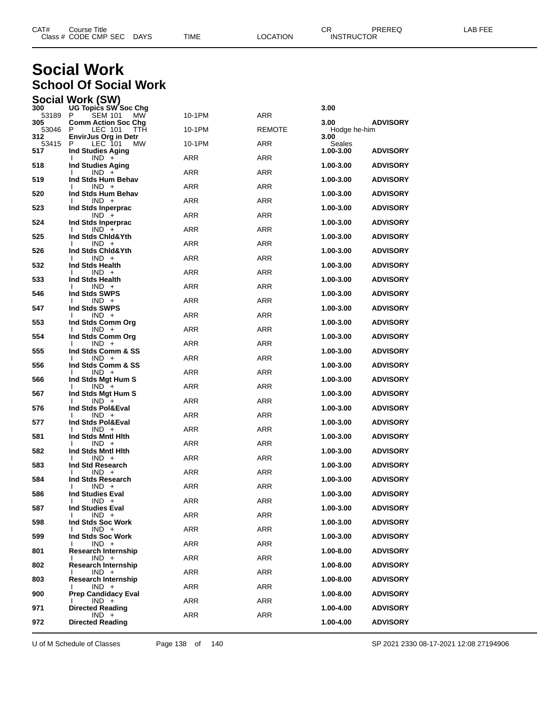| CAT# | Course Title         |             |      |          | ⌒冖<br>◡⊓          | PREREQ | AR FFF |
|------|----------------------|-------------|------|----------|-------------------|--------|--------|
|      | Class # CODE CMP SEC | <b>DAYS</b> | TIME | LOCATION | <b>INSTRUCTOR</b> |        |        |

#### **Social Work School Of Social Work**

| Social Work (SW) |                             |  |
|------------------|-----------------------------|--|
| nnn.             | $100T - 125$ $0.070 - 0.05$ |  |

| 300          | <b>UG Topics SW Soc Chg</b>                              |            |               | 3.00                 |                 |
|--------------|----------------------------------------------------------|------------|---------------|----------------------|-----------------|
| 53189<br>305 | SEM 101<br><b>MW</b><br>P.<br><b>Comm Action Soc Chg</b> | 10-1PM     | ARR           | 3.00                 | <b>ADVISORY</b> |
| 53046<br>312 | P<br>LEC 101<br>TTH<br><b>EnvirJus Org in Detr</b>       | 10-1PM     | <b>REMOTE</b> | Hodge he-him<br>3.00 |                 |
| 53415<br>517 | LEC 101<br>P<br>МW<br><b>Ind Studies Aging</b>           | 10-1PM     | ARR           | Seales<br>1.00-3.00  | <b>ADVISORY</b> |
| 518          | $IND +$<br>Ind Studies Aging                             | ARR        | ARR           | 1.00-3.00            | <b>ADVISORY</b> |
| 519          | $IND +$<br>I.<br>Ind Stds Hum Behav                      | ARR        | <b>ARR</b>    | 1.00-3.00            | <b>ADVISORY</b> |
| 520          | $IND +$<br>I.<br>Ind Stds Hum Behav                      | ARR        | <b>ARR</b>    | 1.00-3.00            | <b>ADVISORY</b> |
| 523          | $IND +$<br>Ind Stds Inperprac                            | ARR        | ARR           | 1.00-3.00            | <b>ADVISORY</b> |
| 524          | $IND +$<br>Ind Stds Inperprac                            | ARR        | <b>ARR</b>    | 1.00-3.00            | <b>ADVISORY</b> |
| 525          | $IND +$<br>I.<br>Ind Stds Chid&Yth                       | ARR        | <b>ARR</b>    | 1.00-3.00            | <b>ADVISORY</b> |
| 526          | $IND +$<br>Ind Stds Chid&Yth                             | ARR        | ARR           | 1.00-3.00            | <b>ADVISORY</b> |
| 532          | $IND +$<br>L<br>Ind Stds Health                          | ARR        | <b>ARR</b>    | 1.00-3.00            | <b>ADVISORY</b> |
| 533          | $IND +$<br>Ind Stds Health                               | ARR        | <b>ARR</b>    | 1.00-3.00            | <b>ADVISORY</b> |
|              | $IND +$                                                  | ARR        | ARR           |                      |                 |
| 546          | Ind Stds SWPS<br>$IND +$<br>I.                           | <b>ARR</b> | <b>ARR</b>    | 1.00-3.00            | <b>ADVISORY</b> |
| 547          | Ind Stds SWPS<br>$IND +$                                 | <b>ARR</b> | <b>ARR</b>    | 1.00-3.00            | <b>ADVISORY</b> |
| 553          | Ind Stds Comm Org<br>$IND +$<br>I.                       | ARR        | ARR           | 1.00-3.00            | <b>ADVISORY</b> |
| 554          | Ind Stds Comm Org<br>$IND +$<br>I.                       | ARR        | <b>ARR</b>    | 1.00-3.00            | <b>ADVISORY</b> |
| 555          | Ind Stds Comm & SS<br>$IND +$                            | ARR        | <b>ARR</b>    | 1.00-3.00            | <b>ADVISORY</b> |
| 556          | Ind Stds Comm & SS<br>$IND +$                            | ARR        | ARR           | 1.00-3.00            | <b>ADVISORY</b> |
| 566          | Ind Stds Mgt Hum S<br>$IND +$<br>I.                      | ARR        | <b>ARR</b>    | 1.00-3.00            | <b>ADVISORY</b> |
| 567          | Ind Stds Mgt Hum S<br>$IND +$<br>I.                      | ARR        | <b>ARR</b>    | 1.00-3.00            | <b>ADVISORY</b> |
| 576          | Ind Stds Pol&Eval<br>$IND +$                             | ARR        | ARR           | 1.00-3.00            | <b>ADVISORY</b> |
| 577          | Ind Stds Pol&Eval<br>$IND +$<br>I.                       | ARR        | <b>ARR</b>    | 1.00-3.00            | <b>ADVISORY</b> |
| 581          | Ind Stds Mntl Hith<br>$IND +$                            | ARR        | <b>ARR</b>    | 1.00-3.00            | <b>ADVISORY</b> |
| 582          | Ind Stds Mntl Hith<br>$IND +$<br>I.                      | ARR        | ARR           | 1.00-3.00            | <b>ADVISORY</b> |
| 583          | Ind Std Research<br>$IND +$<br>I.                        | <b>ARR</b> | <b>ARR</b>    | 1.00-3.00            | <b>ADVISORY</b> |
| 584          | Ind Stds Research                                        |            |               | 1.00-3.00            | <b>ADVISORY</b> |
| 586          | $IND +$<br><b>Ind Studies Eval</b>                       | ARR        | ARR           | 1.00-3.00            | <b>ADVISORY</b> |
| 587          | $IND +$<br>T<br><b>Ind Studies Eval</b>                  | ARR        | <b>ARR</b>    | 1.00-3.00            | <b>ADVISORY</b> |
| 598          | L<br>$IND +$<br>Ind Stds Soc Work                        | ARR        | ARR           | $1.00 - 3.00$        | <b>ADVISORY</b> |
| 599          | $IND +$<br>Ind Stds Soc Work                             | ARR        | ARR           | 1.00-3.00            | <b>ADVISORY</b> |
| 801          | $IND +$<br><b>Research Internship</b>                    | <b>ARR</b> | ARR           | 1.00-8.00            | <b>ADVISORY</b> |
| 802          | $IND +$<br><b>Research Internship</b>                    | ARR        | ARR           | 1.00-8.00            | <b>ADVISORY</b> |
| 803          | $IND +$<br>Ι.<br><b>Research Internship</b>              | ARR        | ARR           | 1.00-8.00            | <b>ADVISORY</b> |
| 900          | $IND +$<br><b>Prep Candidacy Eval</b>                    | ARR        | ARR           | $1.00 - 8.00$        | <b>ADVISORY</b> |
| 971          | $IND +$<br><b>Directed Reading</b>                       | ARR        | ARR           | 1.00-4.00            | <b>ADVISORY</b> |
|              | $IND +$                                                  | ARR        | ARR           |                      |                 |
| 972          | <b>Directed Reading</b>                                  |            |               | 1.00-4.00            | ADVISORY        |

U of M Schedule of Classes Page 138 of 140 SP 2021 2330 08-17-2021 12:08 27194906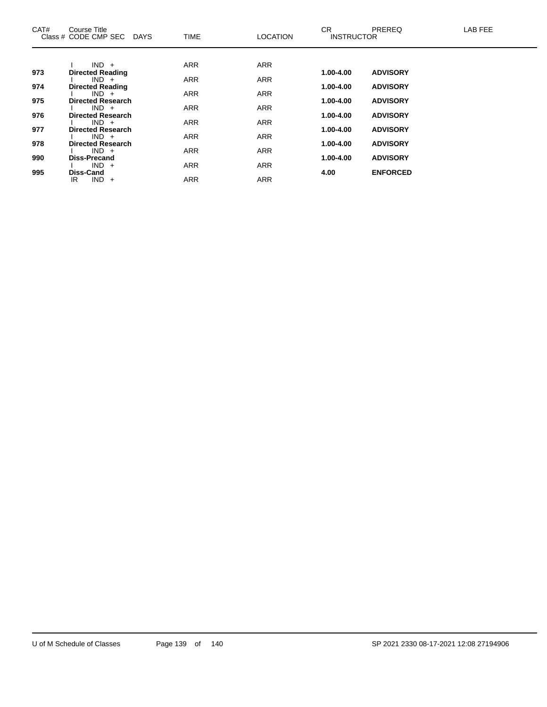| CAT# | Course Title<br>Class # CODE CMP SEC DAYS | <b>TIME</b> | <b>LOCATION</b> | CR.<br><b>INSTRUCTOR</b> | <b>PREREQ</b>   | LAB FEE |
|------|-------------------------------------------|-------------|-----------------|--------------------------|-----------------|---------|
|      |                                           |             |                 |                          |                 |         |
|      | $IND +$                                   | <b>ARR</b>  | <b>ARR</b>      |                          |                 |         |
| 973  | <b>Directed Reading</b><br>$IND +$        | <b>ARR</b>  | <b>ARR</b>      | 1.00-4.00                | <b>ADVISORY</b> |         |
| 974  | <b>Directed Reading</b>                   |             |                 | 1.00-4.00                | <b>ADVISORY</b> |         |
|      | $IND +$                                   | <b>ARR</b>  | <b>ARR</b>      |                          |                 |         |
| 975  | <b>Directed Research</b>                  |             |                 | 1.00-4.00                | <b>ADVISORY</b> |         |
|      | $IND +$                                   | <b>ARR</b>  | <b>ARR</b>      |                          |                 |         |
| 976  | <b>Directed Research</b>                  |             |                 | 1.00-4.00                | <b>ADVISORY</b> |         |
| 977  | $IND +$<br><b>Directed Research</b>       | <b>ARR</b>  | <b>ARR</b>      | 1.00-4.00                | <b>ADVISORY</b> |         |
|      | $IND +$                                   | <b>ARR</b>  | <b>ARR</b>      |                          |                 |         |
| 978  | <b>Directed Research</b>                  |             |                 | 1.00-4.00                | <b>ADVISORY</b> |         |
|      | $IND +$                                   | <b>ARR</b>  | <b>ARR</b>      |                          |                 |         |
| 990  | <b>Diss-Precand</b>                       |             |                 | 1.00-4.00                | <b>ADVISORY</b> |         |
|      | $IND +$                                   | <b>ARR</b>  | <b>ARR</b>      |                          |                 |         |
| 995  | Diss-Cand<br>$IND +$<br>IR                | <b>ARR</b>  | <b>ARR</b>      | 4.00                     | <b>ENFORCED</b> |         |